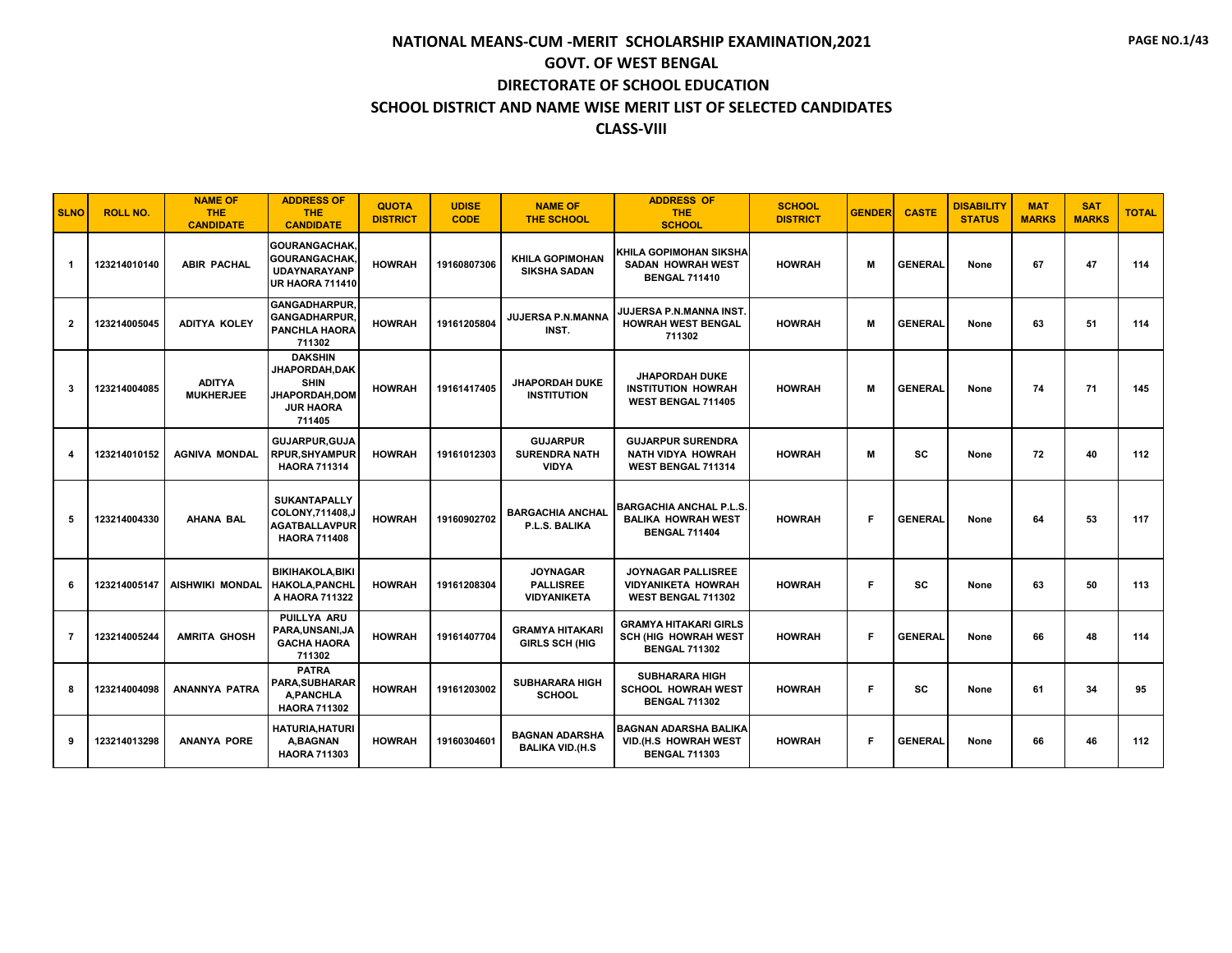| <b>SLNO</b>    | <b>ROLL NO.</b> | <b>NAME OF</b><br><b>THE</b><br><b>CANDIDATE</b> | <b>ADDRESS OF</b><br><b>THE</b><br><b>CANDIDATE</b>                                                   | <b>QUOTA</b><br><b>DISTRICT</b> | <b>UDISE</b><br><b>CODE</b> | <b>NAME OF</b><br><b>THE SCHOOL</b>                       | <b>ADDRESS OF</b><br><b>THE</b><br><b>SCHOOL</b>                                    | <b>SCHOOL</b><br><b>DISTRICT</b> | <b>GENDER</b> | <b>CASTE</b>   | <b>DISABILITY</b><br><b>STATUS</b> | <b>MAT</b><br><b>MARKS</b> | <b>SAT</b><br><b>MARKS</b> | <b>TOTAL</b> |
|----------------|-----------------|--------------------------------------------------|-------------------------------------------------------------------------------------------------------|---------------------------------|-----------------------------|-----------------------------------------------------------|-------------------------------------------------------------------------------------|----------------------------------|---------------|----------------|------------------------------------|----------------------------|----------------------------|--------------|
| -1             | 123214010140    | <b>ABIR PACHAL</b>                               | <b>GOURANGACHAK.</b><br><b>GOURANGACHAK.</b><br>UDAYNARAYANP<br><b>UR HAORA 711410</b>                | <b>HOWRAH</b>                   | 19160807306                 | <b>KHILA GOPIMOHAN</b><br><b>SIKSHA SADAN</b>             | KHILA GOPIMOHAN SIKSHA<br><b>SADAN HOWRAH WEST</b><br><b>BENGAL 711410</b>          | <b>HOWRAH</b>                    | м             | <b>GENERAL</b> | None                               | 67                         | 47                         | 114          |
| $\overline{2}$ | 123214005045    | <b>ADITYA KOLEY</b>                              | <b>GANGADHARPUR.</b><br>GANGADHARPUR,<br><b>PANCHLA HAORA</b><br>711302                               | <b>HOWRAH</b>                   | 19161205804                 | JUJERSA P.N.MANNA<br>INST.                                | JUJERSA P.N.MANNA INST.<br><b>HOWRAH WEST BENGAL</b><br>711302                      | <b>HOWRAH</b>                    | м             | <b>GENERAL</b> | None                               | 63                         | 51                         | 114          |
| 3              | 123214004085    | <b>ADITYA</b><br><b>MUKHERJEE</b>                | <b>DAKSHIN</b><br>JHAPORDAH, DAK<br><b>SHIN</b><br><b>JHAPORDAH.DOM</b><br><b>JUR HAORA</b><br>711405 | <b>HOWRAH</b>                   | 19161417405                 | <b>JHAPORDAH DUKE</b><br><b>INSTITUTION</b>               | <b>JHAPORDAH DUKE</b><br><b>INSTITUTION HOWRAH</b><br>WEST BENGAL 711405            | <b>HOWRAH</b>                    | м             | <b>GENERAL</b> | None                               | 74                         | 71                         | 145          |
| 4              | 123214010152    | <b>AGNIVA MONDAL</b>                             | <b>GUJARPUR, GUJA</b><br><b>RPUR, SHYAMPUR</b><br><b>HAORA 711314</b>                                 | <b>HOWRAH</b>                   | 19161012303                 | <b>GUJARPUR</b><br><b>SURENDRA NATH</b><br><b>VIDYA</b>   | <b>GUJARPUR SURENDRA</b><br><b>NATH VIDYA HOWRAH</b><br>WEST BENGAL 711314          | <b>HOWRAH</b>                    | M             | <b>SC</b>      | None                               | 72                         | 40                         | 112          |
| 5              | 123214004330    | <b>AHANA BAL</b>                                 | <b>SUKANTAPALLY</b><br>COLONY.711408.J<br><b>AGATBALLAVPUR</b><br><b>HAORA 711408</b>                 | <b>HOWRAH</b>                   | 19160902702                 | <b>BARGACHIA ANCHAL</b><br>P.L.S. BALIKA                  | <b>BARGACHIA ANCHAL P.L.S.</b><br><b>BALIKA HOWRAH WEST</b><br><b>BENGAL 711404</b> | <b>HOWRAH</b>                    | Е             | <b>GENERAL</b> | None                               | 64                         | 53                         | 117          |
| 6              | 123214005147    | <b>AISHWIKI MONDAL</b>                           | <b>BIKIHAKOLA, BIKI</b><br><b>HAKOLA,PANCHL</b><br>A HAORA 711322                                     | <b>HOWRAH</b>                   | 19161208304                 | <b>JOYNAGAR</b><br><b>PALLISREE</b><br><b>VIDYANIKETA</b> | <b>JOYNAGAR PALLISREE</b><br><b>VIDYANIKETA HOWRAH</b><br>WEST BENGAL 711302        | <b>HOWRAH</b>                    | F             | <b>SC</b>      | None                               | 63                         | 50                         | 113          |
| $\overline{7}$ | 123214005244    | <b>AMRITA GHOSH</b>                              | <b>PUILLYA ARU</b><br>PARA, UNSANI, JA<br><b>GACHA HAORA</b><br>711302                                | <b>HOWRAH</b>                   | 19161407704                 | <b>GRAMYA HITAKARI</b><br><b>GIRLS SCH (HIG</b>           | <b>GRAMYA HITAKARI GIRLS</b><br><b>SCH (HIG HOWRAH WEST</b><br><b>BENGAL 711302</b> | <b>HOWRAH</b>                    | Е             | <b>GENERAL</b> | None                               | 66                         | 48                         | 114          |
| 8              | 123214004098    | <b>ANANNYA PATRA</b>                             | <b>PATRA</b><br>PARA,SUBHARAR<br>A.PANCHLA<br><b>HAORA 711302</b>                                     | <b>HOWRAH</b>                   | 19161203002                 | <b>SUBHARARA HIGH</b><br><b>SCHOOL</b>                    | <b>SUBHARARA HIGH</b><br><b>SCHOOL HOWRAH WEST</b><br><b>BENGAL 711302</b>          | <b>HOWRAH</b>                    | F             | <b>SC</b>      | None                               | 61                         | 34                         | 95           |
| 9              | 123214013298    | <b>ANANYA PORE</b>                               | <b>HATURIA, HATURI</b><br>A, BAGNAN<br><b>HAORA 711303</b>                                            | <b>HOWRAH</b>                   | 19160304601                 | <b>BAGNAN ADARSHA</b><br><b>BALIKA VID.(H.S</b>           | <b>BAGNAN ADARSHA BALIKA</b><br>VID.(H.S HOWRAH WEST<br><b>BENGAL 711303</b>        | <b>HOWRAH</b>                    | F             | <b>GENERAL</b> | None                               | 66                         | 46                         | 112          |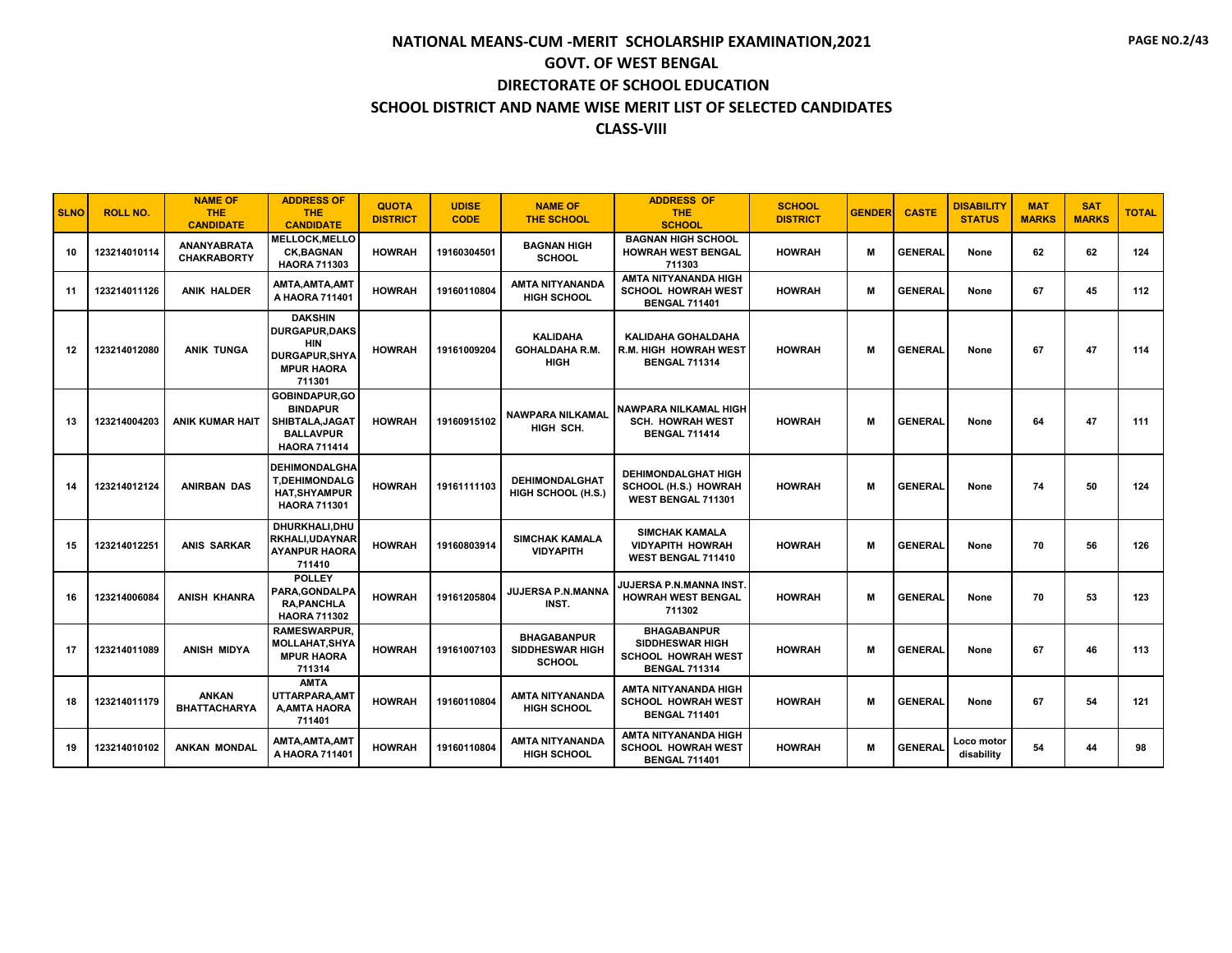| <b>SLNO</b> | <b>ROLL NO.</b> | <b>NAME OF</b><br><b>THE</b><br><b>CANDIDATE</b> | <b>ADDRESS OF</b><br><b>THE</b><br><b>CANDIDATE</b>                                                           | <b>QUOTA</b><br><b>DISTRICT</b> | <b>UDISE</b><br><b>CODE</b> | <b>NAME OF</b><br><b>THE SCHOOL</b>                           | <b>ADDRESS OF</b><br><b>THE</b><br><b>SCHOOL</b>                                           | <b>SCHOOL</b><br><b>DISTRICT</b> | <b>GENDER</b> | <b>CASTE</b>   | <b>DISABILITY</b><br><b>STATUS</b> | <b>MAT</b><br><b>MARKS</b> | <b>SAT</b><br><b>MARKS</b> | <b>TOTAL</b> |
|-------------|-----------------|--------------------------------------------------|---------------------------------------------------------------------------------------------------------------|---------------------------------|-----------------------------|---------------------------------------------------------------|--------------------------------------------------------------------------------------------|----------------------------------|---------------|----------------|------------------------------------|----------------------------|----------------------------|--------------|
| 10          | 123214010114    | ANANYABRATA<br><b>CHAKRABORTY</b>                | MELLOCK, MELLO<br><b>CK.BAGNAN</b><br><b>HAORA 711303</b>                                                     | <b>HOWRAH</b>                   | 19160304501                 | <b>BAGNAN HIGH</b><br><b>SCHOOL</b>                           | <b>BAGNAN HIGH SCHOOL</b><br><b>HOWRAH WEST BENGAL</b><br>711303                           | <b>HOWRAH</b>                    | м             | <b>GENERAL</b> | None                               | 62                         | 62                         | 124          |
| 11          | 123214011126    | <b>ANIK HALDER</b>                               | AMTA.AMTA.AMT<br>A HAORA 711401                                                                               | <b>HOWRAH</b>                   | 19160110804                 | <b>AMTA NITYANANDA</b><br><b>HIGH SCHOOL</b>                  | AMTA NITYANANDA HIGH<br><b>SCHOOL HOWRAH WEST</b><br><b>BENGAL 711401</b>                  | <b>HOWRAH</b>                    | м             | <b>GENERAL</b> | None                               | 67                         | 45                         | 112          |
| 12          | 123214012080    | <b>ANIK TUNGA</b>                                | <b>DAKSHIN</b><br><b>DURGAPUR, DAKS</b><br><b>HIN</b><br><b>DURGAPUR, SHYA</b><br><b>MPUR HAORA</b><br>711301 | <b>HOWRAH</b>                   | 19161009204                 | <b>KALIDAHA</b><br><b>GOHALDAHA R.M.</b><br><b>HIGH</b>       | KALIDAHA GOHALDAHA<br><b>R.M. HIGH HOWRAH WEST</b><br><b>BENGAL 711314</b>                 | <b>HOWRAH</b>                    | M             | <b>GENERAL</b> | None                               | 67                         | 47                         | 114          |
| 13          | 123214004203    | ANIK KUMAR HAIT                                  | GOBINDAPUR, GO<br><b>BINDAPUR</b><br>SHIBTALA, JAGAT<br><b>BALLAVPUR</b><br><b>HAORA 711414</b>               | <b>HOWRAH</b>                   | 19160915102                 | <b>NAWPARA NILKAMAL</b><br>HIGH SCH.                          | NAWPARA NILKAMAL HIGH<br><b>SCH. HOWRAH WEST</b><br><b>BENGAL 711414</b>                   | <b>HOWRAH</b>                    | М             | <b>GENERAL</b> | None                               | 64                         | 47                         | 111          |
| 14          | 123214012124    | <b>ANIRBAN DAS</b>                               | <b>DEHIMONDALGHA</b><br><b>T.DEHIMONDALG</b><br><b>HAT, SHYAMPUR</b><br><b>HAORA 711301</b>                   | <b>HOWRAH</b>                   | 19161111103                 | <b>DEHIMONDALGHAT</b><br>HIGH SCHOOL (H.S.)                   | <b>DEHIMONDALGHAT HIGH</b><br>SCHOOL (H.S.) HOWRAH<br>WEST BENGAL 711301                   | <b>HOWRAH</b>                    | м             | <b>GENERAL</b> | None                               | 74                         | 50                         | 124          |
| 15          | 123214012251    | <b>ANIS SARKAR</b>                               | DHURKHALI, DHU<br>RKHALI,UDAYNAR<br><b>AYANPUR HAORA</b><br>711410                                            | <b>HOWRAH</b>                   | 19160803914                 | <b>SIMCHAK KAMALA</b><br><b>VIDYAPITH</b>                     | <b>SIMCHAK KAMALA</b><br><b>VIDYAPITH HOWRAH</b><br><b>WEST BENGAL 711410</b>              | <b>HOWRAH</b>                    | м             | <b>GENERAL</b> | None                               | 70                         | 56                         | 126          |
| 16          | 123214006084    | <b>ANISH KHANRA</b>                              | <b>POLLEY</b><br>PARA, GONDALPA<br><b>RA, PANCHLA</b><br><b>HAORA 711302</b>                                  | <b>HOWRAH</b>                   | 19161205804                 | JUJERSA P.N.MANNA<br>INST.                                    | JUJERSA P.N.MANNA INST.<br><b>HOWRAH WEST BENGAL</b><br>711302                             | <b>HOWRAH</b>                    | M             | <b>GENERAL</b> | None                               | 70                         | 53                         | 123          |
| 17          | 123214011089    | <b>ANISH MIDYA</b>                               | <b>RAMESWARPUR.</b><br>MOLLAHAT,SHYA<br><b>MPUR HAORA</b><br>711314                                           | <b>HOWRAH</b>                   | 19161007103                 | <b>BHAGABANPUR</b><br><b>SIDDHESWAR HIGH</b><br><b>SCHOOL</b> | <b>BHAGABANPUR</b><br>SIDDHESWAR HIGH<br><b>SCHOOL HOWRAH WEST</b><br><b>BENGAL 711314</b> | <b>HOWRAH</b>                    | м             | <b>GENERAL</b> | None                               | 67                         | 46                         | 113          |
| 18          | 123214011179    | <b>ANKAN</b><br><b>BHATTACHARYA</b>              | <b>AMTA</b><br>UTTARPARA.AMT<br><b>A, AMTA HAORA</b><br>711401                                                | <b>HOWRAH</b>                   | 19160110804                 | <b>AMTA NITYANANDA</b><br><b>HIGH SCHOOL</b>                  | AMTA NITYANANDA HIGH<br><b>SCHOOL HOWRAH WEST</b><br><b>BENGAL 711401</b>                  | <b>HOWRAH</b>                    | м             | <b>GENERAL</b> | None                               | 67                         | 54                         | 121          |
| 19          | 123214010102    | <b>ANKAN MONDAL</b>                              | AMTA, AMTA, AMT<br>A HAORA 711401                                                                             | <b>HOWRAH</b>                   | 19160110804                 | <b>AMTA NITYANANDA</b><br><b>HIGH SCHOOL</b>                  | AMTA NITYANANDA HIGH<br><b>SCHOOL HOWRAH WEST</b><br><b>BENGAL 711401</b>                  | <b>HOWRAH</b>                    | м             | <b>GENERAL</b> | Loco motor<br>disability           | 54                         | 44                         | 98           |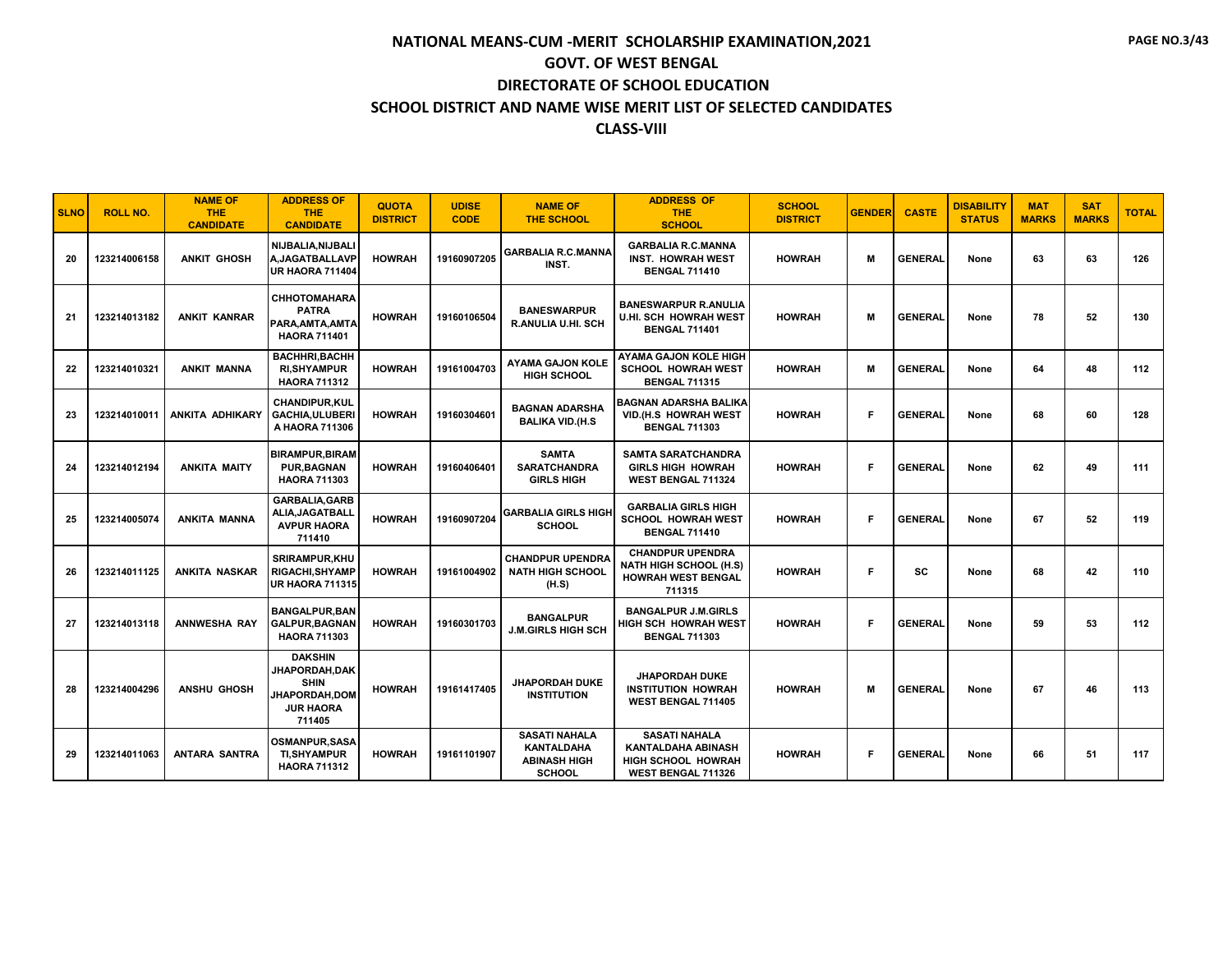| <b>SLNO</b> | <b>ROLL NO.</b> | <b>NAME OF</b><br>THE.<br><b>CANDIDATE</b> | <b>ADDRESS OF</b><br><b>THE</b><br><b>CANDIDATE</b>                                                         | <b>QUOTA</b><br><b>DISTRICT</b> | <b>UDISE</b><br><b>CODE</b> | <b>NAME OF</b><br><b>THE SCHOOL</b>                                               | <b>ADDRESS OF</b><br><b>THE</b><br><b>SCHOOL</b>                                                | <b>SCHOOL</b><br><b>DISTRICT</b> | <b>GENDER</b> | <b>CASTE</b>   | <b>DISABILITY</b><br><b>STATUS</b> | <b>MAT</b><br><b>MARKS</b> | <b>SAT</b><br><b>MARKS</b> | <b>TOTAL</b> |
|-------------|-----------------|--------------------------------------------|-------------------------------------------------------------------------------------------------------------|---------------------------------|-----------------------------|-----------------------------------------------------------------------------------|-------------------------------------------------------------------------------------------------|----------------------------------|---------------|----------------|------------------------------------|----------------------------|----------------------------|--------------|
| 20          | 123214006158    | <b>ANKIT GHOSH</b>                         | NIJBALIA.NIJBALI<br>A.JAGATBALLAVP<br>UR HAORA 711404                                                       | <b>HOWRAH</b>                   | 19160907205                 | <b>GARBALIA R.C.MANNA</b><br>INST.                                                | <b>GARBALIA R.C.MANNA</b><br><b>INST. HOWRAH WEST</b><br><b>BENGAL 711410</b>                   | <b>HOWRAH</b>                    | м             | <b>GENERAL</b> | None                               | 63                         | 63                         | 126          |
| 21          | 123214013182    | <b>ANKIT KANRAR</b>                        | <b>CHHOTOMAHARA</b><br><b>PATRA</b><br>PARA.AMTA.AMTA<br><b>HAORA 711401</b>                                | <b>HOWRAH</b>                   | 19160106504                 | <b>BANESWARPUR</b><br>R.ANULIA U.HI. SCH                                          | <b>BANESWARPUR R.ANULIA</b><br><b>U.HI. SCH HOWRAH WEST</b><br><b>BENGAL 711401</b>             | <b>HOWRAH</b>                    | м             | <b>GENERAL</b> | None                               | 78                         | 52                         | 130          |
| 22          | 123214010321    | <b>ANKIT MANNA</b>                         | <b>BACHHRI, BACHH</b><br><b>RI, SHY AMPUR</b><br><b>HAORA 711312</b>                                        | <b>HOWRAH</b>                   | 19161004703                 | <b>AYAMA GAJON KOLE</b><br><b>HIGH SCHOOL</b>                                     | <b>AYAMA GAJON KOLE HIGH</b><br><b>SCHOOL HOWRAH WEST</b><br><b>BENGAL 711315</b>               | <b>HOWRAH</b>                    | м             | <b>GENERAL</b> | None                               | 64                         | 48                         | 112          |
| 23          | 123214010011    | ANKITA ADHIKARY                            | <b>CHANDIPUR,KUL</b><br><b>GACHIA,ULUBERI</b><br>A HAORA 711306                                             | <b>HOWRAH</b>                   | 19160304601                 | <b>BAGNAN ADARSHA</b><br><b>BALIKA VID.(H.S</b>                                   | <b>BAGNAN ADARSHA BALIKA</b><br>VID.(H.S HOWRAH WEST<br><b>BENGAL 711303</b>                    | <b>HOWRAH</b>                    | Е             | <b>GENERAL</b> | None                               | 68                         | 60                         | 128          |
| 24          | 123214012194    | <b>ANKITA MAITY</b>                        | <b>BIRAMPUR, BIRAM</b><br><b>PUR, BAGNAN</b><br><b>HAORA 711303</b>                                         | <b>HOWRAH</b>                   | 19160406401                 | <b>SAMTA</b><br><b>SARATCHANDRA</b><br><b>GIRLS HIGH</b>                          | <b>SAMTA SARATCHANDRA</b><br><b>GIRLS HIGH HOWRAH</b><br>WEST BENGAL 711324                     | <b>HOWRAH</b>                    | F             | <b>GENERAL</b> | None                               | 62                         | 49                         | 111          |
| 25          | 123214005074    | ANKITA MANNA                               | <b>GARBALIA, GARB</b><br>ALIA, JAGATBALL<br><b>AVPUR HAORA</b><br>711410                                    | <b>HOWRAH</b>                   | 19160907204                 | <b>GARBALIA GIRLS HIGH</b><br><b>SCHOOL</b>                                       | <b>GARBALIA GIRLS HIGH</b><br><b>SCHOOL HOWRAH WEST</b><br><b>BENGAL 711410</b>                 | <b>HOWRAH</b>                    | F             | <b>GENERAL</b> | None                               | 67                         | 52                         | 119          |
| 26          | 123214011125    | ANKITA NASKAR                              | <b>SRIRAMPUR.KHU</b><br><b>RIGACHI, SHYAMP</b><br><b>UR HAORA 711315</b>                                    | <b>HOWRAH</b>                   | 19161004902                 | <b>CHANDPUR UPENDRA</b><br><b>NATH HIGH SCHOOL</b><br>(H.S)                       | <b>CHANDPUR UPENDRA</b><br><b>NATH HIGH SCHOOL (H.S)</b><br><b>HOWRAH WEST BENGAL</b><br>711315 | <b>HOWRAH</b>                    | Е             | <b>SC</b>      | None                               | 68                         | 42                         | 110          |
| 27          | 123214013118    | <b>ANNWESHA RAY</b>                        | <b>BANGALPUR.BAN</b><br><b>GALPUR.BAGNAN</b><br><b>HAORA 711303</b>                                         | <b>HOWRAH</b>                   | 19160301703                 | <b>BANGALPUR</b><br><b>J.M.GIRLS HIGH SCH</b>                                     | <b>BANGALPUR J.M.GIRLS</b><br>HIGH SCH HOWRAH WEST<br><b>BENGAL 711303</b>                      | <b>HOWRAH</b>                    | F             | <b>GENERAL</b> | None                               | 59                         | 53                         | 112          |
| 28          | 123214004296    | <b>ANSHU GHOSH</b>                         | <b>DAKSHIN</b><br><b>JHAPORDAH,DAK</b><br><b>SHIN</b><br><b>JHAPORDAH,DOM</b><br><b>JUR HAORA</b><br>711405 | <b>HOWRAH</b>                   | 19161417405                 | <b>JHAPORDAH DUKE</b><br><b>INSTITUTION</b>                                       | <b>JHAPORDAH DUKE</b><br><b>INSTITUTION HOWRAH</b><br><b>WEST BENGAL 711405</b>                 | <b>HOWRAH</b>                    | м             | <b>GENERAL</b> | None                               | 67                         | 46                         | 113          |
| 29          | 123214011063    | <b>ANTARA SANTRA</b>                       | <b>OSMANPUR.SASA</b><br><b>TI,SHYAMPUR</b><br><b>HAORA 711312</b>                                           | <b>HOWRAH</b>                   | 19161101907                 | <b>SASATI NAHALA</b><br><b>KANTALDAHA</b><br><b>ABINASH HIGH</b><br><b>SCHOOL</b> | <b>SASATI NAHALA</b><br><b>KANTALDAHA ABINASH</b><br>HIGH SCHOOL HOWRAH<br>WEST BENGAL 711326   | <b>HOWRAH</b>                    | Е             | <b>GENERAL</b> | None                               | 66                         | 51                         | 117          |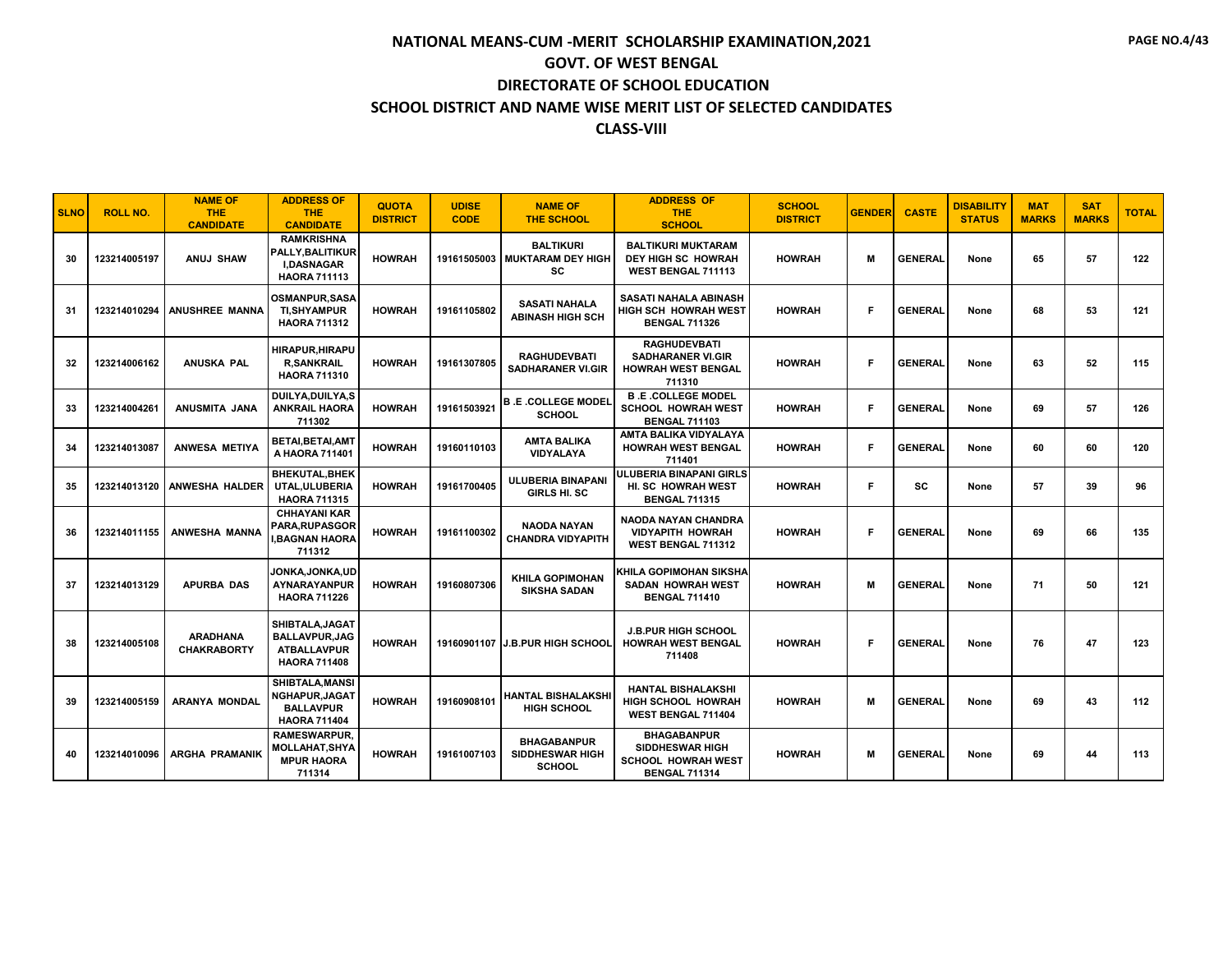| <b>SLNO</b> | <b>ROLL NO.</b> | <b>NAME OF</b><br>THE.<br><b>CANDIDATE</b> | <b>ADDRESS OF</b><br><b>THE</b><br><b>CANDIDATE</b>                                   | <b>QUOTA</b><br><b>DISTRICT</b> | <b>UDISE</b><br><b>CODE</b> | <b>NAME OF</b><br><b>THE SCHOOL</b>                              | <b>ADDRESS OF</b><br><b>THE</b><br><b>SCHOOL</b>                                                  | <b>SCHOOL</b><br><b>DISTRICT</b> | <b>GENDER</b> | <b>CASTE</b>   | <b>DISABILITY</b><br><b>STATUS</b> | <b>MAT</b><br><b>MARKS</b> | <b>SAT</b><br><b>MARKS</b> | <b>TOTAL</b> |
|-------------|-----------------|--------------------------------------------|---------------------------------------------------------------------------------------|---------------------------------|-----------------------------|------------------------------------------------------------------|---------------------------------------------------------------------------------------------------|----------------------------------|---------------|----------------|------------------------------------|----------------------------|----------------------------|--------------|
| 30          | 123214005197    | ANUJ SHAW                                  | <b>RAMKRISHNA</b><br>PALLY, BALITIKUR<br><b>I.DASNAGAR</b><br><b>HAORA 711113</b>     | <b>HOWRAH</b>                   |                             | <b>BALTIKURI</b><br>19161505003   MUKTARAM DEY HIGH<br><b>SC</b> | <b>BALTIKURI MUKTARAM</b><br>DEY HIGH SC HOWRAH<br>WEST BENGAL 711113                             | <b>HOWRAH</b>                    | М             | <b>GENERAL</b> | None                               | 65                         | 57                         | 122          |
| 31          | 123214010294    | <b>ANUSHREE MANNA</b>                      | <b>OSMANPUR, SASA</b><br><b>TI,SHYAMPUR</b><br><b>HAORA 711312</b>                    | <b>HOWRAH</b>                   | 19161105802                 | <b>SASATI NAHALA</b><br><b>ABINASH HIGH SCH</b>                  | SASATI NAHALA ABINASH<br><b>HIGH SCH HOWRAH WEST</b><br><b>BENGAL 711326</b>                      | <b>HOWRAH</b>                    | F             | <b>GENERAL</b> | None                               | 68                         | 53                         | 121          |
| 32          | 123214006162    | <b>ANUSKA PAL</b>                          | <b>HIRAPUR.HIRAPU</b><br><b>R.SANKRAIL</b><br><b>HAORA 711310</b>                     | <b>HOWRAH</b>                   | 19161307805                 | <b>RAGHUDEVBATI</b><br><b>SADHARANER VI.GIR</b>                  | <b>RAGHUDEVBATI</b><br><b>SADHARANER VI.GIR</b><br><b>HOWRAH WEST BENGAL</b><br>711310            | <b>HOWRAH</b>                    | Е             | <b>GENERAL</b> | None                               | 63                         | 52                         | 115          |
| 33          | 123214004261    | ANUSMITA JANA                              | <b>DUILYA,DUILYA,S</b><br><b>ANKRAIL HAORA</b><br>711302                              | <b>HOWRAH</b>                   | 19161503921                 | <b>B.E.COLLEGE MODEL</b><br><b>SCHOOL</b>                        | <b>B.E.COLLEGE MODEL</b><br><b>SCHOOL HOWRAH WEST</b><br><b>BENGAL 711103</b>                     | <b>HOWRAH</b>                    | Е             | <b>GENERAL</b> | None                               | 69                         | 57                         | 126          |
| 34          | 123214013087    | ANWESA METIYA                              | <b>BETAI, BETAI, AMT</b><br>A HAORA 711401                                            | <b>HOWRAH</b>                   | 19160110103                 | <b>AMTA BALIKA</b><br><b>VIDYALAYA</b>                           | AMTA BALIKA VIDYALAYA<br><b>HOWRAH WEST BENGAL</b><br>711401                                      | <b>HOWRAH</b>                    | Е             | <b>GENERAL</b> | None                               | 60                         | 60                         | 120          |
| 35          | 123214013120    | <b>ANWESHA HALDER</b>                      | <b>BHEKUTAL.BHEK</b><br>UTAL.ULUBERIA<br><b>HAORA 711315</b>                          | <b>HOWRAH</b>                   | 19161700405                 | <b>ULUBERIA BINAPANI</b><br><b>GIRLS HI. SC</b>                  | <b>ULUBERIA BINAPANI GIRLS</b><br>HI. SC HOWRAH WEST<br><b>BENGAL 711315</b>                      | <b>HOWRAH</b>                    | Е             | <b>SC</b>      | None                               | 57                         | 39                         | 96           |
| 36          | 123214011155    | <b>ANWESHA MANNA</b>                       | <b>CHHAYANI KAR</b><br>PARA, RUPASGOR<br><b>BAGNAN HAORA</b><br>711312                | <b>HOWRAH</b>                   | 19161100302                 | <b>NAODA NAYAN</b><br><b>CHANDRA VIDYAPITH</b>                   | NAODA NAYAN CHANDRA<br><b>VIDYAPITH HOWRAH</b><br><b>WEST BENGAL 711312</b>                       | <b>HOWRAH</b>                    | Е             | <b>GENERAL</b> | None                               | 69                         | 66                         | 135          |
| 37          | 123214013129    | APURBA DAS                                 | JONKA,JONKA,UD<br>AYNARAYANPUR<br><b>HAORA 711226</b>                                 | <b>HOWRAH</b>                   | 19160807306                 | <b>KHILA GOPIMOHAN</b><br><b>SIKSHA SADAN</b>                    | KHILA GOPIMOHAN SIKSHA<br>SADAN HOWRAH WEST<br><b>BENGAL 711410</b>                               | <b>HOWRAH</b>                    | M             | <b>GENERAL</b> | None                               | 71                         | 50                         | 121          |
| 38          | 123214005108    | <b>ARADHANA</b><br><b>CHAKRABORTY</b>      | SHIBTALA, JAGAT<br><b>BALLAVPUR, JAG</b><br><b>ATBALLAVPUR</b><br><b>HAORA 711408</b> | <b>HOWRAH</b>                   |                             | 19160901107 J.B.PUR HIGH SCHOOL                                  | <b>J.B.PUR HIGH SCHOOL</b><br><b>HOWRAH WEST BENGAL</b><br>711408                                 | <b>HOWRAH</b>                    | Е             | <b>GENERAL</b> | None                               | 76                         | 47                         | 123          |
| 39          | 123214005159    | <b>ARANYA MONDAL</b>                       | SHIBTALA, MANSI<br><b>NGHAPUR,JAGAT</b><br><b>BALLAVPUR</b><br><b>HAORA 711404</b>    | <b>HOWRAH</b>                   | 19160908101                 | <b>HANTAL BISHALAKSHI</b><br><b>HIGH SCHOOL</b>                  | <b>HANTAL BISHALAKSHI</b><br>HIGH SCHOOL HOWRAH<br>WEST BENGAL 711404                             | <b>HOWRAH</b>                    | М             | <b>GENERAL</b> | None                               | 69                         | 43                         | 112          |
| 40          | 123214010096    | <b>ARGHA PRAMANIK</b>                      | <b>RAMESWARPUR.</b><br>MOLLAHAT,SHYA<br><b>MPUR HAORA</b><br>711314                   | <b>HOWRAH</b>                   | 19161007103                 | <b>BHAGABANPUR</b><br><b>SIDDHESWAR HIGH</b><br><b>SCHOOL</b>    | <b>BHAGABANPUR</b><br><b>SIDDHESWAR HIGH</b><br><b>SCHOOL HOWRAH WEST</b><br><b>BENGAL 711314</b> | <b>HOWRAH</b>                    | М             | <b>GENERAL</b> | None                               | 69                         | 44                         | 113          |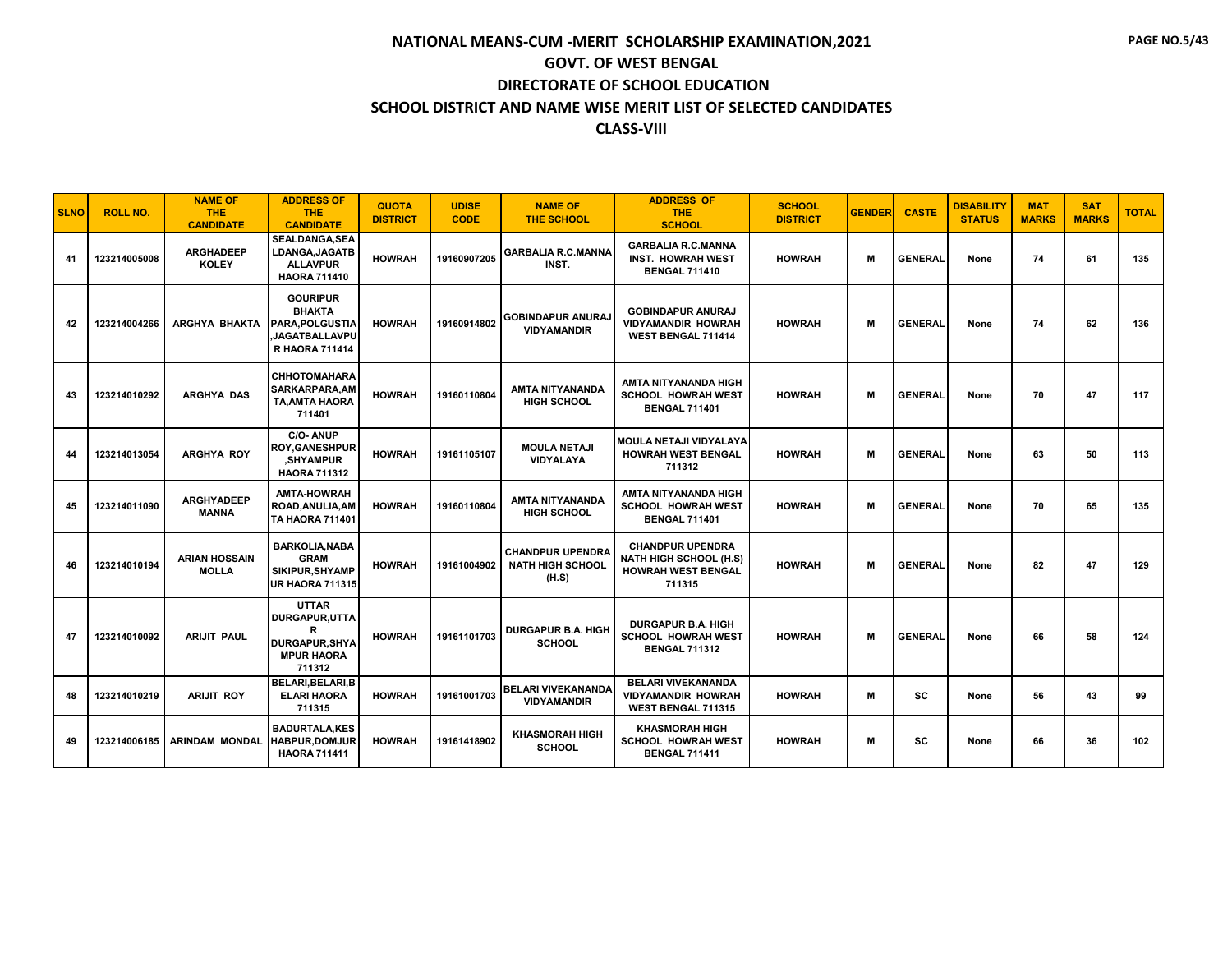| <b>SLNO</b> | <b>ROLL NO.</b> | <b>NAME OF</b><br><b>THE</b><br><b>CANDIDATE</b> | <b>ADDRESS OF</b><br>THE.<br><b>CANDIDATE</b>                                                       | <b>QUOTA</b><br><b>DISTRICT</b> | <b>UDISE</b><br><b>CODE</b> | <b>NAME OF</b><br><b>THE SCHOOL</b>                         | <b>ADDRESS OF</b><br>THE.<br><b>SCHOOL</b>                                                      | <b>SCHOOL</b><br><b>DISTRICT</b> | <b>GENDER</b> | <b>CASTE</b>   | <b>DISABILITY</b><br><b>STATUS</b> | <b>MAT</b><br><b>MARKS</b> | <b>SAT</b><br><b>MARKS</b> | <b>TOTAL</b> |
|-------------|-----------------|--------------------------------------------------|-----------------------------------------------------------------------------------------------------|---------------------------------|-----------------------------|-------------------------------------------------------------|-------------------------------------------------------------------------------------------------|----------------------------------|---------------|----------------|------------------------------------|----------------------------|----------------------------|--------------|
| 41          | 123214005008    | <b>ARGHADEEP</b><br><b>KOLEY</b>                 | SEALDANGA, SEA<br>LDANGA, JAGATB<br><b>ALLAVPUR</b><br><b>HAORA 711410</b>                          | <b>HOWRAH</b>                   | 19160907205                 | <b>GARBALIA R.C.MANNA</b><br>INST.                          | <b>GARBALIA R.C.MANNA</b><br><b>INST. HOWRAH WEST</b><br><b>BENGAL 711410</b>                   | <b>HOWRAH</b>                    | м             | <b>GENERAL</b> | None                               | 74                         | 61                         | 135          |
| 42          | 123214004266    | <b>ARGHYA BHAKTA</b>                             | <b>GOURIPUR</b><br><b>BHAKTA</b><br><b>PARA.POLGUSTIA</b><br>JAGATBALLAVPU<br><b>R HAORA 711414</b> | <b>HOWRAH</b>                   | 19160914802                 | <b>GOBINDAPUR ANURAJ</b><br><b>VIDYAMANDIR</b>              | <b>GOBINDAPUR ANURAJ</b><br><b>VIDYAMANDIR HOWRAH</b><br><b>WEST BENGAL 711414</b>              | <b>HOWRAH</b>                    | M             | <b>GENERAL</b> | None                               | 74                         | 62                         | 136          |
| 43          | 123214010292    | ARGHYA DAS                                       | <b>CHHOTOMAHARA</b><br>SARKARPARA, AM<br>TA, AMTA HAORA<br>711401                                   | <b>HOWRAH</b>                   | 19160110804                 | <b>AMTA NITYANANDA</b><br><b>HIGH SCHOOL</b>                | AMTA NITYANANDA HIGH<br><b>SCHOOL HOWRAH WEST</b><br><b>BENGAL 711401</b>                       | <b>HOWRAH</b>                    | M             | <b>GENERAL</b> | None                               | 70                         | 47                         | 117          |
| 44          | 123214013054    | ARGHYA ROY                                       | C/O-ANUP<br><b>ROY,GANESHPUR</b><br>.SHYAMPUR<br><b>HAORA 711312</b>                                | <b>HOWRAH</b>                   | 19161105107                 | <b>MOULA NETAJI</b><br><b>VIDYALAYA</b>                     | <b>MOULA NETAJI VIDYALAYA</b><br><b>HOWRAH WEST BENGAL</b><br>711312                            | <b>HOWRAH</b>                    | м             | <b>GENERAL</b> | None                               | 63                         | 50                         | 113          |
| 45          | 123214011090    | <b>ARGHYADEEP</b><br><b>MANNA</b>                | <b>AMTA-HOWRAH</b><br>ROAD, ANULIA, AM<br><b>TA HAORA 711401</b>                                    | <b>HOWRAH</b>                   | 19160110804                 | <b>AMTA NITYANANDA</b><br><b>HIGH SCHOOL</b>                | AMTA NITYANANDA HIGH<br><b>SCHOOL HOWRAH WEST</b><br><b>BENGAL 711401</b>                       | <b>HOWRAH</b>                    | м             | <b>GENERAL</b> | None                               | 70                         | 65                         | 135          |
| 46          | 123214010194    | <b>ARIAN HOSSAIN</b><br><b>MOLLA</b>             | <b>BARKOLIA, NABA</b><br><b>GRAM</b><br>SIKIPUR, SHYAMP<br><b>UR HAORA 711315</b>                   | <b>HOWRAH</b>                   | 19161004902                 | <b>CHANDPUR UPENDRA</b><br><b>NATH HIGH SCHOOL</b><br>(H.S) | <b>CHANDPUR UPENDRA</b><br><b>NATH HIGH SCHOOL (H.S)</b><br><b>HOWRAH WEST BENGAL</b><br>711315 | <b>HOWRAH</b>                    | M             | <b>GENERAL</b> | None                               | 82                         | 47                         | 129          |
| 47          | 123214010092    | <b>ARIJIT PAUL</b>                               | <b>UTTAR</b><br>DURGAPUR.UTTA<br>R<br><b>DURGAPUR.SHYA</b><br><b>MPUR HAORA</b><br>711312           | <b>HOWRAH</b>                   | 19161101703                 | <b>DURGAPUR B.A. HIGH</b><br><b>SCHOOL</b>                  | <b>DURGAPUR B.A. HIGH</b><br><b>SCHOOL HOWRAH WEST</b><br><b>BENGAL 711312</b>                  | <b>HOWRAH</b>                    | M             | <b>GENERAL</b> | None                               | 66                         | 58                         | 124          |
| 48          | 123214010219    | <b>ARIJIT ROY</b>                                | <b>BELARI.BELARI.B</b><br><b>ELARI HAORA</b><br>711315                                              | <b>HOWRAH</b>                   | 19161001703                 | <b>BELARI VIVEKANANDA</b><br><b>VIDYAMANDIR</b>             | <b>BELARI VIVEKANANDA</b><br><b>VIDYAMANDIR HOWRAH</b><br>WEST BENGAL 711315                    | <b>HOWRAH</b>                    | М             | <b>SC</b>      | None                               | 56                         | 43                         | 99           |
| 49          | 123214006185    | <b>ARINDAM MONDAL</b>                            | <b>BADURTALA.KES</b><br><b>HABPUR,DOMJUR</b><br><b>HAORA 711411</b>                                 | <b>HOWRAH</b>                   | 19161418902                 | <b>KHASMORAH HIGH</b><br><b>SCHOOL</b>                      | <b>KHASMORAH HIGH</b><br><b>SCHOOL HOWRAH WEST</b><br><b>BENGAL 711411</b>                      | <b>HOWRAH</b>                    | M             | SC             | None                               | 66                         | 36                         | 102          |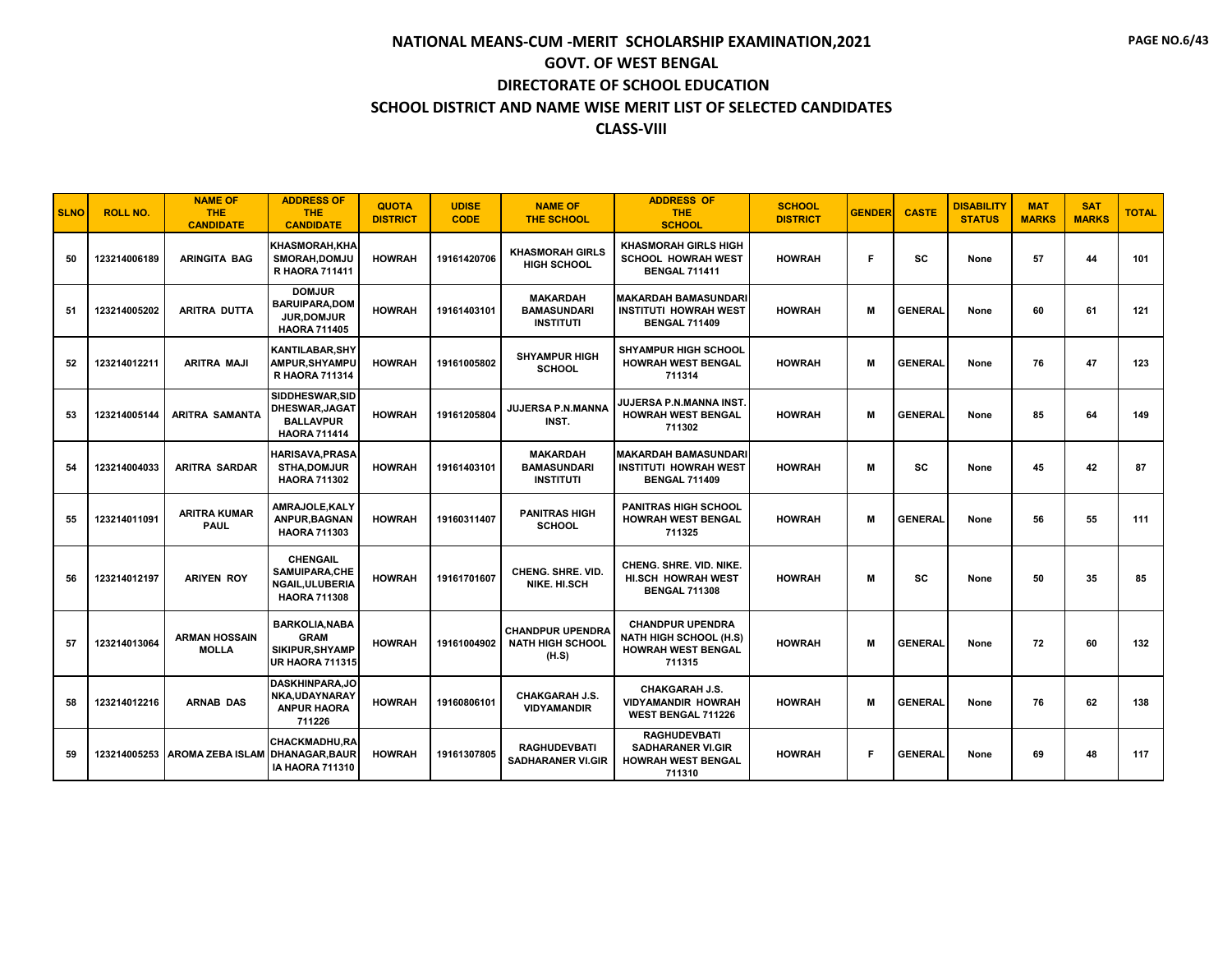| <b>SLNO</b> | <b>ROLL NO.</b> | <b>NAME OF</b><br><b>THE</b><br><b>CANDIDATE</b> | <b>ADDRESS OF</b><br><b>THE</b><br><b>CANDIDATE</b>                                 | <b>QUOTA</b><br><b>DISTRICT</b> | <b>UDISE</b><br><b>CODE</b> | <b>NAME OF</b><br><b>THE SCHOOL</b>                         | <b>ADDRESS OF</b><br><b>THE</b><br><b>SCHOOL</b>                                                | <b>SCHOOL</b><br><b>DISTRICT</b> | <b>GENDER</b> | <b>CASTE</b>   | <b>DISABILITY</b><br><b>STATUS</b> | <b>MAT</b><br><b>MARKS</b> | <b>SAT</b><br><b>MARKS</b> | <b>TOTAL</b> |
|-------------|-----------------|--------------------------------------------------|-------------------------------------------------------------------------------------|---------------------------------|-----------------------------|-------------------------------------------------------------|-------------------------------------------------------------------------------------------------|----------------------------------|---------------|----------------|------------------------------------|----------------------------|----------------------------|--------------|
| 50          | 123214006189    | <b>ARINGITA BAG</b>                              | <b>KHASMORAH, KHA</b><br>SMORAH, DOMJU<br><b>R HAORA 711411</b>                     | <b>HOWRAH</b>                   | 19161420706                 | <b>KHASMORAH GIRLS</b><br><b>HIGH SCHOOL</b>                | <b>KHASMORAH GIRLS HIGH</b><br><b>SCHOOL HOWRAH WEST</b><br><b>BENGAL 711411</b>                | <b>HOWRAH</b>                    | F             | <b>SC</b>      | None                               | 57                         | 44                         | 101          |
| 51          | 123214005202    | <b>ARITRA DUTTA</b>                              | <b>DOMJUR</b><br><b>BARUIPARA.DOM</b><br><b>JUR.DOMJUR</b><br><b>HAORA 711405</b>   | <b>HOWRAH</b>                   | 19161403101                 | <b>MAKARDAH</b><br><b>BAMASUNDARI</b><br><b>INSTITUTI</b>   | <b>MAKARDAH BAMASUNDARI</b><br><b>INSTITUTI HOWRAH WEST</b><br><b>BENGAL 711409</b>             | <b>HOWRAH</b>                    | м             | <b>GENERAL</b> | None                               | 60                         | 61                         | 121          |
| 52          | 123214012211    | ARITRA MAJI                                      | KANTILABAR,SHY<br><b>AMPUR, SHYAMPU</b><br>R HAORA 711314                           | <b>HOWRAH</b>                   | 19161005802                 | <b>SHYAMPUR HIGH</b><br><b>SCHOOL</b>                       | <b>SHYAMPUR HIGH SCHOOL</b><br><b>HOWRAH WEST BENGAL</b><br>711314                              | <b>HOWRAH</b>                    | M             | <b>GENERAL</b> | None                               | 76                         | 47                         | 123          |
| 53          | 123214005144    | <b>ARITRA SAMANTA</b>                            | SIDDHESWAR, SID<br><b>DHESWAR, JAGAT</b><br><b>BALLAVPUR</b><br><b>HAORA 711414</b> | <b>HOWRAH</b>                   | 19161205804                 | JUJERSA P.N.MANNA<br>INST.                                  | JUJERSA P.N.MANNA INST.<br><b>HOWRAH WEST BENGAL</b><br>711302                                  | <b>HOWRAH</b>                    | M             | <b>GENERAL</b> | None                               | 85                         | 64                         | 149          |
| 54          | 123214004033    | <b>ARITRA SARDAR</b>                             | <b>HARISAVA.PRASA</b><br><b>STHA,DOMJUR</b><br><b>HAORA 711302</b>                  | <b>HOWRAH</b>                   | 19161403101                 | <b>MAKARDAH</b><br><b>BAMASUNDARI</b><br><b>INSTITUTI</b>   | <b>MAKARDAH BAMASUNDARI</b><br><b>INSTITUTI HOWRAH WEST</b><br><b>BENGAL 711409</b>             | <b>HOWRAH</b>                    | м             | SC             | None                               | 45                         | 42                         | 87           |
| 55          | 123214011091    | <b>ARITRA KUMAR</b><br><b>PAUL</b>               | AMRAJOLE, KALY<br><b>ANPUR.BAGNAN</b><br><b>HAORA 711303</b>                        | <b>HOWRAH</b>                   | 19160311407                 | <b>PANITRAS HIGH</b><br><b>SCHOOL</b>                       | <b>PANITRAS HIGH SCHOOL</b><br><b>HOWRAH WEST BENGAL</b><br>711325                              | <b>HOWRAH</b>                    | м             | <b>GENERAL</b> | None                               | 56                         | 55                         | 111          |
| 56          | 123214012197    | <b>ARIYEN ROY</b>                                | <b>CHENGAIL</b><br>SAMUIPARA, CHE<br><b>NGAIL, ULUBERIA</b><br><b>HAORA 711308</b>  | <b>HOWRAH</b>                   | 19161701607                 | CHENG. SHRE. VID.<br>NIKE. HI.SCH                           | CHENG. SHRE. VID. NIKE.<br>HI.SCH HOWRAH WEST<br><b>BENGAL 711308</b>                           | <b>HOWRAH</b>                    | м             | <b>SC</b>      | None                               | 50                         | 35                         | 85           |
| 57          | 123214013064    | <b>ARMAN HOSSAIN</b><br><b>MOLLA</b>             | <b>BARKOLIA, NABA</b><br><b>GRAM</b><br>SIKIPUR, SHYAMP<br><b>UR HAORA 711315</b>   | <b>HOWRAH</b>                   | 19161004902                 | <b>CHANDPUR UPENDRA</b><br><b>NATH HIGH SCHOOL</b><br>(H.S) | <b>CHANDPUR UPENDRA</b><br><b>NATH HIGH SCHOOL (H.S)</b><br><b>HOWRAH WEST BENGAL</b><br>711315 | <b>HOWRAH</b>                    | M             | <b>GENERAL</b> | None                               | 72                         | 60                         | 132          |
| 58          | 123214012216    | <b>ARNAB DAS</b>                                 | <b>DASKHINPARA,JO</b><br>NKA,UDAYNARAY<br><b>ANPUR HAORA</b><br>711226              | <b>HOWRAH</b>                   | 19160806101                 | <b>CHAKGARAH J.S.</b><br><b>VIDYAMANDIR</b>                 | <b>CHAKGARAH J.S.</b><br><b>VIDYAMANDIR HOWRAH</b><br>WEST BENGAL 711226                        | <b>HOWRAH</b>                    | M             | <b>GENERAL</b> | None                               | 76                         | 62                         | 138          |
| 59          | 123214005253    | <b>AROMA ZEBA ISLAM</b>                          | <b>CHACKMADHU.RA</b><br>I DHANAGAR.BAUR<br><b>IA HAORA 711310</b>                   | <b>HOWRAH</b>                   | 19161307805                 | <b>RAGHUDEVBATI</b><br><b>SADHARANER VI.GIR</b>             | <b>RAGHUDEVBATI</b><br><b>SADHARANER VI.GIR</b><br><b>HOWRAH WEST BENGAL</b><br>711310          | <b>HOWRAH</b>                    | F             | <b>GENERAL</b> | None                               | 69                         | 48                         | 117          |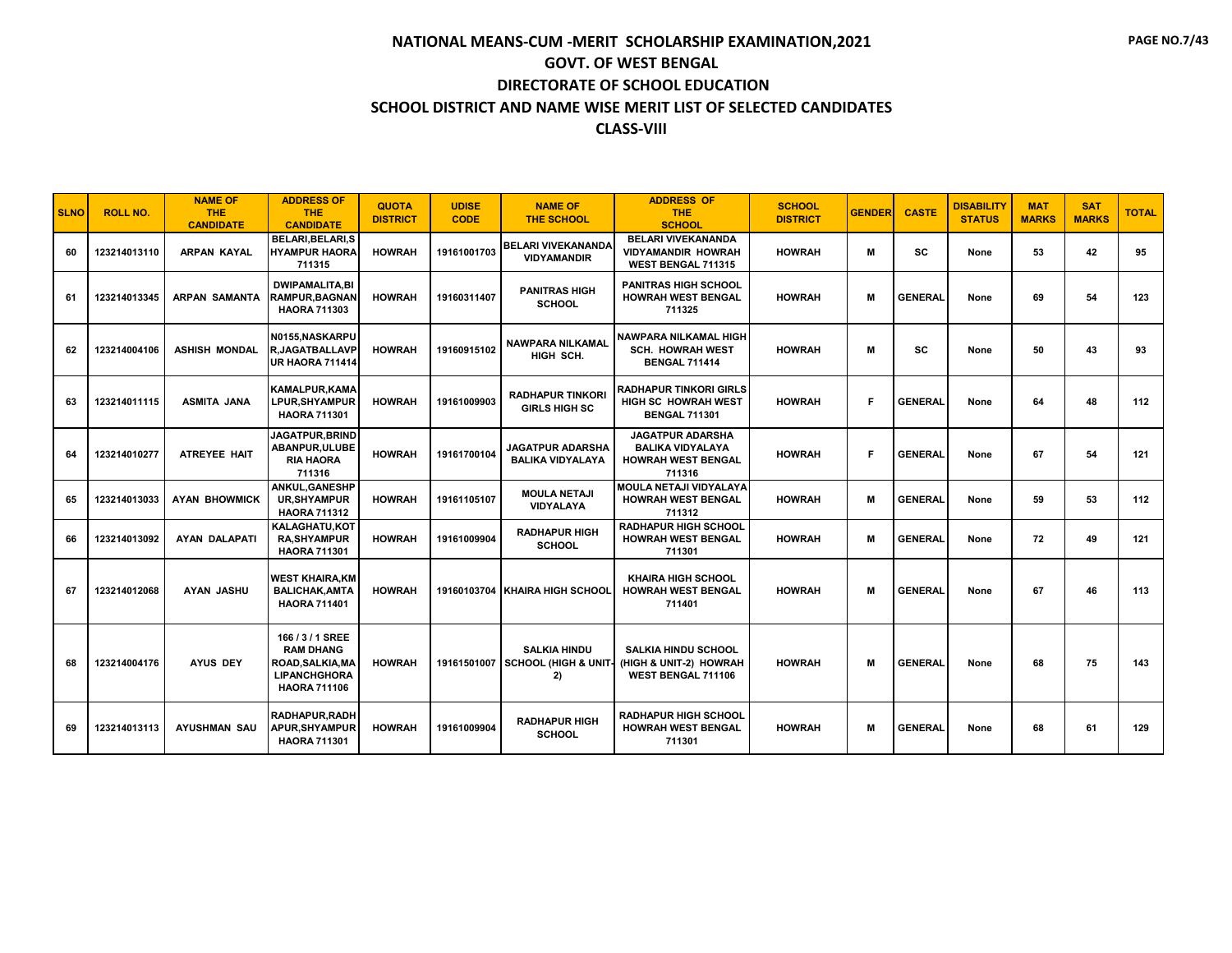| <b>SLNO</b> | <b>ROLL NO.</b> | <b>NAME OF</b><br><b>THE</b><br><b>CANDIDATE</b> | <b>ADDRESS OF</b><br><b>THE</b><br><b>CANDIDATE</b>                                                | <b>QUOTA</b><br><b>DISTRICT</b> | <b>UDISE</b><br><b>CODE</b> | <b>NAME OF</b><br><b>THE SCHOOL</b>                           | <b>ADDRESS OF</b><br><b>THE</b><br><b>SCHOOL</b>                                          | <b>SCHOOL</b><br><b>DISTRICT</b> | <b>GENDER</b> | <b>CASTE</b>   | <b>DISABILITY</b><br><b>STATUS</b> | <b>MAT</b><br><b>MARKS</b> | <b>SAT</b><br><b>MARKS</b> | <b>TOTAL</b> |
|-------------|-----------------|--------------------------------------------------|----------------------------------------------------------------------------------------------------|---------------------------------|-----------------------------|---------------------------------------------------------------|-------------------------------------------------------------------------------------------|----------------------------------|---------------|----------------|------------------------------------|----------------------------|----------------------------|--------------|
| 60          | 123214013110    | <b>ARPAN KAYAL</b>                               | <b>BELARI.BELARI.S</b><br><b>HYAMPUR HAORA</b><br>711315                                           | <b>HOWRAH</b>                   | 19161001703                 | <b>BELARI VIVEKANANDA</b><br><b>VIDYAMANDIR</b>               | <b>BELARI VIVEKANANDA</b><br><b>VIDYAMANDIR HOWRAH</b><br>WEST BENGAL 711315              | <b>HOWRAH</b>                    | M             | <b>SC</b>      | None                               | 53                         | 42                         | 95           |
| 61          | 123214013345    | <b>ARPAN SAMANTA</b>                             | <b>DWIPAMALITA.BI</b><br><b>RAMPUR, BAGNAN</b><br><b>HAORA 711303</b>                              | <b>HOWRAH</b>                   | 19160311407                 | <b>PANITRAS HIGH</b><br><b>SCHOOL</b>                         | <b>PANITRAS HIGH SCHOOL</b><br><b>HOWRAH WEST BENGAL</b><br>711325                        | <b>HOWRAH</b>                    | M             | <b>GENERAL</b> | None                               | 69                         | 54                         | 123          |
| 62          | 123214004106    | <b>ASHISH MONDAL</b>                             | N0155.NASKARPU<br><b>R,JAGATBALLAVP</b><br><b>UR HAORA 711414</b>                                  | <b>HOWRAH</b>                   | 19160915102                 | <b>NAWPARA NILKAMAL</b><br>HIGH SCH.                          | <b>NAWPARA NILKAMAL HIGH</b><br><b>SCH. HOWRAH WEST</b><br><b>BENGAL 711414</b>           | <b>HOWRAH</b>                    | M             | <b>SC</b>      | None                               | 50                         | 43                         | 93           |
| 63          | 123214011115    | <b>ASMITA JANA</b>                               | <b>KAMALPUR.KAMA</b><br><b>LPUR.SHYAMPUR</b><br><b>HAORA 711301</b>                                | <b>HOWRAH</b>                   | 19161009903                 | <b>RADHAPUR TINKORI</b><br><b>GIRLS HIGH SC</b>               | <b>RADHAPUR TINKORI GIRLS</b><br><b>HIGH SC HOWRAH WEST</b><br><b>BENGAL 711301</b>       | <b>HOWRAH</b>                    | Е             | <b>GENERAL</b> | None                               | 64                         | 48                         | 112          |
| 64          | 123214010277    | <b>ATREYEE HAIT</b>                              | JAGATPUR, BRIND<br>ABANPUR, ULUBE<br><b>RIA HAORA</b><br>711316                                    | <b>HOWRAH</b>                   | 19161700104                 | <b>JAGATPUR ADARSHA</b><br><b>BALIKA VIDYALAYA</b>            | <b>JAGATPUR ADARSHA</b><br><b>BALIKA VIDYALAYA</b><br><b>HOWRAH WEST BENGAL</b><br>711316 | <b>HOWRAH</b>                    | Е             | <b>GENERAL</b> | None                               | 67                         | 54                         | 121          |
| 65          | 123214013033    | <b>AYAN BHOWMICK</b>                             | ANKUL, GANESHP<br><b>UR, SHYAMPUR</b><br><b>HAORA 711312</b>                                       | <b>HOWRAH</b>                   | 19161105107                 | <b>MOULA NETAJI</b><br>VIDYALAYA                              | <b>MOULA NETAJI VIDYALAYA</b><br><b>HOWRAH WEST BENGAL</b><br>711312                      | <b>HOWRAH</b>                    | M             | <b>GENERAL</b> | None                               | 59                         | 53                         | 112          |
| 66          | 123214013092    | <b>AYAN DALAPATI</b>                             | <b>KALAGHATU.KOT</b><br><b>RA, SHYAMPUR</b><br><b>HAORA 711301</b>                                 | <b>HOWRAH</b>                   | 19161009904                 | <b>RADHAPUR HIGH</b><br><b>SCHOOL</b>                         | <b>RADHAPUR HIGH SCHOOL</b><br><b>HOWRAH WEST BENGAL</b><br>711301                        | <b>HOWRAH</b>                    | M             | <b>GENERAL</b> | None                               | 72                         | 49                         | 121          |
| 67          | 123214012068    | <b>AYAN JASHU</b>                                | <b>WEST KHAIRA.KM</b><br><b>BALICHAK, AMTA</b><br><b>HAORA 711401</b>                              | <b>HOWRAH</b>                   |                             | 19160103704 KHAIRA HIGH SCHOOL                                | <b>KHAIRA HIGH SCHOOL</b><br><b>HOWRAH WEST BENGAL</b><br>711401                          | <b>HOWRAH</b>                    | M             | <b>GENERAL</b> | None                               | 67                         | 46                         | 113          |
| 68          | 123214004176    | <b>AYUS DEY</b>                                  | 166/3/1 SREE<br><b>RAM DHANG</b><br>ROAD, SALKIA, MA<br><b>LIPANCHGHORA</b><br><b>HAORA 711106</b> | <b>HOWRAH</b>                   |                             | <b>SALKIA HINDU</b><br>19161501007 SCHOOL (HIGH & UNIT-<br>2) | <b>SALKIA HINDU SCHOOL</b><br>(HIGH & UNIT-2) HOWRAH<br>WEST BENGAL 711106                | <b>HOWRAH</b>                    | M             | <b>GENERAL</b> | None                               | 68                         | 75                         | 143          |
| 69          | 123214013113    | <b>AYUSHMAN SAU</b>                              | <b>RADHAPUR.RADH</b><br>APUR, SHY AMPUR<br><b>HAORA 711301</b>                                     | <b>HOWRAH</b>                   | 19161009904                 | <b>RADHAPUR HIGH</b><br><b>SCHOOL</b>                         | <b>RADHAPUR HIGH SCHOOL</b><br><b>HOWRAH WEST BENGAL</b><br>711301                        | <b>HOWRAH</b>                    | M             | <b>GENERAL</b> | None                               | 68                         | 61                         | 129          |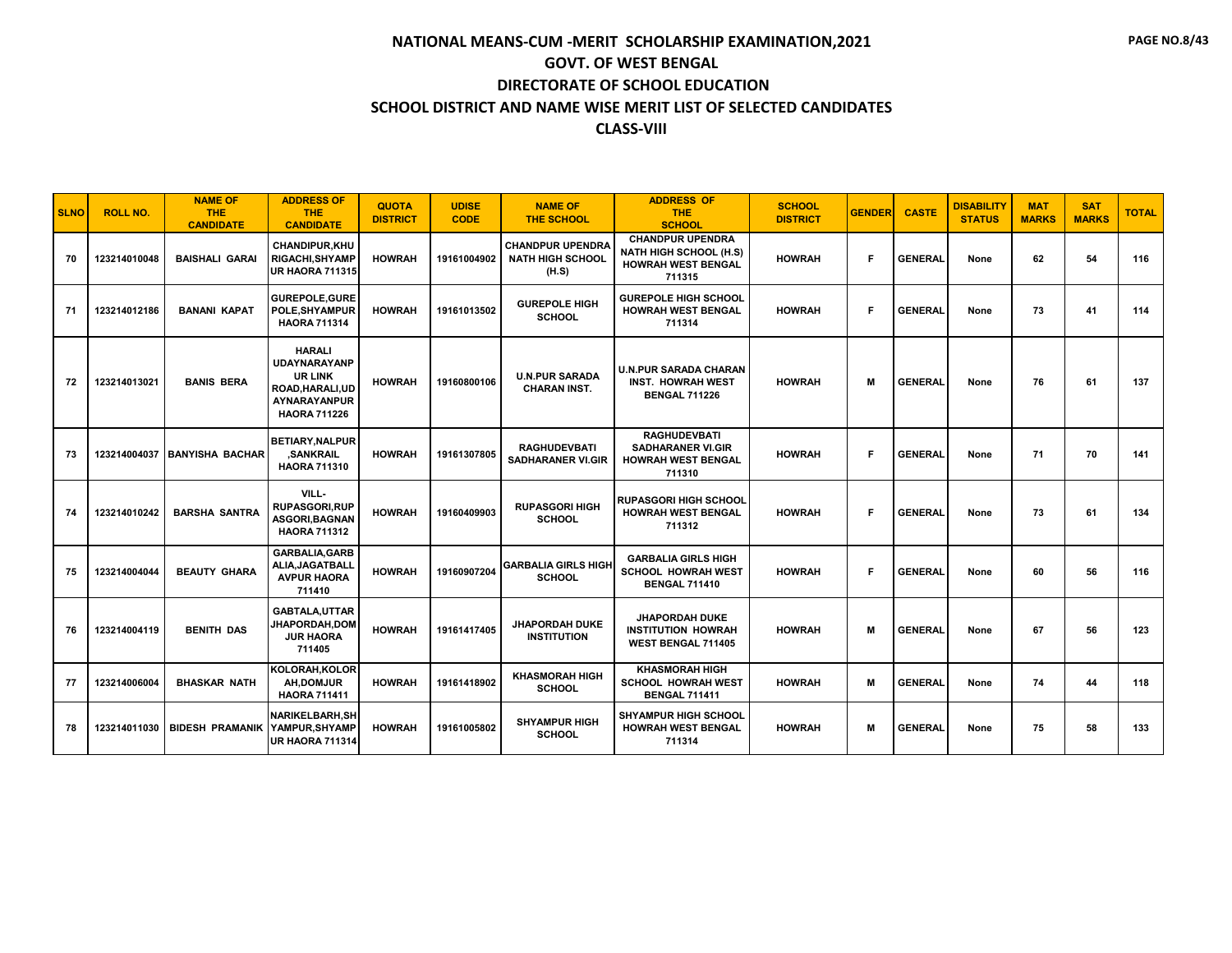| <b>SLNO</b> | <b>ROLL NO.</b> | <b>NAME OF</b><br><b>THE</b><br><b>CANDIDATE</b> | <b>ADDRESS OF</b><br><b>THE</b><br><b>CANDIDATE</b>                                                               | <b>QUOTA</b><br><b>DISTRICT</b> | <b>UDISE</b><br><b>CODE</b> | <b>NAME OF</b><br><b>THE SCHOOL</b>                         | <b>ADDRESS OF</b><br><b>THE</b><br><b>SCHOOL</b>                                                | <b>SCHOOL</b><br><b>DISTRICT</b> | <b>GENDER</b> | <b>CASTE</b>   | <b>DISABILITY</b><br><b>STATUS</b> | <b>MAT</b><br><b>MARKS</b> | <b>SAT</b><br><b>MARKS</b> | <b>TOTAL</b> |
|-------------|-----------------|--------------------------------------------------|-------------------------------------------------------------------------------------------------------------------|---------------------------------|-----------------------------|-------------------------------------------------------------|-------------------------------------------------------------------------------------------------|----------------------------------|---------------|----------------|------------------------------------|----------------------------|----------------------------|--------------|
| 70          | 123214010048    | <b>BAISHALI GARAI</b>                            | <b>CHANDIPUR.KHU</b><br><b>RIGACHI, SHYAMP</b><br><b>UR HAORA 711315</b>                                          | <b>HOWRAH</b>                   | 19161004902                 | <b>CHANDPUR UPENDRA</b><br><b>NATH HIGH SCHOOL</b><br>(H.S) | <b>CHANDPUR UPENDRA</b><br><b>NATH HIGH SCHOOL (H.S)</b><br><b>HOWRAH WEST BENGAL</b><br>711315 | <b>HOWRAH</b>                    | Е             | <b>GENERAL</b> | None                               | 62                         | 54                         | 116          |
| 71          | 123214012186    | <b>BANANI KAPAT</b>                              | <b>GUREPOLE, GURE</b><br>POLE, SHYAMPUR<br><b>HAORA 711314</b>                                                    | <b>HOWRAH</b>                   | 19161013502                 | <b>GUREPOLE HIGH</b><br><b>SCHOOL</b>                       | <b>GUREPOLE HIGH SCHOOL</b><br><b>HOWRAH WEST BENGAL</b><br>711314                              | <b>HOWRAH</b>                    | Е             | <b>GENERAL</b> | None                               | 73                         | 41                         | 114          |
| 72          | 123214013021    | <b>BANIS BERA</b>                                | <b>HARALI</b><br><b>UDAYNARAYANP</b><br><b>UR LINK</b><br>ROAD, HARALI, UD<br>AYNARAYANPUR<br><b>HAORA 711226</b> | <b>HOWRAH</b>                   | 19160800106                 | <b>U.N.PUR SARADA</b><br><b>CHARAN INST.</b>                | <b>U.N.PUR SARADA CHARAN</b><br><b>INST. HOWRAH WEST</b><br><b>BENGAL 711226</b>                | <b>HOWRAH</b>                    | М             | <b>GENERAL</b> | None                               | 76                         | 61                         | 137          |
| 73          | 123214004037    | <b>BANYISHA BACHAR</b>                           | <b>BETIARY, NALPUR</b><br>.SANKRAIL<br><b>HAORA 711310</b>                                                        | <b>HOWRAH</b>                   | 19161307805                 | <b>RAGHUDEVBATI</b><br><b>SADHARANER VI.GIR</b>             | <b>RAGHUDEVBATI</b><br><b>SADHARANER VI.GIR</b><br><b>HOWRAH WEST BENGAL</b><br>711310          | <b>HOWRAH</b>                    | Е             | <b>GENERAL</b> | None                               | 71                         | 70                         | 141          |
| 74          | 123214010242    | <b>BARSHA SANTRA</b>                             | VILL-<br><b>RUPASGORI, RUP</b><br><b>ASGORI.BAGNAN</b><br><b>HAORA 711312</b>                                     | <b>HOWRAH</b>                   | 19160409903                 | <b>RUPASGORI HIGH</b><br><b>SCHOOL</b>                      | <b>RUPASGORI HIGH SCHOOL</b><br><b>HOWRAH WEST BENGAL</b><br>711312                             | <b>HOWRAH</b>                    | Е             | <b>GENERAL</b> | None                               | 73                         | 61                         | 134          |
| 75          | 123214004044    | <b>BEAUTY GHARA</b>                              | <b>GARBALIA, GARB</b><br>ALIA, JAGATBALL<br><b>AVPUR HAORA</b><br>711410                                          | <b>HOWRAH</b>                   | 19160907204                 | <b>GARBALIA GIRLS HIGH</b><br><b>SCHOOL</b>                 | <b>GARBALIA GIRLS HIGH</b><br><b>SCHOOL HOWRAH WEST</b><br><b>BENGAL 711410</b>                 | <b>HOWRAH</b>                    | Е             | <b>GENERAL</b> | None                               | 60                         | 56                         | 116          |
| 76          | 123214004119    | <b>BENITH DAS</b>                                | GABTALA.UTTAR<br><b>JHAPORDAH,DOM</b><br><b>JUR HAORA</b><br>711405                                               | <b>HOWRAH</b>                   | 19161417405                 | JHAPORDAH DUKE<br><b>INSTITUTION</b>                        | <b>JHAPORDAH DUKE</b><br><b>INSTITUTION HOWRAH</b><br>WEST BENGAL 711405                        | <b>HOWRAH</b>                    | м             | <b>GENERAL</b> | None                               | 67                         | 56                         | 123          |
| 77          | 123214006004    | <b>BHASKAR NATH</b>                              | KOLORAH, KOLOR<br>AH.DOMJUR<br><b>HAORA 711411</b>                                                                | <b>HOWRAH</b>                   | 19161418902                 | <b>KHASMORAH HIGH</b><br><b>SCHOOL</b>                      | <b>KHASMORAH HIGH</b><br><b>SCHOOL HOWRAH WEST</b><br><b>BENGAL 711411</b>                      | <b>HOWRAH</b>                    | M             | <b>GENERAL</b> | None                               | 74                         | 44                         | 118          |
| 78          | 123214011030    | <b>BIDESH PRAMANIK</b>                           | <b>NARIKELBARH.SH</b><br>YAMPUR.SHYAMP<br><b>UR HAORA 711314</b>                                                  | <b>HOWRAH</b>                   | 19161005802                 | <b>SHYAMPUR HIGH</b><br><b>SCHOOL</b>                       | <b>SHYAMPUR HIGH SCHOOL</b><br><b>HOWRAH WEST BENGAL</b><br>711314                              | <b>HOWRAH</b>                    | М             | <b>GENERAL</b> | None                               | 75                         | 58                         | 133          |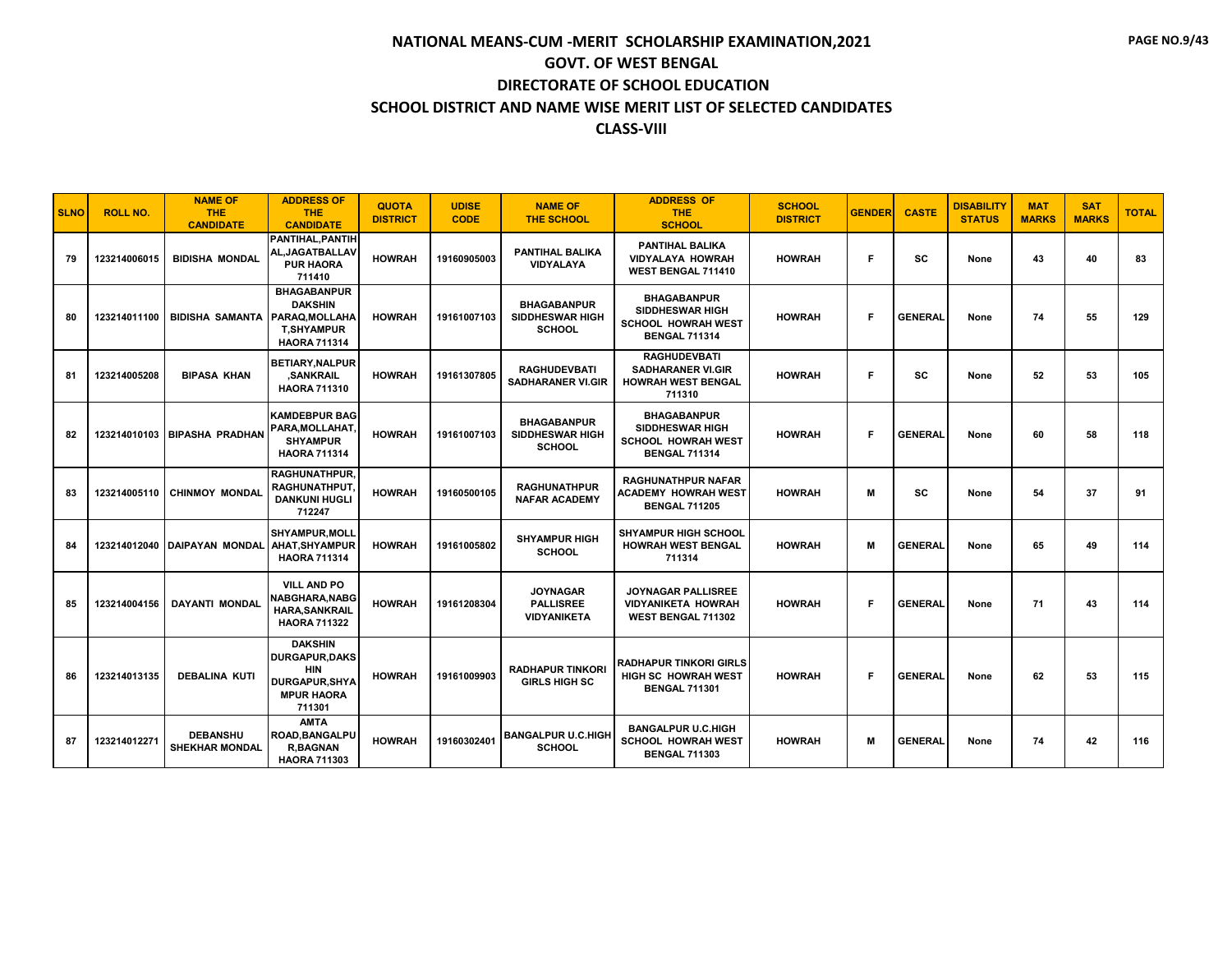| <b>SLNO</b> | <b>ROLL NO.</b> | <b>NAME OF</b><br><b>THE</b><br><b>CANDIDATE</b> | <b>ADDRESS OF</b><br><b>THE</b><br><b>CANDIDATE</b>                                                         | <b>QUOTA</b><br><b>DISTRICT</b> | <b>UDISE</b><br><b>CODE</b> | <b>NAME OF</b><br><b>THE SCHOOL</b>                           | <b>ADDRESS OF</b><br>THE.<br><b>SCHOOL</b>                                                        | <b>SCHOOL</b><br><b>DISTRICT</b> | <b>GENDER</b> | <b>CASTE</b>   | <b>DISABILITY</b><br><b>STATUS</b> | <b>MAT</b><br><b>MARKS</b> | <b>SAT</b><br><b>MARKS</b> | <b>TOTAL</b> |
|-------------|-----------------|--------------------------------------------------|-------------------------------------------------------------------------------------------------------------|---------------------------------|-----------------------------|---------------------------------------------------------------|---------------------------------------------------------------------------------------------------|----------------------------------|---------------|----------------|------------------------------------|----------------------------|----------------------------|--------------|
| 79          | 123214006015    | <b>BIDISHA MONDAL</b>                            | PANTIHAL.PANTIH<br>AL, JAGATBALLAV<br><b>PUR HAORA</b><br>711410                                            | <b>HOWRAH</b>                   | 19160905003                 | <b>PANTIHAL BALIKA</b><br><b>VIDYALAYA</b>                    | <b>PANTIHAL BALIKA</b><br><b>VIDYALAYA HOWRAH</b><br>WEST BENGAL 711410                           | <b>HOWRAH</b>                    | F             | <b>SC</b>      | None                               | 43                         | 40                         | 83           |
| 80          | 123214011100    | <b>BIDISHA SAMANTA</b>                           | <b>BHAGABANPUR</b><br><b>DAKSHIN</b><br>PARAQ.MOLLAHA<br><b>T.SHYAMPUR</b><br><b>HAORA 711314</b>           | <b>HOWRAH</b>                   | 19161007103                 | <b>BHAGABANPUR</b><br><b>SIDDHESWAR HIGH</b><br><b>SCHOOL</b> | <b>BHAGABANPUR</b><br><b>SIDDHESWAR HIGH</b><br><b>SCHOOL HOWRAH WEST</b><br><b>BENGAL 711314</b> | <b>HOWRAH</b>                    | F             | <b>GENERAL</b> | None                               | 74                         | 55                         | 129          |
| 81          | 123214005208    | <b>BIPASA KHAN</b>                               | <b>BETIARY.NALPUR</b><br>.SANKRAIL<br><b>HAORA 711310</b>                                                   | <b>HOWRAH</b>                   | 19161307805                 | <b>RAGHUDEVBATI</b><br><b>SADHARANER VI.GIR</b>               | <b>RAGHUDEVBATI</b><br><b>SADHARANER VI.GIR</b><br><b>HOWRAH WEST BENGAL</b><br>711310            | <b>HOWRAH</b>                    | F             | <b>SC</b>      | None                               | 52                         | 53                         | 105          |
| 82          |                 | 123214010103   BIPASHA PRADHAN                   | <b>KAMDEBPUR BAG</b><br>PARA, MOLLAHAT,<br><b>SHYAMPUR</b><br><b>HAORA 711314</b>                           | <b>HOWRAH</b>                   | 19161007103                 | <b>BHAGABANPUR</b><br><b>SIDDHESWAR HIGH</b><br><b>SCHOOL</b> | <b>BHAGABANPUR</b><br>SIDDHESWAR HIGH<br><b>SCHOOL HOWRAH WEST</b><br><b>BENGAL 711314</b>        | <b>HOWRAH</b>                    | F.            | <b>GENERAL</b> | None                               | 60                         | 58                         | 118          |
| 83          | 123214005110    | <b>CHINMOY MONDAL</b>                            | <b>RAGHUNATHPUR.</b><br><b>RAGHUNATHPUT.</b><br><b>DANKUNI HUGLI</b><br>712247                              | <b>HOWRAH</b>                   | 19160500105                 | <b>RAGHUNATHPUR</b><br><b>NAFAR ACADEMY</b>                   | <b>RAGHUNATHPUR NAFAR</b><br><b>ACADEMY HOWRAH WEST</b><br><b>BENGAL 711205</b>                   | <b>HOWRAH</b>                    | M             | <b>SC</b>      | None                               | 54                         | 37                         | 91           |
| 84          | 123214012040    | <b>DAIPAYAN MONDAL</b>                           | <b>SHYAMPUR.MOLL</b><br>AHAT, SHYAMPUR<br><b>HAORA 711314</b>                                               | <b>HOWRAH</b>                   | 19161005802                 | <b>SHYAMPUR HIGH</b><br><b>SCHOOL</b>                         | <b>SHYAMPUR HIGH SCHOOL</b><br><b>HOWRAH WEST BENGAL</b><br>711314                                | <b>HOWRAH</b>                    | м             | <b>GENERAL</b> | None                               | 65                         | 49                         | 114          |
| 85          | 123214004156    | <b>DAYANTI MONDAL</b>                            | <b>VILL AND PO</b><br>NABGHARA,NABG<br><b>HARA.SANKRAIL</b><br><b>HAORA 711322</b>                          | <b>HOWRAH</b>                   | 19161208304                 | <b>JOYNAGAR</b><br><b>PALLISREE</b><br><b>VIDYANIKETA</b>     | JOYNAGAR PALLISREE<br><b>VIDYANIKETA HOWRAH</b><br><b>WEST BENGAL 711302</b>                      | <b>HOWRAH</b>                    | F.            | <b>GENERAL</b> | None                               | 71                         | 43                         | 114          |
| 86          | 123214013135    | <b>DEBALINA KUTI</b>                             | <b>DAKSHIN</b><br><b>DURGAPUR.DAKS</b><br><b>HIN</b><br><b>DURGAPUR.SHYA</b><br><b>MPUR HAORA</b><br>711301 | <b>HOWRAH</b>                   | 19161009903                 | <b>RADHAPUR TINKORI</b><br><b>GIRLS HIGH SC</b>               | <b>RADHAPUR TINKORI GIRLS</b><br><b>HIGH SC HOWRAH WEST</b><br><b>BENGAL 711301</b>               | <b>HOWRAH</b>                    | F             | <b>GENERAL</b> | None                               | 62                         | 53                         | 115          |
| 87          | 123214012271    | <b>DEBANSHU</b><br><b>SHEKHAR MONDAL</b>         | <b>AMTA</b><br>ROAD, BANGALPU<br><b>R,BAGNAN</b><br><b>HAORA 711303</b>                                     | <b>HOWRAH</b>                   | 19160302401                 | <b>BANGALPUR U.C.HIGH</b><br><b>SCHOOL</b>                    | <b>BANGALPUR U.C.HIGH</b><br><b>SCHOOL HOWRAH WEST</b><br><b>BENGAL 711303</b>                    | <b>HOWRAH</b>                    | M             | <b>GENERAL</b> | None                               | 74                         | 42                         | 116          |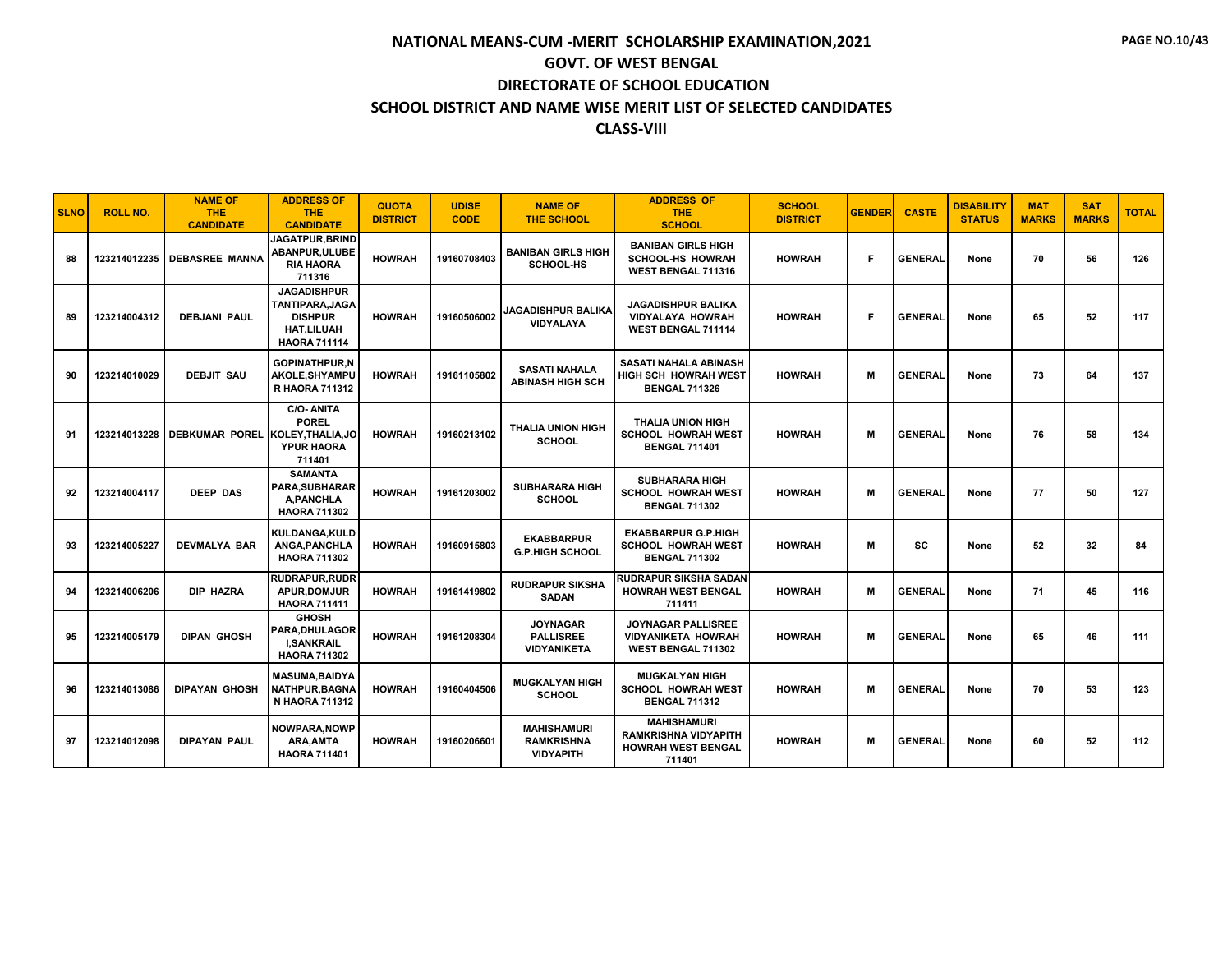| <b>SLNO</b> | <b>ROLL NO.</b> | <b>NAME OF</b><br><b>THE</b><br><b>CANDIDATE</b> | <b>ADDRESS OF</b><br><b>THE</b><br><b>CANDIDATE</b>                                                 | <b>QUOTA</b><br><b>DISTRICT</b> | <b>UDISE</b><br><b>CODE</b> | <b>NAME OF</b><br><b>THE SCHOOL</b>                         | <b>ADDRESS OF</b><br><b>THE</b><br><b>SCHOOL</b>                                         | <b>SCHOOL</b><br><b>DISTRICT</b> | <b>GENDER</b> | <b>CASTE</b>   | <b>DISABILITY</b><br><b>STATUS</b> | <b>MAT</b><br><b>MARKS</b> | <b>SAT</b><br><b>MARKS</b> | <b>TOTAL</b> |
|-------------|-----------------|--------------------------------------------------|-----------------------------------------------------------------------------------------------------|---------------------------------|-----------------------------|-------------------------------------------------------------|------------------------------------------------------------------------------------------|----------------------------------|---------------|----------------|------------------------------------|----------------------------|----------------------------|--------------|
| 88          | 123214012235    | <b>DEBASREE MANNA</b>                            | <b>JAGATPUR, BRIND</b><br>ABANPUR, ULUBE<br><b>RIA HAORA</b><br>711316                              | <b>HOWRAH</b>                   | 19160708403                 | <b>BANIBAN GIRLS HIGH</b><br><b>SCHOOL-HS</b>               | <b>BANIBAN GIRLS HIGH</b><br><b>SCHOOL-HS HOWRAH</b><br>WEST BENGAL 711316               | <b>HOWRAH</b>                    | Е             | <b>GENERAL</b> | None                               | 70                         | 56                         | 126          |
| 89          | 123214004312    | <b>DEBJANI PAUL</b>                              | <b>JAGADISHPUR</b><br>TANTIPARA, JAGA<br><b>DISHPUR</b><br><b>HAT,LILUAH</b><br><b>HAORA 711114</b> | <b>HOWRAH</b>                   | 19160506002                 | <b>JAGADISHPUR BALIKA</b><br><b>VIDYALAYA</b>               | <b>JAGADISHPUR BALIKA</b><br><b>VIDYALAYA HOWRAH</b><br>WEST BENGAL 711114               | <b>HOWRAH</b>                    | Е             | <b>GENERAL</b> | None                               | 65                         | 52                         | 117          |
| 90          | 123214010029    | <b>DEBJIT SAU</b>                                | <b>GOPINATHPUR,N</b><br><b>AKOLE,SHYAMPU</b><br><b>R HAORA 711312</b>                               | <b>HOWRAH</b>                   | 19161105802                 | <b>SASATI NAHALA</b><br><b>ABINASH HIGH SCH</b>             | SASATI NAHALA ABINASH<br>HIGH SCH HOWRAH WEST<br><b>BENGAL 711326</b>                    | <b>HOWRAH</b>                    | M             | <b>GENERAL</b> | None                               | 73                         | 64                         | 137          |
| 91          | 123214013228    | DEBKUMAR POREL KOLEY, THALIA, JO                 | <b>C/O-ANITA</b><br><b>POREL</b><br><b>YPUR HAORA</b><br>711401                                     | <b>HOWRAH</b>                   | 19160213102                 | <b>THALIA UNION HIGH</b><br><b>SCHOOL</b>                   | THALIA UNION HIGH<br><b>SCHOOL HOWRAH WEST</b><br><b>BENGAL 711401</b>                   | <b>HOWRAH</b>                    | м             | <b>GENERAL</b> | None                               | 76                         | 58                         | 134          |
| 92          | 123214004117    | <b>DEEP DAS</b>                                  | <b>SAMANTA</b><br><b>PARA.SUBHARAR</b><br><b>A, PANCHLA</b><br><b>HAORA 711302</b>                  | <b>HOWRAH</b>                   | 19161203002                 | <b>SUBHARARA HIGH</b><br><b>SCHOOL</b>                      | <b>SUBHARARA HIGH</b><br><b>SCHOOL HOWRAH WEST</b><br><b>BENGAL 711302</b>               | <b>HOWRAH</b>                    | м             | <b>GENERAL</b> | None                               | 77                         | 50                         | 127          |
| 93          | 123214005227    | <b>DEVMALYA BAR</b>                              | KULDANGA.KULD<br>ANGA, PANCHLA<br><b>HAORA 711302</b>                                               | <b>HOWRAH</b>                   | 19160915803                 | <b>EKABBARPUR</b><br><b>G.P.HIGH SCHOOL</b>                 | <b>EKABBARPUR G.P.HIGH</b><br><b>SCHOOL HOWRAH WEST</b><br><b>BENGAL 711302</b>          | <b>HOWRAH</b>                    | м             | sc             | None                               | 52                         | 32                         | 84           |
| 94          | 123214006206    | DIP HAZRA                                        | <b>RUDRAPUR.RUDR</b><br><b>APUR.DOMJUR</b><br><b>HAORA 711411</b>                                   | <b>HOWRAH</b>                   | 19161419802                 | <b>RUDRAPUR SIKSHA</b><br><b>SADAN</b>                      | RUDRAPUR SIKSHA SADAN<br><b>HOWRAH WEST BENGAL</b><br>711411                             | <b>HOWRAH</b>                    | м             | <b>GENERAL</b> | None                               | 71                         | 45                         | 116          |
| 95          | 123214005179    | <b>DIPAN GHOSH</b>                               | <b>GHOSH</b><br>PARA, DHULAGOR<br><b>I.SANKRAIL</b><br><b>HAORA 711302</b>                          | <b>HOWRAH</b>                   | 19161208304                 | <b>JOYNAGAR</b><br><b>PALLISREE</b><br><b>VIDYANIKETA</b>   | <b>JOYNAGAR PALLISREE</b><br><b>VIDYANIKETA HOWRAH</b><br>WEST BENGAL 711302             | <b>HOWRAH</b>                    | M             | <b>GENERAL</b> | None                               | 65                         | 46                         | 111          |
| 96          | 123214013086    | <b>DIPAYAN GHOSH</b>                             | <b>MASUMA.BAIDYA</b><br>NATHPUR, BAGNA<br><b>N HAORA 711312</b>                                     | <b>HOWRAH</b>                   | 19160404506                 | <b>MUGKALYAN HIGH</b><br><b>SCHOOL</b>                      | <b>MUGKALYAN HIGH</b><br><b>SCHOOL HOWRAH WEST</b><br><b>BENGAL 711312</b>               | <b>HOWRAH</b>                    | м             | <b>GENERAL</b> | None                               | 70                         | 53                         | 123          |
| 97          | 123214012098    | <b>DIPAYAN PAUL</b>                              | <b>NOWPARA, NOWP</b><br>ARA, AMTA<br><b>HAORA 711401</b>                                            | <b>HOWRAH</b>                   | 19160206601                 | <b>MAHISHAMURI</b><br><b>RAMKRISHNA</b><br><b>VIDYAPITH</b> | <b>MAHISHAMURI</b><br><b>RAMKRISHNA VIDYAPITH</b><br><b>HOWRAH WEST BENGAL</b><br>711401 | <b>HOWRAH</b>                    | м             | <b>GENERAL</b> | None                               | 60                         | 52                         | 112          |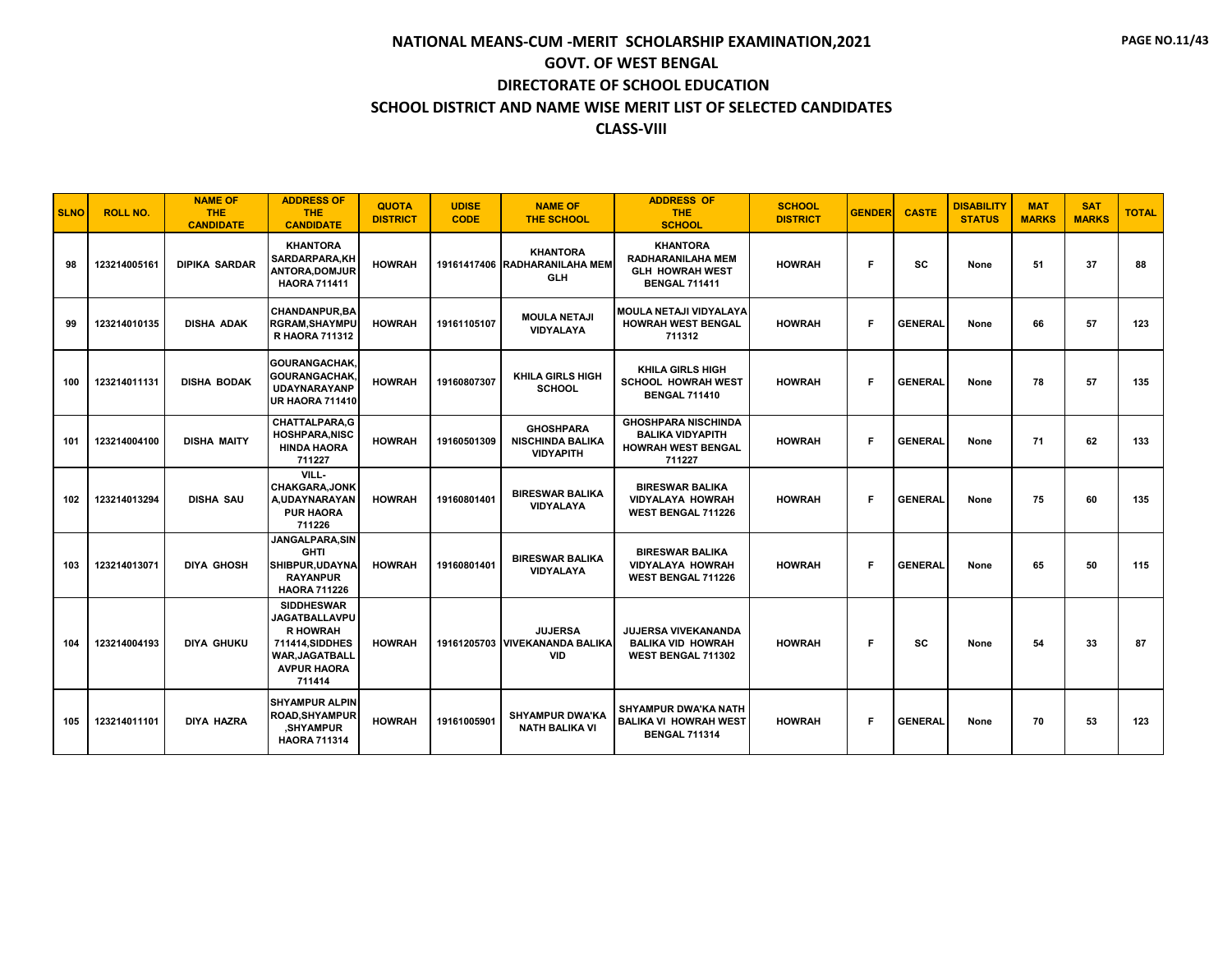| <b>SLNO</b> | <b>ROLL NO.</b> | <b>NAME OF</b><br><b>THE</b><br><b>CANDIDATE</b> | <b>ADDRESS OF</b><br><b>THE</b><br><b>CANDIDATE</b>                                                                                      | <b>QUOTA</b><br><b>DISTRICT</b> | <b>UDISE</b><br><b>CODE</b> | <b>NAME OF</b><br><b>THE SCHOOL</b>                             | <b>ADDRESS OF</b><br><b>THE</b><br><b>SCHOOL</b>                                              | <b>SCHOOL</b><br><b>DISTRICT</b> | <b>GENDER</b> | <b>CASTE</b>   | <b>DISABILITY</b><br><b>STATUS</b> | <b>MAT</b><br><b>MARKS</b> | <b>SAT</b><br><b>MARKS</b> | <b>TOTAL</b> |
|-------------|-----------------|--------------------------------------------------|------------------------------------------------------------------------------------------------------------------------------------------|---------------------------------|-----------------------------|-----------------------------------------------------------------|-----------------------------------------------------------------------------------------------|----------------------------------|---------------|----------------|------------------------------------|----------------------------|----------------------------|--------------|
| 98          | 123214005161    | <b>DIPIKA SARDAR</b>                             | <b>KHANTORA</b><br>SARDARPARA,KH<br>ANTORA, DOMJUR<br><b>HAORA 711411</b>                                                                | <b>HOWRAH</b>                   |                             | <b>KHANTORA</b><br>19161417406 RADHARANILAHA MEM<br><b>GLH</b>  | <b>KHANTORA</b><br><b>RADHARANILAHA MEM</b><br><b>GLH HOWRAH WEST</b><br><b>BENGAL 711411</b> | <b>HOWRAH</b>                    | F             | sc             | None                               | 51                         | 37                         | 88           |
| 99          | 123214010135    | <b>DISHA ADAK</b>                                | <b>CHANDANPUR, BA</b><br><b>RGRAM, SHAYMPU</b><br><b>R HAORA 711312</b>                                                                  | <b>HOWRAH</b>                   | 19161105107                 | <b>MOULA NETAJI</b><br><b>VIDYALAYA</b>                         | <b>MOULA NETAJI VIDYALAYA</b><br><b>HOWRAH WEST BENGAL</b><br>711312                          | <b>HOWRAH</b>                    | F             | <b>GENERAL</b> | None                               | 66                         | 57                         | 123          |
| 100         | 123214011131    | <b>DISHA BODAK</b>                               | GOURANGACHAK,<br>GOURANGACHAK,<br><b>UDAYNARAYANP</b><br>UR HAORA 711410                                                                 | <b>HOWRAH</b>                   | 19160807307                 | <b>KHILA GIRLS HIGH</b><br><b>SCHOOL</b>                        | <b>KHILA GIRLS HIGH</b><br><b>SCHOOL HOWRAH WEST</b><br><b>BENGAL 711410</b>                  | <b>HOWRAH</b>                    | F             | <b>GENERAL</b> | None                               | 78                         | 57                         | 135          |
| 101         | 123214004100    | <b>DISHA MAITY</b>                               | CHATTALPARA, G<br><b>HOSHPARA.NISC</b><br><b>HINDA HAORA</b><br>711227                                                                   | <b>HOWRAH</b>                   | 19160501309                 | <b>GHOSHPARA</b><br><b>NISCHINDA BALIKA</b><br><b>VIDYAPITH</b> | <b>GHOSHPARA NISCHINDA</b><br><b>BALIKA VIDYAPITH</b><br><b>HOWRAH WEST BENGAL</b><br>711227  | <b>HOWRAH</b>                    | F             | <b>GENERAL</b> | None                               | 71                         | 62                         | 133          |
| 102         | 123214013294    | <b>DISHA SAU</b>                                 | VILL-<br><b>CHAKGARA.JONK</b><br>A, UDAY NARAYAN<br><b>PUR HAORA</b><br>711226                                                           | <b>HOWRAH</b>                   | 19160801401                 | <b>BIRESWAR BALIKA</b><br><b>VIDYALAYA</b>                      | <b>BIRESWAR BALIKA</b><br><b>VIDYALAYA HOWRAH</b><br><b>WEST BENGAL 711226</b>                | <b>HOWRAH</b>                    | F             | <b>GENERAL</b> | None                               | 75                         | 60                         | 135          |
| 103         | 123214013071    | <b>DIYA GHOSH</b>                                | JANGALPARA, SIN<br><b>GHTI</b><br>SHIBPUR.UDAYNA<br><b>RAYANPUR</b><br><b>HAORA 711226</b>                                               | <b>HOWRAH</b>                   | 19160801401                 | <b>BIRESWAR BALIKA</b><br><b>VIDYALAYA</b>                      | <b>BIRESWAR BALIKA</b><br><b>VIDYALAYA HOWRAH</b><br><b>WEST BENGAL 711226</b>                | <b>HOWRAH</b>                    | F.            | <b>GENERAL</b> | None                               | 65                         | 50                         | 115          |
| 104         | 123214004193    | <b>DIYA GHUKU</b>                                | <b>SIDDHESWAR</b><br><b>JAGATBALLAVPU</b><br><b>R HOWRAH</b><br>711414, SIDDHES<br><b>WAR, JAGATBALL</b><br><b>AVPUR HAORA</b><br>711414 | <b>HOWRAH</b>                   |                             | <b>JUJERSA</b><br>19161205703 VIVEKANANDA BALIKA<br><b>VID</b>  | <b>JUJERSA VIVEKANANDA</b><br><b>BALIKA VID HOWRAH</b><br>WEST BENGAL 711302                  | <b>HOWRAH</b>                    | F             | SC             | None                               | 54                         | 33                         | 87           |
| 105         | 123214011101    | <b>DIYA HAZRA</b>                                | <b>ISHYAMPUR ALPIN</b><br><b>ROAD, SHYAMPUR</b><br>,SHYAMPUR<br><b>HAORA 711314</b>                                                      | <b>HOWRAH</b>                   | 19161005901                 | <b>SHYAMPUR DWA'KA</b><br><b>NATH BALIKA VI</b>                 | <b>SHYAMPUR DWA'KA NATH</b><br><b>BALIKA VI HOWRAH WEST</b><br><b>BENGAL 711314</b>           | <b>HOWRAH</b>                    | F.            | <b>GENERAL</b> | None                               | 70                         | 53                         | 123          |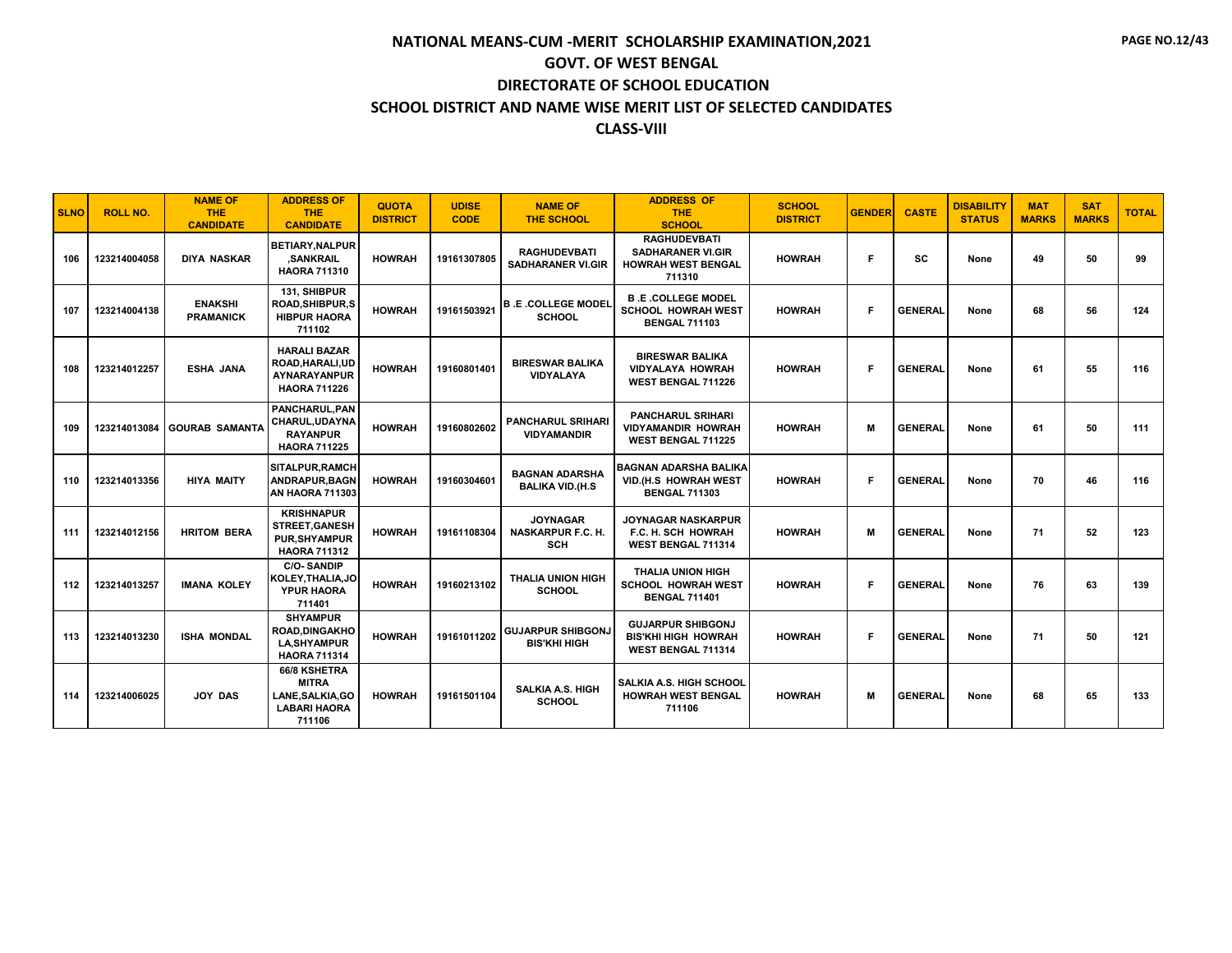| <b>SLNO</b> | <b>ROLL NO.</b> | <b>NAME OF</b><br><b>THE</b><br><b>CANDIDATE</b> | <b>ADDRESS OF</b><br><b>THE</b><br><b>CANDIDATE</b>                                      | <b>QUOTA</b><br><b>DISTRICT</b> | <b>UDISE</b><br><b>CODE</b> | <b>NAME OF</b><br><b>THE SCHOOL</b>                       | <b>ADDRESS OF</b><br><b>THE</b><br><b>SCHOOL</b>                                       | <b>SCHOOL</b><br><b>DISTRICT</b> | <b>GENDER</b> | <b>CASTE</b>   | <b>DISABILITY</b><br><b>STATUS</b> | <b>MAT</b><br><b>MARKS</b> | <b>SAT</b><br><b>MARKS</b> | <b>TOTAL</b> |
|-------------|-----------------|--------------------------------------------------|------------------------------------------------------------------------------------------|---------------------------------|-----------------------------|-----------------------------------------------------------|----------------------------------------------------------------------------------------|----------------------------------|---------------|----------------|------------------------------------|----------------------------|----------------------------|--------------|
| 106         | 123214004058    | <b>DIYA NASKAR</b>                               | <b>BETIARY, NALPUR</b><br>.SANKRAIL<br><b>HAORA 711310</b>                               | <b>HOWRAH</b>                   | 19161307805                 | <b>RAGHUDEVBATI</b><br><b>SADHARANER VI.GIR</b>           | <b>RAGHUDEVBATI</b><br><b>SADHARANER VI.GIR</b><br><b>HOWRAH WEST BENGAL</b><br>711310 | <b>HOWRAH</b>                    | Е             | <b>SC</b>      | None                               | 49                         | 50                         | 99           |
| 107         | 123214004138    | <b>ENAKSHI</b><br><b>PRAMANICK</b>               | 131, SHIBPUR<br><b>ROAD.SHIBPUR.S</b><br><b>HIBPUR HAORA</b><br>711102                   | <b>HOWRAH</b>                   | 19161503921                 | <b>B.E.COLLEGE MODEL</b><br><b>SCHOOL</b>                 | <b>B.E.COLLEGE MODEL</b><br><b>SCHOOL HOWRAH WEST</b><br><b>BENGAL 711103</b>          | <b>HOWRAH</b>                    | Е             | <b>GENERAL</b> | None                               | 68                         | 56                         | 124          |
| 108         | 123214012257    | <b>ESHA JANA</b>                                 | <b>HARALI BAZAR</b><br>ROAD, HARALI, UD<br>AYNARAYANPUR<br><b>HAORA 711226</b>           | <b>HOWRAH</b>                   | 19160801401                 | <b>BIRESWAR BALIKA</b><br>VIDYALAYA                       | <b>BIRESWAR BALIKA</b><br><b>VIDYALAYA HOWRAH</b><br><b>WEST BENGAL 711226</b>         | <b>HOWRAH</b>                    | Е             | <b>GENERAL</b> | None                               | 61                         | 55                         | 116          |
| 109         | 123214013084    | <b>GOURAB SAMANTA</b>                            | <b>PANCHARUL.PAN</b><br>CHARUL, UDAYNA<br><b>RAYANPUR</b><br><b>HAORA 711225</b>         | <b>HOWRAH</b>                   | 19160802602                 | <b>PANCHARUL SRIHARI</b><br><b>VIDYAMANDIR</b>            | <b>PANCHARUL SRIHARI</b><br><b>VIDYAMANDIR HOWRAH</b><br><b>WEST BENGAL 711225</b>     | <b>HOWRAH</b>                    | M             | <b>GENERAL</b> | None                               | 61                         | 50                         | 111          |
| 110         | 123214013356    | <b>HIYA MAITY</b>                                | <b>SITALPUR.RAMCH</b><br>ANDRAPUR.BAGN<br>AN HAORA 711303                                | <b>HOWRAH</b>                   | 19160304601                 | <b>BAGNAN ADARSHA</b><br><b>BALIKA VID.(H.S</b>           | <b>BAGNAN ADARSHA BALIKA</b><br>VID.(H.S HOWRAH WEST<br><b>BENGAL 711303</b>           | <b>HOWRAH</b>                    |               | <b>GENERAL</b> | None                               | 70                         | 46                         | 116          |
| 111         | 123214012156    | <b>HRITOM BERA</b>                               | <b>KRISHNAPUR</b><br><b>STREET, GANESH</b><br><b>PUR.SHYAMPUR</b><br><b>HAORA 711312</b> | <b>HOWRAH</b>                   | 19161108304                 | <b>JOYNAGAR</b><br><b>NASKARPUR F.C. H.</b><br><b>SCH</b> | <b>JOYNAGAR NASKARPUR</b><br>F.C. H. SCH HOWRAH<br>WEST BENGAL 711314                  | <b>HOWRAH</b>                    | M             | <b>GENERAL</b> | None                               | 71                         | 52                         | 123          |
| 112         | 123214013257    | <b>IMANA KOLEY</b>                               | <b>C/O-SANDIP</b><br>KOLEY, THALIA, JO<br>YPUR HAORA<br>711401                           | <b>HOWRAH</b>                   | 19160213102                 | <b>THALIA UNION HIGH</b><br><b>SCHOOL</b>                 | <b>THALIA UNION HIGH</b><br><b>SCHOOL HOWRAH WEST</b><br><b>BENGAL 711401</b>          | <b>HOWRAH</b>                    | Е             | <b>GENERAL</b> | None                               | 76                         | 63                         | 139          |
| 113         | 123214013230    | <b>ISHA MONDAL</b>                               | <b>SHYAMPUR</b><br><b>ROAD.DINGAKHO</b><br><b>LA, SHYAMPUR</b><br><b>HAORA 711314</b>    | <b>HOWRAH</b>                   | 19161011202                 | <b>GUJARPUR SHIBGONJ</b><br><b>BIS'KHI HIGH</b>           | <b>GUJARPUR SHIBGONJ</b><br><b>BIS'KHI HIGH HOWRAH</b><br>WEST BENGAL 711314           | <b>HOWRAH</b>                    | Е             | <b>GENERAL</b> | None                               | 71                         | 50                         | 121          |
| 114         | 123214006025    | <b>JOY DAS</b>                                   | 66/8 KSHETRA<br><b>MITRA</b><br>LANE, SALKIA, GO<br><b>LABARI HAORA</b><br>711106        | <b>HOWRAH</b>                   | 19161501104                 | <b>SALKIA A.S. HIGH</b><br><b>SCHOOL</b>                  | SALKIA A.S. HIGH SCHOOL<br><b>HOWRAH WEST BENGAL</b><br>711106                         | <b>HOWRAH</b>                    | M             | <b>GENERAL</b> | None                               | 68                         | 65                         | 133          |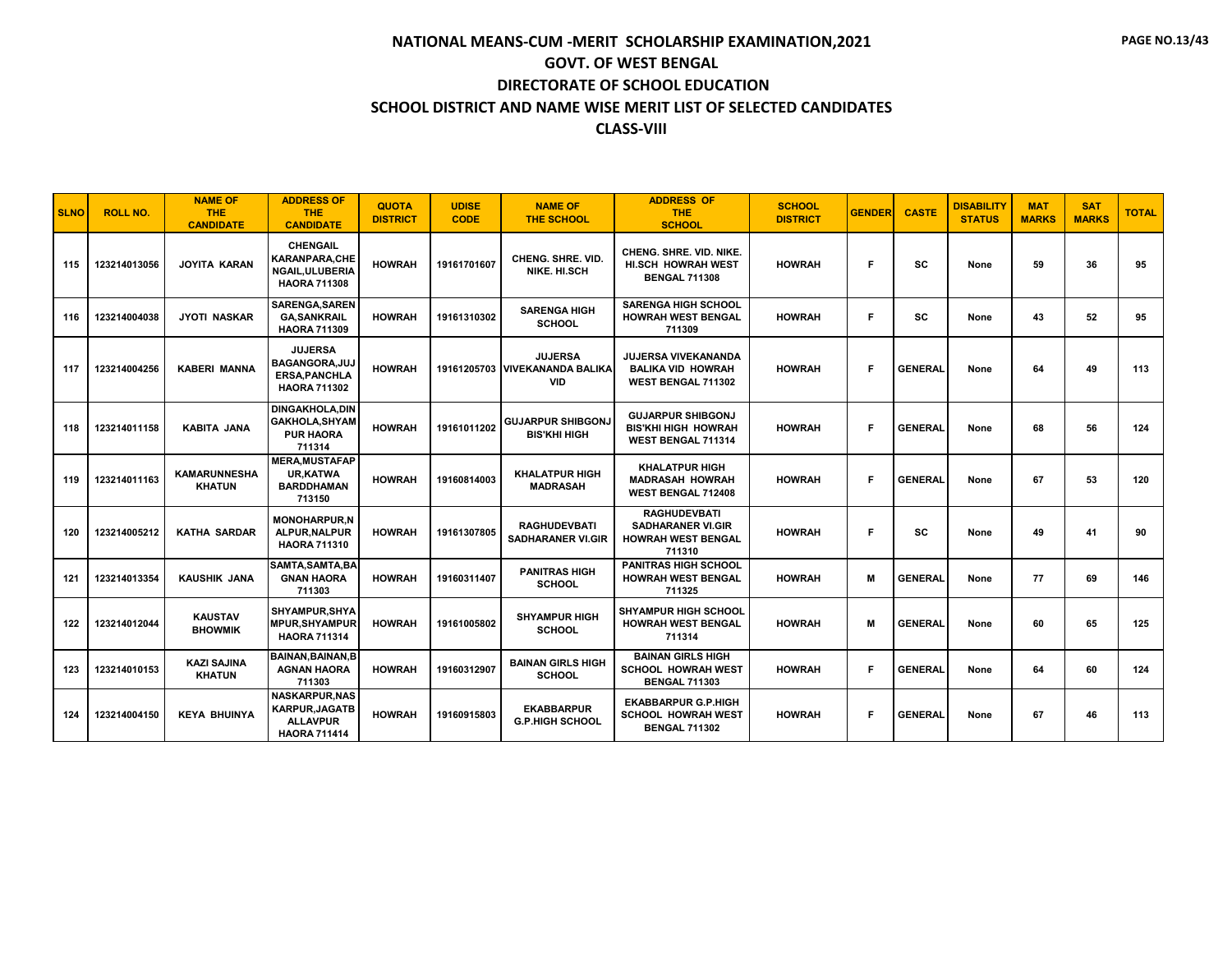| <b>SLNO</b> | <b>ROLL NO.</b> | <b>NAME OF</b><br><b>THE</b><br><b>CANDIDATE</b> | <b>ADDRESS OF</b><br><b>THE</b><br><b>CANDIDATE</b>                                      | <b>QUOTA</b><br><b>DISTRICT</b> | <b>UDISE</b><br><b>CODE</b> | <b>NAME OF</b><br><b>THE SCHOOL</b>                            | <b>ADDRESS OF</b><br><b>THE</b><br><b>SCHOOL</b>                                       | <b>SCHOOL</b><br><b>DISTRICT</b> | <b>GENDER</b> | <b>CASTE</b>   | <b>DISABILITY</b><br><b>STATUS</b> | <b>MAT</b><br><b>MARKS</b> | <b>SAT</b><br><b>MARKS</b> | <b>TOTAL</b> |
|-------------|-----------------|--------------------------------------------------|------------------------------------------------------------------------------------------|---------------------------------|-----------------------------|----------------------------------------------------------------|----------------------------------------------------------------------------------------|----------------------------------|---------------|----------------|------------------------------------|----------------------------|----------------------------|--------------|
| 115         | 123214013056    | <b>JOYITA KARAN</b>                              | <b>CHENGAIL</b><br>KARANPARA,CHE<br><b>NGAIL.ULUBERIA</b><br><b>HAORA 711308</b>         | <b>HOWRAH</b>                   | 19161701607                 | <b>CHENG, SHRE, VID.</b><br>NIKE, HI.SCH                       | <b>CHENG, SHRE, VID, NIKE.</b><br><b>HI.SCH HOWRAH WEST</b><br><b>BENGAL 711308</b>    | <b>HOWRAH</b>                    | F             | <b>SC</b>      | None                               | 59                         | 36                         | 95           |
| 116         | 123214004038    | <b>JYOTI NASKAR</b>                              | <b>SARENGA.SAREN</b><br><b>GA, SANKRAIL</b><br><b>HAORA 711309</b>                       | <b>HOWRAH</b>                   | 19161310302                 | <b>SARENGA HIGH</b><br><b>SCHOOL</b>                           | <b>SARENGA HIGH SCHOOL</b><br><b>HOWRAH WEST BENGAL</b><br>711309                      | <b>HOWRAH</b>                    | F             | <b>SC</b>      | None                               | 43                         | 52                         | 95           |
| 117         | 123214004256    | <b>KABERI MANNA</b>                              | <b>JUJERSA</b><br>BAGANGORA.JUJ<br><b>ERSA.PANCHLA</b><br><b>HAORA 711302</b>            | <b>HOWRAH</b>                   |                             | <b>JUJERSA</b><br>19161205703 VIVEKANANDA BALIKA<br><b>VID</b> | <b>JUJERSA VIVEKANANDA</b><br><b>BALIKA VID HOWRAH</b><br>WEST BENGAL 711302           | <b>HOWRAH</b>                    | Е             | <b>GENERAL</b> | None                               | 64                         | 49                         | 113          |
| 118         | 123214011158    | <b>KABITA JANA</b>                               | <b>DINGAKHOLA, DIN</b><br><b>GAKHOLA, SHYAM</b><br><b>PUR HAORA</b><br>711314            | <b>HOWRAH</b>                   | 19161011202                 | <b>GUJARPUR SHIBGONJ</b><br><b>BIS'KHI HIGH</b>                | <b>GUJARPUR SHIBGONJ</b><br><b>BIS'KHI HIGH HOWRAH</b><br>WEST BENGAL 711314           | <b>HOWRAH</b>                    | Е             | <b>GENERAL</b> | None                               | 68                         | 56                         | 124          |
| 119         | 123214011163    | <b>KAMARUNNESHA</b><br><b>KHATUN</b>             | <b>MERA.MUSTAFAP</b><br><b>UR,KATWA</b><br><b>BARDDHAMAN</b><br>713150                   | <b>HOWRAH</b>                   | 19160814003                 | <b>KHALATPUR HIGH</b><br><b>MADRASAH</b>                       | <b>KHALATPUR HIGH</b><br><b>MADRASAH HOWRAH</b><br><b>WEST BENGAL 712408</b>           | <b>HOWRAH</b>                    | Е             | <b>GENERAL</b> | None                               | 67                         | 53                         | 120          |
| 120         | 123214005212    | <b>KATHA SARDAR</b>                              | <b>MONOHARPUR.N</b><br>ALPUR, NALPUR<br><b>HAORA 711310</b>                              | <b>HOWRAH</b>                   | 19161307805                 | <b>RAGHUDEVBATI</b><br><b>SADHARANER VI.GIR</b>                | <b>RAGHUDEVBATI</b><br><b>SADHARANER VI.GIR</b><br><b>HOWRAH WEST BENGAL</b><br>711310 | <b>HOWRAH</b>                    | Е             | <b>SC</b>      | None                               | 49                         | 41                         | 90           |
| 121         | 123214013354    | <b>KAUSHIK JANA</b>                              | SAMTA, SAMTA, BA<br><b>GNAN HAORA</b><br>711303                                          | <b>HOWRAH</b>                   | 19160311407                 | <b>PANITRAS HIGH</b><br><b>SCHOOL</b>                          | <b>PANITRAS HIGH SCHOOL</b><br><b>HOWRAH WEST BENGAL</b><br>711325                     | <b>HOWRAH</b>                    | M             | <b>GENERAL</b> | None                               | 77                         | 69                         | 146          |
| 122         | 123214012044    | <b>KAUSTAV</b><br><b>BHOWMIK</b>                 | <b>SHYAMPUR.SHYA</b><br><b>MPUR, SHYAMPUR</b><br><b>HAORA 711314</b>                     | <b>HOWRAH</b>                   | 19161005802                 | <b>SHYAMPUR HIGH</b><br><b>SCHOOL</b>                          | <b>SHYAMPUR HIGH SCHOOL</b><br><b>HOWRAH WEST BENGAL</b><br>711314                     | <b>HOWRAH</b>                    | M             | <b>GENERAL</b> | None                               | 60                         | 65                         | 125          |
| 123         | 123214010153    | <b>KAZI SAJINA</b><br><b>KHATUN</b>              | <b>BAINAN, BAINAN, B</b><br><b>AGNAN HAORA</b><br>711303                                 | <b>HOWRAH</b>                   | 19160312907                 | <b>BAINAN GIRLS HIGH</b><br><b>SCHOOL</b>                      | <b>BAINAN GIRLS HIGH</b><br><b>SCHOOL HOWRAH WEST</b><br><b>BENGAL 711303</b>          | <b>HOWRAH</b>                    | F             | <b>GENERAL</b> | None                               | 64                         | 60                         | 124          |
| 124         | 123214004150    | <b>KEYA BHUINYA</b>                              | <b>NASKARPUR, NAS</b><br><b>KARPUR, JAGATB</b><br><b>ALLAVPUR</b><br><b>HAORA 711414</b> | <b>HOWRAH</b>                   | 19160915803                 | <b>EKABBARPUR</b><br><b>G.P.HIGH SCHOOL</b>                    | <b>EKABBARPUR G.P.HIGH</b><br><b>SCHOOL HOWRAH WEST</b><br><b>BENGAL 711302</b>        | <b>HOWRAH</b>                    | Е             | <b>GENERAL</b> | None                               | 67                         | 46                         | 113          |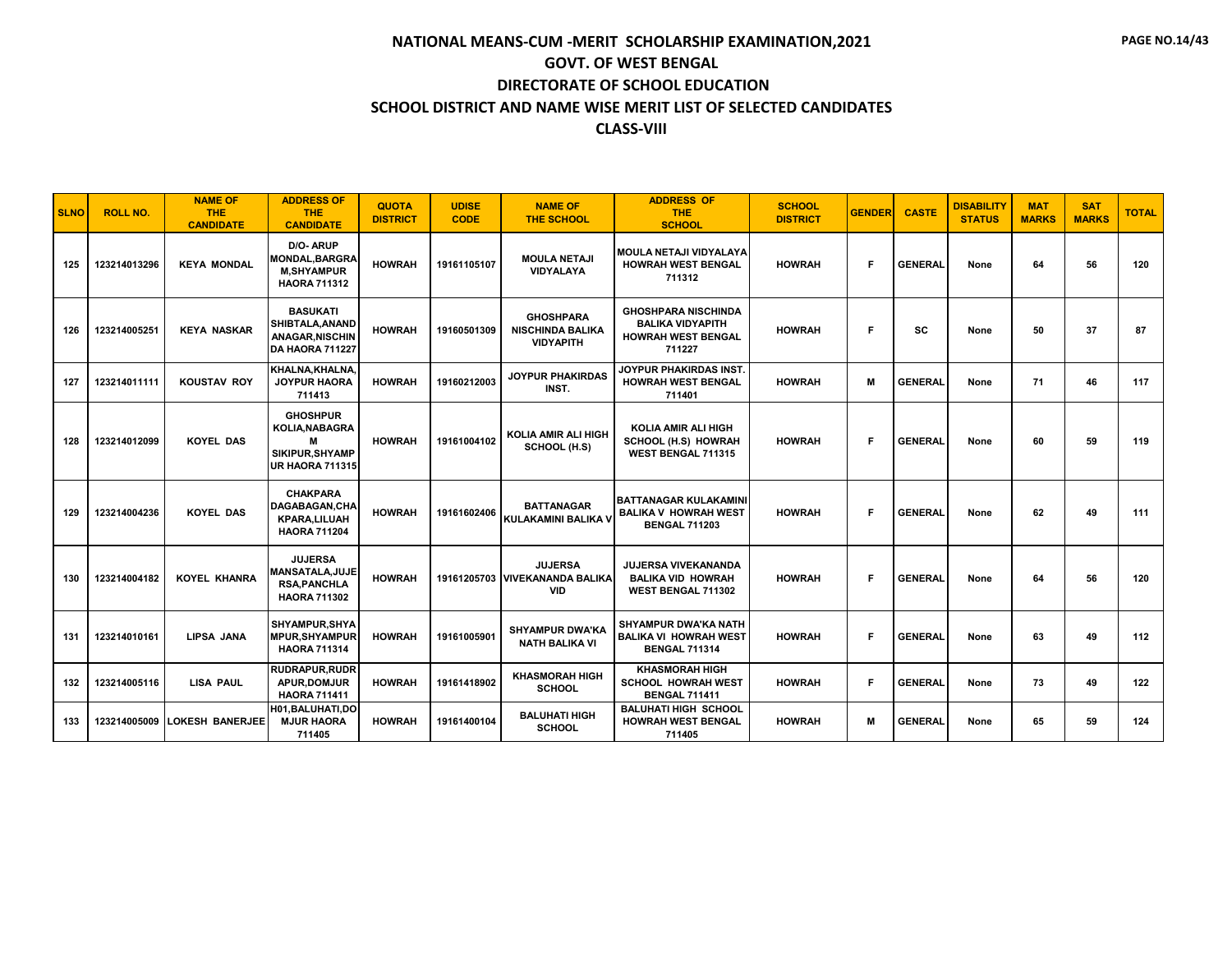| <b>SLNO</b> | <b>ROLL NO.</b> | <b>NAME OF</b><br><b>THE</b><br><b>CANDIDATE</b> | <b>ADDRESS OF</b><br><b>THE</b><br><b>CANDIDATE</b>                                    | <b>QUOTA</b><br><b>DISTRICT</b> | <b>UDISE</b><br><b>CODE</b> | <b>NAME OF</b><br><b>THE SCHOOL</b>                             | <b>ADDRESS OF</b><br><b>THE</b><br><b>SCHOOL</b>                                             | <b>SCHOOL</b><br><b>DISTRICT</b> | <b>GENDER</b> | <b>CASTE</b>   | <b>DISABILITY</b><br><b>STATUS</b> | <b>MAT</b><br><b>MARKS</b> | <b>SAT</b><br><b>MARKS</b> | <b>TOTAL</b> |
|-------------|-----------------|--------------------------------------------------|----------------------------------------------------------------------------------------|---------------------------------|-----------------------------|-----------------------------------------------------------------|----------------------------------------------------------------------------------------------|----------------------------------|---------------|----------------|------------------------------------|----------------------------|----------------------------|--------------|
| 125         | 123214013296    | <b>KEYA MONDAL</b>                               | D/O-ARUP<br><b>MONDAL,BARGRA</b><br><b>M,SHYAMPUR</b><br><b>HAORA 711312</b>           | <b>HOWRAH</b>                   | 19161105107                 | <b>MOULA NETAJI</b><br><b>VIDYALAYA</b>                         | MOULA NETAJI VIDYALAYA<br><b>HOWRAH WEST BENGAL</b><br>711312                                | <b>HOWRAH</b>                    | Е             | <b>GENERAL</b> | None                               | 64                         | 56                         | 120          |
| 126         | 123214005251    | <b>KEYA NASKAR</b>                               | <b>BASUKATI</b><br>SHIBTALA, ANAND<br><b>ANAGAR.NISCHIN</b><br>DA HAORA 711227         | <b>HOWRAH</b>                   | 19160501309                 | <b>GHOSHPARA</b><br><b>NISCHINDA BALIKA</b><br><b>VIDYAPITH</b> | <b>GHOSHPARA NISCHINDA</b><br><b>BALIKA VIDYAPITH</b><br><b>HOWRAH WEST BENGAL</b><br>711227 | <b>HOWRAH</b>                    | F             | <b>SC</b>      | None                               | 50                         | 37                         | 87           |
| 127         | 123214011111    | <b>KOUSTAV ROY</b>                               | KHALNA, KHALNA,<br>JOYPUR HAORA<br>711413                                              | <b>HOWRAH</b>                   | 19160212003                 | <b>JOYPUR PHAKIRDAS</b><br>INST.                                | JOYPUR PHAKIRDAS INST.<br><b>HOWRAH WEST BENGAL</b><br>711401                                | <b>HOWRAH</b>                    | M             | <b>GENERAL</b> | None                               | 71                         | 46                         | 117          |
| 128         | 123214012099    | <b>KOYEL DAS</b>                                 | <b>GHOSHPUR</b><br>KOLIA, NABAGRA<br>M<br>SIKIPUR.SHYAMP<br>UR HAORA 711315            | <b>HOWRAH</b>                   | 19161004102                 | <b>KOLIA AMIR ALI HIGH</b><br>SCHOOL (H.S)                      | <b>KOLIA AMIR ALI HIGH</b><br>SCHOOL (H.S) HOWRAH<br><b>WEST BENGAL 711315</b>               | <b>HOWRAH</b>                    | F             | <b>GENERAL</b> | None                               | 60                         | 59                         | 119          |
| 129         | 123214004236    | <b>KOYEL DAS</b>                                 | <b>CHAKPARA</b><br>DAGABAGAN, CHA<br>KPARA,LILUAH<br><b>HAORA 711204</b>               | <b>HOWRAH</b>                   | 19161602406                 | <b>BATTANAGAR</b><br><b>KULAKAMINI BALIKA \</b>                 | <b>BATTANAGAR KULAKAMINI</b><br><b>BALIKA V HOWRAH WEST</b><br><b>BENGAL 711203</b>          | <b>HOWRAH</b>                    | Е             | <b>GENERAL</b> | None                               | 62                         | 49                         | 111          |
| 130         | 123214004182    | <b>KOYEL KHANRA</b>                              | <b>JUJERSA</b><br><b>MANSATALA, JUJE</b><br><b>RSA, PANCHLA</b><br><b>HAORA 711302</b> | <b>HOWRAH</b>                   |                             | <b>JUJERSA</b><br>19161205703 VIVEKANANDA BALIKA<br><b>VID</b>  | <b>JUJERSA VIVEKANANDA</b><br><b>BALIKA VID HOWRAH</b><br>WEST BENGAL 711302                 | <b>HOWRAH</b>                    | Е             | <b>GENERAL</b> | None                               | 64                         | 56                         | 120          |
| 131         | 123214010161    | <b>LIPSA JANA</b>                                | <b>SHYAMPUR.SHYA</b><br><b>MPUR.SHYAMPUR</b><br><b>HAORA 711314</b>                    | <b>HOWRAH</b>                   | 19161005901                 | <b>SHYAMPUR DWA'KA</b><br><b>NATH BALIKA VI</b>                 | <b>SHYAMPUR DWA'KA NATH</b><br><b>BALIKA VI HOWRAH WEST</b><br><b>BENGAL 711314</b>          | <b>HOWRAH</b>                    | F             | <b>GENERAL</b> | None                               | 63                         | 49                         | 112          |
| 132         | 123214005116    | <b>LISA PAUL</b>                                 | <b>RUDRAPUR, RUDR</b><br><b>APUR,DOMJUR</b><br><b>HAORA 711411</b>                     | <b>HOWRAH</b>                   | 19161418902                 | <b>KHASMORAH HIGH</b><br><b>SCHOOL</b>                          | <b>KHASMORAH HIGH</b><br><b>SCHOOL HOWRAH WEST</b><br><b>BENGAL 711411</b>                   | <b>HOWRAH</b>                    | F             | <b>GENERAL</b> | None                               | 73                         | 49                         | 122          |
| 133         | 123214005009    | LOKESH BANERJEE                                  | H01, BALUHATI, DO<br><b>MJUR HAORA</b><br>711405                                       | <b>HOWRAH</b>                   | 19161400104                 | <b>BALUHATI HIGH</b><br><b>SCHOOL</b>                           | <b>BALUHATI HIGH SCHOOL</b><br><b>HOWRAH WEST BENGAL</b><br>711405                           | <b>HOWRAH</b>                    | M             | <b>GENERAL</b> | None                               | 65                         | 59                         | 124          |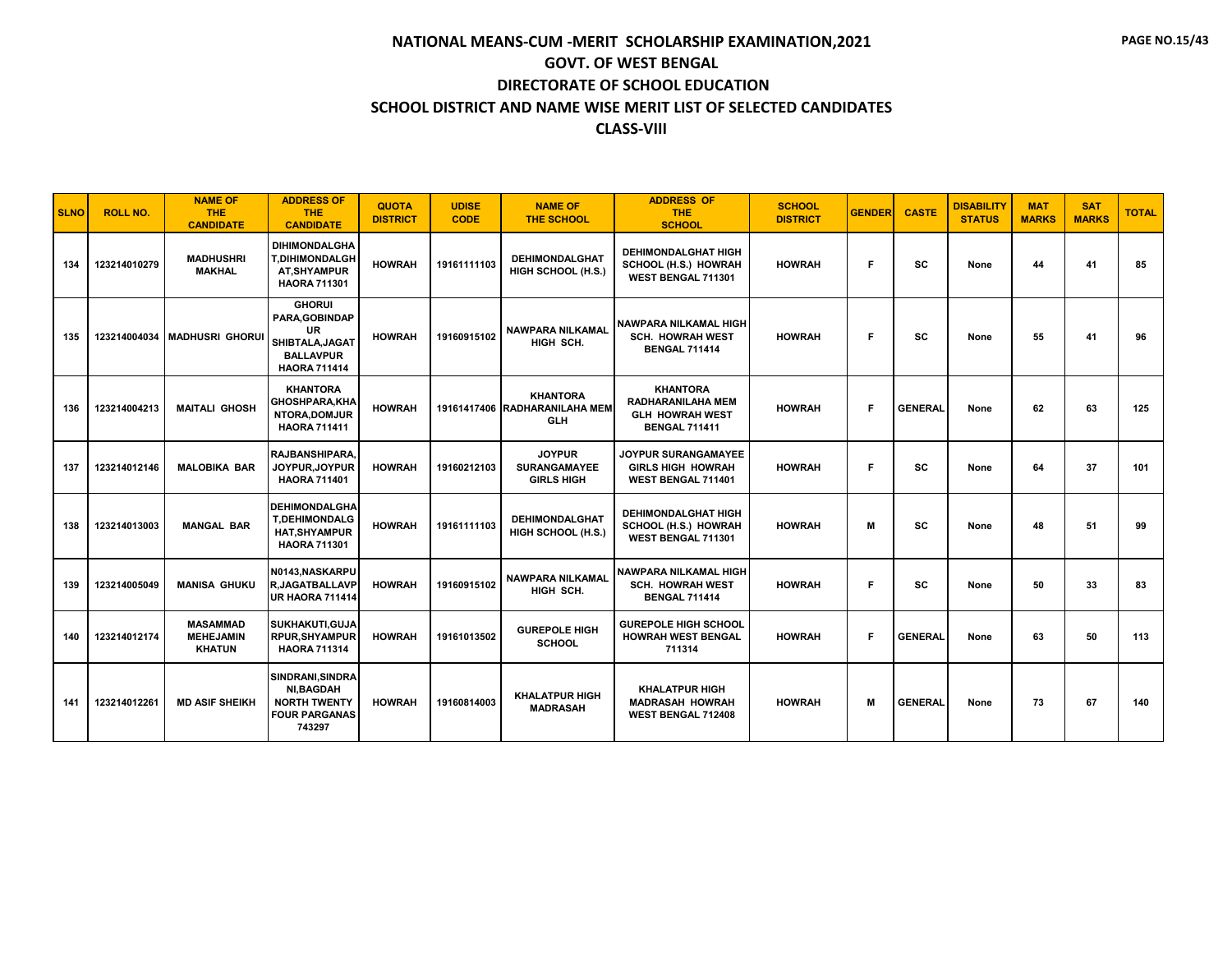| <b>SLNO</b> | <b>ROLL NO.</b> | <b>NAME OF</b><br><b>THE</b><br><b>CANDIDATE</b>     | <b>ADDRESS OF</b><br><b>THE</b><br><b>CANDIDATE</b>                                                        | <b>QUOTA</b><br><b>DISTRICT</b> | <b>UDISE</b><br><b>CODE</b> | <b>NAME OF</b><br><b>THE SCHOOL</b>                            | <b>ADDRESS OF</b><br><b>THE</b><br><b>SCHOOL</b>                                              | <b>SCHOOL</b><br><b>DISTRICT</b> | <b>GENDER</b> | <b>CASTE</b>   | <b>DISABILITY</b><br><b>STATUS</b> | <b>MAT</b><br><b>MARKS</b> | <b>SAT</b><br><b>MARKS</b> | <b>TOTAL</b> |
|-------------|-----------------|------------------------------------------------------|------------------------------------------------------------------------------------------------------------|---------------------------------|-----------------------------|----------------------------------------------------------------|-----------------------------------------------------------------------------------------------|----------------------------------|---------------|----------------|------------------------------------|----------------------------|----------------------------|--------------|
| 134         | 123214010279    | <b>MADHUSHRI</b><br><b>MAKHAL</b>                    | <b>DIHIMONDALGHA</b><br><b>T,DIHIMONDALGH</b><br><b>AT.SHYAMPUR</b><br><b>HAORA 711301</b>                 | <b>HOWRAH</b>                   | 19161111103                 | <b>DEHIMONDALGHAT</b><br>HIGH SCHOOL (H.S.)                    | <b>DEHIMONDALGHAT HIGH</b><br>SCHOOL (H.S.) HOWRAH<br>WEST BENGAL 711301                      | <b>HOWRAH</b>                    | F             | <b>SC</b>      | None                               | 44                         | 41                         | 85           |
| 135         |                 | 123214004034   MADHUSRI GHORU                        | <b>GHORUI</b><br>PARA, GOBINDAP<br><b>UR</b><br>SHIBTALA, JAGAT<br><b>BALLAVPUR</b><br><b>HAORA 711414</b> | <b>HOWRAH</b>                   | 19160915102                 | <b>NAWPARA NILKAMAL</b><br>HIGH SCH.                           | <b>NAWPARA NILKAMAL HIGH</b><br><b>SCH. HOWRAH WEST</b><br><b>BENGAL 711414</b>               | <b>HOWRAH</b>                    | F             | <b>SC</b>      | None                               | 55                         | 41                         | 96           |
| 136         | 123214004213    | <b>MAITALI GHOSH</b>                                 | <b>KHANTORA</b><br><b>GHOSHPARA,KHA</b><br>NTORA, DOMJUR<br><b>HAORA 711411</b>                            | <b>HOWRAH</b>                   |                             | <b>KHANTORA</b><br>19161417406 RADHARANILAHA MEM<br><b>GLH</b> | <b>KHANTORA</b><br><b>RADHARANILAHA MEM</b><br><b>GLH HOWRAH WEST</b><br><b>BENGAL 711411</b> | <b>HOWRAH</b>                    | F             | <b>GENERAL</b> | None                               | 62                         | 63                         | 125          |
| 137         | 123214012146    | <b>MALOBIKA BAR</b>                                  | RAJBANSHIPARA.<br>JOYPUR, JOYPUR<br><b>HAORA 711401</b>                                                    | <b>HOWRAH</b>                   | 19160212103                 | <b>JOYPUR</b><br><b>SURANGAMAYEE</b><br><b>GIRLS HIGH</b>      | <b>JOYPUR SURANGAMAYEE</b><br><b>GIRLS HIGH HOWRAH</b><br>WEST BENGAL 711401                  | <b>HOWRAH</b>                    | F             | <b>SC</b>      | None                               | 64                         | 37                         | 101          |
| 138         | 123214013003    | <b>MANGAL BAR</b>                                    | <b>DEHIMONDALGHA</b><br><b>T.DEHIMONDALG</b><br><b>HAT, SHYAMPUR</b><br><b>HAORA 711301</b>                | <b>HOWRAH</b>                   | 19161111103                 | <b>DEHIMONDALGHAT</b><br>HIGH SCHOOL (H.S.)                    | <b>DEHIMONDALGHAT HIGH</b><br>SCHOOL (H.S.) HOWRAH<br>WEST BENGAL 711301                      | <b>HOWRAH</b>                    | M             | <b>SC</b>      | None                               | 48                         | 51                         | 99           |
| 139         | 123214005049    | <b>MANISA GHUKU</b>                                  | N0143.NASKARPU<br><b>R.JAGATBALLAVP</b><br>UR HAORA 711414                                                 | <b>HOWRAH</b>                   | 19160915102                 | <b>NAWPARA NILKAMAL</b><br>HIGH SCH.                           | <b>NAWPARA NILKAMAL HIGH</b><br><b>SCH. HOWRAH WEST</b><br><b>BENGAL 711414</b>               | <b>HOWRAH</b>                    | F             | <b>SC</b>      | None                               | 50                         | 33                         | 83           |
| 140         | 123214012174    | <b>MASAMMAD</b><br><b>MEHEJAMIN</b><br><b>KHATUN</b> | <b>SUKHAKUTI, GUJA</b><br><b>RPUR.SHYAMPUR</b><br><b>HAORA 711314</b>                                      | <b>HOWRAH</b>                   | 19161013502                 | <b>GUREPOLE HIGH</b><br><b>SCHOOL</b>                          | <b>GUREPOLE HIGH SCHOOL</b><br><b>HOWRAH WEST BENGAL</b><br>711314                            | <b>HOWRAH</b>                    | Е             | <b>GENERAL</b> | None                               | 63                         | 50                         | 113          |
| 141         | 123214012261    | <b>MD ASIF SHEIKH</b>                                | SINDRANI, SINDRA<br><b>NI,BAGDAH</b><br><b>NORTH TWENTY</b><br><b>FOUR PARGANAS</b><br>743297              | <b>HOWRAH</b>                   | 19160814003                 | <b>KHALATPUR HIGH</b><br><b>MADRASAH</b>                       | <b>KHALATPUR HIGH</b><br><b>MADRASAH HOWRAH</b><br>WEST BENGAL 712408                         | <b>HOWRAH</b>                    | м             | <b>GENERAL</b> | None                               | 73                         | 67                         | 140          |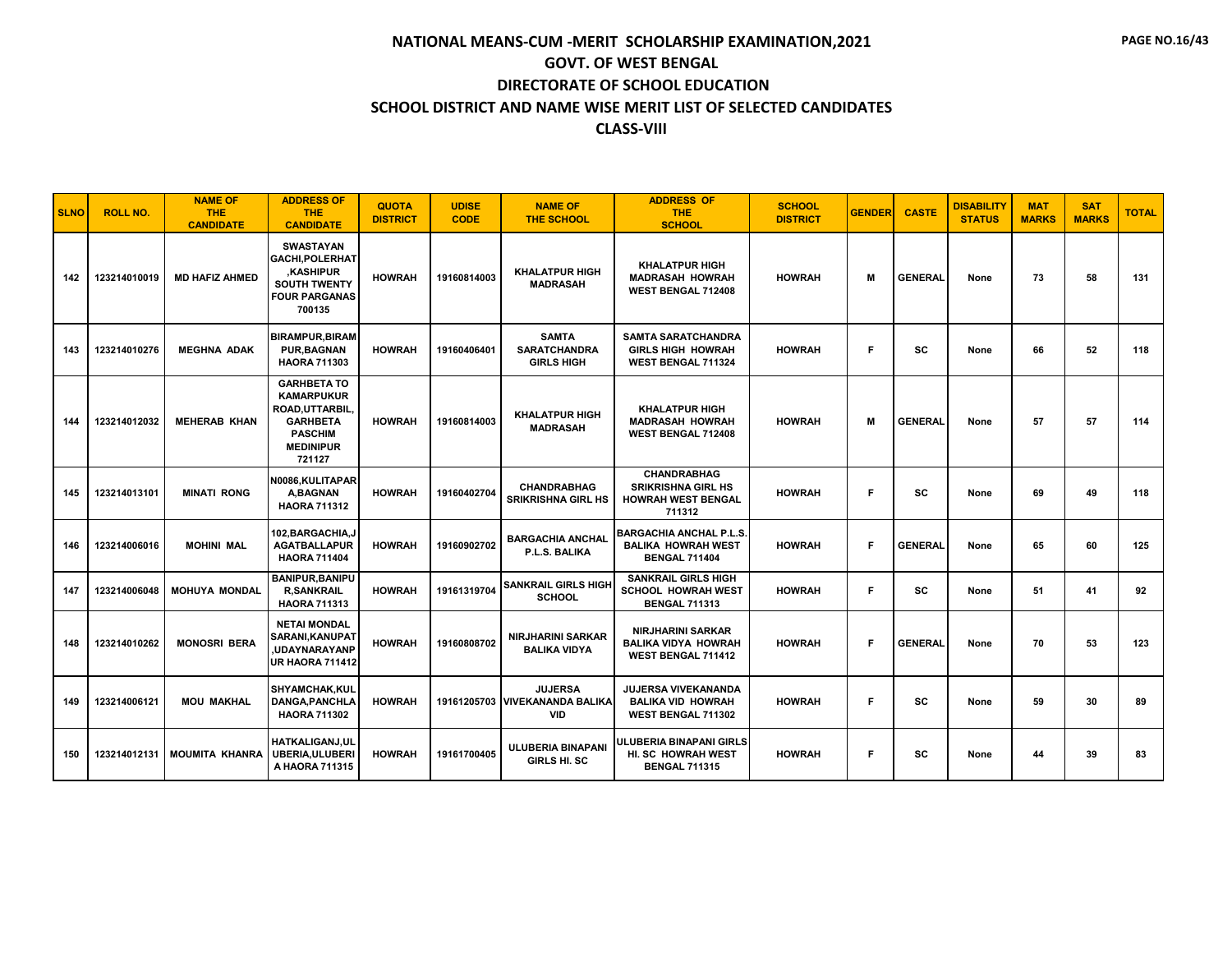| <b>SLNO</b> | <b>ROLL NO.</b> | <b>NAME OF</b><br><b>THE</b><br><b>CANDIDATE</b> | <b>ADDRESS OF</b><br><b>THE</b><br><b>CANDIDATE</b>                                                                           | <b>QUOTA</b><br><b>DISTRICT</b> | <b>UDISE</b><br><b>CODE</b> | <b>NAME OF</b><br><b>THE SCHOOL</b>                            | <b>ADDRESS OF</b><br><b>THE</b><br><b>SCHOOL</b>                                       | <b>SCHOOL</b><br><b>DISTRICT</b> | <b>GENDER</b> | <b>CASTE</b>   | <b>DISABILITY</b><br><b>STATUS</b> | <b>MAT</b><br><b>MARKS</b> | <b>SAT</b><br><b>MARKS</b> | <b>TOTAL</b> |
|-------------|-----------------|--------------------------------------------------|-------------------------------------------------------------------------------------------------------------------------------|---------------------------------|-----------------------------|----------------------------------------------------------------|----------------------------------------------------------------------------------------|----------------------------------|---------------|----------------|------------------------------------|----------------------------|----------------------------|--------------|
| 142         | 123214010019    | <b>MD HAFIZ AHMED</b>                            | <b>SWASTAYAN</b><br>GACHI, POLERHAT<br><b>KASHIPUR</b><br><b>SOUTH TWENTY</b><br><b>FOUR PARGANAS</b><br>700135               | <b>HOWRAH</b>                   | 19160814003                 | <b>KHALATPUR HIGH</b><br><b>MADRASAH</b>                       | <b>KHALATPUR HIGH</b><br><b>MADRASAH HOWRAH</b><br><b>WEST BENGAL 712408</b>           | <b>HOWRAH</b>                    | M             | <b>GENERAL</b> | None                               | 73                         | 58                         | 131          |
| 143         | 123214010276    | <b>MEGHNA ADAK</b>                               | <b>BIRAMPUR, BIRAM</b><br><b>PUR.BAGNAN</b><br><b>HAORA 711303</b>                                                            | <b>HOWRAH</b>                   | 19160406401                 | <b>SAMTA</b><br><b>SARATCHANDRA</b><br><b>GIRLS HIGH</b>       | <b>SAMTA SARATCHANDRA</b><br><b>GIRLS HIGH HOWRAH</b><br>WEST BENGAL 711324            | <b>HOWRAH</b>                    | F             | SC             | None                               | 66                         | 52                         | 118          |
| 144         | 123214012032    | <b>MEHERAB KHAN</b>                              | <b>GARHBETA TO</b><br><b>KAMARPUKUR</b><br>ROAD, UTTARBIL,<br><b>GARHBETA</b><br><b>PASCHIM</b><br><b>MEDINIPUR</b><br>721127 | <b>HOWRAH</b>                   | 19160814003                 | <b>KHALATPUR HIGH</b><br><b>MADRASAH</b>                       | <b>KHALATPUR HIGH</b><br><b>MADRASAH HOWRAH</b><br><b>WEST BENGAL 712408</b>           | <b>HOWRAH</b>                    | м             | <b>GENERAL</b> | None                               | 57                         | 57                         | 114          |
| 145         | 123214013101    | <b>MINATI RONG</b>                               | N0086, KULITAPAR<br>A.BAGNAN<br><b>HAORA 711312</b>                                                                           | <b>HOWRAH</b>                   | 19160402704                 | <b>CHANDRABHAG</b><br><b>SRIKRISHNA GIRL HS</b>                | <b>CHANDRABHAG</b><br><b>SRIKRISHNA GIRL HS</b><br><b>HOWRAH WEST BENGAL</b><br>711312 | <b>HOWRAH</b>                    | F             | <b>SC</b>      | None                               | 69                         | 49                         | 118          |
| 146         | 123214006016    | <b>MOHINI MAL</b>                                | 102.BARGACHIA.J<br><b>AGATBALLAPUR</b><br><b>HAORA 711404</b>                                                                 | <b>HOWRAH</b>                   | 19160902702                 | <b>BARGACHIA ANCHAL</b><br>P.L.S. BALIKA                       | <b>BARGACHIA ANCHAL P.L.S.</b><br><b>BALIKA HOWRAH WEST</b><br><b>BENGAL 711404</b>    | <b>HOWRAH</b>                    | F             | <b>GENERAL</b> | None                               | 65                         | 60                         | 125          |
| 147         | 123214006048    | <b>MOHUYA MONDAL</b>                             | <b>BANIPUR, BANIPU</b><br><b>R,SANKRAIL</b><br><b>HAORA 711313</b>                                                            | <b>HOWRAH</b>                   | 19161319704                 | <b>SANKRAIL GIRLS HIGH</b><br><b>SCHOOL</b>                    | <b>SANKRAIL GIRLS HIGH</b><br><b>SCHOOL HOWRAH WEST</b><br><b>BENGAL 711313</b>        | <b>HOWRAH</b>                    | F             | <b>SC</b>      | None                               | 51                         | 41                         | 92           |
| 148         | 123214010262    | <b>MONOSRI BERA</b>                              | <b>NETAI MONDAL</b><br>SARANI,KANUPAT<br><b>UDAYNARAYANP</b><br><b>UR HAORA 711412</b>                                        | <b>HOWRAH</b>                   | 19160808702                 | <b>NIRJHARINI SARKAR</b><br><b>BALIKA VIDYA</b>                | <b>NIRJHARINI SARKAR</b><br><b>BALIKA VIDYA HOWRAH</b><br><b>WEST BENGAL 711412</b>    | <b>HOWRAH</b>                    | F             | <b>GENERAL</b> | None                               | 70                         | 53                         | 123          |
| 149         | 123214006121    | <b>MOU MAKHAL</b>                                | <b>SHYAMCHAK,KUL</b><br>DANGA, PANCHLA<br><b>HAORA 711302</b>                                                                 | <b>HOWRAH</b>                   |                             | <b>JUJERSA</b><br>19161205703 VIVEKANANDA BALIKA<br><b>VID</b> | <b>JUJERSA VIVEKANANDA</b><br><b>BALIKA VID HOWRAH</b><br>WEST BENGAL 711302           | <b>HOWRAH</b>                    | F             | <b>SC</b>      | None                               | 59                         | 30                         | 89           |
| 150         | 123214012131    | <b>MOUMITA KHANRA</b>                            | <b>HATKALIGANJ.UL</b><br><b>UBERIA.ULUBERI</b><br>A HAORA 711315                                                              | <b>HOWRAH</b>                   | 19161700405                 | <b>ULUBERIA BINAPANI</b><br><b>GIRLS HI. SC</b>                | ULUBERIA BINAPANI GIRLS<br>HI. SC HOWRAH WEST<br><b>BENGAL 711315</b>                  | <b>HOWRAH</b>                    | F             | SC             | None                               | 44                         | 39                         | 83           |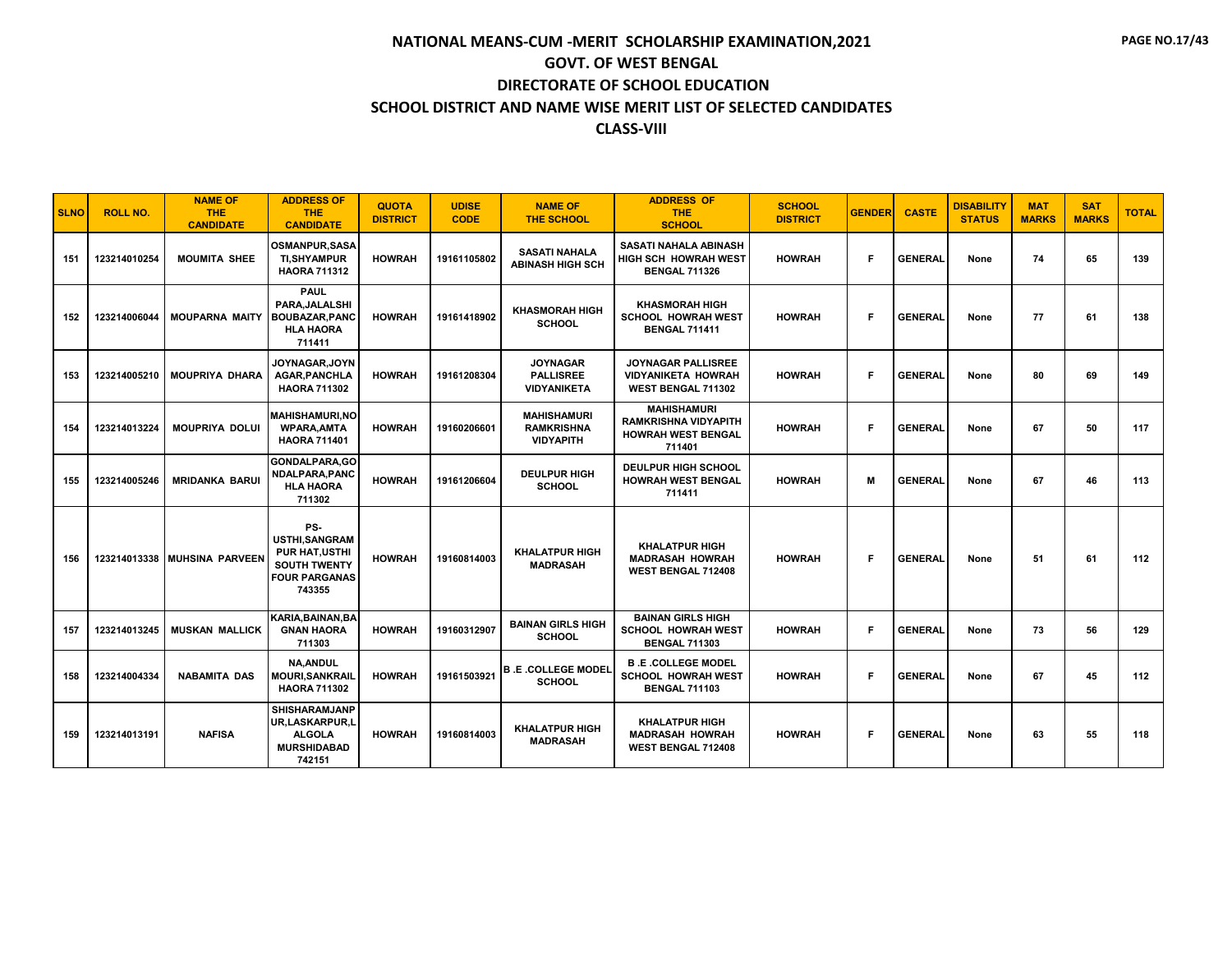| <b>SLNO</b> | <b>ROLL NO.</b> | <b>NAME OF</b><br><b>THE</b><br><b>CANDIDATE</b> | <b>ADDRESS OF</b><br><b>THE</b><br><b>CANDIDATE</b>                                                           | <b>QUOTA</b><br><b>DISTRICT</b> | <b>UDISE</b><br><b>CODE</b> | <b>NAME OF</b><br><b>THE SCHOOL</b>                         | <b>ADDRESS OF</b><br><b>THE</b><br><b>SCHOOL</b>                                         | <b>SCHOOL</b><br><b>DISTRICT</b> | <b>GENDER</b> | <b>CASTE</b>   | <b>DISABILITY</b><br><b>STATUS</b> | <b>MAT</b><br><b>MARKS</b> | <b>SAT</b><br><b>MARKS</b> | <b>TOTAL</b> |
|-------------|-----------------|--------------------------------------------------|---------------------------------------------------------------------------------------------------------------|---------------------------------|-----------------------------|-------------------------------------------------------------|------------------------------------------------------------------------------------------|----------------------------------|---------------|----------------|------------------------------------|----------------------------|----------------------------|--------------|
| 151         | 123214010254    | <b>MOUMITA SHEE</b>                              | <b>OSMANPUR.SASA</b><br><b>TI,SHYAMPUR</b><br><b>HAORA 711312</b>                                             | <b>HOWRAH</b>                   | 19161105802                 | <b>SASATI NAHALA</b><br><b>ABINASH HIGH SCH</b>             | SASATI NAHALA ABINASH<br><b>HIGH SCH HOWRAH WEST</b><br><b>BENGAL 711326</b>             | <b>HOWRAH</b>                    | F.            | <b>GENERAL</b> | None                               | 74                         | 65                         | 139          |
| 152         | 123214006044    | <b>MOUPARNA MAITY</b>                            | <b>PAUL</b><br>PARA, JALALSHI<br><b>BOUBAZAR.PANC</b><br><b>HLA HAORA</b><br>711411                           | <b>HOWRAH</b>                   | 19161418902                 | <b>KHASMORAH HIGH</b><br><b>SCHOOL</b>                      | <b>KHASMORAH HIGH</b><br><b>SCHOOL HOWRAH WEST</b><br><b>BENGAL 711411</b>               | <b>HOWRAH</b>                    | Е             | <b>GENERAL</b> | None                               | 77                         | 61                         | 138          |
| 153         | 123214005210    | <b>MOUPRIYA DHARA</b>                            | <b>JOYNAGAR.JOYN</b><br><b>AGAR, PANCHLA</b><br><b>HAORA 711302</b>                                           | <b>HOWRAH</b>                   | 19161208304                 | <b>JOYNAGAR</b><br><b>PALLISREE</b><br><b>VIDYANIKETA</b>   | <b>JOYNAGAR PALLISREE</b><br><b>VIDYANIKETA HOWRAH</b><br><b>WEST BENGAL 711302</b>      | <b>HOWRAH</b>                    | F.            | <b>GENERAL</b> | None                               | 80                         | 69                         | 149          |
| 154         | 123214013224    | <b>MOUPRIYA DOLUI</b>                            | <b>MAHISHAMURI.NO</b><br><b>WPARA.AMTA</b><br><b>HAORA 711401</b>                                             | <b>HOWRAH</b>                   | 19160206601                 | <b>MAHISHAMURI</b><br><b>RAMKRISHNA</b><br><b>VIDYAPITH</b> | <b>MAHISHAMURI</b><br><b>RAMKRISHNA VIDYAPITH</b><br><b>HOWRAH WEST BENGAL</b><br>711401 | <b>HOWRAH</b>                    | F             | <b>GENERAL</b> | None                               | 67                         | 50                         | 117          |
| 155         | 123214005246    | <b>MRIDANKA BARUI</b>                            | GONDALPARA.GO<br>NDALPARA, PANC<br><b>HLA HAORA</b><br>711302                                                 | <b>HOWRAH</b>                   | 19161206604                 | <b>DEULPUR HIGH</b><br><b>SCHOOL</b>                        | <b>DEULPUR HIGH SCHOOL</b><br><b>HOWRAH WEST BENGAL</b><br>711411                        | <b>HOWRAH</b>                    | м             | <b>GENERAL</b> | None                               | 67                         | 46                         | 113          |
| 156         | 123214013338    | <b>MUHSINA PARVEEN</b>                           | PS-<br><b>USTHI.SANGRAM</b><br><b>PUR HAT, USTHI</b><br><b>SOUTH TWENTY</b><br><b>FOUR PARGANAS</b><br>743355 | <b>HOWRAH</b>                   | 19160814003                 | <b>KHALATPUR HIGH</b><br><b>MADRASAH</b>                    | <b>KHALATPUR HIGH</b><br><b>MADRASAH HOWRAH</b><br>WEST BENGAL 712408                    | <b>HOWRAH</b>                    | F             | <b>GENERAL</b> | None                               | 51                         | 61                         | 112          |
| 157         | 123214013245    | <b>MUSKAN MALLICK</b>                            | KARIA, BAINAN, BA<br><b>GNAN HAORA</b><br>711303                                                              | <b>HOWRAH</b>                   | 19160312907                 | <b>BAINAN GIRLS HIGH</b><br><b>SCHOOL</b>                   | <b>BAINAN GIRLS HIGH</b><br><b>SCHOOL HOWRAH WEST</b><br><b>BENGAL 711303</b>            | <b>HOWRAH</b>                    | F             | <b>GENERAL</b> | None                               | 73                         | 56                         | 129          |
| 158         | 123214004334    | <b>NABAMITA DAS</b>                              | <b>NA, ANDUL</b><br>MOURI,SANKRAIL<br><b>HAORA 711302</b>                                                     | <b>HOWRAH</b>                   | 19161503921                 | <b>B .E .COLLEGE MODEL</b><br><b>SCHOOL</b>                 | <b>B.E.COLLEGE MODEL</b><br><b>SCHOOL HOWRAH WEST</b><br><b>BENGAL 711103</b>            | <b>HOWRAH</b>                    | F.            | <b>GENERAL</b> | None                               | 67                         | 45                         | 112          |
| 159         | 123214013191    | <b>NAFISA</b>                                    | <b>SHISHARAMJANP</b><br>UR,LASKARPUR,L<br><b>ALGOLA</b><br><b>MURSHIDABAD</b><br>742151                       | <b>HOWRAH</b>                   | 19160814003                 | <b>KHALATPUR HIGH</b><br><b>MADRASAH</b>                    | <b>KHALATPUR HIGH</b><br><b>MADRASAH HOWRAH</b><br><b>WEST BENGAL 712408</b>             | <b>HOWRAH</b>                    | F             | <b>GENERAL</b> | None                               | 63                         | 55                         | 118          |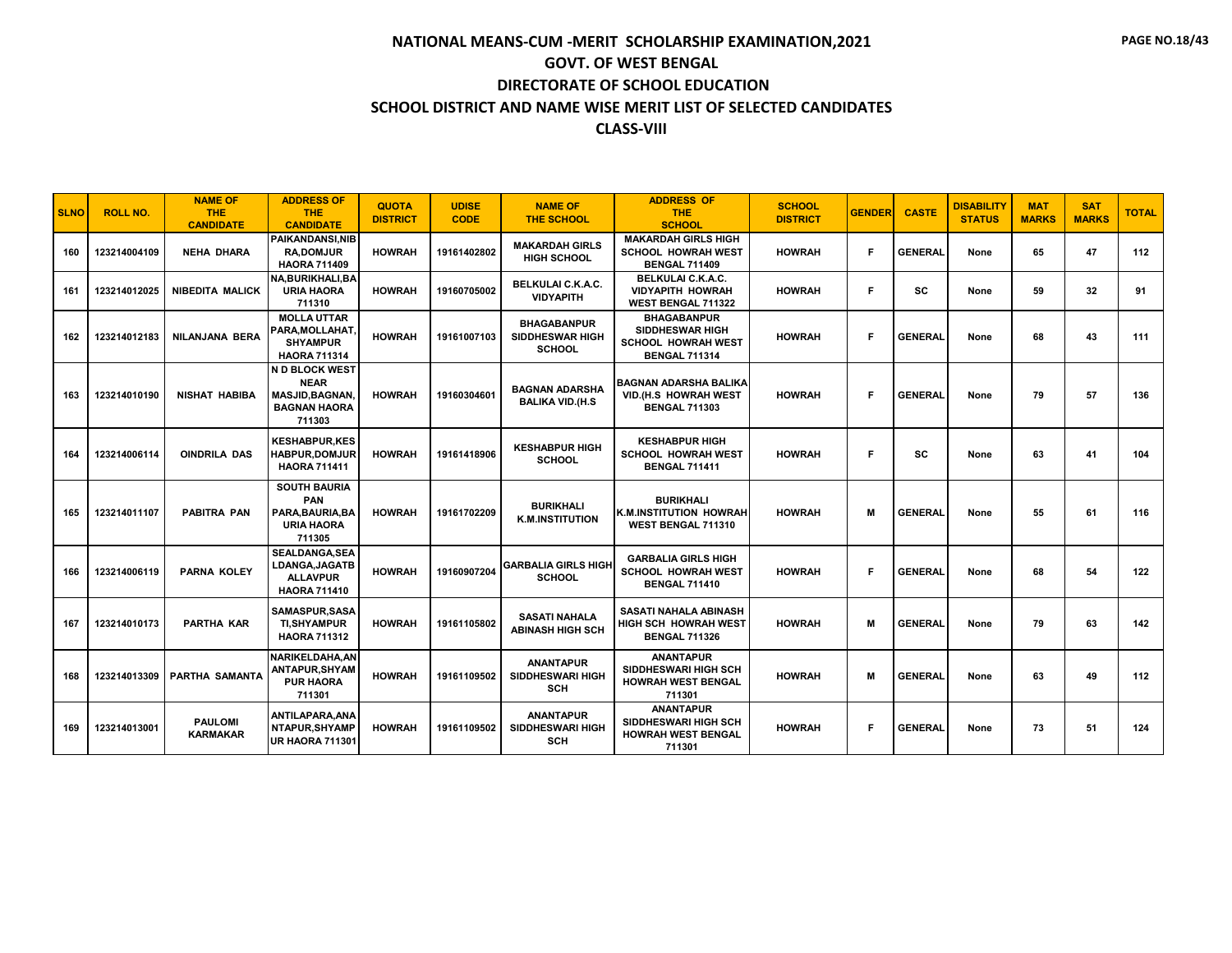| <b>SLNO</b> | <b>ROLL NO.</b> | <b>NAME OF</b><br><b>THE</b><br><b>CANDIDATE</b> | <b>ADDRESS OF</b><br><b>THE</b><br><b>CANDIDATE</b>                                     | <b>QUOTA</b><br><b>DISTRICT</b> | <b>UDISE</b><br><b>CODE</b> | <b>NAME OF</b><br><b>THE SCHOOL</b>                           | <b>ADDRESS OF</b><br><b>THE</b><br><b>SCHOOL</b>                                                  | <b>SCHOOL</b><br><b>DISTRICT</b> | <b>GENDER</b> | <b>CASTE</b>   | <b>DISABILITY</b><br><b>STATUS</b> | <b>MAT</b><br><b>MARKS</b> | <b>SAT</b><br><b>MARKS</b> | <b>TOTAL</b> |
|-------------|-----------------|--------------------------------------------------|-----------------------------------------------------------------------------------------|---------------------------------|-----------------------------|---------------------------------------------------------------|---------------------------------------------------------------------------------------------------|----------------------------------|---------------|----------------|------------------------------------|----------------------------|----------------------------|--------------|
| 160         | 123214004109    | <b>NEHA DHARA</b>                                | <b>PAIKANDANSI.NIB</b><br><b>RA.DOMJUR</b><br><b>HAORA 711409</b>                       | <b>HOWRAH</b>                   | 19161402802                 | <b>MAKARDAH GIRLS</b><br><b>HIGH SCHOOL</b>                   | <b>MAKARDAH GIRLS HIGH</b><br><b>SCHOOL HOWRAH WEST</b><br><b>BENGAL 711409</b>                   | <b>HOWRAH</b>                    | F             | <b>GENERAL</b> | None                               | 65                         | 47                         | 112          |
| 161         | 123214012025    | <b>NIBEDITA MALICK</b>                           | <b>NA.BURIKHALI.BA</b><br><b>URIA HAORA</b><br>711310                                   | <b>HOWRAH</b>                   | 19160705002                 | <b>BELKULAI C.K.A.C.</b><br><b>VIDYAPITH</b>                  | <b>BELKULAI C.K.A.C.</b><br><b>VIDYAPITH HOWRAH</b><br>WEST BENGAL 711322                         | <b>HOWRAH</b>                    | F             | <b>SC</b>      | None                               | 59                         | 32                         | 91           |
| 162         | 123214012183    | NILANJANA BERA                                   | <b>MOLLA UTTAR</b><br>PARA.MOLLAHAT.<br><b>SHYAMPUR</b><br><b>HAORA 711314</b>          | <b>HOWRAH</b>                   | 19161007103                 | <b>BHAGABANPUR</b><br><b>SIDDHESWAR HIGH</b><br><b>SCHOOL</b> | <b>BHAGABANPUR</b><br><b>SIDDHESWAR HIGH</b><br><b>SCHOOL HOWRAH WEST</b><br><b>BENGAL 711314</b> | <b>HOWRAH</b>                    | Е             | <b>GENERAL</b> | None                               | 68                         | 43                         | 111          |
| 163         | 123214010190    | <b>NISHAT HABIBA</b>                             | N D BLOCK WEST<br><b>NEAR</b><br><b>MASJID, BAGNAN</b><br><b>BAGNAN HAORA</b><br>711303 | <b>HOWRAH</b>                   | 19160304601                 | <b>BAGNAN ADARSHA</b><br><b>BALIKA VID.(H.S.</b>              | BAGNAN ADARSHA BALIKA<br>VID.(H.S HOWRAH WEST<br><b>BENGAL 711303</b>                             | <b>HOWRAH</b>                    | F             | <b>GENERAL</b> | None                               | 79                         | 57                         | 136          |
| 164         | 123214006114    | <b>OINDRILA DAS</b>                              | <b>KESHABPUR.KES</b><br><b>HABPUR.DOMJUR</b><br><b>HAORA 711411</b>                     | <b>HOWRAH</b>                   | 19161418906                 | <b>KESHABPUR HIGH</b><br><b>SCHOOL</b>                        | <b>KESHABPUR HIGH</b><br><b>SCHOOL HOWRAH WEST</b><br><b>BENGAL 711411</b>                        | <b>HOWRAH</b>                    | Е             | <b>SC</b>      | None                               | 63                         | 41                         | 104          |
| 165         | 123214011107    | <b>PABITRA PAN</b>                               | <b>SOUTH BAURIA</b><br><b>PAN</b><br>PARA, BAURIA, BA<br><b>URIA HAORA</b><br>711305    | <b>HOWRAH</b>                   | 19161702209                 | <b>BURIKHALI</b><br><b>K.M.INSTITUTION</b>                    | <b>BURIKHALI</b><br>K.M.INSTITUTION HOWRAH<br>WEST BENGAL 711310                                  | <b>HOWRAH</b>                    | м             | <b>GENERAL</b> | None                               | 55                         | 61                         | 116          |
| 166         | 123214006119    | <b>PARNA KOLEY</b>                               | SEALDANGA, SEA<br>LDANGA, JAGATB<br><b>ALLAVPUR</b><br><b>HAORA 711410</b>              | <b>HOWRAH</b>                   | 19160907204                 | <b>GARBALIA GIRLS HIGH</b><br><b>SCHOOL</b>                   | <b>GARBALIA GIRLS HIGH</b><br><b>SCHOOL HOWRAH WEST</b><br><b>BENGAL 711410</b>                   | <b>HOWRAH</b>                    | F             | <b>GENERAL</b> | None                               | 68                         | 54                         | 122          |
| 167         | 123214010173    | PARTHA KAR                                       | SAMASPUR, SASA<br><b>TI,SHYAMPUR</b><br><b>HAORA 711312</b>                             | <b>HOWRAH</b>                   | 19161105802                 | <b>SASATI NAHALA</b><br><b>ABINASH HIGH SCH</b>               | SASATI NAHALA ABINASH<br><b>HIGH SCH HOWRAH WEST</b><br><b>BENGAL 711326</b>                      | <b>HOWRAH</b>                    | м             | <b>GENERAL</b> | None                               | 79                         | 63                         | 142          |
| 168         | 123214013309    | <b>PARTHA SAMANTA</b>                            | NARIKELDAHA.ANİ<br>ANTAPUR, SHYAM<br><b>PUR HAORA</b><br>711301                         | <b>HOWRAH</b>                   | 19161109502                 | <b>ANANTAPUR</b><br><b>SIDDHESWARI HIGH</b><br><b>SCH</b>     | <b>ANANTAPUR</b><br><b>SIDDHESWARI HIGH SCH</b><br><b>HOWRAH WEST BENGAL</b><br>711301            | <b>HOWRAH</b>                    | м             | <b>GENERAL</b> | None                               | 63                         | 49                         | 112          |
| 169         | 123214013001    | <b>PAULOMI</b><br><b>KARMAKAR</b>                | ANTILAPARA.ANA<br>NTAPUR, SHYAMP<br>UR HAORA 711301                                     | <b>HOWRAH</b>                   | 19161109502                 | <b>ANANTAPUR</b><br><b>SIDDHESWARI HIGH</b><br><b>SCH</b>     | <b>ANANTAPUR</b><br><b>SIDDHESWARI HIGH SCH</b><br><b>HOWRAH WEST BENGAL</b><br>711301            | <b>HOWRAH</b>                    | F.            | <b>GENERAL</b> | None                               | 73                         | 51                         | 124          |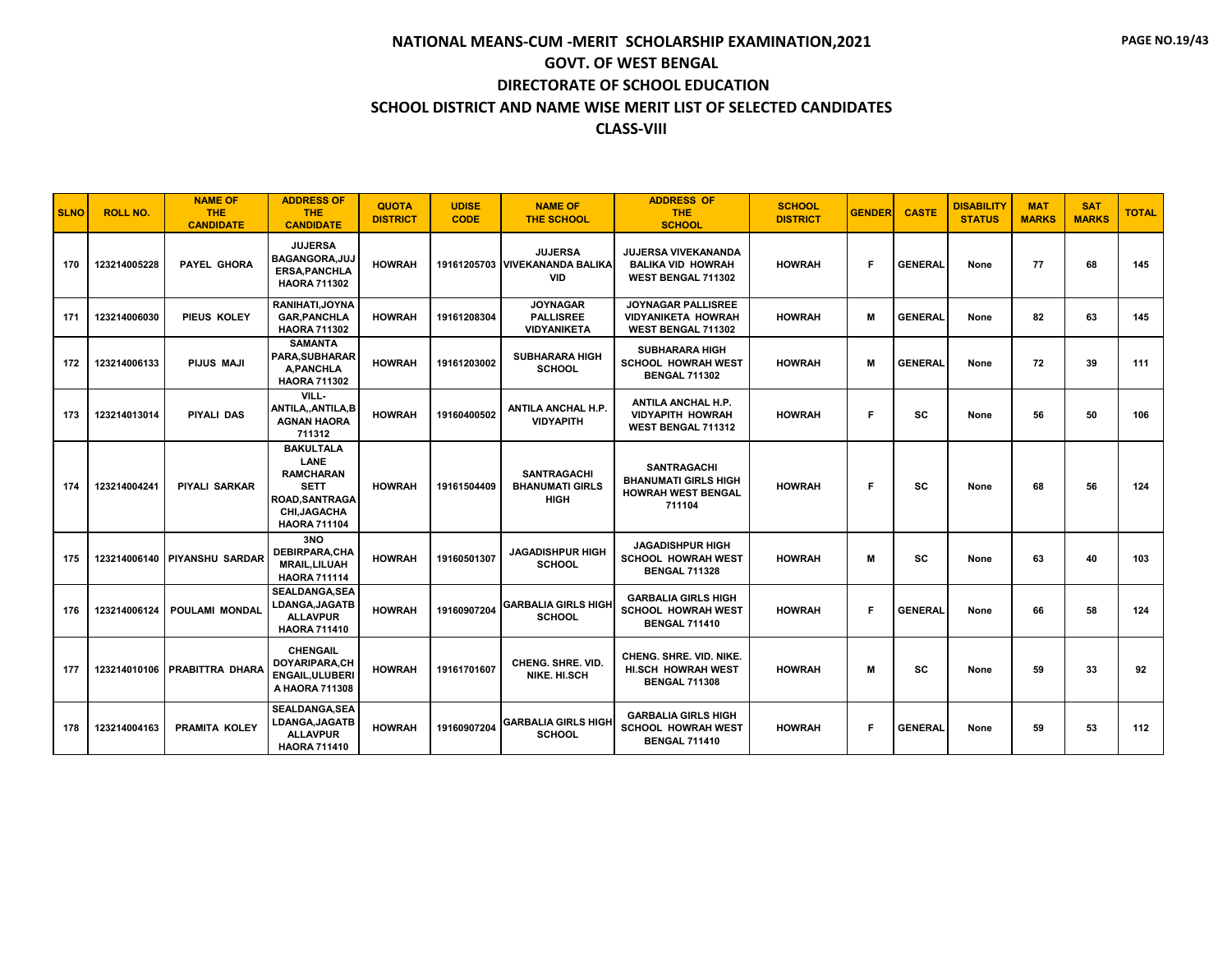| <b>SLNO</b> | <b>ROLL NO.</b> | <b>NAME OF</b><br><b>THE</b><br><b>CANDIDATE</b> | <b>ADDRESS OF</b><br><b>THE</b><br><b>CANDIDATE</b>                                                                               | <b>QUOTA</b><br><b>DISTRICT</b> | <b>UDISE</b><br><b>CODE</b> | <b>NAME OF</b><br><b>THE SCHOOL</b>                            | <b>ADDRESS OF</b><br><b>THE</b><br><b>SCHOOL</b>                                         | <b>SCHOOL</b><br><b>DISTRICT</b> | <b>GENDER</b> | <b>CASTE</b>   | <b>DISABILITY</b><br><b>STATUS</b> | <b>MAT</b><br><b>MARKS</b> | <b>SAT</b><br><b>MARKS</b> | <b>TOTAL</b> |
|-------------|-----------------|--------------------------------------------------|-----------------------------------------------------------------------------------------------------------------------------------|---------------------------------|-----------------------------|----------------------------------------------------------------|------------------------------------------------------------------------------------------|----------------------------------|---------------|----------------|------------------------------------|----------------------------|----------------------------|--------------|
| 170         | 123214005228    | PAYEL GHORA                                      | <b>JUJERSA</b><br>BAGANGORA, JUJ<br><b>ERSA.PANCHLA</b><br><b>HAORA 711302</b>                                                    | <b>HOWRAH</b>                   |                             | <b>JUJERSA</b><br>19161205703 VIVEKANANDA BALIKA<br><b>VID</b> | <b>JUJERSA VIVEKANANDA</b><br><b>BALIKA VID HOWRAH</b><br>WEST BENGAL 711302             | <b>HOWRAH</b>                    | F             | <b>GENERAL</b> | None                               | 77                         | 68                         | 145          |
| 171         | 123214006030    | PIEUS KOLEY                                      | RANIHATI, JOYNA<br><b>GAR.PANCHLA</b><br><b>HAORA 711302</b>                                                                      | <b>HOWRAH</b>                   | 19161208304                 | <b>JOYNAGAR</b><br><b>PALLISREE</b><br><b>VIDYANIKETA</b>      | <b>JOYNAGAR PALLISREE</b><br>VIDYANIKETA HOWRAH<br><b>WEST BENGAL 711302</b>             | <b>HOWRAH</b>                    | м             | <b>GENERAL</b> | None                               | 82                         | 63                         | 145          |
| 172         | 123214006133    | <b>PIJUS MAJI</b>                                | <b>SAMANTA</b><br>PARA, SUBHARAR<br><b>A.PANCHLA</b><br><b>HAORA 711302</b>                                                       | <b>HOWRAH</b>                   | 19161203002                 | <b>SUBHARARA HIGH</b><br><b>SCHOOL</b>                         | <b>SUBHARARA HIGH</b><br><b>SCHOOL HOWRAH WEST</b><br><b>BENGAL 711302</b>               | <b>HOWRAH</b>                    | M             | <b>GENERAL</b> | None                               | 72                         | 39                         | 111          |
| 173         | 123214013014    | <b>PIYALI DAS</b>                                | VILL-<br>ANTILA,, ANTILA, B<br><b>AGNAN HAORA</b><br>711312                                                                       | <b>HOWRAH</b>                   | 19160400502                 | ANTILA ANCHAL H.P.<br><b>VIDYAPITH</b>                         | <b>ANTILA ANCHAL H.P.</b><br><b>VIDYAPITH HOWRAH</b><br><b>WEST BENGAL 711312</b>        | <b>HOWRAH</b>                    | F             | SC             | None                               | 56                         | 50                         | 106          |
| 174         | 123214004241    | PIYALI SARKAR                                    | <b>BAKULTALA</b><br><b>LANE</b><br><b>RAMCHARAN</b><br><b>SETT</b><br><b>ROAD.SANTRAGA</b><br>CHI, JAGACHA<br><b>HAORA 711104</b> | <b>HOWRAH</b>                   | 19161504409                 | <b>SANTRAGACHI</b><br><b>BHANUMATI GIRLS</b><br><b>HIGH</b>    | <b>SANTRAGACHI</b><br><b>BHANUMATI GIRLS HIGH</b><br><b>HOWRAH WEST BENGAL</b><br>711104 | <b>HOWRAH</b>                    | F             | SC             | None                               | 68                         | 56                         | 124          |
| 175         |                 | 123214006140 PIYANSHU SARDAR                     | 3NO<br><b>DEBIRPARA,CHA</b><br><b>MRAIL.LILUAH</b><br><b>HAORA 711114</b>                                                         | <b>HOWRAH</b>                   | 19160501307                 | <b>JAGADISHPUR HIGH</b><br><b>SCHOOL</b>                       | <b>JAGADISHPUR HIGH</b><br><b>SCHOOL HOWRAH WEST</b><br><b>BENGAL 711328</b>             | <b>HOWRAH</b>                    | м             | <b>SC</b>      | None                               | 63                         | 40                         | 103          |
| 176         | 123214006124    | <b>POULAMI MONDAL</b>                            | <b>SEALDANGA.SEA</b><br><b>LDANGA,JAGATB</b><br><b>ALLAVPUR</b><br><b>HAORA 711410</b>                                            | <b>HOWRAH</b>                   | 19160907204                 | <b>GARBALIA GIRLS HIGH</b><br><b>SCHOOL</b>                    | <b>GARBALIA GIRLS HIGH</b><br><b>SCHOOL HOWRAH WEST</b><br><b>BENGAL 711410</b>          | <b>HOWRAH</b>                    | F.            | <b>GENERAL</b> | None                               | 66                         | 58                         | 124          |
| 177         |                 | 123214010106 PRABITTRA DHARA                     | <b>CHENGAIL</b><br>DOYARIPARA,CH<br><b>ENGAIL.ULUBERI</b><br>A HAORA 711308                                                       | <b>HOWRAH</b>                   | 19161701607                 | CHENG. SHRE. VID.<br>NIKE, HI.SCH                              | <b>CHENG. SHRE. VID. NIKE.</b><br><b>HI.SCH HOWRAH WEST</b><br><b>BENGAL 711308</b>      | <b>HOWRAH</b>                    | M             | SC             | None                               | 59                         | 33                         | 92           |
| 178         | 123214004163    | <b>PRAMITA KOLEY</b>                             | <b>SEALDANGA, SEA</b><br><b>LDANGA,JAGATB</b><br><b>ALLAVPUR</b><br><b>HAORA 711410</b>                                           | <b>HOWRAH</b>                   | 19160907204                 | <b>GARBALIA GIRLS HIGH</b><br><b>SCHOOL</b>                    | <b>GARBALIA GIRLS HIGH</b><br><b>SCHOOL HOWRAH WEST</b><br><b>BENGAL 711410</b>          | <b>HOWRAH</b>                    | F             | <b>GENERAL</b> | None                               | 59                         | 53                         | 112          |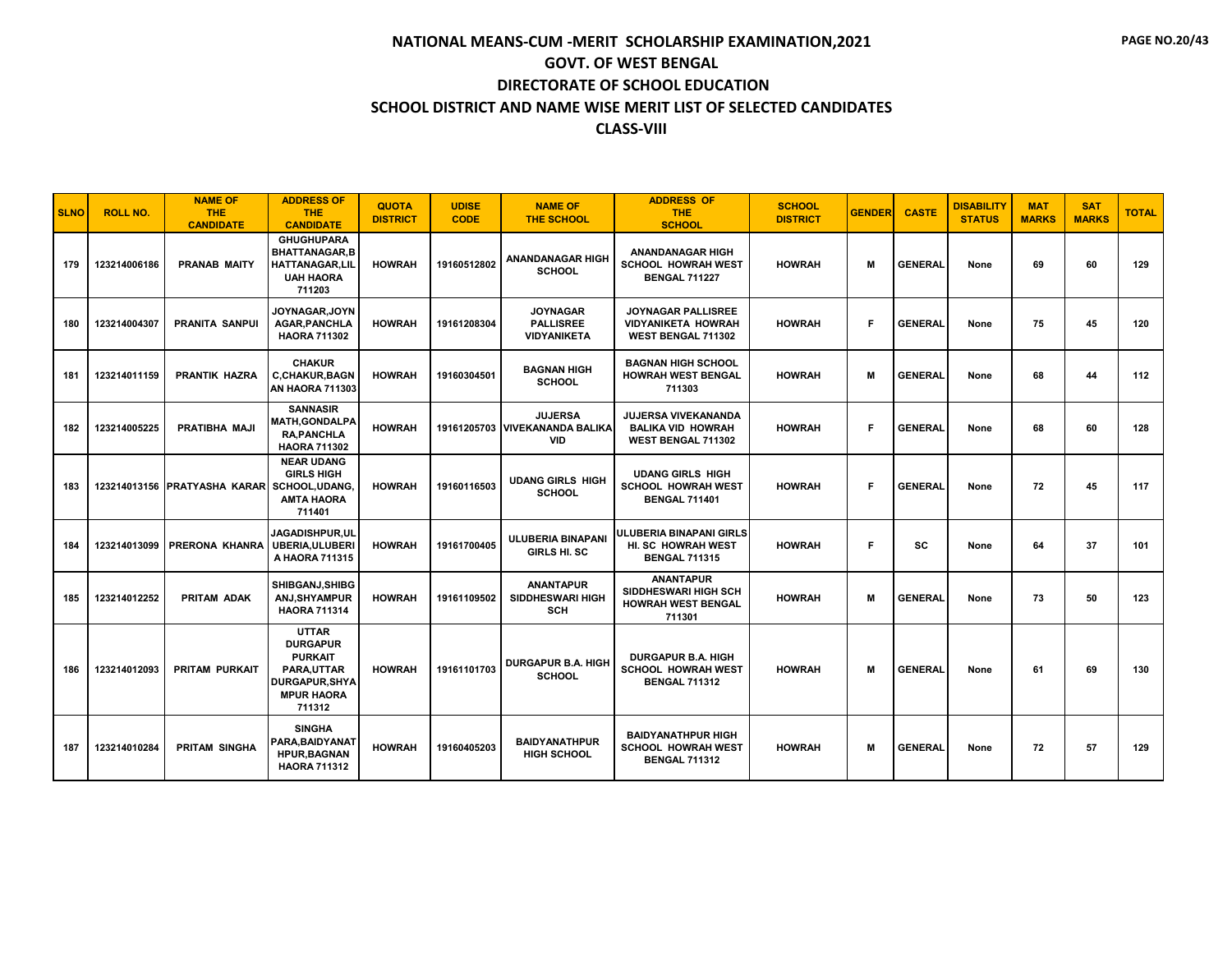| <b>SLNO</b> | <b>ROLL NO.</b> | <b>NAME OF</b><br>THE.<br><b>CANDIDATE</b>  | <b>ADDRESS OF</b><br><b>THE</b><br><b>CANDIDATE</b>                                                              | <b>QUOTA</b><br><b>DISTRICT</b> | <b>UDISE</b><br><b>CODE</b> | <b>NAME OF</b><br><b>THE SCHOOL</b>                            | <b>ADDRESS OF</b><br><b>THE</b><br><b>SCHOOL</b>                                    | <b>SCHOOL</b><br><b>DISTRICT</b> | <b>GENDER</b> | <b>CASTE</b>   | <b>DISABILITY</b><br><b>STATUS</b> | <b>MAT</b><br><b>MARKS</b> | <b>SAT</b><br><b>MARKS</b> | <b>TOTAL</b> |
|-------------|-----------------|---------------------------------------------|------------------------------------------------------------------------------------------------------------------|---------------------------------|-----------------------------|----------------------------------------------------------------|-------------------------------------------------------------------------------------|----------------------------------|---------------|----------------|------------------------------------|----------------------------|----------------------------|--------------|
| 179         | 123214006186    | <b>PRANAB MAITY</b>                         | <b>GHUGHUPARA</b><br><b>BHATTANAGAR,B</b><br><b>HATTANAGAR,LIL</b><br><b>UAH HAORA</b><br>711203                 | <b>HOWRAH</b>                   | 19160512802                 | ANANDANAGAR HIGH<br><b>SCHOOL</b>                              | <b>ANANDANAGAR HIGH</b><br><b>SCHOOL HOWRAH WEST</b><br><b>BENGAL 711227</b>        | <b>HOWRAH</b>                    | м             | <b>GENERAL</b> | None                               | 69                         | 60                         | 129          |
| 180         | 123214004307    | <b>PRANITA SANPUI</b>                       | JOYNAGAR, JOYN<br><b>AGAR, PANCHLA</b><br><b>HAORA 711302</b>                                                    | <b>HOWRAH</b>                   | 19161208304                 | <b>JOYNAGAR</b><br><b>PALLISREE</b><br><b>VIDYANIKETA</b>      | <b>JOYNAGAR PALLISREE</b><br><b>VIDYANIKETA HOWRAH</b><br><b>WEST BENGAL 711302</b> | <b>HOWRAH</b>                    | F             | <b>GENERAL</b> | None                               | 75                         | 45                         | 120          |
| 181         | 123214011159    | <b>PRANTIK HAZRA</b>                        | <b>CHAKUR</b><br><b>C,CHAKUR,BAGN</b><br><b>AN HAORA 711303</b>                                                  | <b>HOWRAH</b>                   | 19160304501                 | <b>BAGNAN HIGH</b><br><b>SCHOOL</b>                            | <b>BAGNAN HIGH SCHOOL</b><br><b>HOWRAH WEST BENGAL</b><br>711303                    | <b>HOWRAH</b>                    | М             | <b>GENERAL</b> | None                               | 68                         | 44                         | 112          |
| 182         | 123214005225    | PRATIBHA MAJI                               | <b>SANNASIR</b><br><b>MATH,GONDALPA</b><br><b>RA.PANCHLA</b><br><b>HAORA 711302</b>                              | <b>HOWRAH</b>                   |                             | <b>JUJERSA</b><br>19161205703 VIVEKANANDA BALIKA<br><b>VID</b> | JUJERSA VIVEKANANDA<br><b>BALIKA VID HOWRAH</b><br>WEST BENGAL 711302               | <b>HOWRAH</b>                    | F             | <b>GENERAL</b> | None                               | 68                         | 60                         | 128          |
| 183         |                 | 123214013156 PRATYASHA KARARI SCHOOL.UDANG. | <b>NEAR UDANG</b><br><b>GIRLS HIGH</b><br><b>AMTA HAORA</b><br>711401                                            | <b>HOWRAH</b>                   | 19160116503                 | <b>UDANG GIRLS HIGH</b><br><b>SCHOOL</b>                       | <b>UDANG GIRLS HIGH</b><br><b>SCHOOL HOWRAH WEST</b><br><b>BENGAL 711401</b>        | <b>HOWRAH</b>                    | F.            | <b>GENERAL</b> | None                               | 72                         | 45                         | 117          |
| 184         | 123214013099    | <b>PRERONA KHANRA</b>                       | JAGADISHPUR.UL<br><b>UBERIA, ULUBERI</b><br>A HAORA 711315                                                       | <b>HOWRAH</b>                   | 19161700405                 | <b>ULUBERIA BINAPANI</b><br>GIRLS HI. SC                       | ULUBERIA BINAPANI GIRLS<br>HI. SC HOWRAH WEST<br><b>BENGAL 711315</b>               | <b>HOWRAH</b>                    | F.            | SC             | None                               | 64                         | 37                         | 101          |
| 185         | 123214012252    | <b>PRITAM ADAK</b>                          | SHIBGANJ, SHIBG<br>ANJ, SHY AMPUR<br><b>HAORA 711314</b>                                                         | <b>HOWRAH</b>                   | 19161109502                 | <b>ANANTAPUR</b><br><b>SIDDHESWARI HIGH</b><br><b>SCH</b>      | <b>ANANTAPUR</b><br>SIDDHESWARI HIGH SCH<br><b>HOWRAH WEST BENGAL</b><br>711301     | <b>HOWRAH</b>                    | м             | <b>GENERAL</b> | None                               | 73                         | 50                         | 123          |
| 186         | 123214012093    | <b>PRITAM PURKAIT</b>                       | <b>UTTAR</b><br><b>DURGAPUR</b><br><b>PURKAIT</b><br>PARA.UTTAR<br>DURGAPUR, SHYA<br><b>MPUR HAORA</b><br>711312 | <b>HOWRAH</b>                   | 19161101703                 | <b>DURGAPUR B.A. HIGH</b><br><b>SCHOOL</b>                     | <b>DURGAPUR B.A. HIGH</b><br><b>SCHOOL HOWRAH WEST</b><br><b>BENGAL 711312</b>      | <b>HOWRAH</b>                    | м             | <b>GENERAL</b> | None                               | 61                         | 69                         | 130          |
| 187         | 123214010284    | <b>PRITAM SINGHA</b>                        | <b>SINGHA</b><br>PARA.BAIDYANAT<br><b>HPUR, BAGNAN</b><br><b>HAORA 711312</b>                                    | <b>HOWRAH</b>                   | 19160405203                 | <b>BAIDYANATHPUR</b><br><b>HIGH SCHOOL</b>                     | <b>BAIDYANATHPUR HIGH</b><br><b>SCHOOL HOWRAH WEST</b><br><b>BENGAL 711312</b>      | <b>HOWRAH</b>                    | м             | <b>GENERAL</b> | None                               | 72                         | 57                         | 129          |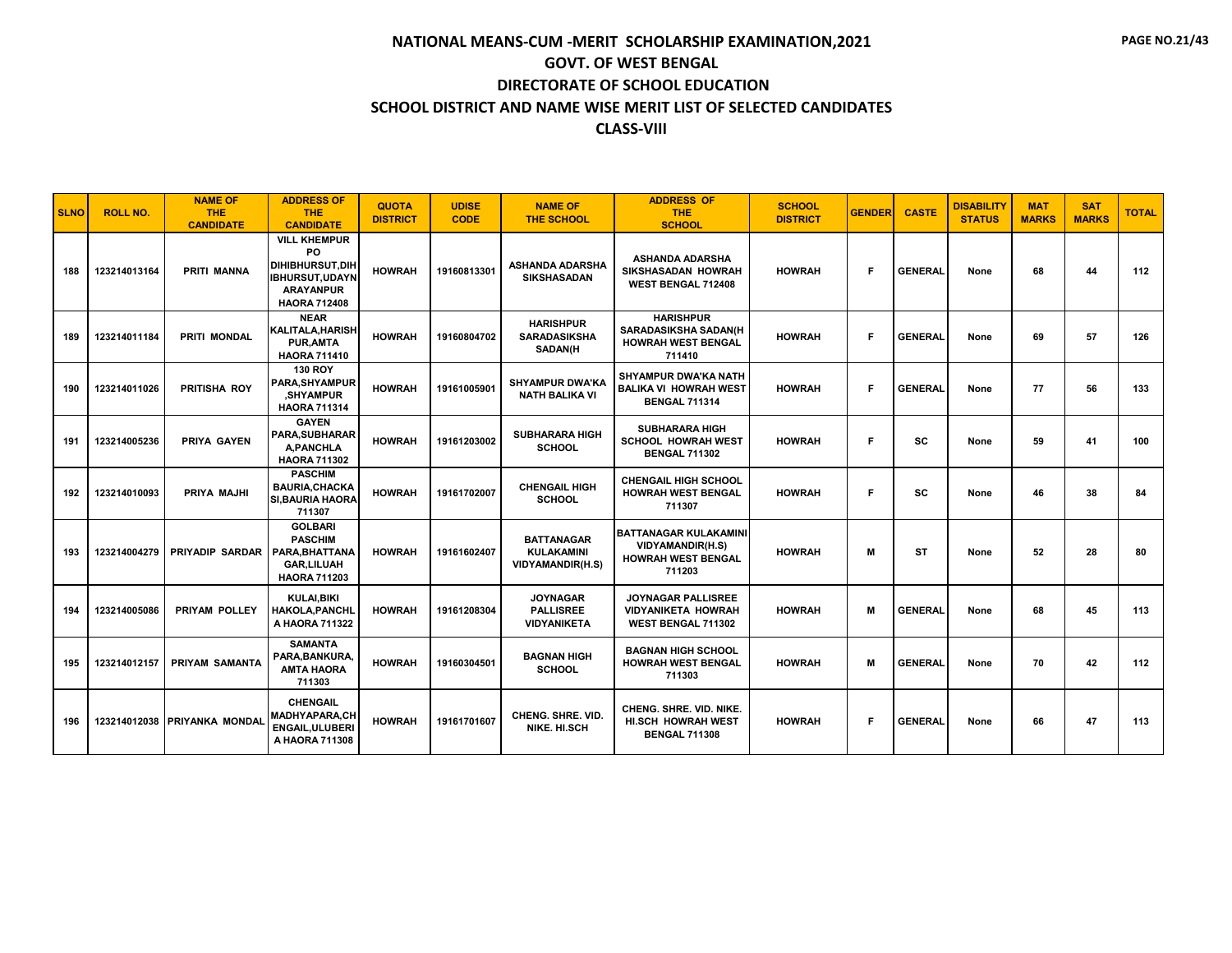| <b>SLNO</b> | <b>ROLL NO.</b> | <b>NAME OF</b><br><b>THE</b><br><b>CANDIDATE</b> | <b>ADDRESS OF</b><br><b>THE</b><br><b>CANDIDATE</b>                                                                     | <b>QUOTA</b><br><b>DISTRICT</b> | <b>UDISE</b><br><b>CODE</b> | <b>NAME OF</b><br><b>THE SCHOOL</b>                               | <b>ADDRESS OF</b><br><b>THE</b><br><b>SCHOOL</b>                                               | <b>SCHOOL</b><br><b>DISTRICT</b> | <b>GENDER</b> | <b>CASTE</b>   | <b>DISABILITY</b><br><b>STATUS</b> | <b>MAT</b><br><b>MARKS</b> | <b>SAT</b><br><b>MARKS</b> | <b>TOTAL</b> |
|-------------|-----------------|--------------------------------------------------|-------------------------------------------------------------------------------------------------------------------------|---------------------------------|-----------------------------|-------------------------------------------------------------------|------------------------------------------------------------------------------------------------|----------------------------------|---------------|----------------|------------------------------------|----------------------------|----------------------------|--------------|
| 188         | 123214013164    | <b>PRITI MANNA</b>                               | <b>VILL KHEMPUR</b><br>PO<br><b>DIHIBHURSUT.DIH</b><br><b>IBHURSUT.UDAYN</b><br><b>ARAYANPUR</b><br><b>HAORA 712408</b> | <b>HOWRAH</b>                   | 19160813301                 | <b>ASHANDA ADARSHA</b><br><b>SIKSHASADAN</b>                      | <b>ASHANDA ADARSHA</b><br><b>SIKSHASADAN HOWRAH</b><br>WEST BENGAL 712408                      | <b>HOWRAH</b>                    | F             | <b>GENERAL</b> | None                               | 68                         | 44                         | 112          |
| 189         | 123214011184    | <b>PRITI MONDAL</b>                              | <b>NEAR</b><br><b>KALITALA.HARISH</b><br><b>PUR, AMTA</b><br><b>HAORA 711410</b>                                        | <b>HOWRAH</b>                   | 19160804702                 | <b>HARISHPUR</b><br><b>SARADASIKSHA</b><br><b>SADAN(H</b>         | <b>HARISHPUR</b><br><b>SARADASIKSHA SADAN(H</b><br><b>HOWRAH WEST BENGAL</b><br>711410         | <b>HOWRAH</b>                    | Е             | <b>GENERAL</b> | None                               | 69                         | 57                         | 126          |
| 190         | 123214011026    | PRITISHA ROY                                     | <b>130 ROY</b><br>PARA.SHYAMPUR<br><b>SHYAMPUR</b><br><b>HAORA 711314</b>                                               | <b>HOWRAH</b>                   | 19161005901                 | <b>SHYAMPUR DWA'KA</b><br><b>NATH BALIKA VI</b>                   | <b>SHYAMPUR DWA'KA NATH</b><br><b>BALIKA VI HOWRAH WEST</b><br><b>BENGAL 711314</b>            | <b>HOWRAH</b>                    | F             | <b>GENERAL</b> | None                               | 77                         | 56                         | 133          |
| 191         | 123214005236    | <b>PRIYA GAYEN</b>                               | <b>GAYEN</b><br><b>PARA.SUBHARAR</b><br><b>A, PANCHLA</b><br><b>HAORA 711302</b>                                        | <b>HOWRAH</b>                   | 19161203002                 | <b>SUBHARARA HIGH</b><br><b>SCHOOL</b>                            | <b>SUBHARARA HIGH</b><br><b>SCHOOL HOWRAH WEST</b><br><b>BENGAL 711302</b>                     | <b>HOWRAH</b>                    | F.            | <b>SC</b>      | None                               | 59                         | 41                         | 100          |
| 192         | 123214010093    | PRIYA MAJHI                                      | <b>PASCHIM</b><br><b>BAURIA.CHACKA</b><br><b>SI.BAURIA HAORA</b><br>711307                                              | <b>HOWRAH</b>                   | 19161702007                 | <b>CHENGAIL HIGH</b><br><b>SCHOOL</b>                             | <b>CHENGAIL HIGH SCHOOL</b><br><b>HOWRAH WEST BENGAL</b><br>711307                             | <b>HOWRAH</b>                    | Е             | <b>SC</b>      | None                               | 46                         | 38                         | 84           |
| 193         | 123214004279    | PRIYADIP SARDAR                                  | <b>GOLBARI</b><br><b>PASCHIM</b><br>PARA.BHATTANA<br><b>GAR,LILUAH</b><br><b>HAORA 711203</b>                           | <b>HOWRAH</b>                   | 19161602407                 | <b>BATTANAGAR</b><br><b>KULAKAMINI</b><br><b>VIDYAMANDIR(H.S)</b> | <b>BATTANAGAR KULAKAMINI</b><br><b>VIDYAMANDIR(H.S)</b><br><b>HOWRAH WEST BENGAL</b><br>711203 | <b>HOWRAH</b>                    | м             | ST             | None                               | 52                         | 28                         | 80           |
| 194         | 123214005086    | PRIYAM POLLEY                                    | <b>KULAI, BIKI</b><br><b>HAKOLA,PANCHL</b><br>A HAORA 711322                                                            | <b>HOWRAH</b>                   | 19161208304                 | <b>JOYNAGAR</b><br><b>PALLISREE</b><br><b>VIDYANIKETA</b>         | <b>JOYNAGAR PALLISREE</b><br><b>VIDYANIKETA HOWRAH</b><br>WEST BENGAL 711302                   | <b>HOWRAH</b>                    | м             | <b>GENERAL</b> | None                               | 68                         | 45                         | 113          |
| 195         | 123214012157    | <b>PRIYAM SAMANTA</b>                            | <b>SAMANTA</b><br>PARA.BANKURA<br><b>AMTA HAORA</b><br>711303                                                           | <b>HOWRAH</b>                   | 19160304501                 | <b>BAGNAN HIGH</b><br><b>SCHOOL</b>                               | <b>BAGNAN HIGH SCHOOL</b><br><b>HOWRAH WEST BENGAL</b><br>711303                               | <b>HOWRAH</b>                    | м             | <b>GENERAL</b> | None                               | 70                         | 42                         | 112          |
| 196         |                 | 123214012038 PRIYANKA MONDAL                     | <b>CHENGAIL</b><br><b>MADHYAPARA,CH</b><br><b>ENGAIL.ULUBERI</b><br>A HAORA 711308                                      | <b>HOWRAH</b>                   | 19161701607                 | <b>CHENG, SHRE, VID.</b><br>NIKE, HI.SCH                          | <b>CHENG. SHRE. VID. NIKE.</b><br><b>HI.SCH HOWRAH WEST</b><br><b>BENGAL 711308</b>            | <b>HOWRAH</b>                    | F             | <b>GENERAL</b> | None                               | 66                         | 47                         | 113          |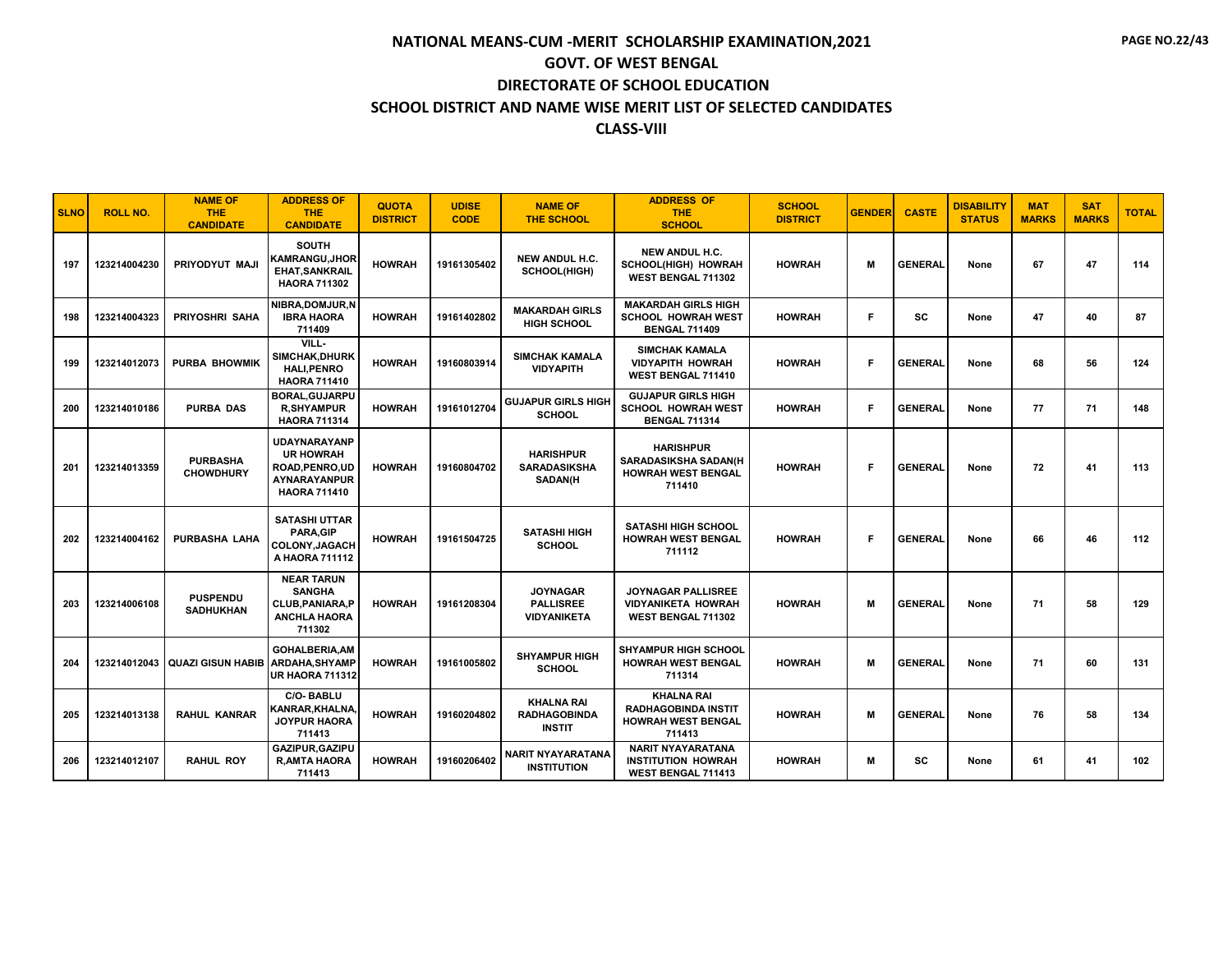| <b>SLNO</b> | <b>ROLL NO.</b> | <b>NAME OF</b><br><b>THE</b><br><b>CANDIDATE</b> | <b>ADDRESS OF</b><br><b>THE</b><br><b>CANDIDATE</b>                                               | <b>QUOTA</b><br><b>DISTRICT</b> | <b>UDISE</b><br><b>CODE</b> | <b>NAME OF</b><br><b>THE SCHOOL</b>                       | <b>ADDRESS OF</b><br><b>THE</b><br><b>SCHOOL</b>                                       | <b>SCHOOL</b><br><b>DISTRICT</b> | <b>GENDER</b> | <b>CASTE</b>   | <b>DISABILITY</b><br><b>STATUS</b> | <b>MAT</b><br><b>MARKS</b> | <b>SAT</b><br><b>MARKS</b> | <b>TOTAL</b> |
|-------------|-----------------|--------------------------------------------------|---------------------------------------------------------------------------------------------------|---------------------------------|-----------------------------|-----------------------------------------------------------|----------------------------------------------------------------------------------------|----------------------------------|---------------|----------------|------------------------------------|----------------------------|----------------------------|--------------|
| 197         | 123214004230    | PRIYODYUT MAJI                                   | <b>SOUTH</b><br>KAMRANGU, JHOR<br><b>EHAT, SANKRAIL</b><br><b>HAORA 711302</b>                    | <b>HOWRAH</b>                   | 19161305402                 | NEW ANDUL H.C.<br>SCHOOL(HIGH)                            | <b>NEW ANDUL H.C.</b><br>SCHOOL(HIGH) HOWRAH<br><b>WEST BENGAL 711302</b>              | <b>HOWRAH</b>                    | м             | <b>GENERAL</b> | None                               | 67                         | 47                         | 114          |
| 198         | 123214004323    | <b>PRIYOSHRI SAHA</b>                            | NIBRA.DOMJUR.N<br><b>IBRA HAORA</b><br>711409                                                     | <b>HOWRAH</b>                   | 19161402802                 | <b>MAKARDAH GIRLS</b><br><b>HIGH SCHOOL</b>               | <b>MAKARDAH GIRLS HIGH</b><br><b>SCHOOL HOWRAH WEST</b><br><b>BENGAL 711409</b>        | <b>HOWRAH</b>                    | F             | <b>SC</b>      | None                               | 47                         | 40                         | 87           |
| 199         | 123214012073    | <b>PURBA BHOWMIK</b>                             | VILL-<br><b>SIMCHAK, DHURK</b><br><b>HALI.PENRO</b><br><b>HAORA 711410</b>                        | <b>HOWRAH</b>                   | 19160803914                 | <b>SIMCHAK KAMALA</b><br><b>VIDYAPITH</b>                 | <b>SIMCHAK KAMALA</b><br><b>VIDYAPITH HOWRAH</b><br>WEST BENGAL 711410                 | <b>HOWRAH</b>                    | F             | <b>GENERAL</b> | None                               | 68                         | 56                         | 124          |
| 200         | 123214010186    | <b>PURBA DAS</b>                                 | BORAL, GUJARPU<br><b>R,SHYAMPUR</b><br><b>HAORA 711314</b>                                        | <b>HOWRAH</b>                   | 19161012704                 | GUJAPUR GIRLS HIGH<br><b>SCHOOL</b>                       | <b>GUJAPUR GIRLS HIGH</b><br><b>SCHOOL HOWRAH WEST</b><br><b>BENGAL 711314</b>         | <b>HOWRAH</b>                    | F             | <b>GENERAL</b> | None                               | 77                         | 71                         | 148          |
| 201         | 123214013359    | <b>PURBASHA</b><br><b>CHOWDHURY</b>              | <b>UDAYNARAYANP</b><br><b>UR HOWRAH</b><br>ROAD, PENRO, UD<br>AYNARAYANPUR<br><b>HAORA 711410</b> | <b>HOWRAH</b>                   | 19160804702                 | <b>HARISHPUR</b><br><b>SARADASIKSHA</b><br><b>SADAN(H</b> | <b>HARISHPUR</b><br><b>SARADASIKSHA SADAN(H</b><br><b>HOWRAH WEST BENGAL</b><br>711410 | <b>HOWRAH</b>                    | F.            | <b>GENERAL</b> | None                               | 72                         | 41                         | 113          |
| 202         | 123214004162    | <b>PURBASHA LAHA</b>                             | <b>SATASHI UTTAR</b><br>PARA, GIP<br><b>COLONY,JAGACH</b><br>A HAORA 711112                       | <b>HOWRAH</b>                   | 19161504725                 | <b>SATASHI HIGH</b><br><b>SCHOOL</b>                      | <b>SATASHI HIGH SCHOOL</b><br><b>HOWRAH WEST BENGAL</b><br>711112                      | <b>HOWRAH</b>                    | Е             | <b>GENERAL</b> | None                               | 66                         | 46                         | 112          |
| 203         | 123214006108    | <b>PUSPENDU</b><br><b>SADHUKHAN</b>              | <b>NEAR TARUN</b><br><b>SANGHA</b><br>CLUB, PANIARA, P<br><b>ANCHLA HAORA</b><br>711302           | <b>HOWRAH</b>                   | 19161208304                 | <b>JOYNAGAR</b><br><b>PALLISREE</b><br>VIDYANIKETA        | JOYNAGAR PALLISREE<br><b>VIDYANIKETA HOWRAH</b><br>WEST BENGAL 711302                  | <b>HOWRAH</b>                    | M             | <b>GENERAL</b> | None                               | 71                         | 58                         | 129          |
| 204         | 123214012043    | <b>QUAZI GISUN HABIB</b>                         | <b>GOHALBERIA.AM</b><br>ARDAHA, SHYAMP<br><b>UR HAORA 711312</b>                                  | <b>HOWRAH</b>                   | 19161005802                 | <b>SHYAMPUR HIGH</b><br><b>SCHOOL</b>                     | <b>SHYAMPUR HIGH SCHOOL</b><br><b>HOWRAH WEST BENGAL</b><br>711314                     | <b>HOWRAH</b>                    | M             | <b>GENERAL</b> | None                               | 71                         | 60                         | 131          |
| 205         | 123214013138    | <b>RAHUL KANRAR</b>                              | <b>C/O-BABLU</b><br>KANRAR, KHALNA<br><b>JOYPUR HAORA</b><br>711413                               | <b>HOWRAH</b>                   | 19160204802                 | <b>KHALNA RAI</b><br><b>RADHAGOBINDA</b><br><b>INSTIT</b> | <b>KHALNA RAI</b><br><b>RADHAGOBINDA INSTIT</b><br><b>HOWRAH WEST BENGAL</b><br>711413 | <b>HOWRAH</b>                    | м             | <b>GENERAL</b> | None                               | 76                         | 58                         | 134          |
| 206         | 123214012107    | <b>RAHUL ROY</b>                                 | <b>GAZIPUR.GAZIPU</b><br><b>R, AMTA HAORA</b><br>711413                                           | <b>HOWRAH</b>                   | 19160206402                 | NARIT NYAYARATANA<br><b>INSTITUTION</b>                   | <b>NARIT NYAYARATANA</b><br><b>INSTITUTION HOWRAH</b><br><b>WEST BENGAL 711413</b>     | <b>HOWRAH</b>                    | м             | <b>SC</b>      | None                               | 61                         | 41                         | 102          |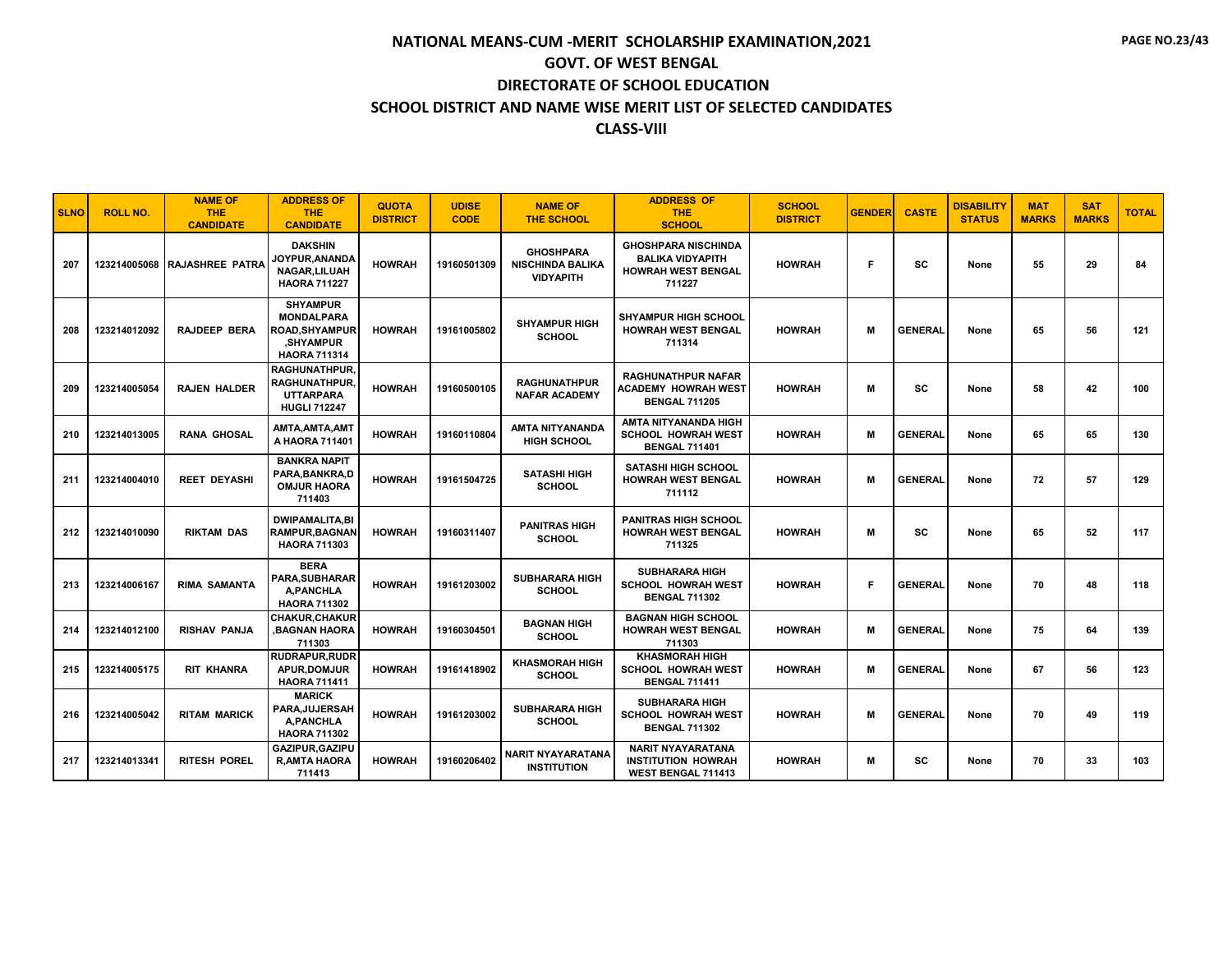| <b>SLNO</b> | <b>ROLL NO.</b> | <b>NAME OF</b><br>THE.<br><b>CANDIDATE</b> | <b>ADDRESS OF</b><br><b>THE</b><br><b>CANDIDATE</b>                                             | <b>QUOTA</b><br><b>DISTRICT</b> | <b>UDISE</b><br><b>CODE</b> | <b>NAME OF</b><br><b>THE SCHOOL</b>                             | <b>ADDRESS OF</b><br><b>THE</b><br><b>SCHOOL</b>                                             | <b>SCHOOL</b><br><b>DISTRICT</b> | <b>GENDER</b> | <b>CASTE</b>   | <b>DISABILITY</b><br><b>STATUS</b> | <b>MAT</b><br><b>MARKS</b> | <b>SAT</b><br><b>MARKS</b> | <b>TOTAL</b> |
|-------------|-----------------|--------------------------------------------|-------------------------------------------------------------------------------------------------|---------------------------------|-----------------------------|-----------------------------------------------------------------|----------------------------------------------------------------------------------------------|----------------------------------|---------------|----------------|------------------------------------|----------------------------|----------------------------|--------------|
| 207         |                 | 123214005068 RAJASHREE PATRA               | <b>DAKSHIN</b><br>JOYPUR.ANANDA<br>NAGAR, LILUAH<br><b>HAORA 711227</b>                         | <b>HOWRAH</b>                   | 19160501309                 | <b>GHOSHPARA</b><br><b>NISCHINDA BALIKA</b><br><b>VIDYAPITH</b> | <b>GHOSHPARA NISCHINDA</b><br><b>BALIKA VIDYAPITH</b><br><b>HOWRAH WEST BENGAL</b><br>711227 | <b>HOWRAH</b>                    | Е             | sc             | None                               | 55                         | 29                         | 84           |
| 208         | 123214012092    | <b>RAJDEEP BERA</b>                        | <b>SHYAMPUR</b><br><b>MONDALPARA</b><br>ROAD,SHYAMPUR<br><b>SHYAMPUR</b><br><b>HAORA 711314</b> | <b>HOWRAH</b>                   | 19161005802                 | <b>SHYAMPUR HIGH</b><br><b>SCHOOL</b>                           | <b>SHYAMPUR HIGH SCHOOL</b><br><b>HOWRAH WEST BENGAL</b><br>711314                           | <b>HOWRAH</b>                    | м             | <b>GENERAL</b> | None                               | 65                         | 56                         | 121          |
| 209         | 123214005054    | <b>RAJEN HALDER</b>                        | <b>RAGHUNATHPUR,</b><br><b>RAGHUNATHPUR</b><br><b>UTTARPARA</b><br><b>HUGLI 712247</b>          | <b>HOWRAH</b>                   | 19160500105                 | <b>RAGHUNATHPUR</b><br><b>NAFAR ACADEMY</b>                     | <b>RAGHUNATHPUR NAFAR</b><br><b>ACADEMY HOWRAH WEST</b><br><b>BENGAL 711205</b>              | <b>HOWRAH</b>                    | м             | SC             | None                               | 58                         | 42                         | 100          |
| 210         | 123214013005    | RANA GHOSAL                                | AMTA, AMTA, AMT<br>A HAORA 711401                                                               | <b>HOWRAH</b>                   | 19160110804                 | AMTA NITYANANDA<br><b>HIGH SCHOOL</b>                           | AMTA NITYANANDA HIGH<br><b>SCHOOL HOWRAH WEST</b><br><b>BENGAL 711401</b>                    | <b>HOWRAH</b>                    | м             | <b>GENERAL</b> | None                               | 65                         | 65                         | 130          |
| 211         | 123214004010    | <b>REET DEYASHI</b>                        | <b>BANKRA NAPIT</b><br>PARA, BANKRA, D<br><b>OMJUR HAORA</b><br>711403                          | <b>HOWRAH</b>                   | 19161504725                 | <b>SATASHI HIGH</b><br><b>SCHOOL</b>                            | <b>SATASHI HIGH SCHOOL</b><br><b>HOWRAH WEST BENGAL</b><br>711112                            | <b>HOWRAH</b>                    | М             | <b>GENERAL</b> | None                               | 72                         | 57                         | 129          |
| 212         | 123214010090    | <b>RIKTAM DAS</b>                          | <b>DWIPAMALITA,BI</b><br>RAMPUR,BAGNAN<br><b>HAORA 711303</b>                                   | <b>HOWRAH</b>                   | 19160311407                 | <b>PANITRAS HIGH</b><br><b>SCHOOL</b>                           | <b>PANITRAS HIGH SCHOOL</b><br><b>HOWRAH WEST BENGAL</b><br>711325                           | <b>HOWRAH</b>                    | м             | <b>SC</b>      | None                               | 65                         | 52                         | 117          |
| 213         | 123214006167    | <b>RIMA SAMANTA</b>                        | <b>BERA</b><br>PARA,SUBHARAR<br>A.PANCHLA<br><b>HAORA 711302</b>                                | <b>HOWRAH</b>                   | 19161203002                 | <b>SUBHARARA HIGH</b><br><b>SCHOOL</b>                          | <b>SUBHARARA HIGH</b><br><b>SCHOOL HOWRAH WEST</b><br><b>BENGAL 711302</b>                   | <b>HOWRAH</b>                    | Е             | <b>GENERAL</b> | None                               | 70                         | 48                         | 118          |
| 214         | 123214012100    | <b>RISHAV PANJA</b>                        | <b>CHAKUR.CHAKUR</b><br><b>BAGNAN HAORA</b><br>711303                                           | <b>HOWRAH</b>                   | 19160304501                 | <b>BAGNAN HIGH</b><br><b>SCHOOL</b>                             | <b>BAGNAN HIGH SCHOOL</b><br><b>HOWRAH WEST BENGAL</b><br>711303                             | <b>HOWRAH</b>                    | м             | <b>GENERAL</b> | None                               | 75                         | 64                         | 139          |
| 215         | 123214005175    | <b>RIT KHANRA</b>                          | <b>RUDRAPUR, RUDR</b><br><b>APUR.DOMJUR</b><br><b>HAORA 711411</b>                              | <b>HOWRAH</b>                   | 19161418902                 | <b>KHASMORAH HIGH</b><br><b>SCHOOL</b>                          | <b>KHASMORAH HIGH</b><br><b>SCHOOL HOWRAH WEST</b><br><b>BENGAL 711411</b>                   | <b>HOWRAH</b>                    | м             | <b>GENERAL</b> | None                               | 67                         | 56                         | 123          |
| 216         | 123214005042    | <b>RITAM MARICK</b>                        | <b>MARICK</b><br>PARA, JUJERSAH<br><b>A,PANCHLA</b><br><b>HAORA 711302</b>                      | <b>HOWRAH</b>                   | 19161203002                 | <b>SUBHARARA HIGH</b><br><b>SCHOOL</b>                          | <b>SUBHARARA HIGH</b><br><b>SCHOOL HOWRAH WEST</b><br><b>BENGAL 711302</b>                   | <b>HOWRAH</b>                    | М             | <b>GENERAL</b> | None                               | 70                         | 49                         | 119          |
| 217         | 123214013341    | <b>RITESH POREL</b>                        | <b>GAZIPUR.GAZIPU</b><br><b>R, AMTA HAORA</b><br>711413                                         | <b>HOWRAH</b>                   | 19160206402                 | <b>NARIT NYAYARATANA</b><br><b>INSTITUTION</b>                  | <b>NARIT NYAYARATANA</b><br><b>INSTITUTION HOWRAH</b><br><b>WEST BENGAL 711413</b>           | <b>HOWRAH</b>                    | м             | <b>SC</b>      | None                               | 70                         | 33                         | 103          |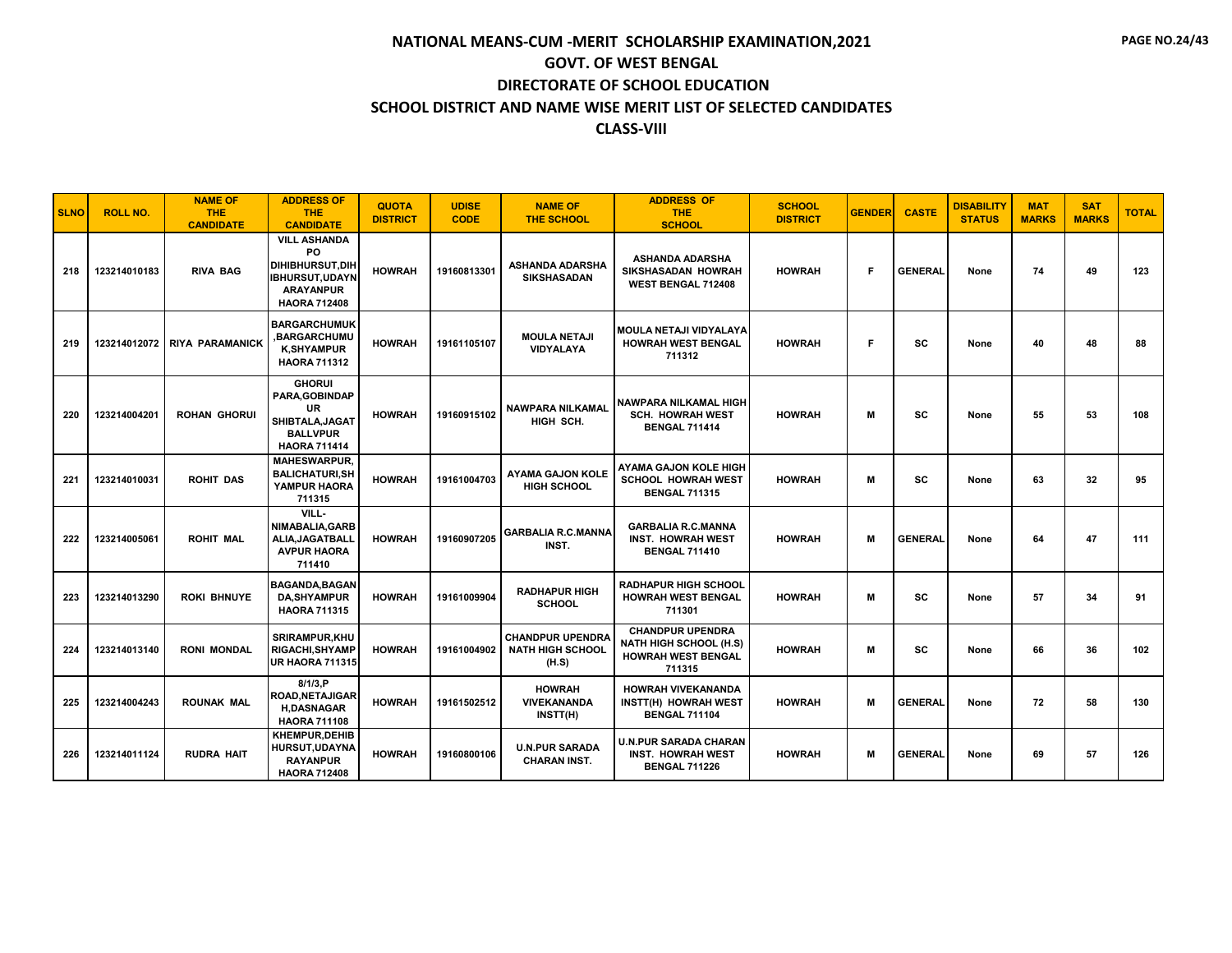| <b>SLNO</b> | <b>ROLL NO.</b> | <b>NAME OF</b><br>THE.<br><b>CANDIDATE</b> | <b>ADDRESS OF</b><br><b>THE</b><br><b>CANDIDATE</b>                                                               | <b>QUOTA</b><br><b>DISTRICT</b> | <b>UDISE</b><br><b>CODE</b> | <b>NAME OF</b><br><b>THE SCHOOL</b>                         | <b>ADDRESS OF</b><br><b>THE</b><br><b>SCHOOL</b>                                                | <b>SCHOOL</b><br><b>DISTRICT</b> | <b>GENDER</b> | <b>CASTE</b>   | <b>DISABILITY</b><br><b>STATUS</b> | <b>MAT</b><br><b>MARKS</b> | <b>SAT</b><br><b>MARKS</b> | <b>TOTAL</b> |
|-------------|-----------------|--------------------------------------------|-------------------------------------------------------------------------------------------------------------------|---------------------------------|-----------------------------|-------------------------------------------------------------|-------------------------------------------------------------------------------------------------|----------------------------------|---------------|----------------|------------------------------------|----------------------------|----------------------------|--------------|
| 218         | 123214010183    | <b>RIVA BAG</b>                            | <b>VILL ASHANDA</b><br>PO<br>DIHIBHURSUT, DIH<br><b>IBHURSUT,UDAYN</b><br><b>ARAYANPUR</b><br><b>HAORA 712408</b> | <b>HOWRAH</b>                   | 19160813301                 | <b>ASHANDA ADARSHA</b><br>SIKSHASADAN                       | <b>ASHANDA ADARSHA</b><br>SIKSHASADAN HOWRAH<br>WEST BENGAL 712408                              | <b>HOWRAH</b>                    | F.            | <b>GENERAL</b> | None                               | 74                         | 49                         | 123          |
| 219         | 123214012072    | <b>RIYA PARAMANICK</b>                     | <b>BARGARCHUMUK</b><br><b>BARGARCHUMU,</b><br><b>K,SHYAMPUR</b><br><b>HAORA 711312</b>                            | <b>HOWRAH</b>                   | 19161105107                 | <b>MOULA NETAJI</b><br>VIDYALAYA                            | MOULA NETAJI VIDYALAYA<br><b>HOWRAH WEST BENGAL</b><br>711312                                   | <b>HOWRAH</b>                    | F.            | <b>SC</b>      | None                               | 40                         | 48                         | 88           |
| 220         | 123214004201    | <b>ROHAN GHORUI</b>                        | <b>GHORUI</b><br>PARA, GOBINDAP<br>UR<br>SHIBTALA, JAGAT<br><b>BALLVPUR</b><br><b>HAORA 711414</b>                | <b>HOWRAH</b>                   | 19160915102                 | <b>NAWPARA NILKAMAL</b><br>HIGH SCH.                        | <b>NAWPARA NILKAMAL HIGH</b><br><b>SCH. HOWRAH WEST</b><br><b>BENGAL 711414</b>                 | <b>HOWRAH</b>                    | M             | <b>SC</b>      | None                               | 55                         | 53                         | 108          |
| 221         | 123214010031    | <b>ROHIT DAS</b>                           | <b>MAHESWARPUR.</b><br><b>BALICHATURI, SH</b><br>YAMPUR HAORA<br>711315                                           | <b>HOWRAH</b>                   | 19161004703                 | <b>AYAMA GAJON KOLE</b><br><b>HIGH SCHOOL</b>               | AYAMA GAJON KOLE HIGH<br><b>SCHOOL HOWRAH WEST</b><br><b>BENGAL 711315</b>                      | <b>HOWRAH</b>                    | м             | <b>SC</b>      | None                               | 63                         | 32                         | 95           |
| 222         | 123214005061    | <b>ROHIT MAL</b>                           | VILL-<br>NIMABALIA, GARB<br>ALIA, JAGATBALL<br><b>AVPUR HAORA</b><br>711410                                       | <b>HOWRAH</b>                   | 19160907205                 | <b>GARBALIA R.C.MANNA</b><br>INST.                          | <b>GARBALIA R.C.MANNA</b><br><b>INST. HOWRAH WEST</b><br><b>BENGAL 711410</b>                   | <b>HOWRAH</b>                    | м             | <b>GENERAL</b> | None                               | 64                         | 47                         | 111          |
| 223         | 123214013290    | <b>ROKI BHNUYE</b>                         | <b>BAGANDA, BAGAN</b><br><b>DA, SHYAMPUR</b><br><b>HAORA 711315</b>                                               | <b>HOWRAH</b>                   | 19161009904                 | <b>RADHAPUR HIGH</b><br><b>SCHOOL</b>                       | <b>RADHAPUR HIGH SCHOOL</b><br><b>HOWRAH WEST BENGAL</b><br>711301                              | <b>HOWRAH</b>                    | M             | <b>SC</b>      | None                               | 57                         | 34                         | 91           |
| 224         | 123214013140    | <b>RONI MONDAL</b>                         | <b>SRIRAMPUR, KHU</b><br><b>RIGACHI, SHYAMP</b><br><b>UR HAORA 711315</b>                                         | <b>HOWRAH</b>                   | 19161004902                 | <b>CHANDPUR UPENDRA</b><br><b>NATH HIGH SCHOOL</b><br>(H.S) | <b>CHANDPUR UPENDRA</b><br><b>NATH HIGH SCHOOL (H.S)</b><br><b>HOWRAH WEST BENGAL</b><br>711315 | <b>HOWRAH</b>                    | M             | <b>SC</b>      | None                               | 66                         | 36                         | 102          |
| 225         | 123214004243    | <b>ROUNAK MAL</b>                          | 8/1/3, P<br>ROAD.NETAJIGAR<br><b>H.DASNAGAR</b><br><b>HAORA 711108</b>                                            | <b>HOWRAH</b>                   | 19161502512                 | <b>HOWRAH</b><br><b>VIVEKANANDA</b><br>INSTT(H)             | <b>HOWRAH VIVEKANANDA</b><br>INSTT(H) HOWRAH WEST<br><b>BENGAL 711104</b>                       | <b>HOWRAH</b>                    | M             | <b>GENERAL</b> | None                               | 72                         | 58                         | 130          |
| 226         | 123214011124    | <b>RUDRA HAIT</b>                          | KHEMPUR.DEHIB<br><b>HURSUT,UDAYNA</b><br><b>RAYANPUR</b><br><b>HAORA 712408</b>                                   | <b>HOWRAH</b>                   | 19160800106                 | <b>U.N.PUR SARADA</b><br><b>CHARAN INST.</b>                | <b>U.N.PUR SARADA CHARAN</b><br><b>INST. HOWRAH WEST</b><br><b>BENGAL 711226</b>                | <b>HOWRAH</b>                    | м             | <b>GENERAL</b> | None                               | 69                         | 57                         | 126          |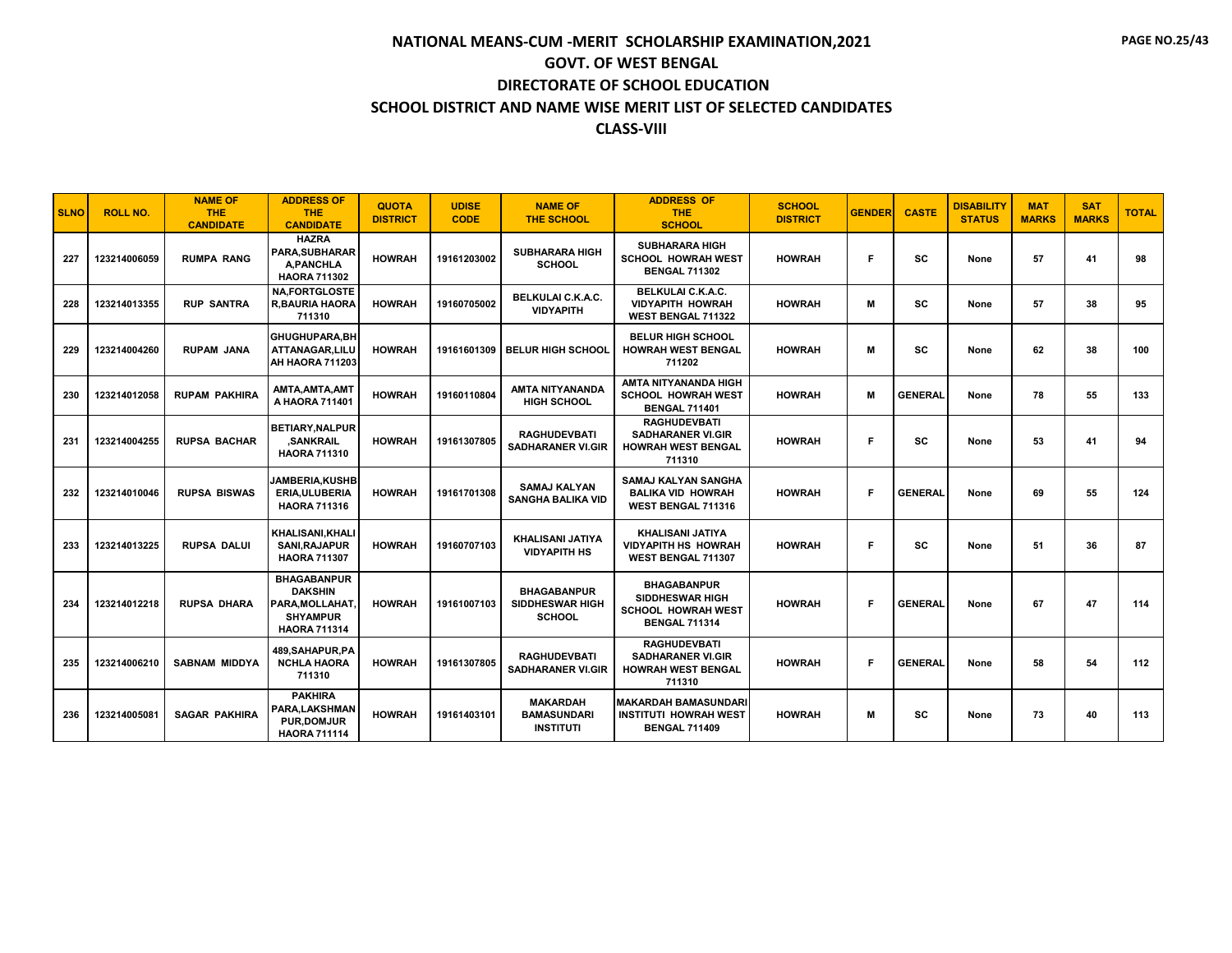| <b>SLNO</b> | <b>ROLL NO.</b> | <b>NAME OF</b><br><b>THE</b><br><b>CANDIDATE</b> | <b>ADDRESS OF</b><br><b>THE</b><br><b>CANDIDATE</b>                                               | <b>QUOTA</b><br><b>DISTRICT</b> | <b>UDISE</b><br><b>CODE</b> | <b>NAME OF</b><br><b>THE SCHOOL</b>                           | <b>ADDRESS OF</b><br><b>THE</b><br><b>SCHOOL</b>                                                  | <b>SCHOOL</b><br><b>DISTRICT</b> | <b>GENDER</b> | <b>CASTE</b>   | <b>DISABILITY</b><br><b>STATUS</b> | <b>MAT</b><br><b>MARKS</b> | <b>SAT</b><br><b>MARKS</b> | <b>TOTAL</b> |
|-------------|-----------------|--------------------------------------------------|---------------------------------------------------------------------------------------------------|---------------------------------|-----------------------------|---------------------------------------------------------------|---------------------------------------------------------------------------------------------------|----------------------------------|---------------|----------------|------------------------------------|----------------------------|----------------------------|--------------|
| 227         | 123214006059    | <b>RUMPA RANG</b>                                | <b>HAZRA</b><br><b>PARA.SUBHARAR</b><br>A.PANCHLA<br><b>HAORA 711302</b>                          | <b>HOWRAH</b>                   | 19161203002                 | <b>SUBHARARA HIGH</b><br><b>SCHOOL</b>                        | <b>SUBHARARA HIGH</b><br><b>SCHOOL HOWRAH WEST</b><br><b>BENGAL 711302</b>                        | <b>HOWRAH</b>                    | F             | <b>SC</b>      | None                               | 57                         | 41                         | 98           |
| 228         | 123214013355    | <b>RUP SANTRA</b>                                | <b>NA.FORTGLOSTE</b><br><b>R, BAURIA HAORA</b><br>711310                                          | <b>HOWRAH</b>                   | 19160705002                 | <b>BELKULAI C.K.A.C.</b><br><b>VIDYAPITH</b>                  | BELKULAI C.K.A.C.<br><b>VIDYAPITH HOWRAH</b><br>WEST BENGAL 711322                                | <b>HOWRAH</b>                    | M             | SC             | None                               | 57                         | 38                         | 95           |
| 229         | 123214004260    | <b>RUPAM JANA</b>                                | GHUGHUPARA, BH<br>ATTANAGAR, LILU<br>AH HAORA 711203                                              | <b>HOWRAH</b>                   | 19161601309                 | <b>BELUR HIGH SCHOOL</b>                                      | <b>BELUR HIGH SCHOOL</b><br><b>HOWRAH WEST BENGAL</b><br>711202                                   | <b>HOWRAH</b>                    | M             | <b>SC</b>      | None                               | 62                         | 38                         | 100          |
| 230         | 123214012058    | <b>RUPAM PAKHIRA</b>                             | AMTA, AMTA, AMT<br>A HAORA 711401                                                                 | <b>HOWRAH</b>                   | 19160110804                 | AMTA NITYANANDA<br><b>HIGH SCHOOL</b>                         | <b>AMTA NITYANANDA HIGH</b><br><b>SCHOOL HOWRAH WEST</b><br><b>BENGAL 711401</b>                  | <b>HOWRAH</b>                    | M             | <b>GENERAL</b> | None                               | 78                         | 55                         | 133          |
| 231         | 123214004255    | <b>RUPSA BACHAR</b>                              | <b>BETIARY.NALPUR</b><br><b>,SANKRAIL</b><br><b>HAORA 711310</b>                                  | <b>HOWRAH</b>                   | 19161307805                 | <b>RAGHUDEVBATI</b><br><b>SADHARANER VI.GIR</b>               | <b>RAGHUDEVBATI</b><br><b>SADHARANER VI.GIR</b><br><b>HOWRAH WEST BENGAL</b><br>711310            | <b>HOWRAH</b>                    | F             | <b>SC</b>      | None                               | 53                         | 41                         | 94           |
| 232         | 123214010046    | <b>RUPSA BISWAS</b>                              | <b>JAMBERIA, KUSHB</b><br><b>ERIA, ULUBERIA</b><br><b>HAORA 711316</b>                            | <b>HOWRAH</b>                   | 19161701308                 | <b>SAMAJ KALYAN</b><br><b>SANGHA BALIKA VID</b>               | <b>SAMAJ KALYAN SANGHA</b><br><b>BALIKA VID HOWRAH</b><br>WEST BENGAL 711316                      | <b>HOWRAH</b>                    | F             | <b>GENERAL</b> | None                               | 69                         | 55                         | 124          |
| 233         | 123214013225    | <b>RUPSA DALUI</b>                               | KHALISANI, KHALI<br>SANI, RAJAPUR<br><b>HAORA 711307</b>                                          | <b>HOWRAH</b>                   | 19160707103                 | <b>KHALISANI JATIYA</b><br><b>VIDYAPITH HS</b>                | KHALISANI JATIYA<br><b>VIDYAPITH HS HOWRAH</b><br><b>WEST BENGAL 711307</b>                       | <b>HOWRAH</b>                    | Е             | <b>SC</b>      | None                               | 51                         | 36                         | 87           |
| 234         | 123214012218    | <b>RUPSA DHARA</b>                               | <b>BHAGABANPUR</b><br><b>DAKSHIN</b><br>PARA, MOLLAHAT.<br><b>SHYAMPUR</b><br><b>HAORA 711314</b> | <b>HOWRAH</b>                   | 19161007103                 | <b>BHAGABANPUR</b><br><b>SIDDHESWAR HIGH</b><br><b>SCHOOL</b> | <b>BHAGABANPUR</b><br><b>SIDDHESWAR HIGH</b><br><b>SCHOOL HOWRAH WEST</b><br><b>BENGAL 711314</b> | <b>HOWRAH</b>                    | F.            | <b>GENERAL</b> | None                               | 67                         | 47                         | 114          |
| 235         | 123214006210    | <b>SABNAM MIDDYA</b>                             | 489, SAHAPUR, PA<br><b>NCHLA HAORA</b><br>711310                                                  | <b>HOWRAH</b>                   | 19161307805                 | <b>RAGHUDEVBATI</b><br><b>SADHARANER VI.GIR</b>               | <b>RAGHUDEVBATI</b><br><b>SADHARANER VI.GIR</b><br><b>HOWRAH WEST BENGAL</b><br>711310            | <b>HOWRAH</b>                    | Е             | <b>GENERAL</b> | None                               | 58                         | 54                         | 112          |
| 236         | 123214005081    | <b>SAGAR PAKHIRA</b>                             | <b>PAKHIRA</b><br><b>PARA.LAKSHMAN</b><br><b>PUR.DOMJUR</b><br><b>HAORA 711114</b>                | <b>HOWRAH</b>                   | 19161403101                 | <b>MAKARDAH</b><br><b>BAMASUNDARI</b><br><b>INSTITUTI</b>     | MAKARDAH BAMASUNDARI<br><b>INSTITUTI HOWRAH WEST</b><br><b>BENGAL 711409</b>                      | <b>HOWRAH</b>                    | м             | <b>SC</b>      | None                               | 73                         | 40                         | 113          |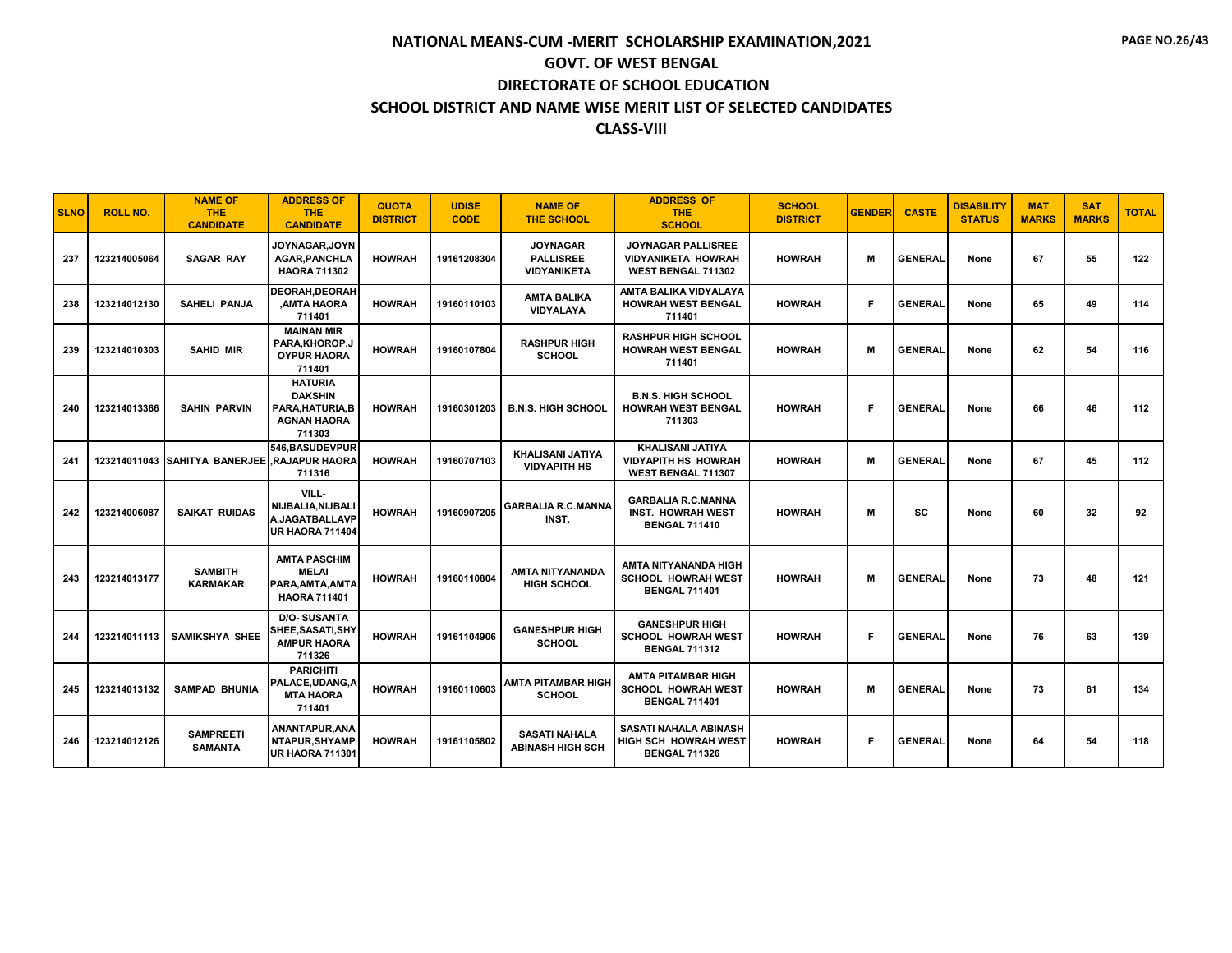| <b>SLNO</b> | <b>ROLL NO.</b> | <b>NAME OF</b><br><b>THE</b><br><b>CANDIDATE</b> | <b>ADDRESS OF</b><br><b>THE</b><br><b>CANDIDATE</b>                                  | <b>QUOTA</b><br><b>DISTRICT</b> | <b>UDISE</b><br><b>CODE</b> | <b>NAME OF</b><br><b>THE SCHOOL</b>                       | <b>ADDRESS OF</b><br><b>THE</b><br><b>SCHOOL</b>                               | <b>SCHOOL</b><br><b>DISTRICT</b> | <b>GENDER</b> | <b>CASTE</b>   | <b>DISABILITY</b><br><b>STATUS</b> | <b>MAT</b><br><b>MARKS</b> | <b>SAT</b><br><b>MARKS</b> | <b>TOTAL</b> |
|-------------|-----------------|--------------------------------------------------|--------------------------------------------------------------------------------------|---------------------------------|-----------------------------|-----------------------------------------------------------|--------------------------------------------------------------------------------|----------------------------------|---------------|----------------|------------------------------------|----------------------------|----------------------------|--------------|
| 237         | 123214005064    | <b>SAGAR RAY</b>                                 | <b>JOYNAGAR.JOYN</b><br><b>AGAR, PANCHLA</b><br><b>HAORA 711302</b>                  | <b>HOWRAH</b>                   | 19161208304                 | <b>JOYNAGAR</b><br><b>PALLISREE</b><br><b>VIDYANIKETA</b> | <b>JOYNAGAR PALLISREE</b><br><b>VIDYANIKETA HOWRAH</b><br>WEST BENGAL 711302   | <b>HOWRAH</b>                    | м             | <b>GENERAL</b> | None                               | 67                         | 55                         | 122          |
| 238         | 123214012130    | <b>SAHELI PANJA</b>                              | DEORAH.DEORAH<br>AMTA HAORA,<br>711401                                               | <b>HOWRAH</b>                   | 19160110103                 | <b>AMTA BALIKA</b><br><b>VIDYALAYA</b>                    | AMTA BALIKA VIDYALAYA<br><b>HOWRAH WEST BENGAL</b><br>711401                   | <b>HOWRAH</b>                    | F.            | <b>GENERAL</b> | None                               | 65                         | 49                         | 114          |
| 239         | 123214010303    | <b>SAHID MIR</b>                                 | <b>MAINAN MIR</b><br>PARA, KHOROP, J<br><b>OYPUR HAORA</b><br>711401                 | <b>HOWRAH</b>                   | 19160107804                 | <b>RASHPUR HIGH</b><br><b>SCHOOL</b>                      | <b>RASHPUR HIGH SCHOOL</b><br><b>HOWRAH WEST BENGAL</b><br>711401              | <b>HOWRAH</b>                    | м             | <b>GENERAL</b> | None                               | 62                         | 54                         | 116          |
| 240         | 123214013366    | <b>SAHIN PARVIN</b>                              | <b>HATURIA</b><br><b>DAKSHIN</b><br>PARA, HATURIA, B<br><b>AGNAN HAORA</b><br>711303 | <b>HOWRAH</b>                   | 19160301203                 | <b>B.N.S. HIGH SCHOOL</b>                                 | <b>B.N.S. HIGH SCHOOL</b><br><b>HOWRAH WEST BENGAL</b><br>711303               | <b>HOWRAH</b>                    | Е             | <b>GENERAL</b> | None                               | 66                         | 46                         | 112          |
| 241         |                 | 123214011043 SAHITYA BANERJEE                    | 546.BASUDEVPUR<br><b>RAJAPUR HAORA</b><br>711316                                     | <b>HOWRAH</b>                   | 19160707103                 | <b>KHALISANI JATIYA</b><br><b>VIDYAPITH HS</b>            | <b>KHALISANI JATIYA</b><br><b>VIDYAPITH HS HOWRAH</b><br>WEST BENGAL 711307    | <b>HOWRAH</b>                    | M             | <b>GENERAL</b> | None                               | 67                         | 45                         | 112          |
| 242         | 123214006087    | <b>SAIKAT RUIDAS</b>                             | VILL-<br>NIJBALIA.NIJBALI<br><b>A.JAGATBALLAVP</b><br><b>UR HAORA 711404</b>         | <b>HOWRAH</b>                   | 19160907205                 | <b>GARBALIA R.C.MANNA</b><br>INST.                        | <b>GARBALIA R.C.MANNA</b><br><b>INST. HOWRAH WEST</b><br><b>BENGAL 711410</b>  | <b>HOWRAH</b>                    | M             | <b>SC</b>      | None                               | 60                         | 32                         | 92           |
| 243         | 123214013177    | <b>SAMBITH</b><br><b>KARMAKAR</b>                | <b>AMTA PASCHIM</b><br><b>MELAI</b><br>PARA.AMTA.AMTA<br><b>HAORA 711401</b>         | <b>HOWRAH</b>                   | 19160110804                 | <b>AMTA NITYANANDA</b><br><b>HIGH SCHOOL</b>              | AMTA NITYANANDA HIGH<br><b>SCHOOL HOWRAH WEST</b><br><b>BENGAL 711401</b>      | <b>HOWRAH</b>                    | м             | <b>GENERAL</b> | None                               | 73                         | 48                         | 121          |
| 244         | 123214011113    | <b>SAMIKSHYA SHEE</b>                            | <b>D/O-SUSANTA</b><br><b>SHEE,SASATI,SHY</b><br><b>AMPUR HAORA</b><br>711326         | <b>HOWRAH</b>                   | 19161104906                 | <b>GANESHPUR HIGH</b><br><b>SCHOOL</b>                    | <b>GANESHPUR HIGH</b><br><b>SCHOOL HOWRAH WEST</b><br><b>BENGAL 711312</b>     | <b>HOWRAH</b>                    | F.            | <b>GENERAL</b> | None                               | 76                         | 63                         | 139          |
| 245         | 123214013132    | <b>SAMPAD BHUNIA</b>                             | <b>PARICHITI</b><br>PALACE, UDANG, A<br><b>MTA HAORA</b><br>711401                   | <b>HOWRAH</b>                   | 19160110603                 | <b>AMTA PITAMBAR HIGH</b><br><b>SCHOOL</b>                | <b>AMTA PITAMBAR HIGH</b><br><b>SCHOOL HOWRAH WEST</b><br><b>BENGAL 711401</b> | <b>HOWRAH</b>                    | M             | <b>GENERAL</b> | None                               | 73                         | 61                         | 134          |
| 246         | 123214012126    | <b>SAMPREETI</b><br><b>SAMANTA</b>               | ANANTAPUR, ANA<br><b>NTAPUR,SHYAMP</b><br><b>UR HAORA 711301</b>                     | <b>HOWRAH</b>                   | 19161105802                 | <b>SASATI NAHALA</b><br><b>ABINASH HIGH SCH</b>           | SASATI NAHALA ABINASH<br>HIGH SCH HOWRAH WEST<br><b>BENGAL 711326</b>          | <b>HOWRAH</b>                    | F             | <b>GENERAL</b> | None                               | 64                         | 54                         | 118          |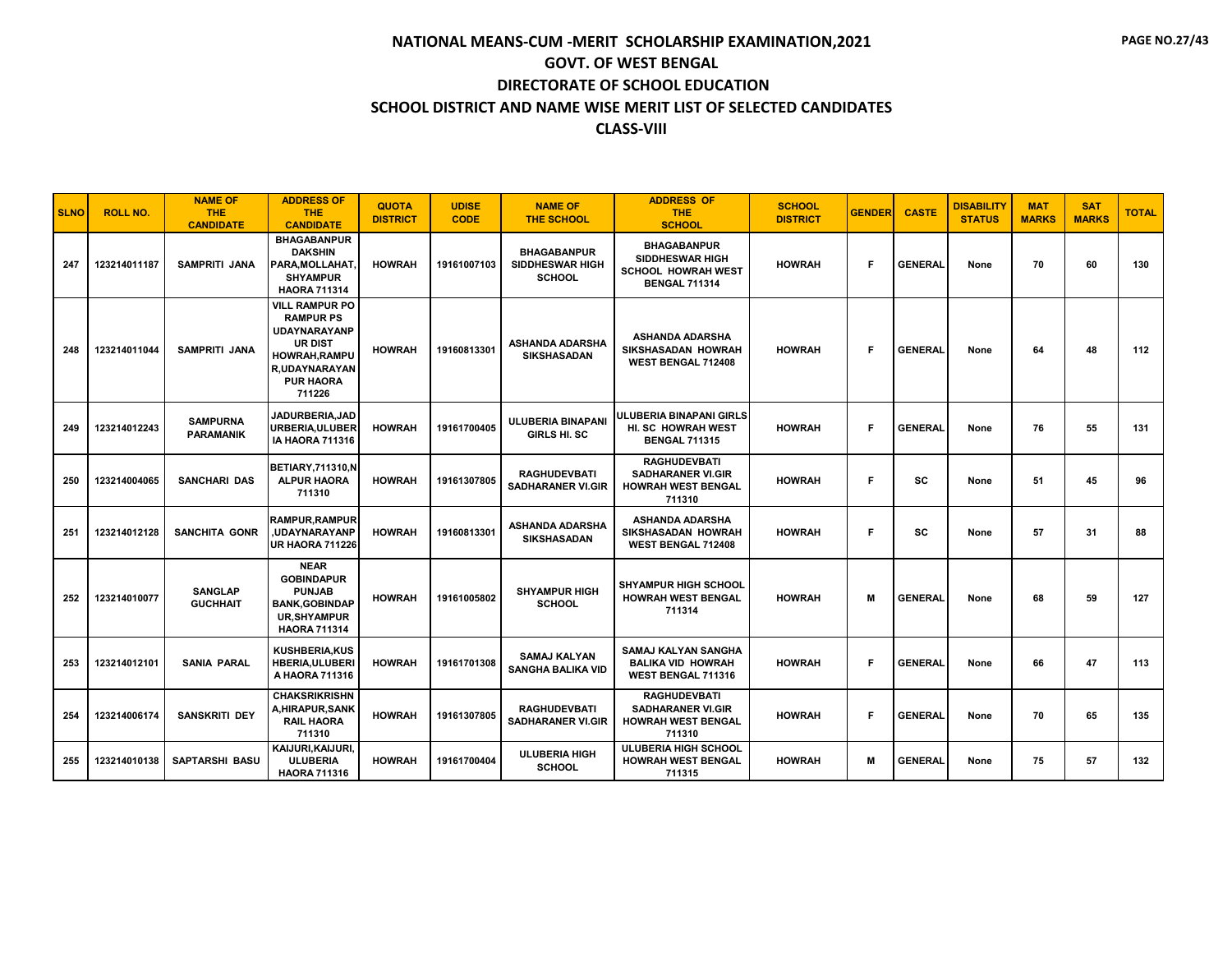| <b>SLNO</b> | <b>ROLL NO.</b> | <b>NAME OF</b><br>THE.<br><b>CANDIDATE</b> | <b>ADDRESS OF</b><br><b>THE</b><br><b>CANDIDATE</b>                                                                                                       | <b>QUOTA</b><br><b>DISTRICT</b> | <b>UDISE</b><br><b>CODE</b> | <b>NAME OF</b><br><b>THE SCHOOL</b>                           | <b>ADDRESS OF</b><br>THE.<br><b>SCHOOL</b>                                                        | <b>SCHOOL</b><br><b>DISTRICT</b> | <b>GENDER</b> | <b>CASTE</b>   | <b>DISABILITY</b><br><b>STATUS</b> | <b>MAT</b><br><b>MARKS</b> | <b>SAT</b><br><b>MARKS</b> | <b>TOTAL</b> |
|-------------|-----------------|--------------------------------------------|-----------------------------------------------------------------------------------------------------------------------------------------------------------|---------------------------------|-----------------------------|---------------------------------------------------------------|---------------------------------------------------------------------------------------------------|----------------------------------|---------------|----------------|------------------------------------|----------------------------|----------------------------|--------------|
| 247         | 123214011187    | <b>SAMPRITI JANA</b>                       | <b>BHAGABANPUR</b><br><b>DAKSHIN</b><br>PARA, MOLLAHAT.<br><b>SHYAMPUR</b><br><b>HAORA 711314</b>                                                         | <b>HOWRAH</b>                   | 19161007103                 | <b>BHAGABANPUR</b><br><b>SIDDHESWAR HIGH</b><br><b>SCHOOL</b> | <b>BHAGABANPUR</b><br><b>SIDDHESWAR HIGH</b><br><b>SCHOOL HOWRAH WEST</b><br><b>BENGAL 711314</b> | <b>HOWRAH</b>                    | F             | <b>GENERAL</b> | None                               | 70                         | 60                         | 130          |
| 248         | 123214011044    | <b>SAMPRITI JANA</b>                       | <b>VILL RAMPUR PO</b><br><b>RAMPUR PS</b><br><b>UDAYNARAYANP</b><br><b>UR DIST</b><br><b>HOWRAH.RAMPU</b><br>R, UDAYNARAYAN<br><b>PUR HAORA</b><br>711226 | <b>HOWRAH</b>                   | 19160813301                 | <b>ASHANDA ADARSHA</b><br><b>SIKSHASADAN</b>                  | <b>ASHANDA ADARSHA</b><br>SIKSHASADAN HOWRAH<br><b>WEST BENGAL 712408</b>                         | <b>HOWRAH</b>                    | F.            | <b>GENERAL</b> | None                               | 64                         | 48                         | 112          |
| 249         | 123214012243    | <b>SAMPURNA</b><br><b>PARAMANIK</b>        | <b>JADURBERIA,JAD</b><br>URBERIA, ULUBER<br><b>IA HAORA 711316</b>                                                                                        | <b>HOWRAH</b>                   | 19161700405                 | ULUBERIA BINAPANI<br>GIRLS HI. SC                             | ULUBERIA BINAPANI GIRLS<br>HI. SC HOWRAH WEST<br><b>BENGAL 711315</b>                             | <b>HOWRAH</b>                    | Е             | <b>GENERAL</b> | None                               | 76                         | 55                         | 131          |
| 250         | 123214004065    | <b>SANCHARI DAS</b>                        | <b>BETIARY, 711310, N</b><br><b>ALPUR HAORA</b><br>711310                                                                                                 | <b>HOWRAH</b>                   | 19161307805                 | <b>RAGHUDEVBATI</b><br><b>SADHARANER VI.GIR</b>               | <b>RAGHUDEVBATI</b><br><b>SADHARANER VI.GIR</b><br><b>HOWRAH WEST BENGAL</b><br>711310            | <b>HOWRAH</b>                    | Е             | <b>SC</b>      | None                               | 51                         | 45                         | 96           |
| 251         | 123214012128    | <b>SANCHITA GONR</b>                       | RAMPUR, RAMPUR<br><b>.UDAYNARAYANP</b><br><b>UR HAORA 711226</b>                                                                                          | <b>HOWRAH</b>                   | 19160813301                 | <b>ASHANDA ADARSHA</b><br><b>SIKSHASADAN</b>                  | <b>ASHANDA ADARSHA</b><br>SIKSHASADAN HOWRAH<br>WEST BENGAL 712408                                | <b>HOWRAH</b>                    | F.            | <b>SC</b>      | None                               | 57                         | 31                         | 88           |
| 252         | 123214010077    | <b>SANGLAP</b><br><b>GUCHHAIT</b>          | <b>NEAR</b><br><b>GOBINDAPUR</b><br><b>PUNJAB</b><br><b>BANK.GOBINDAP</b><br><b>UR, SHYAMPUR</b><br><b>HAORA 711314</b>                                   | <b>HOWRAH</b>                   | 19161005802                 | <b>SHYAMPUR HIGH</b><br><b>SCHOOL</b>                         | <b>SHYAMPUR HIGH SCHOOL</b><br><b>HOWRAH WEST BENGAL</b><br>711314                                | <b>HOWRAH</b>                    | M             | <b>GENERAL</b> | None                               | 68                         | 59                         | 127          |
| 253         | 123214012101    | <b>SANIA PARAL</b>                         | <b>KUSHBERIA,KUS</b><br><b>HBERIA, ULUBERI</b><br>A HAORA 711316                                                                                          | <b>HOWRAH</b>                   | 19161701308                 | <b>SAMAJ KALYAN</b><br><b>SANGHA BALIKA VID</b>               | SAMAJ KALYAN SANGHA<br><b>BALIKA VID HOWRAH</b><br>WEST BENGAL 711316                             | <b>HOWRAH</b>                    | Е             | <b>GENERAL</b> | None                               | 66                         | 47                         | 113          |
| 254         | 123214006174    | <b>SANSKRITI DEY</b>                       | <b>CHAKSRIKRISHN</b><br>A, HIRAPUR, SANK<br><b>RAIL HAORA</b><br>711310                                                                                   | <b>HOWRAH</b>                   | 19161307805                 | <b>RAGHUDEVBATI</b><br><b>SADHARANER VI.GIR</b>               | <b>RAGHUDEVBATI</b><br><b>SADHARANER VI.GIR</b><br><b>HOWRAH WEST BENGAL</b><br>711310            | <b>HOWRAH</b>                    | Е             | <b>GENERAL</b> | None                               | 70                         | 65                         | 135          |
| 255         | 123214010138    | <b>SAPTARSHI BASU</b>                      | KAIJURI, KAIJURI,<br><b>ULUBERIA</b><br><b>HAORA 711316</b>                                                                                               | <b>HOWRAH</b>                   | 19161700404                 | <b>ULUBERIA HIGH</b><br><b>SCHOOL</b>                         | <b>ULUBERIA HIGH SCHOOL</b><br><b>HOWRAH WEST BENGAL</b><br>711315                                | <b>HOWRAH</b>                    | м             | <b>GENERAL</b> | None                               | 75                         | 57                         | 132          |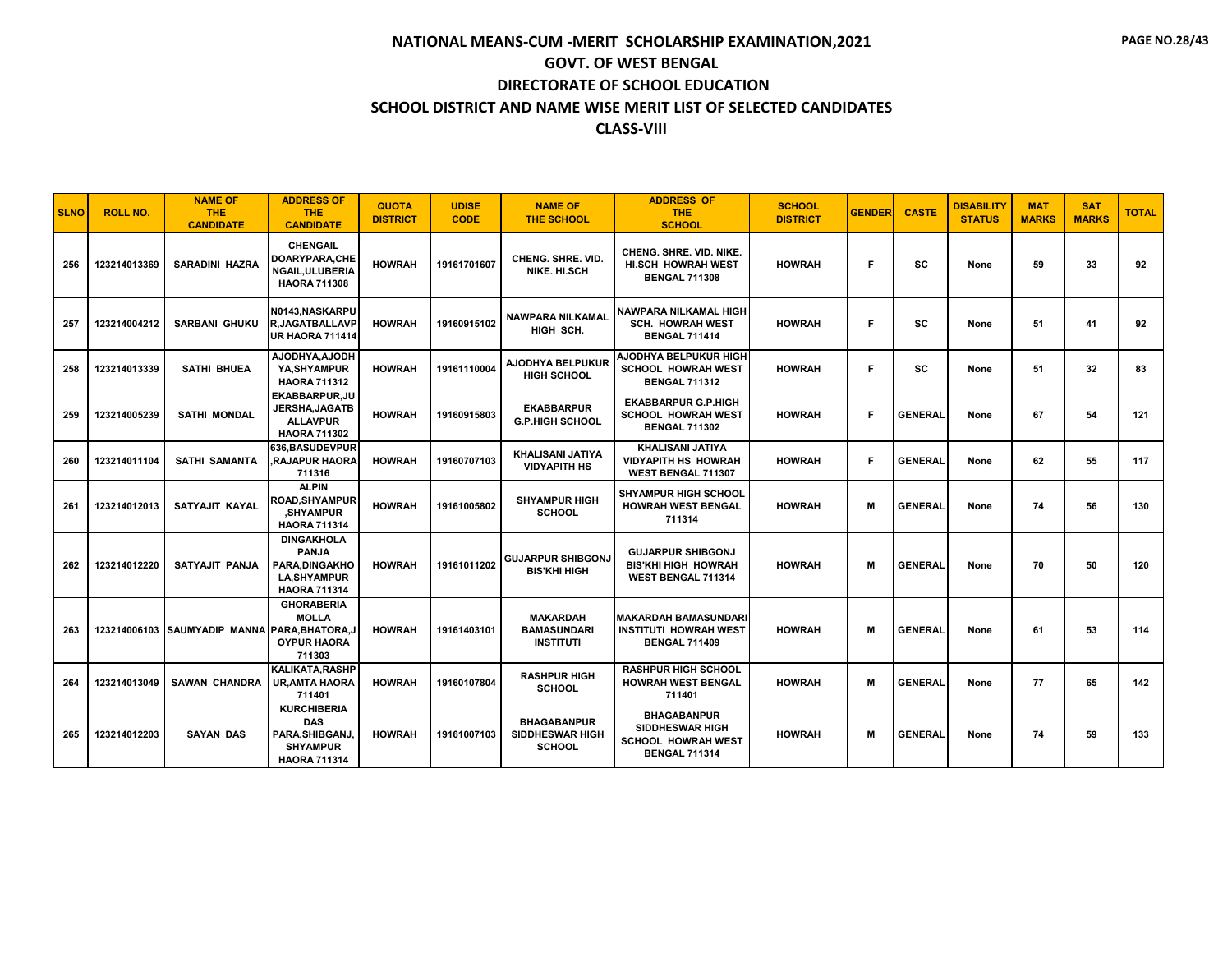| <b>SLNO</b> | <b>ROLL NO.</b> | <b>NAME OF</b><br><b>THE</b><br><b>CANDIDATE</b> | <b>ADDRESS OF</b><br><b>THE</b><br><b>CANDIDATE</b>                                              | <b>QUOTA</b><br><b>DISTRICT</b> | <b>UDISE</b><br><b>CODE</b> | <b>NAME OF</b><br><b>THE SCHOOL</b>                           | <b>ADDRESS OF</b><br><b>THE</b><br><b>SCHOOL</b>                                                  | <b>SCHOOL</b><br><b>DISTRICT</b> | <b>GENDER</b> | <b>CASTE</b>   | <b>DISABILITY</b><br><b>STATUS</b> | <b>MAT</b><br><b>MARKS</b> | <b>SAT</b><br><b>MARKS</b> | <b>TOTAL</b> |
|-------------|-----------------|--------------------------------------------------|--------------------------------------------------------------------------------------------------|---------------------------------|-----------------------------|---------------------------------------------------------------|---------------------------------------------------------------------------------------------------|----------------------------------|---------------|----------------|------------------------------------|----------------------------|----------------------------|--------------|
| 256         | 123214013369    | <b>SARADINI HAZRA</b>                            | <b>CHENGAIL</b><br><b>DOARYPARA.CHE</b><br>NGAIL, ULUBERIA<br><b>HAORA 711308</b>                | <b>HOWRAH</b>                   | 19161701607                 | <b>CHENG, SHRE, VID.</b><br>NIKE, HI.SCH                      | CHENG. SHRE. VID. NIKE.<br>HI.SCH HOWRAH WEST<br><b>BENGAL 711308</b>                             | <b>HOWRAH</b>                    | F             | <b>SC</b>      | None                               | 59                         | 33                         | 92           |
| 257         | 123214004212    | <b>SARBANI GHUKU</b>                             | N0143.NASKARPU<br><b>R,JAGATBALLAVP</b><br><b>UR HAORA 711414</b>                                | <b>HOWRAH</b>                   | 19160915102                 | <b>NAWPARA NILKAMAL</b><br>HIGH SCH.                          | NAWPARA NILKAMAL HIGH<br><b>SCH. HOWRAH WEST</b><br><b>BENGAL 711414</b>                          | <b>HOWRAH</b>                    | F             | <b>SC</b>      | None                               | 51                         | 41                         | 92           |
| 258         | 123214013339    | <b>SATHI BHUEA</b>                               | AJODHYA,AJODH<br>YA, SHYAMPUR<br><b>HAORA 711312</b>                                             | <b>HOWRAH</b>                   | 19161110004                 | <b>AJODHYA BELPUKUR</b><br>HIGH SCHOOL                        | AJODHYA BELPUKUR HIGH<br><b>SCHOOL HOWRAH WEST</b><br><b>BENGAL 711312</b>                        | <b>HOWRAH</b>                    | F             | <b>SC</b>      | None                               | 51                         | 32                         | 83           |
| 259         | 123214005239    | <b>SATHI MONDAL</b>                              | EKABBARPUR, JU<br><b>JERSHA, JAGATB</b><br><b>ALLAVPUR</b><br><b>HAORA 711302</b>                | <b>HOWRAH</b>                   | 19160915803                 | <b>EKABBARPUR</b><br><b>G.P.HIGH SCHOOL</b>                   | <b>EKABBARPUR G.P.HIGH</b><br><b>SCHOOL HOWRAH WEST</b><br><b>BENGAL 711302</b>                   | <b>HOWRAH</b>                    | F             | <b>GENERAL</b> | None                               | 67                         | 54                         | 121          |
| 260         | 123214011104    | <b>SATHI SAMANTA</b>                             | 636.BASUDEVPUR<br><b>RAJAPUR HAORA</b><br>711316                                                 | <b>HOWRAH</b>                   | 19160707103                 | <b>KHALISANI JATIYA</b><br><b>VIDYAPITH HS</b>                | <b>KHALISANI JATIYA</b><br><b>VIDYAPITH HS HOWRAH</b><br>WEST BENGAL 711307                       | <b>HOWRAH</b>                    | F.            | <b>GENERAL</b> | None                               | 62                         | 55                         | 117          |
| 261         | 123214012013    | SATYAJIT KAYAL                                   | <b>ALPIN</b><br>ROAD,SHYAMPUR<br><b>SHYAMPUR</b><br><b>HAORA 711314</b>                          | <b>HOWRAH</b>                   | 19161005802                 | <b>SHYAMPUR HIGH</b><br><b>SCHOOL</b>                         | <b>SHYAMPUR HIGH SCHOOL</b><br><b>HOWRAH WEST BENGAL</b><br>711314                                | <b>HOWRAH</b>                    | м             | <b>GENERAL</b> | None                               | 74                         | 56                         | 130          |
| 262         | 123214012220    | SATYAJIT PANJA                                   | <b>DINGAKHOLA</b><br><b>PANJA</b><br>PARA.DINGAKHO<br><b>LA, SHYAMPUR</b><br><b>HAORA 711314</b> | <b>HOWRAH</b>                   | 19161011202                 | <b>GUJARPUR SHIBGONJ</b><br><b>BIS'KHI HIGH</b>               | <b>GUJARPUR SHIBGONJ</b><br><b>BIS'KHI HIGH HOWRAH</b><br>WEST BENGAL 711314                      | <b>HOWRAH</b>                    | м             | <b>GENERAL</b> | None                               | 70                         | 50                         | 120          |
| 263         |                 | 123214006103 SAUMYADIP MANNA PARA, BHATORA, J    | <b>GHORABERIA</b><br><b>MOLLA</b><br><b>OYPUR HAORA</b><br>711303                                | <b>HOWRAH</b>                   | 19161403101                 | <b>MAKARDAH</b><br><b>BAMASUNDARI</b><br><b>INSTITUTI</b>     | <b>MAKARDAH BAMASUNDARI</b><br><b>INSTITUTI HOWRAH WEST</b><br><b>BENGAL 711409</b>               | <b>HOWRAH</b>                    | м             | <b>GENERAL</b> | None                               | 61                         | 53                         | 114          |
| 264         | 123214013049    | <b>SAWAN CHANDRA</b>                             | <b>KALIKATA, RASHP</b><br><b>UR.AMTA HAORA</b><br>711401                                         | <b>HOWRAH</b>                   | 19160107804                 | <b>RASHPUR HIGH</b><br><b>SCHOOL</b>                          | <b>RASHPUR HIGH SCHOOL</b><br><b>HOWRAH WEST BENGAL</b><br>711401                                 | <b>HOWRAH</b>                    | M             | <b>GENERAL</b> | None                               | 77                         | 65                         | 142          |
| 265         | 123214012203    | <b>SAYAN DAS</b>                                 | <b>KURCHIBERIA</b><br><b>DAS</b><br>PARA, SHIBGANJ<br><b>SHYAMPUR</b><br><b>HAORA 711314</b>     | <b>HOWRAH</b>                   | 19161007103                 | <b>BHAGABANPUR</b><br><b>SIDDHESWAR HIGH</b><br><b>SCHOOL</b> | <b>BHAGABANPUR</b><br><b>SIDDHESWAR HIGH</b><br><b>SCHOOL HOWRAH WEST</b><br><b>BENGAL 711314</b> | <b>HOWRAH</b>                    | м             | <b>GENERAL</b> | None                               | 74                         | 59                         | 133          |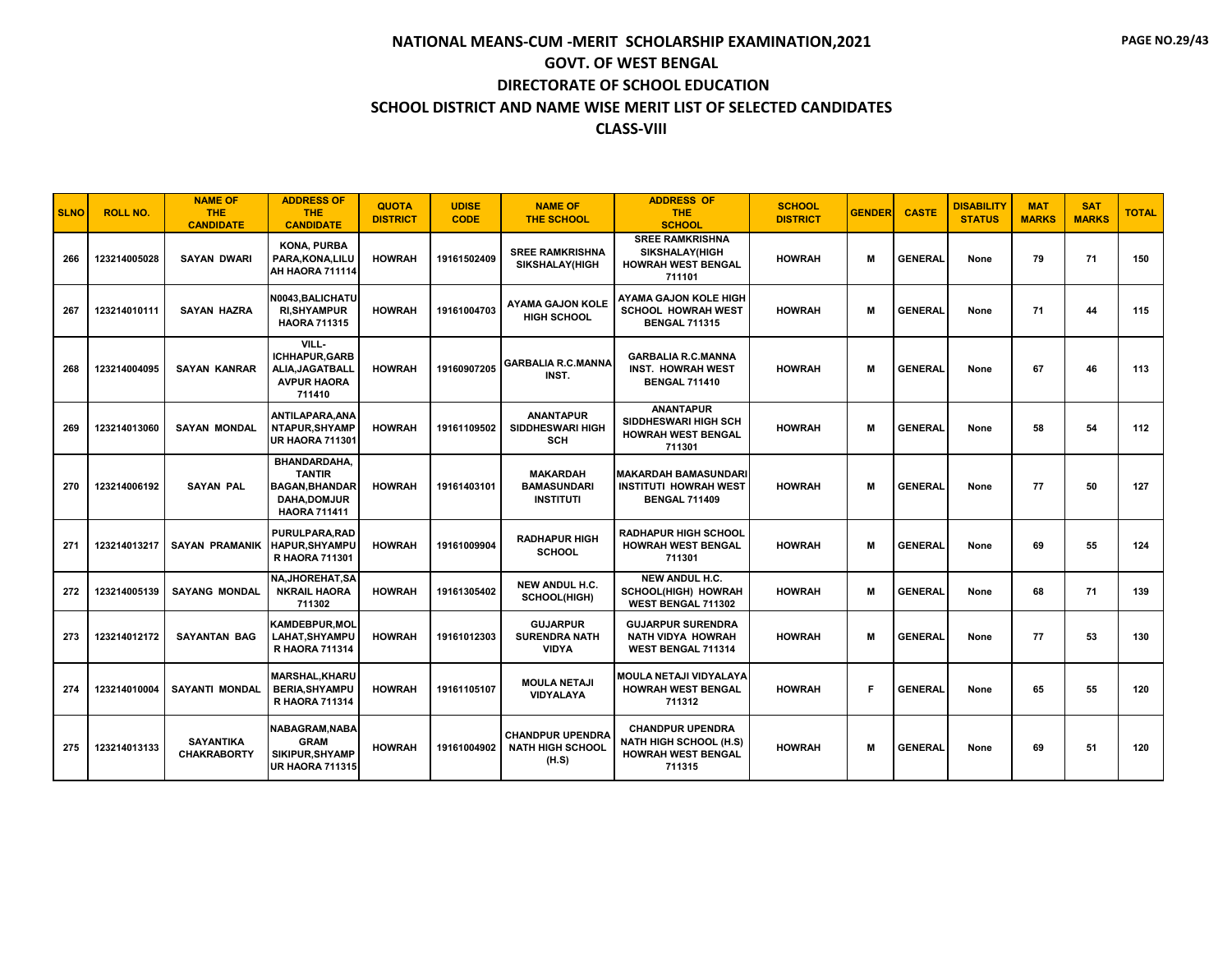| <b>SLNO</b> | <b>ROLL NO.</b> | <b>NAME OF</b><br><b>THE</b><br><b>CANDIDATE</b> | <b>ADDRESS OF</b><br><b>THE</b><br><b>CANDIDATE</b>                                                        | <b>QUOTA</b><br><b>DISTRICT</b> | <b>UDISE</b><br><b>CODE</b> | <b>NAME OF</b><br><b>THE SCHOOL</b>                         | <b>ADDRESS OF</b><br><b>THE</b><br><b>SCHOOL</b>                                                | <b>SCHOOL</b><br><b>DISTRICT</b> | <b>GENDER</b> | <b>CASTE</b>   | <b>DISABILITY</b><br><b>STATUS</b> | <b>MAT</b><br><b>MARKS</b> | <b>SAT</b><br><b>MARKS</b> | <b>TOTAL</b> |
|-------------|-----------------|--------------------------------------------------|------------------------------------------------------------------------------------------------------------|---------------------------------|-----------------------------|-------------------------------------------------------------|-------------------------------------------------------------------------------------------------|----------------------------------|---------------|----------------|------------------------------------|----------------------------|----------------------------|--------------|
| 266         | 123214005028    | <b>SAYAN DWARI</b>                               | <b>KONA, PURBA</b><br>PARA.KONA.LILU<br>AH HAORA 711114                                                    | <b>HOWRAH</b>                   | 19161502409                 | <b>SREE RAMKRISHNA</b><br><b>SIKSHALAY(HIGH</b>             | <b>SREE RAMKRISHNA</b><br><b>SIKSHALAY(HIGH</b><br><b>HOWRAH WEST BENGAL</b><br>711101          | <b>HOWRAH</b>                    | м             | <b>GENERAL</b> | None                               | 79                         | 71                         | 150          |
| 267         | 123214010111    | <b>SAYAN HAZRA</b>                               | N0043,BALICHATU<br><b>RI, SHY AMPUR</b><br><b>HAORA 711315</b>                                             | <b>HOWRAH</b>                   | 19161004703                 | <b>AYAMA GAJON KOLE</b><br><b>HIGH SCHOOL</b>               | <b>AYAMA GAJON KOLE HIGH</b><br><b>SCHOOL HOWRAH WEST</b><br><b>BENGAL 711315</b>               | <b>HOWRAH</b>                    | м             | <b>GENERAL</b> | None                               | 71                         | 44                         | 115          |
| 268         | 123214004095    | <b>SAYAN KANRAR</b>                              | VILL-<br><b>ICHHAPUR.GARB</b><br>ALIA.JAGATBALL<br><b>AVPUR HAORA</b><br>711410                            | <b>HOWRAH</b>                   | 19160907205                 | <b>GARBALIA R.C.MANNA</b><br>INST.                          | <b>GARBALIA R.C.MANNA</b><br><b>INST. HOWRAH WEST</b><br><b>BENGAL 711410</b>                   | <b>HOWRAH</b>                    | м             | <b>GENERAL</b> | None                               | 67                         | 46                         | 113          |
| 269         | 123214013060    | <b>SAYAN MONDAL</b>                              | ANTILAPARA.ANA<br><b>NTAPUR,SHYAMP</b><br><b>UR HAORA 711301</b>                                           | <b>HOWRAH</b>                   | 19161109502                 | <b>ANANTAPUR</b><br>SIDDHESWARI HIGH<br><b>SCH</b>          | <b>ANANTAPUR</b><br>SIDDHESWARI HIGH SCH<br><b>HOWRAH WEST BENGAL</b><br>711301                 | <b>HOWRAH</b>                    | м             | <b>GENERAL</b> | None                               | 58                         | 54                         | 112          |
| 270         | 123214006192    | <b>SAYAN PAL</b>                                 | <b>BHANDARDAHA.</b><br><b>TANTIR</b><br><b>BAGAN, BHANDAR</b><br><b>DAHA.DOMJUR</b><br><b>HAORA 711411</b> | <b>HOWRAH</b>                   | 19161403101                 | <b>MAKARDAH</b><br><b>BAMASUNDARI</b><br><b>INSTITUTI</b>   | <b>MAKARDAH BAMASUNDARI</b><br><b>INSTITUTI HOWRAH WEST</b><br><b>BENGAL 711409</b>             | <b>HOWRAH</b>                    | м             | <b>GENERAL</b> | None                               | 77                         | 50                         | 127          |
| 271         | 123214013217    | <b>SAYAN PRAMANIK</b>                            | PURULPARA, RAD<br><b>HAPUR.SHYAMPU</b><br><b>R HAORA 711301</b>                                            | <b>HOWRAH</b>                   | 19161009904                 | <b>RADHAPUR HIGH</b><br><b>SCHOOL</b>                       | <b>RADHAPUR HIGH SCHOOL</b><br><b>HOWRAH WEST BENGAL</b><br>711301                              | <b>HOWRAH</b>                    | м             | <b>GENERAL</b> | None                               | 69                         | 55                         | 124          |
| 272         | 123214005139    | <b>SAYANG MONDAL</b>                             | <b>NA.JHOREHAT.SA</b><br><b>NKRAIL HAORA</b><br>711302                                                     | <b>HOWRAH</b>                   | 19161305402                 | <b>NEW ANDUL H.C.</b><br>SCHOOL(HIGH)                       | <b>NEW ANDUL H.C.</b><br><b>SCHOOL(HIGH) HOWRAH</b><br>WEST BENGAL 711302                       | <b>HOWRAH</b>                    | м             | <b>GENERAL</b> | None                               | 68                         | 71                         | 139          |
| 273         | 123214012172    | <b>SAYANTAN BAG</b>                              | <b>KAMDEBPUR, MOL</b><br><b>LAHAT.SHYAMPU</b><br>R HAORA 711314                                            | <b>HOWRAH</b>                   | 19161012303                 | <b>GUJARPUR</b><br><b>SURENDRA NATH</b><br><b>VIDYA</b>     | <b>GUJARPUR SURENDRA</b><br><b>NATH VIDYA HOWRAH</b><br>WEST BENGAL 711314                      | <b>HOWRAH</b>                    | M             | <b>GENERAL</b> | None                               | 77                         | 53                         | 130          |
| 274         | 123214010004    | <b>SAYANTI MONDAL</b>                            | <b>MARSHAL, KHARU</b><br><b>BERIA.SHYAMPU</b><br><b>R HAORA 711314</b>                                     | <b>HOWRAH</b>                   | 19161105107                 | <b>MOULA NETAJI</b><br><b>VIDYALAYA</b>                     | MOULA NETAJI VIDYALAYA<br><b>HOWRAH WEST BENGAL</b><br>711312                                   | <b>HOWRAH</b>                    | F             | <b>GENERAL</b> | None                               | 65                         | 55                         | 120          |
| 275         | 123214013133    | <b>SAYANTIKA</b><br><b>CHAKRABORTY</b>           | NABAGRAM, NABA<br><b>GRAM</b><br>SIKIPUR.SHYAMP<br><b>UR HAORA 711315</b>                                  | <b>HOWRAH</b>                   | 19161004902                 | <b>CHANDPUR UPENDRA</b><br><b>NATH HIGH SCHOOL</b><br>(H.S) | <b>CHANDPUR UPENDRA</b><br><b>NATH HIGH SCHOOL (H.S)</b><br><b>HOWRAH WEST BENGAL</b><br>711315 | <b>HOWRAH</b>                    | м             | <b>GENERAL</b> | None                               | 69                         | 51                         | 120          |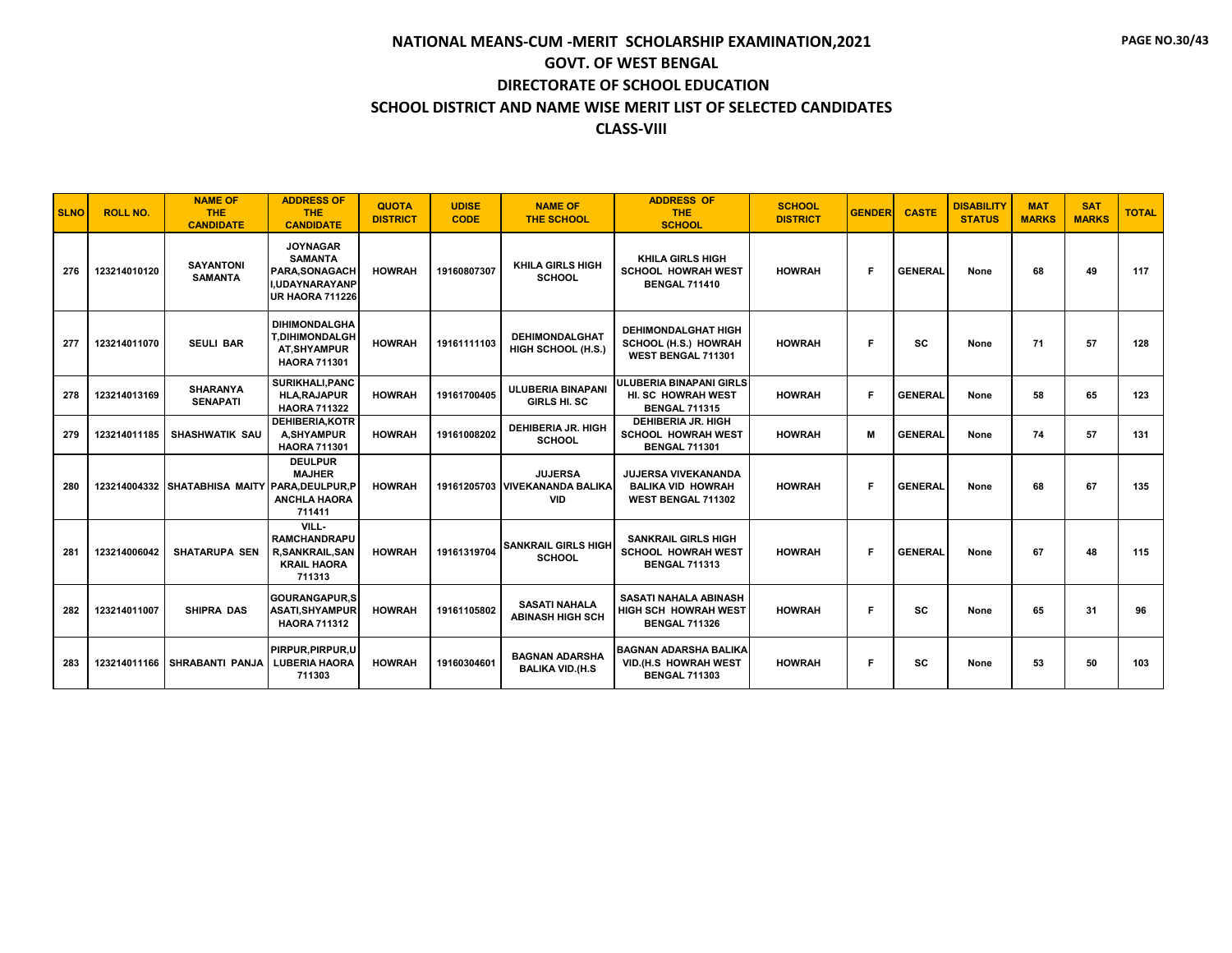| <b>SLNO</b> | <b>ROLL NO.</b> | <b>NAME OF</b><br>THE.<br><b>CANDIDATE</b>   | <b>ADDRESS OF</b><br><b>THE</b><br><b>CANDIDATE</b>                                                    | <b>QUOTA</b><br><b>DISTRICT</b> | <b>UDISE</b><br><b>CODE</b> | <b>NAME OF</b><br><b>THE SCHOOL</b>                            | <b>ADDRESS OF</b><br><b>THE</b><br><b>SCHOOL</b>                                | <b>SCHOOL</b><br><b>DISTRICT</b> | <b>GENDER</b> | <b>CASTE</b>   | <b>DISABILITY</b><br><b>STATUS</b> | <b>MAT</b><br><b>MARKS</b> | <b>SAT</b><br><b>MARKS</b> | <b>TOTAL</b> |
|-------------|-----------------|----------------------------------------------|--------------------------------------------------------------------------------------------------------|---------------------------------|-----------------------------|----------------------------------------------------------------|---------------------------------------------------------------------------------|----------------------------------|---------------|----------------|------------------------------------|----------------------------|----------------------------|--------------|
| 276         | 123214010120    | <b>SAYANTONI</b><br><b>SAMANTA</b>           | <b>JOYNAGAR</b><br><b>SAMANTA</b><br>PARA, SONAGACH<br><b>I.UDAYNARAYANP</b><br><b>UR HAORA 711226</b> | <b>HOWRAH</b>                   | 19160807307                 | <b>KHILA GIRLS HIGH</b><br><b>SCHOOL</b>                       | <b>KHILA GIRLS HIGH</b><br><b>SCHOOL HOWRAH WEST</b><br><b>BENGAL 711410</b>    | <b>HOWRAH</b>                    | F             | <b>GENERAL</b> | None                               | 68                         | 49                         | 117          |
| 277         | 123214011070    | <b>SEULI BAR</b>                             | <b>DIHIMONDALGHA</b><br><b>T.DIHIMONDALGH</b><br>AT, SHYAMPUR<br><b>HAORA 711301</b>                   | <b>HOWRAH</b>                   | 19161111103                 | <b>DEHIMONDALGHAT</b><br>HIGH SCHOOL (H.S.)                    | <b>DEHIMONDALGHAT HIGH</b><br>SCHOOL (H.S.) HOWRAH<br>WEST BENGAL 711301        | <b>HOWRAH</b>                    | F             | <b>SC</b>      | None                               | 71                         | 57                         | 128          |
| 278         | 123214013169    | <b>SHARANYA</b><br><b>SENAPATI</b>           | <b>SURIKHALI.PANC</b><br><b>HLA.RAJAPUR</b><br><b>HAORA 711322</b>                                     | <b>HOWRAH</b>                   | 19161700405                 | <b>ULUBERIA BINAPANI</b><br><b>GIRLS HI. SC</b>                | <b>ULUBERIA BINAPANI GIRLS</b><br>HI. SC HOWRAH WEST<br><b>BENGAL 711315</b>    | <b>HOWRAH</b>                    | Е             | <b>GENERAL</b> | None                               | 58                         | 65                         | 123          |
| 279         | 123214011185    | <b>SHASHWATIK SAU</b>                        | <b>DEHIBERIA.KOTR</b><br><b>A.SHYAMPUR</b><br><b>HAORA 711301</b>                                      | <b>HOWRAH</b>                   | 19161008202                 | <b>DEHIBERIA JR. HIGH</b><br><b>SCHOOL</b>                     | <b>DEHIBERIA JR. HIGH</b><br><b>SCHOOL HOWRAH WEST</b><br><b>BENGAL 711301</b>  | <b>HOWRAH</b>                    | М             | <b>GENERAL</b> | None                               | 74                         | 57                         | 131          |
| 280         |                 | 123214004332 SHATABHISA MAITY PARA.DEULPUR.P | <b>DEULPUR</b><br><b>MAJHER</b><br><b>ANCHLA HAORA</b><br>711411                                       | <b>HOWRAH</b>                   |                             | <b>JUJERSA</b><br>19161205703 VIVEKANANDA BALIKA<br><b>VID</b> | <b>JUJERSA VIVEKANANDA</b><br><b>BALIKA VID HOWRAH</b><br>WEST BENGAL 711302    | <b>HOWRAH</b>                    | Е             | <b>GENERAL</b> | None                               | 68                         | 67                         | 135          |
| 281         | 123214006042    | <b>SHATARUPA SEN</b>                         | VILL-<br><b>RAMCHANDRAPU</b><br><b>R,SANKRAIL,SAN</b><br><b>KRAIL HAORA</b><br>711313                  | <b>HOWRAH</b>                   | 19161319704                 | <b>SANKRAIL GIRLS HIGH</b><br><b>SCHOOL</b>                    | <b>SANKRAIL GIRLS HIGH</b><br><b>SCHOOL HOWRAH WEST</b><br><b>BENGAL 711313</b> | <b>HOWRAH</b>                    | Е             | <b>GENERAL</b> | None                               | 67                         | 48                         | 115          |
| 282         | 123214011007    | <b>SHIPRA DAS</b>                            | <b>GOURANGAPUR.S</b><br><b>ASATI, SHYAMPUR</b><br><b>HAORA 711312</b>                                  | <b>HOWRAH</b>                   | 19161105802                 | <b>SASATI NAHALA</b><br><b>ABINASH HIGH SCH</b>                | <b>SASATI NAHALA ABINASH</b><br>HIGH SCH HOWRAH WEST<br><b>BENGAL 711326</b>    | <b>HOWRAH</b>                    | Е             | <b>SC</b>      | None                               | 65                         | 31                         | 96           |
| 283         |                 | 123214011166 SHRABANTI PANJA                 | PIRPUR, PIRPUR, U<br><b>LUBERIA HAORA</b><br>711303                                                    | <b>HOWRAH</b>                   | 19160304601                 | <b>BAGNAN ADARSHA</b><br><b>BALIKA VID.(H.S</b>                | BAGNAN ADARSHA BALIKA<br>VID.(H.S HOWRAH WEST<br><b>BENGAL 711303</b>           | <b>HOWRAH</b>                    | Е             | <b>SC</b>      | None                               | 53                         | 50                         | 103          |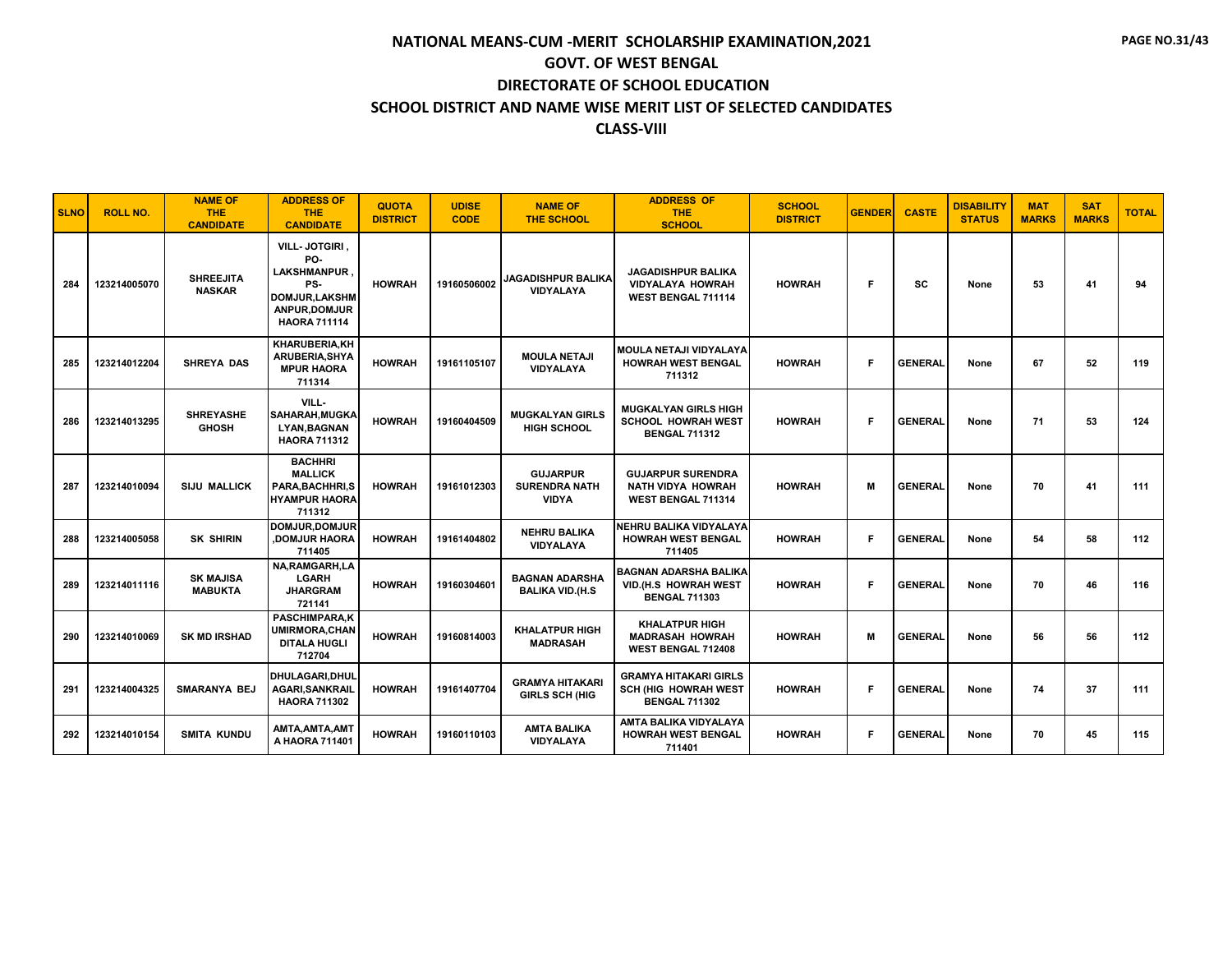| <b>SLNO</b> | <b>ROLL NO.</b> | <b>NAME OF</b><br><b>THE</b><br><b>CANDIDATE</b> | <b>ADDRESS OF</b><br><b>THE</b><br><b>CANDIDATE</b>                                                               | <b>QUOTA</b><br><b>DISTRICT</b> | <b>UDISE</b><br><b>CODE</b> | <b>NAME OF</b><br><b>THE SCHOOL</b>                     | <b>ADDRESS OF</b><br><b>THE</b><br><b>SCHOOL</b>                                    | <b>SCHOOL</b><br><b>DISTRICT</b> | <b>GENDER</b> | <b>CASTE</b>   | <b>DISABILITY</b><br><b>STATUS</b> | <b>MAT</b><br><b>MARKS</b> | <b>SAT</b><br><b>MARKS</b> | <b>TOTAL</b> |
|-------------|-----------------|--------------------------------------------------|-------------------------------------------------------------------------------------------------------------------|---------------------------------|-----------------------------|---------------------------------------------------------|-------------------------------------------------------------------------------------|----------------------------------|---------------|----------------|------------------------------------|----------------------------|----------------------------|--------------|
| 284         | 123214005070    | <b>SHREEJITA</b><br><b>NASKAR</b>                | VILL-JOTGIRI,<br>PO-<br><b>LAKSHMANPUR</b><br>PS-<br><b>DOMJUR,LAKSHM</b><br>ANPUR, DOMJUR<br><b>HAORA 711114</b> | <b>HOWRAH</b>                   | 19160506002                 | <b>JAGADISHPUR BALIKA</b><br>VIDYALAYA                  | <b>JAGADISHPUR BALIKA</b><br><b>VIDYALAYA HOWRAH</b><br>WEST BENGAL 711114          | <b>HOWRAH</b>                    | F.            | SC             | None                               | 53                         | 41                         | 94           |
| 285         | 123214012204    | <b>SHREYA DAS</b>                                | <b>KHARUBERIA.KH</b><br>ARUBERIA, SHYA<br><b>MPUR HAORA</b><br>711314                                             | <b>HOWRAH</b>                   | 19161105107                 | <b>MOULA NETAJI</b><br>VIDYALAYA                        | <b>MOULA NETAJI VIDYALAYA</b><br><b>HOWRAH WEST BENGAL</b><br>711312                | <b>HOWRAH</b>                    | Е             | <b>GENERAL</b> | None                               | 67                         | 52                         | 119          |
| 286         | 123214013295    | <b>SHREYASHE</b><br><b>GHOSH</b>                 | VILL-<br>SAHARAH, MUGKA<br><b>LYAN, BAGNAN</b><br><b>HAORA 711312</b>                                             | <b>HOWRAH</b>                   | 19160404509                 | <b>MUGKALYAN GIRLS</b><br><b>HIGH SCHOOL</b>            | <b>MUGKALYAN GIRLS HIGH</b><br><b>SCHOOL HOWRAH WEST</b><br><b>BENGAL 711312</b>    | <b>HOWRAH</b>                    | Е             | <b>GENERAL</b> | None                               | 71                         | 53                         | 124          |
| 287         | 123214010094    | <b>SIJU MALLICK</b>                              | <b>BACHHRI</b><br><b>MALLICK</b><br>PARA, BACHHRI, S<br><b>HYAMPUR HAORA</b><br>711312                            | <b>HOWRAH</b>                   | 19161012303                 | <b>GUJARPUR</b><br><b>SURENDRA NATH</b><br><b>VIDYA</b> | <b>GUJARPUR SURENDRA</b><br><b>NATH VIDYA HOWRAH</b><br>WEST BENGAL 711314          | <b>HOWRAH</b>                    | M             | <b>GENERAL</b> | None                               | 70                         | 41                         | 111          |
| 288         | 123214005058    | <b>SK SHIRIN</b>                                 | DOMJUR.DOMJUR<br><b>DOMJUR HAORA</b><br>711405                                                                    | <b>HOWRAH</b>                   | 19161404802                 | <b>NEHRU BALIKA</b><br>VIDYALAYA                        | NEHRU BALIKA VIDYALAYA<br><b>HOWRAH WEST BENGAL</b><br>711405                       | <b>HOWRAH</b>                    | F             | <b>GENERAL</b> | None                               | 54                         | 58                         | 112          |
| 289         | 123214011116    | <b>SK MAJISA</b><br><b>MABUKTA</b>               | NA, RAMGARH, LA<br><b>LGARH</b><br><b>JHARGRAM</b><br>721141                                                      | <b>HOWRAH</b>                   | 19160304601                 | <b>BAGNAN ADARSHA</b><br><b>BALIKA VID.(H.S</b>         | <b>BAGNAN ADARSHA BALIKA</b><br>VID.(H.S HOWRAH WEST<br><b>BENGAL 711303</b>        | <b>HOWRAH</b>                    | Е             | <b>GENERAL</b> | None                               | 70                         | 46                         | 116          |
| 290         | 123214010069    | <b>SK MD IRSHAD</b>                              | <b>PASCHIMPARA.K</b><br><b>UMIRMORA, CHAN</b><br><b>DITALA HUGLI</b><br>712704                                    | <b>HOWRAH</b>                   | 19160814003                 | <b>KHALATPUR HIGH</b><br><b>MADRASAH</b>                | <b>KHALATPUR HIGH</b><br><b>MADRASAH HOWRAH</b><br>WEST BENGAL 712408               | <b>HOWRAH</b>                    | М             | <b>GENERAL</b> | None                               | 56                         | 56                         | 112          |
| 291         | 123214004325    | <b>SMARANYA BEJ</b>                              | DHULAGARI, DHUL<br><b>AGARI, SANKRAIL</b><br><b>HAORA 711302</b>                                                  | <b>HOWRAH</b>                   | 19161407704                 | <b>GRAMYA HITAKARI</b><br><b>GIRLS SCH (HIG</b>         | <b>GRAMYA HITAKARI GIRLS</b><br><b>SCH (HIG HOWRAH WEST</b><br><b>BENGAL 711302</b> | <b>HOWRAH</b>                    | Е             | <b>GENERAL</b> | None                               | 74                         | 37                         | 111          |
| 292         | 123214010154    | <b>SMITA KUNDU</b>                               | AMTA, AMTA, AMT<br>A HAORA 711401                                                                                 | <b>HOWRAH</b>                   | 19160110103                 | <b>AMTA BALIKA</b><br>VIDYALAYA                         | AMTA BALIKA VIDYALAYA<br><b>HOWRAH WEST BENGAL</b><br>711401                        | <b>HOWRAH</b>                    | Е             | <b>GENERAL</b> | None                               | 70                         | 45                         | 115          |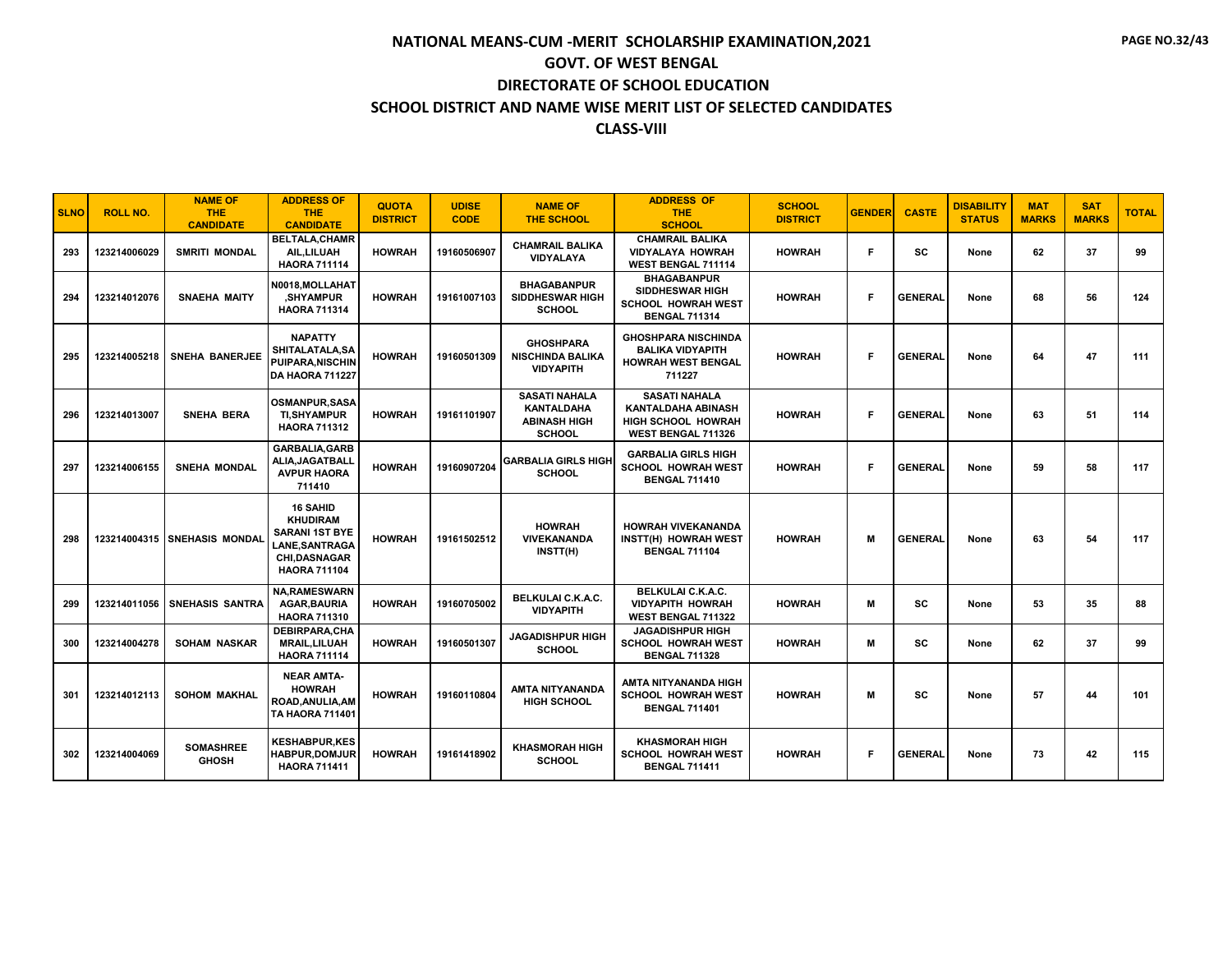| <b>SLNO</b> | <b>ROLL NO.</b> | <b>NAME OF</b><br><b>THE</b><br><b>CANDIDATE</b> | <b>ADDRESS OF</b><br><b>THE</b><br><b>CANDIDATE</b>                                                                               | <b>QUOTA</b><br><b>DISTRICT</b> | <b>UDISE</b><br><b>CODE</b> | <b>NAME OF</b><br><b>THE SCHOOL</b>                                               | <b>ADDRESS OF</b><br><b>THE</b><br><b>SCHOOL</b>                                                     | <b>SCHOOL</b><br><b>DISTRICT</b> | <b>GENDER</b> | <b>CASTE</b>   | <b>DISABILITY</b><br><b>STATUS</b> | <b>MAT</b><br><b>MARKS</b> | <b>SAT</b><br><b>MARKS</b> | <b>TOTAL</b> |
|-------------|-----------------|--------------------------------------------------|-----------------------------------------------------------------------------------------------------------------------------------|---------------------------------|-----------------------------|-----------------------------------------------------------------------------------|------------------------------------------------------------------------------------------------------|----------------------------------|---------------|----------------|------------------------------------|----------------------------|----------------------------|--------------|
| 293         | 123214006029    | <b>SMRITI MONDAL</b>                             | <b>BELTALA, CHAMR</b><br>AIL, LILUAH<br><b>HAORA 711114</b>                                                                       | <b>HOWRAH</b>                   | 19160506907                 | <b>CHAMRAIL BALIKA</b><br><b>VIDYALAYA</b>                                        | <b>CHAMRAIL BALIKA</b><br><b>VIDYALAYA HOWRAH</b><br>WEST BENGAL 711114                              | <b>HOWRAH</b>                    | F             | <b>SC</b>      | None                               | 62                         | 37                         | 99           |
| 294         | 123214012076    | <b>SNAEHA MAITY</b>                              | N0018, MOLLAHAT<br><b>SHYAMPUR</b><br><b>HAORA 711314</b>                                                                         | <b>HOWRAH</b>                   | 19161007103                 | <b>BHAGABANPUR</b><br><b>SIDDHESWAR HIGH</b><br><b>SCHOOL</b>                     | <b>BHAGABANPUR</b><br>SIDDHESWAR HIGH<br><b>SCHOOL HOWRAH WEST</b><br><b>BENGAL 711314</b>           | <b>HOWRAH</b>                    | Е             | <b>GENERAL</b> | None                               | 68                         | 56                         | 124          |
| 295         | 123214005218    | <b>SNEHA BANERJEE</b>                            | <b>NAPATTY</b><br>SHITALATALA, SA<br><b>PUIPARA.NISCHIN</b><br>DA HAORA 711227                                                    | <b>HOWRAH</b>                   | 19160501309                 | <b>GHOSHPARA</b><br><b>NISCHINDA BALIKA</b><br><b>VIDYAPITH</b>                   | <b>GHOSHPARA NISCHINDA</b><br><b>BALIKA VIDYAPITH</b><br><b>HOWRAH WEST BENGAL</b><br>711227         | <b>HOWRAH</b>                    | Е             | <b>GENERAL</b> | None                               | 64                         | 47                         | 111          |
| 296         | 123214013007    | <b>SNEHA BERA</b>                                | <b>OSMANPUR.SASA</b><br><b>TI, SHY AMPUR</b><br><b>HAORA 711312</b>                                                               | <b>HOWRAH</b>                   | 19161101907                 | <b>SASATI NAHALA</b><br><b>KANTALDAHA</b><br><b>ABINASH HIGH</b><br><b>SCHOOL</b> | <b>SASATI NAHALA</b><br><b>KANTALDAHA ABINASH</b><br><b>HIGH SCHOOL HOWRAH</b><br>WEST BENGAL 711326 | <b>HOWRAH</b>                    | Е             | <b>GENERAL</b> | None                               | 63                         | 51                         | 114          |
| 297         | 123214006155    | <b>SNEHA MONDAL</b>                              | <b>GARBALIA, GARB</b><br>ALIA, JAGATBALL<br><b>AVPUR HAORA</b><br>711410                                                          | <b>HOWRAH</b>                   | 19160907204                 | <b>GARBALIA GIRLS HIGH</b><br><b>SCHOOL</b>                                       | <b>GARBALIA GIRLS HIGH</b><br><b>SCHOOL HOWRAH WEST</b><br><b>BENGAL 711410</b>                      | <b>HOWRAH</b>                    | F             | <b>GENERAL</b> | None                               | 59                         | 58                         | 117          |
| 298         | 123214004315    | <b>SNEHASIS MONDAL</b>                           | <b>16 SAHID</b><br><b>KHUDIRAM</b><br><b>SARANI 1ST BYE</b><br><b>LANE.SANTRAGA</b><br><b>CHI,DASNAGAR</b><br><b>HAORA 711104</b> | <b>HOWRAH</b>                   | 19161502512                 | <b>HOWRAH</b><br><b>VIVEKANANDA</b><br>INSTT(H)                                   | <b>HOWRAH VIVEKANANDA</b><br>INSTT(H) HOWRAH WEST<br><b>BENGAL 711104</b>                            | <b>HOWRAH</b>                    | M             | <b>GENERAL</b> | None                               | 63                         | 54                         | 117          |
| 299         | 123214011056    | <b>SNEHASIS SANTRA</b>                           | <b>NA, RAMESWARN</b><br><b>AGAR, BAURIA</b><br><b>HAORA 711310</b>                                                                | <b>HOWRAH</b>                   | 19160705002                 | <b>BELKULAI C.K.A.C.</b><br><b>VIDYAPITH</b>                                      | <b>BELKULAI C.K.A.C.</b><br><b>VIDYAPITH HOWRAH</b><br><b>WEST BENGAL 711322</b>                     | <b>HOWRAH</b>                    | M             | <b>SC</b>      | None                               | 53                         | 35                         | 88           |
| 300         | 123214004278    | <b>SOHAM NASKAR</b>                              | DEBIRPARA, CHA<br><b>MRAIL.LILUAH</b><br><b>HAORA 711114</b>                                                                      | <b>HOWRAH</b>                   | 19160501307                 | <b>JAGADISHPUR HIGH</b><br><b>SCHOOL</b>                                          | <b>JAGADISHPUR HIGH</b><br><b>SCHOOL HOWRAH WEST</b><br><b>BENGAL 711328</b>                         | <b>HOWRAH</b>                    | M             | <b>SC</b>      | None                               | 62                         | 37                         | 99           |
| 301         | 123214012113    | <b>SOHOM MAKHAL</b>                              | <b>NEAR AMTA-</b><br><b>HOWRAH</b><br>ROAD.ANULIA.AM<br>TA HAORA 711401                                                           | <b>HOWRAH</b>                   | 19160110804                 | AMTA NITYANANDA<br><b>HIGH SCHOOL</b>                                             | AMTA NITYANANDA HIGH<br><b>SCHOOL HOWRAH WEST</b><br><b>BENGAL 711401</b>                            | <b>HOWRAH</b>                    | M             | <b>SC</b>      | None                               | 57                         | 44                         | 101          |
| 302         | 123214004069    | <b>SOMASHREE</b><br><b>GHOSH</b>                 | <b>KESHABPUR.KES</b><br><b>HABPUR.DOMJUR</b><br><b>HAORA 711411</b>                                                               | <b>HOWRAH</b>                   | 19161418902                 | <b>KHASMORAH HIGH</b><br><b>SCHOOL</b>                                            | <b>KHASMORAH HIGH</b><br><b>SCHOOL HOWRAH WEST</b><br><b>BENGAL 711411</b>                           | <b>HOWRAH</b>                    | Е             | <b>GENERAL</b> | None                               | 73                         | 42                         | 115          |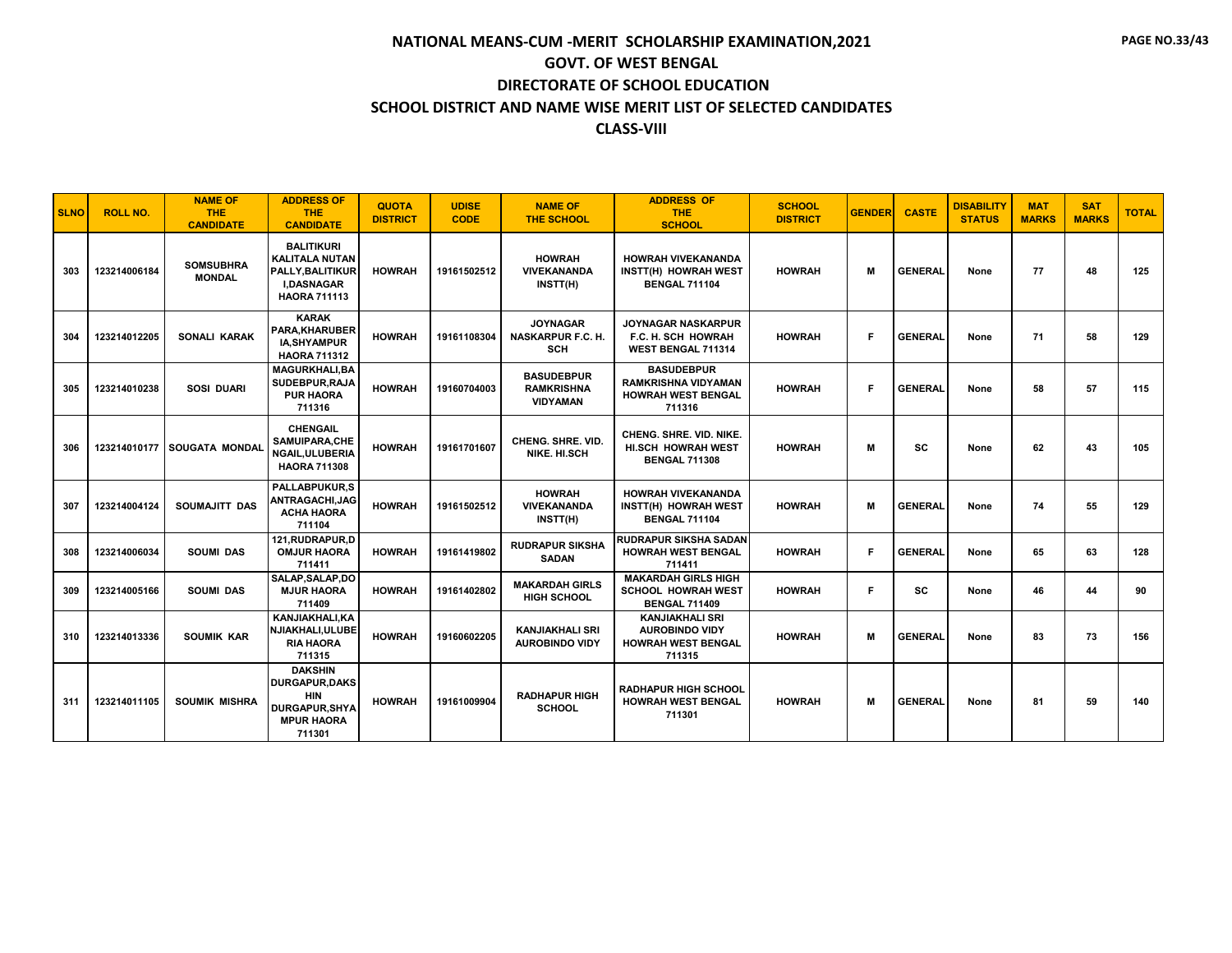| <b>SLNO</b> | <b>ROLL NO.</b> | <b>NAME OF</b><br><b>THE</b><br><b>CANDIDATE</b> | <b>ADDRESS OF</b><br><b>THE</b><br><b>CANDIDATE</b>                                                        | <b>QUOTA</b><br><b>DISTRICT</b> | <b>UDISE</b><br><b>CODE</b> | <b>NAME OF</b><br><b>THE SCHOOL</b>                       | <b>ADDRESS OF</b><br><b>THE</b><br><b>SCHOOL</b>                                       | <b>SCHOOL</b><br><b>DISTRICT</b> | <b>GENDER</b> | <b>CASTE</b>   | <b>DISABILITY</b><br><b>STATUS</b> | <b>MAT</b><br><b>MARKS</b> | <b>SAT</b><br><b>MARKS</b> | <b>TOTAL</b> |
|-------------|-----------------|--------------------------------------------------|------------------------------------------------------------------------------------------------------------|---------------------------------|-----------------------------|-----------------------------------------------------------|----------------------------------------------------------------------------------------|----------------------------------|---------------|----------------|------------------------------------|----------------------------|----------------------------|--------------|
| 303         | 123214006184    | <b>SOMSUBHRA</b><br><b>MONDAL</b>                | <b>BALITIKURI</b><br><b>KALITALA NUTAN</b><br>PALLY, BALITIKUR<br><b>I,DASNAGAR</b><br><b>HAORA 711113</b> | <b>HOWRAH</b>                   | 19161502512                 | <b>HOWRAH</b><br>VIVEKANANDA<br>INSTT(H)                  | <b>HOWRAH VIVEKANANDA</b><br>INSTT(H) HOWRAH WEST<br><b>BENGAL 711104</b>              | <b>HOWRAH</b>                    | M             | <b>GENERAL</b> | None                               | 77                         | 48                         | 125          |
| 304         | 123214012205    | <b>SONALI KARAK</b>                              | <b>KARAK</b><br><b>PARA.KHARUBER</b><br><b>IA.SHYAMPUR</b><br><b>HAORA 711312</b>                          | <b>HOWRAH</b>                   | 19161108304                 | <b>JOYNAGAR</b><br><b>NASKARPUR F.C. H.</b><br><b>SCH</b> | <b>JOYNAGAR NASKARPUR</b><br><b>F.C. H. SCH HOWRAH</b><br><b>WEST BENGAL 711314</b>    | <b>HOWRAH</b>                    | F             | <b>GENERAL</b> | None                               | 71                         | 58                         | 129          |
| 305         | 123214010238    | <b>SOSI DUARI</b>                                | <b>MAGURKHALI.BA</b><br>SUDEBPUR, RAJA<br><b>PUR HAORA</b><br>711316                                       | <b>HOWRAH</b>                   | 19160704003                 | <b>BASUDEBPUR</b><br><b>RAMKRISHNA</b><br><b>VIDYAMAN</b> | <b>BASUDEBPUR</b><br><b>RAMKRISHNA VIDYAMAN</b><br><b>HOWRAH WEST BENGAL</b><br>711316 | <b>HOWRAH</b>                    | F             | <b>GENERAL</b> | None                               | 58                         | 57                         | 115          |
| 306         |                 | 123214010177 SOUGATA MONDAL                      | <b>CHENGAIL</b><br><b>SAMUIPARA,CHE</b><br><b>NGAIL.ULUBERIA</b><br><b>HAORA 711308</b>                    | <b>HOWRAH</b>                   | 19161701607                 | <b>CHENG, SHRE, VID.</b><br><b>NIKE, HI.SCH</b>           | <b>CHENG, SHRE, VID, NIKE,</b><br><b>HI.SCH HOWRAH WEST</b><br><b>BENGAL 711308</b>    | <b>HOWRAH</b>                    | м             | <b>SC</b>      | None                               | 62                         | 43                         | 105          |
| 307         | 123214004124    | SOUMAJITT DAS                                    | <b>PALLABPUKUR.S</b><br>ANTRAGACHI,JAG<br><b>ACHA HAORA</b><br>711104                                      | <b>HOWRAH</b>                   | 19161502512                 | <b>HOWRAH</b><br><b>VIVEKANANDA</b><br>INSTT(H)           | <b>HOWRAH VIVEKANANDA</b><br><b>INSTT(H) HOWRAH WEST</b><br><b>BENGAL 711104</b>       | <b>HOWRAH</b>                    | м             | <b>GENERAL</b> | None                               | 74                         | 55                         | 129          |
| 308         | 123214006034    | <b>SOUMI DAS</b>                                 | 121.RUDRAPUR.D<br><b>OMJUR HAORA</b><br>711411                                                             | <b>HOWRAH</b>                   | 19161419802                 | <b>RUDRAPUR SIKSHA</b><br><b>SADAN</b>                    | <b>RUDRAPUR SIKSHA SADAN</b><br><b>HOWRAH WEST BENGAL</b><br>711411                    | <b>HOWRAH</b>                    | F             | <b>GENERAL</b> | None                               | 65                         | 63                         | 128          |
| 309         | 123214005166    | <b>SOUMI DAS</b>                                 | SALAP.SALAP.DO<br><b>MJUR HAORA</b><br>711409                                                              | <b>HOWRAH</b>                   | 19161402802                 | <b>MAKARDAH GIRLS</b><br><b>HIGH SCHOOL</b>               | <b>MAKARDAH GIRLS HIGH</b><br><b>SCHOOL HOWRAH WEST</b><br><b>BENGAL 711409</b>        | <b>HOWRAH</b>                    | F.            | <b>SC</b>      | None                               | 46                         | 44                         | 90           |
| 310         | 123214013336    | <b>SOUMIK KAR</b>                                | KANJIAKHALI, KA<br>NJIAKHALI, ULUBE<br><b>RIA HAORA</b><br>711315                                          | <b>HOWRAH</b>                   | 19160602205                 | <b>KANJIAKHALI SRI</b><br><b>AUROBINDO VIDY</b>           | <b>KANJIAKHALI SRI</b><br><b>AUROBINDO VIDY</b><br><b>HOWRAH WEST BENGAL</b><br>711315 | <b>HOWRAH</b>                    | M             | <b>GENERAL</b> | None                               | 83                         | 73                         | 156          |
| 311         | 123214011105    | <b>SOUMIK MISHRA</b>                             | <b>DAKSHIN</b><br><b>DURGAPUR, DAKS</b><br><b>HIN</b><br>DURGAPUR, SHYA<br><b>MPUR HAORA</b><br>711301     | <b>HOWRAH</b>                   | 19161009904                 | <b>RADHAPUR HIGH</b><br><b>SCHOOL</b>                     | <b>RADHAPUR HIGH SCHOOL</b><br><b>HOWRAH WEST BENGAL</b><br>711301                     | <b>HOWRAH</b>                    | M             | <b>GENERAL</b> | None                               | 81                         | 59                         | 140          |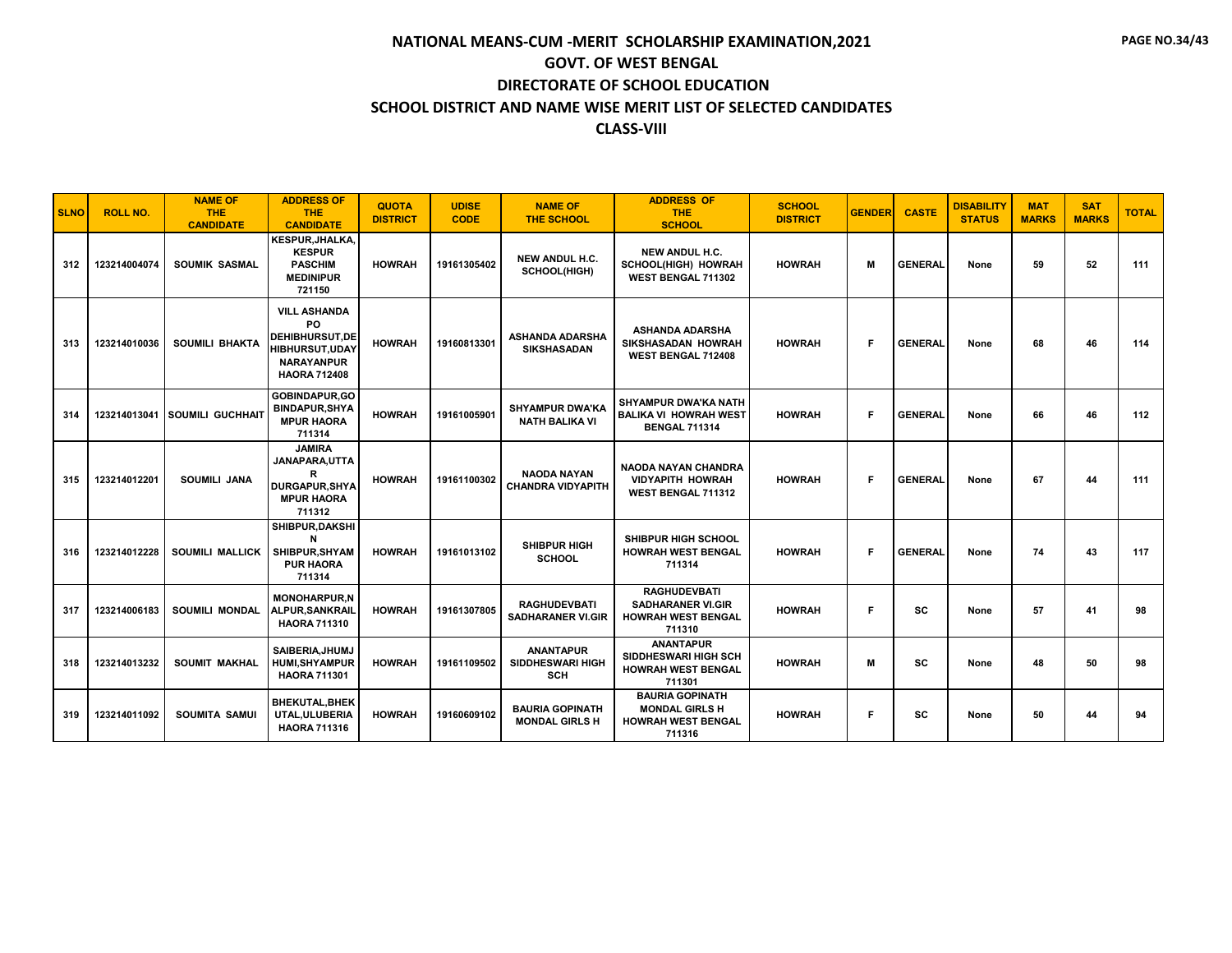| <b>SLNO</b> | <b>ROLL NO.</b> | <b>NAME OF</b><br><b>THE</b><br><b>CANDIDATE</b> | <b>ADDRESS OF</b><br><b>THE</b><br><b>CANDIDATE</b>                                                                      | <b>QUOTA</b><br><b>DISTRICT</b> | <b>UDISE</b><br><b>CODE</b> | <b>NAME OF</b><br><b>THE SCHOOL</b>                       | <b>ADDRESS OF</b><br><b>THE</b><br><b>SCHOOL</b>                                       | <b>SCHOOL</b><br><b>DISTRICT</b> | <b>GENDER</b> | <b>CASTE</b>   | <b>DISABILITY</b><br><b>STATUS</b> | <b>MAT</b><br><b>MARKS</b> | <b>SAT</b><br><b>MARKS</b> | <b>TOTAL</b> |
|-------------|-----------------|--------------------------------------------------|--------------------------------------------------------------------------------------------------------------------------|---------------------------------|-----------------------------|-----------------------------------------------------------|----------------------------------------------------------------------------------------|----------------------------------|---------------|----------------|------------------------------------|----------------------------|----------------------------|--------------|
| 312         | 123214004074    | <b>SOUMIK SASMAL</b>                             | <b>KESPUR.JHALKA.</b><br><b>KESPUR</b><br><b>PASCHIM</b><br><b>MEDINIPUR</b><br>721150                                   | <b>HOWRAH</b>                   | 19161305402                 | NEW ANDUL H.C.<br>SCHOOL(HIGH)                            | NEW ANDUL H.C.<br>SCHOOL(HIGH) HOWRAH<br><b>WEST BENGAL 711302</b>                     | <b>HOWRAH</b>                    | м             | <b>GENERAL</b> | None                               | 59                         | 52                         | 111          |
| 313         | 123214010036    | <b>SOUMILI BHAKTA</b>                            | <b>VILL ASHANDA</b><br>PO<br><b>DEHIBHURSUT,DE</b><br><b>HIBHURSUT, UDAY</b><br><b>NARAYANPUR</b><br><b>HAORA 712408</b> | <b>HOWRAH</b>                   | 19160813301                 | <b>ASHANDA ADARSHA</b><br><b>SIKSHASADAN</b>              | <b>ASHANDA ADARSHA</b><br>SIKSHASADAN HOWRAH<br><b>WEST BENGAL 712408</b>              | <b>HOWRAH</b>                    | F             | <b>GENERAL</b> | None                               | 68                         | 46                         | 114          |
| 314         | 123214013041    | <b>SOUMILI GUCHHAIT</b>                          | <b>GOBINDAPUR.GO</b><br><b>BINDAPUR.SHYA</b><br><b>MPUR HAORA</b><br>711314                                              | <b>HOWRAH</b>                   | 19161005901                 | <b>SHYAMPUR DWA'KA</b><br><b>NATH BALIKA VI</b>           | <b>SHYAMPUR DWA'KA NATH</b><br><b>BALIKA VI HOWRAH WEST</b><br><b>BENGAL 711314</b>    | <b>HOWRAH</b>                    | F             | <b>GENERAL</b> | None                               | 66                         | 46                         | 112          |
| 315         | 123214012201    | <b>SOUMILI JANA</b>                              | <b>JAMIRA</b><br>JANAPARA, UTTA<br>R<br><b>DURGAPUR.SHYA</b><br><b>MPUR HAORA</b><br>711312                              | <b>HOWRAH</b>                   | 19161100302                 | <b>NAODA NAYAN</b><br><b>CHANDRA VIDYAPITH</b>            | <b>NAODA NAYAN CHANDRA</b><br><b>VIDYAPITH HOWRAH</b><br><b>WEST BENGAL 711312</b>     | <b>HOWRAH</b>                    | F.            | <b>GENERAL</b> | None                               | 67                         | 44                         | 111          |
| 316         | 123214012228    | <b>SOUMILI MALLICK</b>                           | SHIBPUR, DAKSHI<br>SHIBPUR, SHYAM<br><b>PUR HAORA</b><br>711314                                                          | <b>HOWRAH</b>                   | 19161013102                 | SHIBPUR HIGH<br><b>SCHOOL</b>                             | SHIBPUR HIGH SCHOOL<br><b>HOWRAH WEST BENGAL</b><br>711314                             | <b>HOWRAH</b>                    | F             | <b>GENERAL</b> | None                               | 74                         | 43                         | 117          |
| 317         | 123214006183    | <b>SOUMILI MONDAL</b>                            | <b>MONOHARPUR,N</b><br><b>ALPUR, SANKRAIL</b><br><b>HAORA 711310</b>                                                     | <b>HOWRAH</b>                   | 19161307805                 | <b>RAGHUDEVBATI</b><br><b>SADHARANER VI.GIR</b>           | <b>RAGHUDEVBATI</b><br><b>SADHARANER VI.GIR</b><br><b>HOWRAH WEST BENGAL</b><br>711310 | <b>HOWRAH</b>                    | F             | <b>SC</b>      | None                               | 57                         | 41                         | 98           |
| 318         | 123214013232    | <b>SOUMIT MAKHAL</b>                             | SAIBERIA, JHUMJ<br><b>HUMI, SHYAMPUR</b><br><b>HAORA 711301</b>                                                          | <b>HOWRAH</b>                   | 19161109502                 | <b>ANANTAPUR</b><br><b>SIDDHESWARI HIGH</b><br><b>SCH</b> | <b>ANANTAPUR</b><br><b>SIDDHESWARI HIGH SCH</b><br><b>HOWRAH WEST BENGAL</b><br>711301 | <b>HOWRAH</b>                    | м             | <b>SC</b>      | None                               | 48                         | 50                         | 98           |
| 319         | 123214011092    | <b>SOUMITA SAMUI</b>                             | <b>BHEKUTAL, BHEK</b><br>UTAL, ULUBERIA<br><b>HAORA 711316</b>                                                           | <b>HOWRAH</b>                   | 19160609102                 | <b>BAURIA GOPINATH</b><br><b>MONDAL GIRLS H</b>           | <b>BAURIA GOPINATH</b><br><b>MONDAL GIRLS H</b><br><b>HOWRAH WEST BENGAL</b><br>711316 | <b>HOWRAH</b>                    | F             | <b>SC</b>      | None                               | 50                         | 44                         | 94           |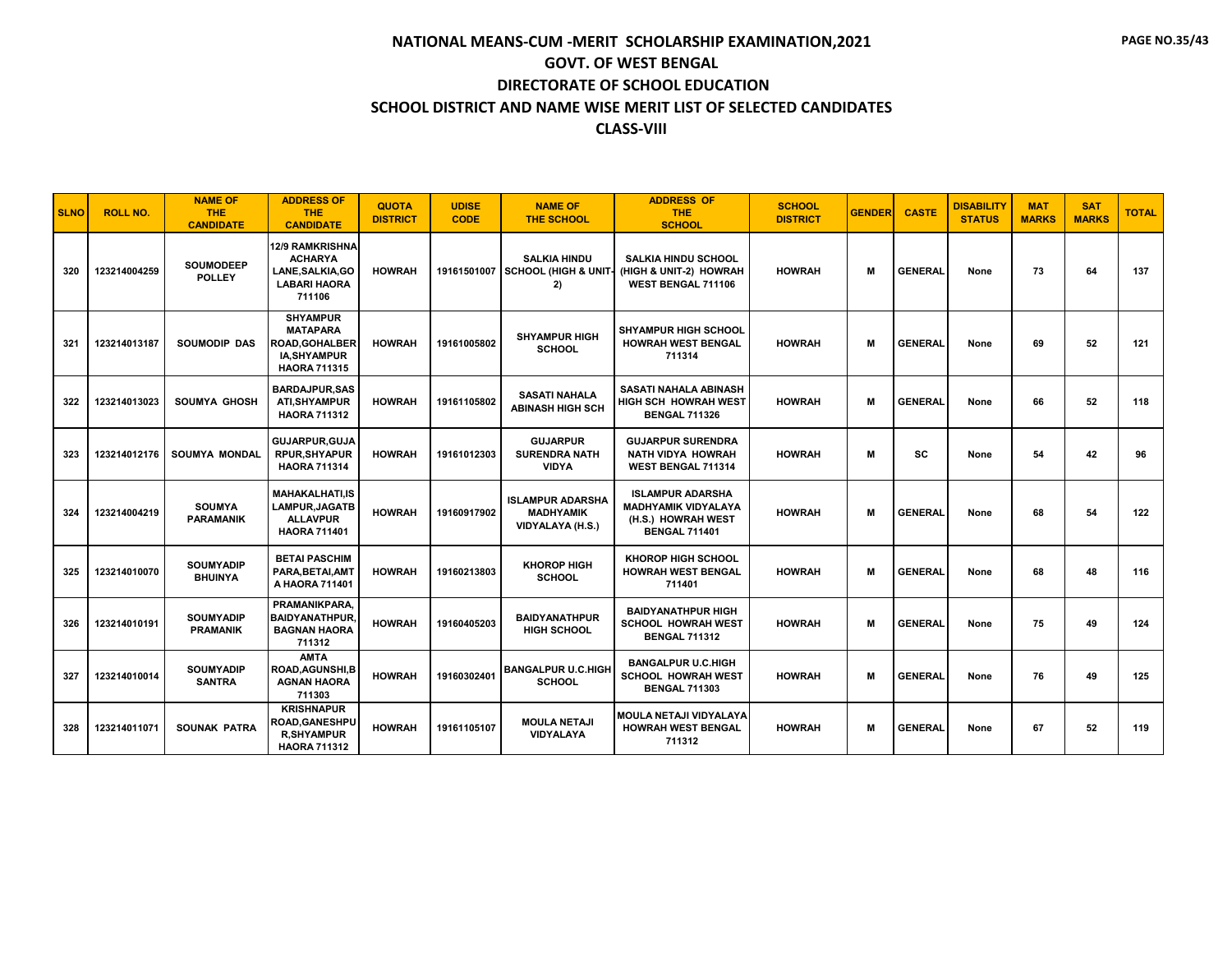| <b>SLNO</b> | <b>ROLL NO.</b> | <b>NAME OF</b><br><b>THE</b><br><b>CANDIDATE</b> | <b>ADDRESS OF</b><br><b>THE</b><br><b>CANDIDATE</b>                                                 | <b>QUOTA</b><br><b>DISTRICT</b> | <b>UDISE</b><br><b>CODE</b> | <b>NAME OF</b><br><b>THE SCHOOL</b>                             | <b>ADDRESS OF</b><br><b>THE</b><br><b>SCHOOL</b>                                                    | <b>SCHOOL</b><br><b>DISTRICT</b> | <b>GENDER</b> | <b>CASTE</b>   | <b>DISABILITY</b><br><b>STATUS</b> | <b>MAT</b><br><b>MARKS</b> | <b>SAT</b><br><b>MARKS</b> | <b>TOTAL</b> |
|-------------|-----------------|--------------------------------------------------|-----------------------------------------------------------------------------------------------------|---------------------------------|-----------------------------|-----------------------------------------------------------------|-----------------------------------------------------------------------------------------------------|----------------------------------|---------------|----------------|------------------------------------|----------------------------|----------------------------|--------------|
| 320         | 123214004259    | <b>SOUMODEEP</b><br><b>POLLEY</b>                | 12/9 RAMKRISHNA<br><b>ACHARYA</b><br>LANE, SALKIA, GO<br><b>LABARI HAORA</b><br>711106              | <b>HOWRAH</b>                   |                             | <b>SALKIA HINDU</b><br>19161501007 SCHOOL (HIGH & UNIT-<br>2)   | <b>SALKIA HINDU SCHOOL</b><br>(HIGH & UNIT-2) HOWRAH<br>WEST BENGAL 711106                          | <b>HOWRAH</b>                    | м             | <b>GENERAL</b> | None                               | 73                         | 64                         | 137          |
| 321         | 123214013187    | SOUMODIP DAS                                     | <b>SHYAMPUR</b><br><b>MATAPARA</b><br><b>ROAD, GOHALBER</b><br>IA, SHY AMPUR<br><b>HAORA 711315</b> | <b>HOWRAH</b>                   | 19161005802                 | <b>SHYAMPUR HIGH</b><br><b>SCHOOL</b>                           | <b>SHYAMPUR HIGH SCHOOL</b><br><b>HOWRAH WEST BENGAL</b><br>711314                                  | <b>HOWRAH</b>                    | м             | <b>GENERAL</b> | None                               | 69                         | 52                         | 121          |
| 322         | 123214013023    | <b>SOUMYA GHOSH</b>                              | <b>BARDAJPUR.SAS</b><br><b>ATI, SHYAMPUR</b><br><b>HAORA 711312</b>                                 | <b>HOWRAH</b>                   | 19161105802                 | <b>SASATI NAHALA</b><br>ABINASH HIGH SCH                        | <b>SASATI NAHALA ABINASH</b><br>HIGH SCH HOWRAH WEST<br><b>BENGAL 711326</b>                        | <b>HOWRAH</b>                    | м             | <b>GENERAL</b> | None                               | 66                         | 52                         | 118          |
| 323         | 123214012176    | <b>SOUMYA MONDAL</b>                             | <b>GUJARPUR.GUJA</b><br><b>RPUR, SHYAPUR</b><br><b>HAORA 711314</b>                                 | <b>HOWRAH</b>                   | 19161012303                 | <b>GUJARPUR</b><br><b>SURENDRA NATH</b><br><b>VIDYA</b>         | <b>GUJARPUR SURENDRA</b><br><b>NATH VIDYA HOWRAH</b><br>WEST BENGAL 711314                          | <b>HOWRAH</b>                    | м             | <b>SC</b>      | None                               | 54                         | 42                         | 96           |
| 324         | 123214004219    | <b>SOUMYA</b><br><b>PARAMANIK</b>                | <b>MAHAKALHATI.IS</b><br>LAMPUR, JAGATB<br><b>ALLAVPUR</b><br><b>HAORA 711401</b>                   | <b>HOWRAH</b>                   | 19160917902                 | <b>ISLAMPUR ADARSHA</b><br><b>MADHYAMIK</b><br>VIDYALAYA (H.S.) | <b>ISLAMPUR ADARSHA</b><br><b>MADHYAMIK VIDYALAYA</b><br>(H.S.) HOWRAH WEST<br><b>BENGAL 711401</b> | <b>HOWRAH</b>                    | м             | <b>GENERAL</b> | None                               | 68                         | 54                         | 122          |
| 325         | 123214010070    | <b>SOUMYADIP</b><br><b>BHUINYA</b>               | <b>BETAI PASCHIM</b><br>PARA, BETAI, AMT<br>A HAORA 711401                                          | <b>HOWRAH</b>                   | 19160213803                 | <b>KHOROP HIGH</b><br><b>SCHOOL</b>                             | <b>KHOROP HIGH SCHOOL</b><br><b>HOWRAH WEST BENGAL</b><br>711401                                    | <b>HOWRAH</b>                    | м             | <b>GENERAL</b> | None                               | 68                         | 48                         | 116          |
| 326         | 123214010191    | <b>SOUMYADIP</b><br><b>PRAMANIK</b>              | PRAMANIKPARA.<br><b>BAIDYANATHPUR,</b><br><b>BAGNAN HAORA</b><br>711312                             | <b>HOWRAH</b>                   | 19160405203                 | <b>BAIDYANATHPUR</b><br><b>HIGH SCHOOL</b>                      | <b>BAIDYANATHPUR HIGH</b><br><b>SCHOOL HOWRAH WEST</b><br><b>BENGAL 711312</b>                      | <b>HOWRAH</b>                    | м             | <b>GENERAL</b> | None                               | 75                         | 49                         | 124          |
| 327         | 123214010014    | <b>SOUMYADIP</b><br><b>SANTRA</b>                | <b>AMTA</b><br>ROAD, AGUNSHI, B<br><b>AGNAN HAORA</b><br>711303                                     | <b>HOWRAH</b>                   | 19160302401                 | <b>BANGALPUR U.C.HIGH</b><br><b>SCHOOL</b>                      | <b>BANGALPUR U.C.HIGH</b><br><b>SCHOOL HOWRAH WEST</b><br><b>BENGAL 711303</b>                      | <b>HOWRAH</b>                    | м             | <b>GENERAL</b> | None                               | 76                         | 49                         | 125          |
| 328         | 123214011071    | <b>SOUNAK PATRA</b>                              | <b>KRISHNAPUR</b><br><b>ROAD,GANESHPU</b><br><b>R,SHYAMPUR</b><br><b>HAORA 711312</b>               | <b>HOWRAH</b>                   | 19161105107                 | <b>MOULA NETAJI</b><br>VIDYALAYA                                | MOULA NETAJI VIDYALAYA<br><b>HOWRAH WEST BENGAL</b><br>711312                                       | <b>HOWRAH</b>                    | м             | <b>GENERAL</b> | None                               | 67                         | 52                         | 119          |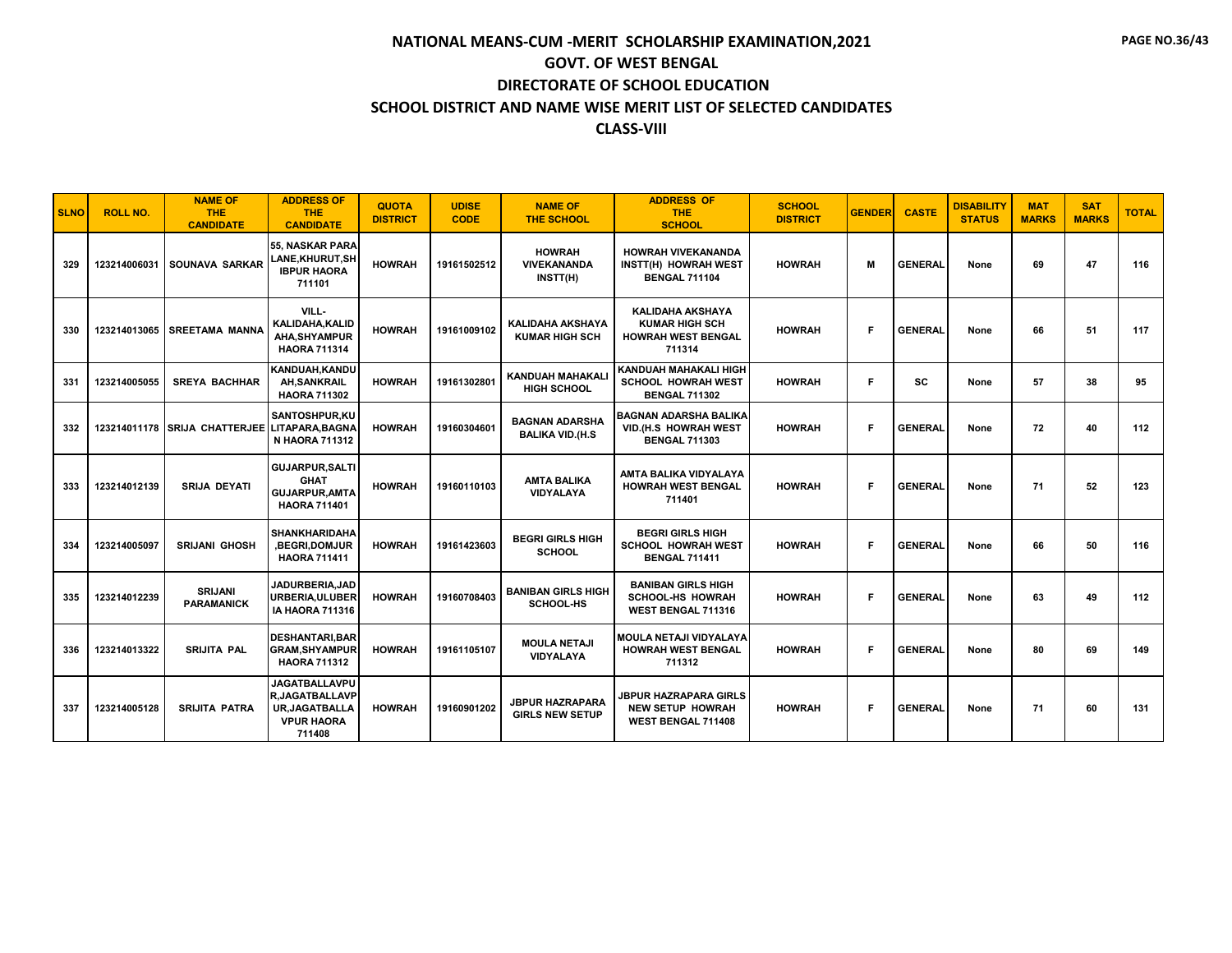| <b>SLNO</b> | <b>ROLL NO.</b> | <b>NAME OF</b><br><b>THE</b><br><b>CANDIDATE</b> | <b>ADDRESS OF</b><br><b>THE</b><br><b>CANDIDATE</b>                                                  | <b>QUOTA</b><br><b>DISTRICT</b> | <b>UDISE</b><br><b>CODE</b> | <b>NAME OF</b><br><b>THE SCHOOL</b>              | <b>ADDRESS OF</b><br><b>THE</b><br><b>SCHOOL</b>                                        | <b>SCHOOL</b><br><b>DISTRICT</b> | <b>GENDER</b> | <b>CASTE</b>   | <b>DISABILITY</b><br><b>STATUS</b> | <b>MAT</b><br><b>MARKS</b> | <b>SAT</b><br><b>MARKS</b> | <b>TOTAL</b> |
|-------------|-----------------|--------------------------------------------------|------------------------------------------------------------------------------------------------------|---------------------------------|-----------------------------|--------------------------------------------------|-----------------------------------------------------------------------------------------|----------------------------------|---------------|----------------|------------------------------------|----------------------------|----------------------------|--------------|
| 329         | 123214006031    | SOUNAVA SARKAR                                   | <b>55. NASKAR PARA</b><br><b>LANE,KHURUT,SH</b><br><b>IBPUR HAORA</b><br>711101                      | <b>HOWRAH</b>                   | 19161502512                 | <b>HOWRAH</b><br><b>VIVEKANANDA</b><br>INSTT(H)  | <b>HOWRAH VIVEKANANDA</b><br>INSTT(H) HOWRAH WEST<br><b>BENGAL 711104</b>               | <b>HOWRAH</b>                    | м             | <b>GENERAL</b> | None                               | 69                         | 47                         | 116          |
| 330         | 123214013065    | <b>SREETAMA MANNA</b>                            | VILL-<br>KALIDAHA, KALID<br>AHA.SHYAMPUR<br><b>HAORA 711314</b>                                      | <b>HOWRAH</b>                   | 19161009102                 | <b>KALIDAHA AKSHAYA</b><br><b>KUMAR HIGH SCH</b> | <b>KALIDAHA AKSHAYA</b><br><b>KUMAR HIGH SCH</b><br><b>HOWRAH WEST BENGAL</b><br>711314 | <b>HOWRAH</b>                    | F             | <b>GENERAL</b> | None                               | 66                         | 51                         | 117          |
| 331         | 123214005055    | <b>SREYA BACHHAR</b>                             | KANDUAH, KANDU<br><b>AH, SANKRAIL</b><br><b>HAORA 711302</b>                                         | <b>HOWRAH</b>                   | 19161302801                 | <b>KANDUAH MAHAKALI</b><br><b>HIGH SCHOOL</b>    | KANDUAH MAHAKALI HIGH<br><b>SCHOOL HOWRAH WEST</b><br><b>BENGAL 711302</b>              | <b>HOWRAH</b>                    | F             | <b>SC</b>      | None                               | 57                         | 38                         | 95           |
| 332         |                 | 123214011178 SRIJA CHATTERJEE LITAPARA.BAGNA     | SANTOSHPUR.KU<br><b>N HAORA 711312</b>                                                               | <b>HOWRAH</b>                   | 19160304601                 | <b>BAGNAN ADARSHA</b><br><b>BALIKA VID.(H.S</b>  | BAGNAN ADARSHA BALIKA<br>VID.(H.S HOWRAH WEST<br><b>BENGAL 711303</b>                   | <b>HOWRAH</b>                    | Е             | <b>GENERAL</b> | None                               | 72                         | 40                         | 112          |
| 333         | 123214012139    | <b>SRIJA DEYATI</b>                              | <b>GUJARPUR, SALTI</b><br><b>GHAT</b><br><b>GUJARPUR, AMTA</b><br><b>HAORA 711401</b>                | <b>HOWRAH</b>                   | 19160110103                 | <b>AMTA BALIKA</b><br><b>VIDYALAYA</b>           | AMTA BALIKA VIDYALAYA<br><b>HOWRAH WEST BENGAL</b><br>711401                            | <b>HOWRAH</b>                    | Е             | <b>GENERAL</b> | None                               | 71                         | 52                         | 123          |
| 334         | 123214005097    | <b>SRIJANI GHOSH</b>                             | <b>SHANKHARIDAHA</b><br><b>BEGRI,DOMJUR</b><br><b>HAORA 711411</b>                                   | <b>HOWRAH</b>                   | 19161423603                 | <b>BEGRI GIRLS HIGH</b><br><b>SCHOOL</b>         | <b>BEGRI GIRLS HIGH</b><br><b>SCHOOL HOWRAH WEST</b><br><b>BENGAL 711411</b>            | <b>HOWRAH</b>                    | Е             | <b>GENERAL</b> | None                               | 66                         | 50                         | 116          |
| 335         | 123214012239    | <b>SRIJANI</b><br><b>PARAMANICK</b>              | JADURBERIA.JAD<br>URBERIA.ULUBER<br><b>IA HAORA 711316</b>                                           | <b>HOWRAH</b>                   | 19160708403                 | <b>BANIBAN GIRLS HIGH</b><br><b>SCHOOL-HS</b>    | <b>BANIBAN GIRLS HIGH</b><br><b>SCHOOL-HS HOWRAH</b><br>WEST BENGAL 711316              | <b>HOWRAH</b>                    | F             | <b>GENERAL</b> | None                               | 63                         | 49                         | 112          |
| 336         | 123214013322    | <b>SRIJITA PAL</b>                               | <b>DESHANTARI, BAR</b><br><b>GRAM, SHYAMPUR</b><br><b>HAORA 711312</b>                               | <b>HOWRAH</b>                   | 19161105107                 | <b>MOULA NETAJI</b><br>VIDYALAYA                 | MOULA NETAJI VIDYALAYA<br><b>HOWRAH WEST BENGAL</b><br>711312                           | <b>HOWRAH</b>                    | Е             | <b>GENERAL</b> | None                               | 80                         | 69                         | 149          |
| 337         | 123214005128    | <b>SRIJITA PATRA</b>                             | <b>JAGATBALLAVPU</b><br><b>R.JAGATBALLAVP</b><br><b>UR.JAGATBALLA</b><br><b>VPUR HAORA</b><br>711408 | <b>HOWRAH</b>                   | 19160901202                 | <b>JBPUR HAZRAPARA</b><br><b>GIRLS NEW SETUP</b> | <b>JBPUR HAZRAPARA GIRLS</b><br><b>NEW SETUP HOWRAH</b><br>WEST BENGAL 711408           | <b>HOWRAH</b>                    | F             | <b>GENERAL</b> | None                               | 71                         | 60                         | 131          |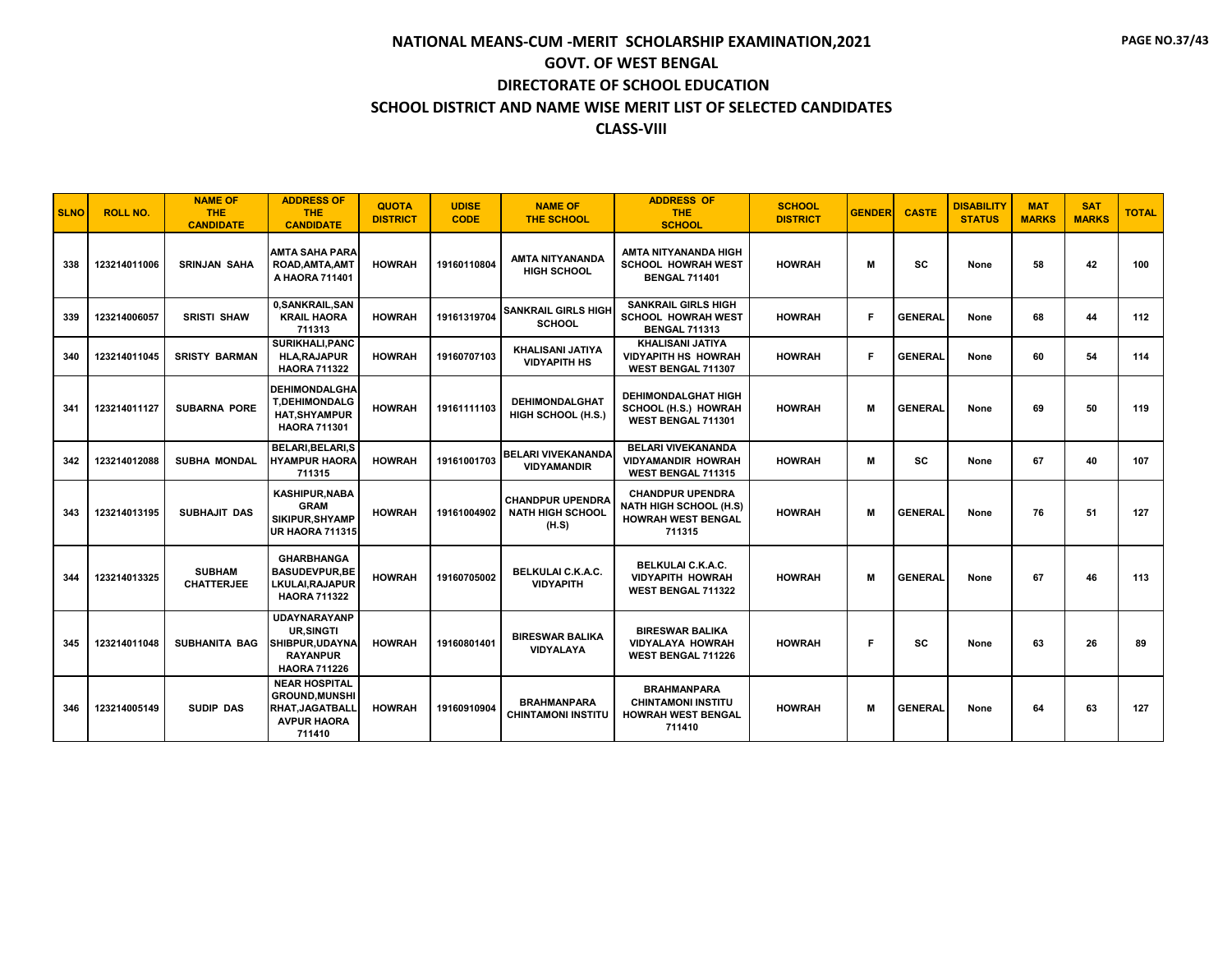| <b>SLNO</b> | <b>ROLL NO.</b> | <b>NAME OF</b><br><b>THE</b><br><b>CANDIDATE</b> | <b>ADDRESS OF</b><br><b>THE</b><br><b>CANDIDATE</b>                                                     | <b>QUOTA</b><br><b>DISTRICT</b> | <b>UDISE</b><br><b>CODE</b> | <b>NAME OF</b><br><b>THE SCHOOL</b>                         | <b>ADDRESS OF</b><br><b>THE</b><br><b>SCHOOL</b>                                                | <b>SCHOOL</b><br><b>DISTRICT</b> | <b>GENDER</b> | <b>CASTE</b>   | <b>DISABILITY</b><br><b>STATUS</b> | <b>MAT</b><br><b>MARKS</b> | <b>SAT</b><br><b>MARKS</b> | <b>TOTAL</b> |
|-------------|-----------------|--------------------------------------------------|---------------------------------------------------------------------------------------------------------|---------------------------------|-----------------------------|-------------------------------------------------------------|-------------------------------------------------------------------------------------------------|----------------------------------|---------------|----------------|------------------------------------|----------------------------|----------------------------|--------------|
| 338         | 123214011006    | <b>SRINJAN SAHA</b>                              | <b>AMTA SAHA PARA</b><br>ROAD, AMTA, AMT<br>A HAORA 711401                                              | <b>HOWRAH</b>                   | 19160110804                 | AMTA NITYANANDA<br><b>HIGH SCHOOL</b>                       | AMTA NITYANANDA HIGH<br><b>SCHOOL HOWRAH WEST</b><br><b>BENGAL 711401</b>                       | <b>HOWRAH</b>                    | м             | <b>SC</b>      | None                               | 58                         | 42                         | 100          |
| 339         | 123214006057    | <b>SRISTI SHAW</b>                               | 0, SANKRAIL, SAN<br><b>KRAIL HAORA</b><br>711313                                                        | <b>HOWRAH</b>                   | 19161319704                 | <b>SANKRAIL GIRLS HIGH</b><br><b>SCHOOL</b>                 | <b>SANKRAIL GIRLS HIGH</b><br><b>SCHOOL HOWRAH WEST</b><br><b>BENGAL 711313</b>                 | <b>HOWRAH</b>                    | F.            | <b>GENERAL</b> | None                               | 68                         | 44                         | 112          |
| 340         | 123214011045    | <b>SRISTY BARMAN</b>                             | SURIKHALI, PANC<br><b>HLA, RAJAPUR</b><br><b>HAORA 711322</b>                                           | <b>HOWRAH</b>                   | 19160707103                 | <b>KHALISANI JATIYA</b><br><b>VIDYAPITH HS</b>              | <b>KHALISANI JATIYA</b><br><b>VIDYAPITH HS HOWRAH</b><br>WEST BENGAL 711307                     | <b>HOWRAH</b>                    | Е             | <b>GENERAL</b> | None                               | 60                         | 54                         | 114          |
| 341         | 123214011127    | <b>SUBARNA PORE</b>                              | <b>I DEHIMONDALGHA</b><br><b>T,DEHIMONDALG</b><br><b>HAT.SHYAMPUR</b><br><b>HAORA 711301</b>            | <b>HOWRAH</b>                   | 19161111103                 | <b>DEHIMONDALGHAT</b><br>HIGH SCHOOL (H.S.)                 | <b>DEHIMONDALGHAT HIGH</b><br>SCHOOL (H.S.) HOWRAH<br>WEST BENGAL 711301                        | <b>HOWRAH</b>                    | M             | <b>GENERAL</b> | None                               | 69                         | 50                         | 119          |
| 342         | 123214012088    | SUBHA MONDAL                                     | BELARI, BELARI, S<br><b>HYAMPUR HAORA</b><br>711315                                                     | <b>HOWRAH</b>                   | 19161001703                 | <b>BELARI VIVEKANANDA</b><br><b>VIDYAMANDIR</b>             | <b>BELARI VIVEKANANDA</b><br><b>VIDYAMANDIR HOWRAH</b><br>WEST BENGAL 711315                    | <b>HOWRAH</b>                    | м             | <b>SC</b>      | None                               | 67                         | 40                         | 107          |
| 343         | 123214013195    | <b>SUBHAJIT DAS</b>                              | <b>KASHIPUR, NABA</b><br><b>GRAM</b><br>SIKIPUR.SHYAMP<br>UR HAORA 711315                               | <b>HOWRAH</b>                   | 19161004902                 | <b>CHANDPUR UPENDRA</b><br><b>NATH HIGH SCHOOL</b><br>(H.S) | <b>CHANDPUR UPENDRA</b><br><b>NATH HIGH SCHOOL (H.S)</b><br><b>HOWRAH WEST BENGAL</b><br>711315 | <b>HOWRAH</b>                    | м             | <b>GENERAL</b> | None                               | 76                         | 51                         | 127          |
| 344         | 123214013325    | <b>SUBHAM</b><br><b>CHATTERJEE</b>               | <b>GHARBHANGA</b><br><b>BASUDEVPUR,BE</b><br>LKULAI, RAJAPUR<br><b>HAORA 711322</b>                     | <b>HOWRAH</b>                   | 19160705002                 | BELKULAI C.K.A.C.<br><b>VIDYAPITH</b>                       | BELKULAI C.K.A.C.<br><b>VIDYAPITH HOWRAH</b><br><b>WEST BENGAL 711322</b>                       | <b>HOWRAH</b>                    | м             | <b>GENERAL</b> | None                               | 67                         | 46                         | 113          |
| 345         | 123214011048    | <b>SUBHANITA BAG</b>                             | <b>UDAYNARAYANP</b><br><b>UR.SINGTI</b><br>SHIBPUR.UDAYNA<br><b>RAYANPUR</b><br><b>HAORA 711226</b>     | <b>HOWRAH</b>                   | 19160801401                 | <b>BIRESWAR BALIKA</b><br><b>VIDYALAYA</b>                  | <b>BIRESWAR BALIKA</b><br><b>VIDYALAYA HOWRAH</b><br><b>WEST BENGAL 711226</b>                  | <b>HOWRAH</b>                    | Е             | SC             | None                               | 63                         | 26                         | 89           |
| 346         | 123214005149    | <b>SUDIP DAS</b>                                 | <b>NEAR HOSPITAL</b><br><b>GROUND, MUNSHI</b><br><b>RHAT, JAGATBALL</b><br><b>AVPUR HAORA</b><br>711410 | <b>HOWRAH</b>                   | 19160910904                 | <b>BRAHMANPARA</b><br><b>CHINTAMONI INSTITU</b>             | <b>BRAHMANPARA</b><br><b>CHINTAMONI INSTITU</b><br><b>HOWRAH WEST BENGAL</b><br>711410          | <b>HOWRAH</b>                    | M             | <b>GENERAL</b> | None                               | 64                         | 63                         | 127          |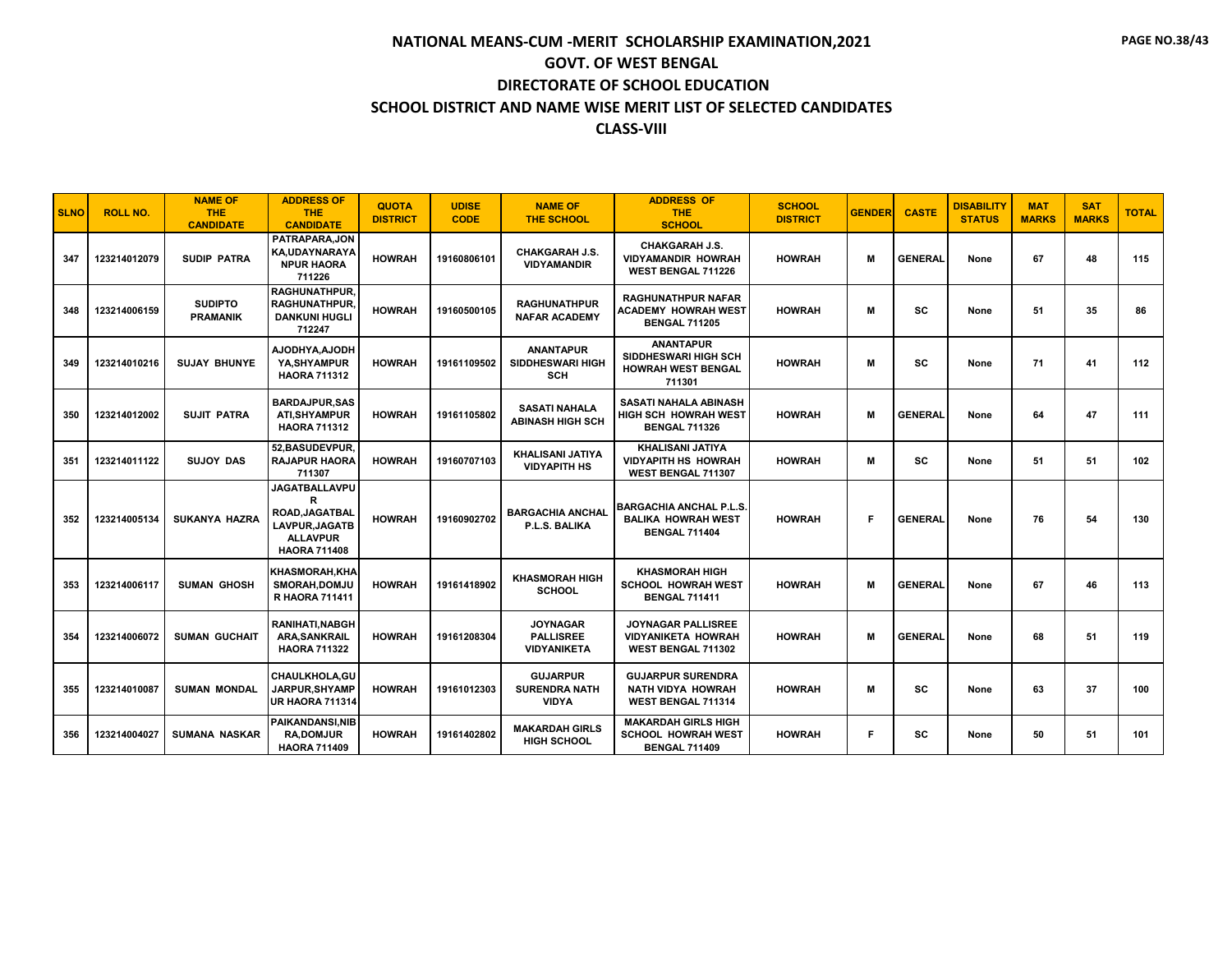| <b>SLNO</b> | <b>ROLL NO.</b> | <b>NAME OF</b><br><b>THE</b><br><b>CANDIDATE</b> | <b>ADDRESS OF</b><br><b>THE</b><br><b>CANDIDATE</b>                                                     | <b>QUOTA</b><br><b>DISTRICT</b> | <b>UDISE</b><br><b>CODE</b> | <b>NAME OF</b><br><b>THE SCHOOL</b>                       | <b>ADDRESS OF</b><br><b>THE</b><br><b>SCHOOL</b>                                    | <b>SCHOOL</b><br><b>DISTRICT</b> | <b>GENDER</b> | <b>CASTE</b>   | <b>DISABILITY</b><br><b>STATUS</b> | <b>MAT</b><br><b>MARKS</b> | <b>SAT</b><br><b>MARKS</b> | <b>TOTAL</b> |
|-------------|-----------------|--------------------------------------------------|---------------------------------------------------------------------------------------------------------|---------------------------------|-----------------------------|-----------------------------------------------------------|-------------------------------------------------------------------------------------|----------------------------------|---------------|----------------|------------------------------------|----------------------------|----------------------------|--------------|
| 347         | 123214012079    | <b>SUDIP PATRA</b>                               | PATRAPARA.JON<br>KA,UDAYNARAYA<br><b>NPUR HAORA</b><br>711226                                           | <b>HOWRAH</b>                   | 19160806101                 | <b>CHAKGARAH J.S.</b><br><b>VIDYAMANDIR</b>               | <b>CHAKGARAH J.S.</b><br><b>VIDYAMANDIR HOWRAH</b><br><b>WEST BENGAL 711226</b>     | <b>HOWRAH</b>                    | м             | <b>GENERAL</b> | None                               | 67                         | 48                         | 115          |
| 348         | 123214006159    | <b>SUDIPTO</b><br><b>PRAMANIK</b>                | <b>RAGHUNATHPUR.</b><br><b>RAGHUNATHPUR.</b><br><b>DANKUNI HUGLI</b><br>712247                          | <b>HOWRAH</b>                   | 19160500105                 | <b>RAGHUNATHPUR</b><br><b>NAFAR ACADEMY</b>               | RAGHUNATHPUR NAFAR<br>ACADEMY HOWRAH WEST<br><b>BENGAL 711205</b>                   | <b>HOWRAH</b>                    | м             | <b>SC</b>      | None                               | 51                         | 35                         | 86           |
| 349         | 123214010216    | <b>SUJAY BHUNYE</b>                              | AJODHYA.AJODH<br>YA, SHYAMPUR<br><b>HAORA 711312</b>                                                    | <b>HOWRAH</b>                   | 19161109502                 | <b>ANANTAPUR</b><br><b>SIDDHESWARI HIGH</b><br><b>SCH</b> | <b>ANANTAPUR</b><br>SIDDHESWARI HIGH SCH<br><b>HOWRAH WEST BENGAL</b><br>711301     | <b>HOWRAH</b>                    | м             | SC             | None                               | 71                         | 41                         | 112          |
| 350         | 123214012002    | <b>SUJIT PATRA</b>                               | <b>BARDAJPUR, SAS</b><br><b>ATI, SHYAMPUR</b><br><b>HAORA 711312</b>                                    | <b>HOWRAH</b>                   | 19161105802                 | <b>SASATI NAHALA</b><br><b>ABINASH HIGH SCH</b>           | SASATI NAHALA ABINASH<br>HIGH SCH HOWRAH WEST<br><b>BENGAL 711326</b>               | <b>HOWRAH</b>                    | м             | <b>GENERAL</b> | None                               | 64                         | 47                         | 111          |
| 351         | 123214011122    | <b>SUJOY DAS</b>                                 | 52, BASUDEVPUR,<br><b>RAJAPUR HAORA</b><br>711307                                                       | <b>HOWRAH</b>                   | 19160707103                 | KHALISANI JATIYA<br><b>VIDYAPITH HS</b>                   | <b>KHALISANI JATIYA</b><br><b>VIDYAPITH HS HOWRAH</b><br>WEST BENGAL 711307         | <b>HOWRAH</b>                    | М             | <b>SC</b>      | None                               | 51                         | 51                         | 102          |
| 352         | 123214005134    | <b>SUKANYA HAZRA</b>                             | <b>JAGATBALLAVPU</b><br>R<br>ROAD, JAGATBAL<br>LAVPUR, JAGATB<br><b>ALLAVPUR</b><br><b>HAORA 711408</b> | <b>HOWRAH</b>                   | 19160902702                 | <b>BARGACHIA ANCHAL</b><br>P.L.S. BALIKA                  | <b>BARGACHIA ANCHAL P.L.S.</b><br><b>BALIKA HOWRAH WEST</b><br><b>BENGAL 711404</b> | <b>HOWRAH</b>                    | F             | <b>GENERAL</b> | None                               | 76                         | 54                         | 130          |
| 353         | 123214006117    | <b>SUMAN GHOSH</b>                               | KHASMORAH,KHA<br>SMORAH, DOMJU<br>R HAORA 711411                                                        | <b>HOWRAH</b>                   | 19161418902                 | <b>KHASMORAH HIGH</b><br><b>SCHOOL</b>                    | <b>KHASMORAH HIGH</b><br><b>SCHOOL HOWRAH WEST</b><br><b>BENGAL 711411</b>          | <b>HOWRAH</b>                    | м             | <b>GENERAL</b> | None                               | 67                         | 46                         | 113          |
| 354         | 123214006072    | <b>SUMAN GUCHAIT</b>                             | <b>RANIHATI, NABGH</b><br><b>ARA, SANKRAIL</b><br><b>HAORA 711322</b>                                   | <b>HOWRAH</b>                   | 19161208304                 | <b>JOYNAGAR</b><br><b>PALLISREE</b><br><b>VIDYANIKETA</b> | <b>JOYNAGAR PALLISREE</b><br><b>VIDYANIKETA HOWRAH</b><br>WEST BENGAL 711302        | <b>HOWRAH</b>                    | м             | <b>GENERAL</b> | None                               | 68                         | 51                         | 119          |
| 355         | 123214010087    | <b>SUMAN MONDAL</b>                              | <b>CHAULKHOLA, GU</b><br><b>JARPUR,SHYAMP</b><br><b>UR HAORA 711314</b>                                 | <b>HOWRAH</b>                   | 19161012303                 | <b>GUJARPUR</b><br><b>SURENDRA NATH</b><br><b>VIDYA</b>   | <b>GUJARPUR SURENDRA</b><br><b>NATH VIDYA HOWRAH</b><br>WEST BENGAL 711314          | <b>HOWRAH</b>                    | м             | <b>SC</b>      | None                               | 63                         | 37                         | 100          |
| 356         | 123214004027    | <b>SUMANA NASKAR</b>                             | PAIKANDANSI, NIB<br><b>RA,DOMJUR</b><br><b>HAORA 711409</b>                                             | <b>HOWRAH</b>                   | 19161402802                 | <b>MAKARDAH GIRLS</b><br><b>HIGH SCHOOL</b>               | <b>MAKARDAH GIRLS HIGH</b><br><b>SCHOOL HOWRAH WEST</b><br><b>BENGAL 711409</b>     | <b>HOWRAH</b>                    | F             | <b>SC</b>      | None                               | 50                         | 51                         | 101          |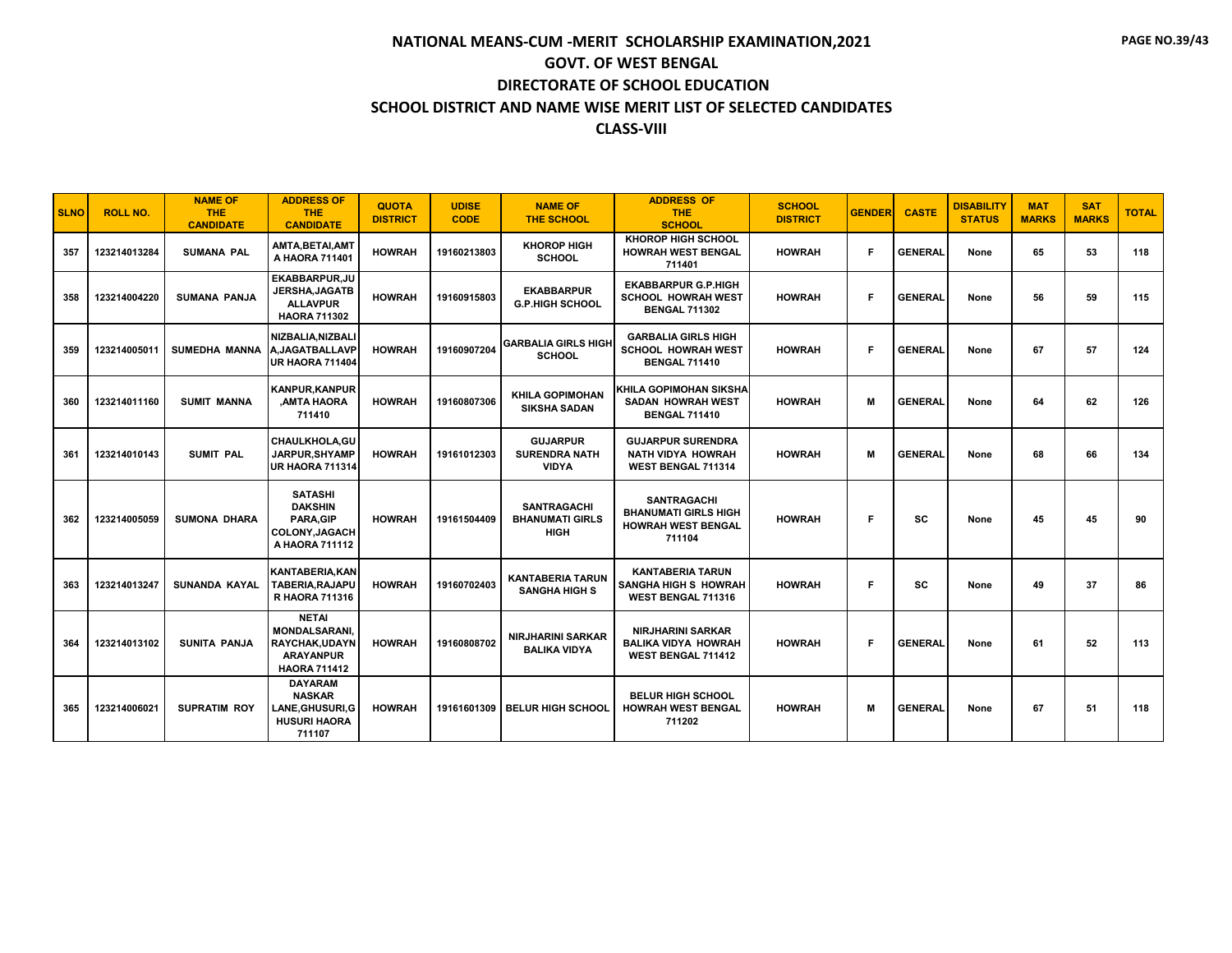| <b>SLNO</b> | <b>ROLL NO.</b> | <b>NAME OF</b><br><b>THE</b><br><b>CANDIDATE</b> | <b>ADDRESS OF</b><br><b>THE</b><br><b>CANDIDATE</b>                                               | <b>QUOTA</b><br><b>DISTRICT</b> | <b>UDISE</b><br><b>CODE</b> | <b>NAME OF</b><br><b>THE SCHOOL</b>                         | <b>ADDRESS OF</b><br><b>THE</b><br><b>SCHOOL</b>                                         | <b>SCHOOL</b><br><b>DISTRICT</b> | <b>GENDER</b> | <b>CASTE</b>   | <b>DISABILITY</b><br><b>STATUS</b> | <b>MAT</b><br><b>MARKS</b> | <b>SAT</b><br><b>MARKS</b> | <b>TOTAL</b> |
|-------------|-----------------|--------------------------------------------------|---------------------------------------------------------------------------------------------------|---------------------------------|-----------------------------|-------------------------------------------------------------|------------------------------------------------------------------------------------------|----------------------------------|---------------|----------------|------------------------------------|----------------------------|----------------------------|--------------|
| 357         | 123214013284    | <b>SUMANA PAL</b>                                | AMTA,BETAI,AMT<br>A HAORA 711401                                                                  | <b>HOWRAH</b>                   | 19160213803                 | <b>KHOROP HIGH</b><br><b>SCHOOL</b>                         | <b>KHOROP HIGH SCHOOL</b><br><b>HOWRAH WEST BENGAL</b><br>711401                         | <b>HOWRAH</b>                    | F.            | <b>GENERAL</b> | None                               | 65                         | 53                         | 118          |
| 358         | 123214004220    | <b>SUMANA PANJA</b>                              | <b>EKABBARPUR.JU</b><br><b>JERSHA, JAGATB</b><br><b>ALLAVPUR</b><br><b>HAORA 711302</b>           | <b>HOWRAH</b>                   | 19160915803                 | <b>EKABBARPUR</b><br><b>G.P.HIGH SCHOOL</b>                 | <b>EKABBARPUR G.P.HIGH</b><br><b>SCHOOL HOWRAH WEST</b><br><b>BENGAL 711302</b>          | <b>HOWRAH</b>                    | Е             | <b>GENERAL</b> | None                               | 56                         | 59                         | 115          |
| 359         | 123214005011    | <b>SUMEDHA MANNA</b>                             | NIZBALIA.NIZBALI<br><b>A.JAGATBALLAVP</b><br>UR HAORA 711404                                      | <b>HOWRAH</b>                   | 19160907204                 | <b>GARBALIA GIRLS HIGH</b><br><b>SCHOOL</b>                 | <b>GARBALIA GIRLS HIGH</b><br><b>SCHOOL HOWRAH WEST</b><br><b>BENGAL 711410</b>          | <b>HOWRAH</b>                    | F.            | <b>GENERAL</b> | None                               | 67                         | 57                         | 124          |
| 360         | 123214011160    | <b>SUMIT MANNA</b>                               | <b>KANPUR, KANPUR</b><br>AMTA HAORA<br>711410                                                     | <b>HOWRAH</b>                   | 19160807306                 | <b>KHILA GOPIMOHAN</b><br><b>SIKSHA SADAN</b>               | <b>KHILA GOPIMOHAN SIKSHA</b><br><b>SADAN HOWRAH WEST</b><br><b>BENGAL 711410</b>        | <b>HOWRAH</b>                    | М             | <b>GENERAL</b> | None                               | 64                         | 62                         | 126          |
| 361         | 123214010143    | <b>SUMIT PAL</b>                                 | <b>CHAULKHOLA.GU</b><br>JARPUR.SHYAMP<br>UR HAORA 711314                                          | <b>HOWRAH</b>                   | 19161012303                 | <b>GUJARPUR</b><br><b>SURENDRA NATH</b><br><b>VIDYA</b>     | <b>GUJARPUR SURENDRA</b><br><b>NATH VIDYA HOWRAH</b><br>WEST BENGAL 711314               | <b>HOWRAH</b>                    | М             | <b>GENERAL</b> | None                               | 68                         | 66                         | 134          |
| 362         | 123214005059    | <b>SUMONA DHARA</b>                              | <b>SATASHI</b><br><b>DAKSHIN</b><br>PARA, GIP<br><b>COLONY, JAGACH</b><br>A HAORA 711112          | <b>HOWRAH</b>                   | 19161504409                 | <b>SANTRAGACHI</b><br><b>BHANUMATI GIRLS</b><br><b>HIGH</b> | <b>SANTRAGACHI</b><br><b>BHANUMATI GIRLS HIGH</b><br><b>HOWRAH WEST BENGAL</b><br>711104 | <b>HOWRAH</b>                    | F             | <b>SC</b>      | None                               | 45                         | 45                         | 90           |
| 363         | 123214013247    | <b>SUNANDA KAYAL</b>                             | KANTABERIA.KAN<br><b>TABERIA, RAJAPU</b><br><b>R HAORA 711316</b>                                 | <b>HOWRAH</b>                   | 19160702403                 | <b>KANTABERIA TARUN</b><br><b>SANGHA HIGH S</b>             | <b>KANTABERIA TARUN</b><br><b>SANGHA HIGH S HOWRAH</b><br><b>WEST BENGAL 711316</b>      | <b>HOWRAH</b>                    | F.            | <b>SC</b>      | None                               | 49                         | 37                         | 86           |
| 364         | 123214013102    | <b>SUNITA PANJA</b>                              | <b>NETAI</b><br><b>MONDALSARANI.</b><br>RAYCHAK, UDAYN<br><b>ARAYANPUR</b><br><b>HAORA 711412</b> | <b>HOWRAH</b>                   | 19160808702                 | <b>NIRJHARINI SARKAR</b><br><b>BALIKA VIDYA</b>             | <b>NIRJHARINI SARKAR</b><br><b>BALIKA VIDYA HOWRAH</b><br>WEST BENGAL 711412             | <b>HOWRAH</b>                    | F.            | <b>GENERAL</b> | None                               | 61                         | 52                         | 113          |
| 365         | 123214006021    | <b>SUPRATIM ROY</b>                              | <b>DAYARAM</b><br><b>NASKAR</b><br>LANE, GHUSURI, G<br><b>HUSURI HAORA</b><br>711107              | <b>HOWRAH</b>                   |                             | 19161601309 BELUR HIGH SCHOOL                               | <b>BELUR HIGH SCHOOL</b><br><b>HOWRAH WEST BENGAL</b><br>711202                          | <b>HOWRAH</b>                    | М             | <b>GENERAL</b> | None                               | 67                         | 51                         | 118          |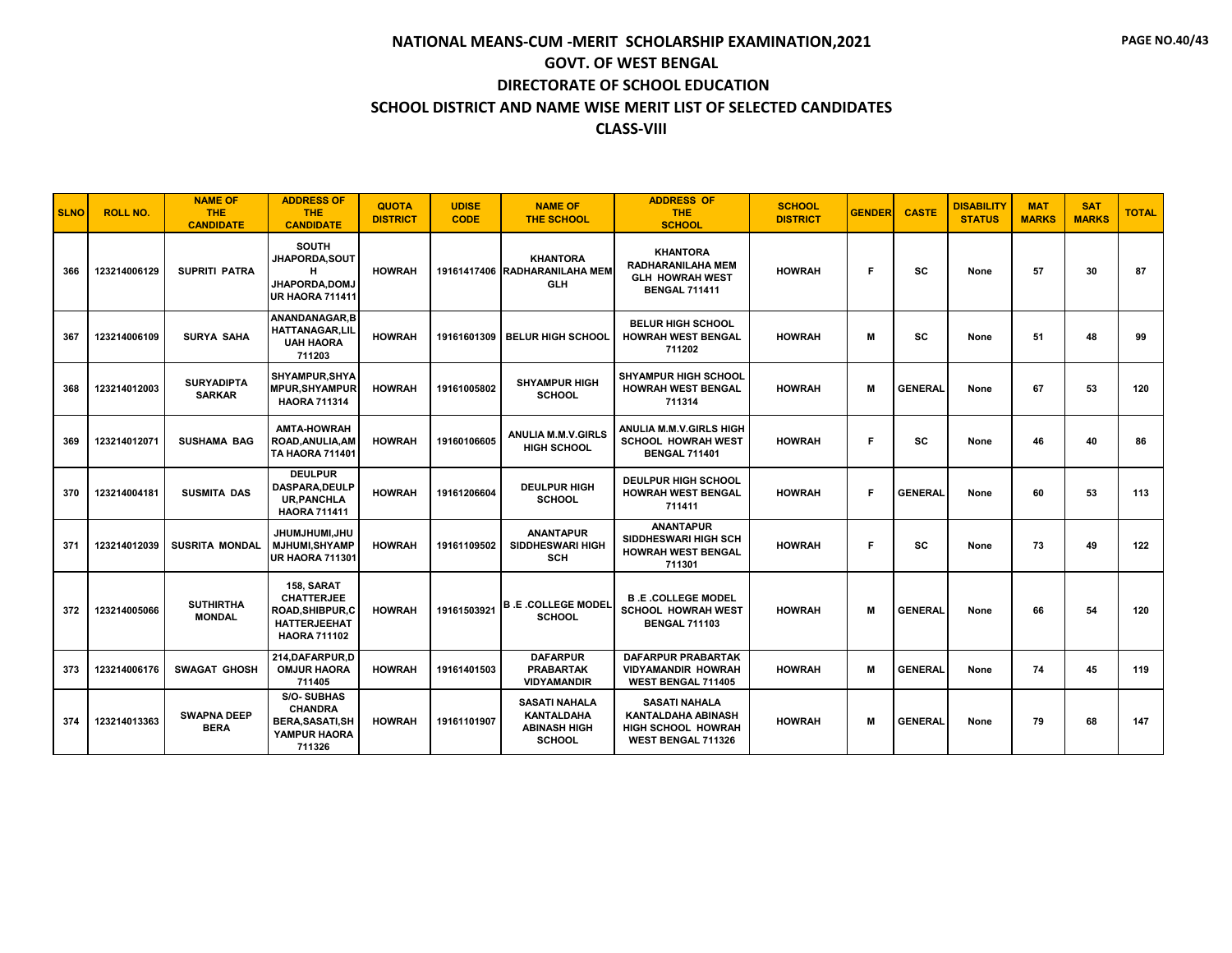| <b>SLNO</b> | <b>ROLL NO.</b> | <b>NAME OF</b><br>THE.<br><b>CANDIDATE</b> | <b>ADDRESS OF</b><br><b>THE</b><br><b>CANDIDATE</b>                                                      | <b>QUOTA</b><br><b>DISTRICT</b> | <b>UDISE</b><br><b>CODE</b> | <b>NAME OF</b><br><b>THE SCHOOL</b>                                               | <b>ADDRESS OF</b><br><b>THE</b><br><b>SCHOOL</b>                                              | <b>SCHOOL</b><br><b>DISTRICT</b> | <b>GENDER</b> | <b>CASTE</b>   | <b>DISABILITY</b><br><b>STATUS</b> | <b>MAT</b><br><b>MARKS</b> | <b>SAT</b><br><b>MARKS</b> | <b>TOTAL</b> |
|-------------|-----------------|--------------------------------------------|----------------------------------------------------------------------------------------------------------|---------------------------------|-----------------------------|-----------------------------------------------------------------------------------|-----------------------------------------------------------------------------------------------|----------------------------------|---------------|----------------|------------------------------------|----------------------------|----------------------------|--------------|
| 366         | 123214006129    | <b>SUPRITI PATRA</b>                       | <b>SOUTH</b><br><b>JHAPORDA.SOUT</b><br>н<br><b>JHAPORDA,DOMJ</b><br><b>UR HAORA 711411</b>              | <b>HOWRAH</b>                   |                             | <b>KHANTORA</b><br>19161417406 RADHARANILAHA MEM<br><b>GLH</b>                    | <b>KHANTORA</b><br><b>RADHARANILAHA MEM</b><br><b>GLH HOWRAH WEST</b><br><b>BENGAL 711411</b> | <b>HOWRAH</b>                    | F.            | sc             | None                               | 57                         | 30                         | 87           |
| 367         | 123214006109    | <b>SURYA SAHA</b>                          | ANANDANAGAR.B<br><b>HATTANAGAR.LIL</b><br><b>UAH HAORA</b><br>711203                                     | <b>HOWRAH</b>                   |                             | 19161601309 BELUR HIGH SCHOOL                                                     | <b>BELUR HIGH SCHOOL</b><br><b>HOWRAH WEST BENGAL</b><br>711202                               | <b>HOWRAH</b>                    | м             | <b>SC</b>      | None                               | 51                         | 48                         | 99           |
| 368         | 123214012003    | <b>SURYADIPTA</b><br><b>SARKAR</b>         | SHYAMPUR.SHYA<br><b>MPUR.SHYAMPUR</b><br><b>HAORA 711314</b>                                             | <b>HOWRAH</b>                   | 19161005802                 | <b>SHYAMPUR HIGH</b><br><b>SCHOOL</b>                                             | <b>SHYAMPUR HIGH SCHOOL</b><br><b>HOWRAH WEST BENGAL</b><br>711314                            | <b>HOWRAH</b>                    | м             | <b>GENERAL</b> | None                               | 67                         | 53                         | 120          |
| 369         | 123214012071    | <b>SUSHAMA BAG</b>                         | <b>AMTA-HOWRAH</b><br>ROAD.ANULIA.AM<br><b>TA HAORA 711401</b>                                           | <b>HOWRAH</b>                   | 19160106605                 | <b>ANULIA M.M.V.GIRLS</b><br><b>HIGH SCHOOL</b>                                   | <b>ANULIA M.M.V.GIRLS HIGH</b><br><b>SCHOOL HOWRAH WEST</b><br><b>BENGAL 711401</b>           | <b>HOWRAH</b>                    | F             | <b>SC</b>      | None                               | 46                         | 40                         | 86           |
| 370         | 123214004181    | <b>SUSMITA DAS</b>                         | <b>DEULPUR</b><br>DASPARA, DEULP<br><b>UR.PANCHLA</b><br><b>HAORA 711411</b>                             | <b>HOWRAH</b>                   | 19161206604                 | <b>DEULPUR HIGH</b><br><b>SCHOOL</b>                                              | <b>DEULPUR HIGH SCHOOL</b><br><b>HOWRAH WEST BENGAL</b><br>711411                             | <b>HOWRAH</b>                    | Е             | <b>GENERAL</b> | None                               | 60                         | 53                         | 113          |
| 371         | 123214012039    | <b>SUSRITA MONDAL</b>                      | UHU,IMUHLMUHL<br><b>MJHUMI, SHYAMP</b><br><b>UR HAORA 711301</b>                                         | <b>HOWRAH</b>                   | 19161109502                 | <b>ANANTAPUR</b><br>SIDDHESWARI HIGH<br><b>SCH</b>                                | <b>ANANTAPUR</b><br><b>SIDDHESWARI HIGH SCH</b><br><b>HOWRAH WEST BENGAL</b><br>711301        | <b>HOWRAH</b>                    | F.            | <b>SC</b>      | None                               | 73                         | 49                         | 122          |
| 372         | 123214005066    | <b>SUTHIRTHA</b><br><b>MONDAL</b>          | 158. SARAT<br><b>CHATTERJEE</b><br><b>ROAD, SHIBPUR, C</b><br><b>HATTERJEEHAT</b><br><b>HAORA 711102</b> | <b>HOWRAH</b>                   | 19161503921                 | <b>B.E.COLLEGE MODEL</b><br><b>SCHOOL</b>                                         | <b>B.E.COLLEGE MODEL</b><br><b>SCHOOL HOWRAH WEST</b><br><b>BENGAL 711103</b>                 | <b>HOWRAH</b>                    | M             | <b>GENERAL</b> | None                               | 66                         | 54                         | 120          |
| 373         | 123214006176    | <b>SWAGAT GHOSH</b>                        | 214.DAFARPUR.D<br><b>OMJUR HAORA</b><br>711405                                                           | <b>HOWRAH</b>                   | 19161401503                 | <b>DAFARPUR</b><br><b>PRABARTAK</b><br><b>VIDYAMANDIR</b>                         | <b>DAFARPUR PRABARTAK</b><br><b>VIDYAMANDIR HOWRAH</b><br>WEST BENGAL 711405                  | <b>HOWRAH</b>                    | M             | <b>GENERAL</b> | None                               | 74                         | 45                         | 119          |
| 374         | 123214013363    | <b>SWAPNA DEEP</b><br><b>BERA</b>          | <b>S/O-SUBHAS</b><br><b>CHANDRA</b><br><b>BERA, SASATI, SH</b><br>YAMPUR HAORA<br>711326                 | <b>HOWRAH</b>                   | 19161101907                 | <b>SASATI NAHALA</b><br><b>KANTALDAHA</b><br><b>ABINASH HIGH</b><br><b>SCHOOL</b> | <b>SASATI NAHALA</b><br><b>KANTALDAHA ABINASH</b><br>HIGH SCHOOL HOWRAH<br>WEST BENGAL 711326 | <b>HOWRAH</b>                    | м             | <b>GENERAL</b> | None                               | 79                         | 68                         | 147          |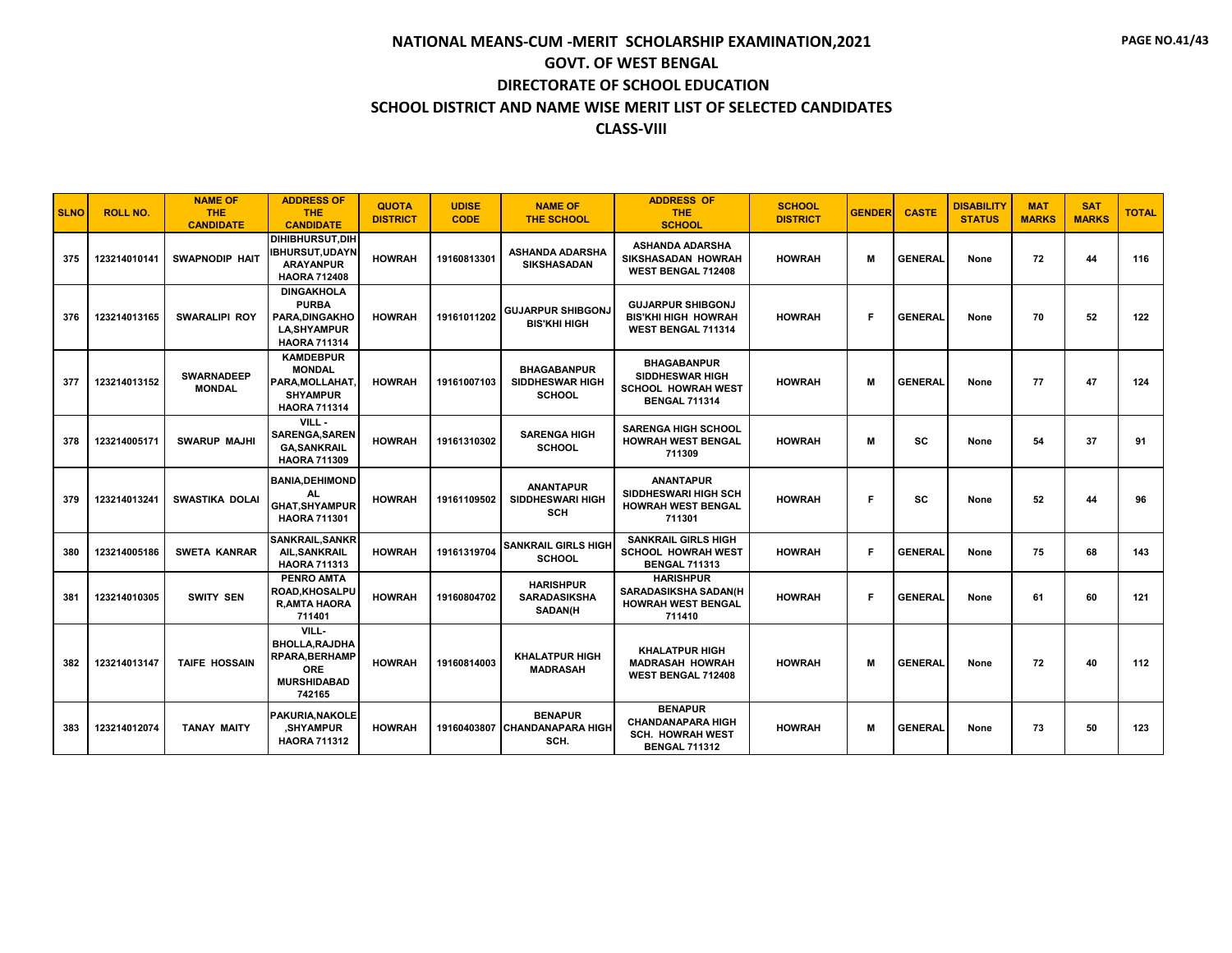| <b>SLNO</b> | <b>ROLL NO.</b> | <b>NAME OF</b><br><b>THE</b><br><b>CANDIDATE</b> | <b>ADDRESS OF</b><br><b>THE</b><br><b>CANDIDATE</b>                                              | <b>QUOTA</b><br><b>DISTRICT</b> | <b>UDISE</b><br><b>CODE</b> | <b>NAME OF</b><br><b>THE SCHOOL</b>                           | <b>ADDRESS OF</b><br><b>THE</b><br><b>SCHOOL</b>                                                  | <b>SCHOOL</b><br><b>DISTRICT</b> | <b>GENDER</b> | <b>CASTE</b>   | <b>DISABILITY</b><br><b>STATUS</b> | <b>MAT</b><br><b>MARKS</b> | <b>SAT</b><br><b>MARKS</b> | <b>TOTAL</b> |
|-------------|-----------------|--------------------------------------------------|--------------------------------------------------------------------------------------------------|---------------------------------|-----------------------------|---------------------------------------------------------------|---------------------------------------------------------------------------------------------------|----------------------------------|---------------|----------------|------------------------------------|----------------------------|----------------------------|--------------|
| 375         | 123214010141    | <b>SWAPNODIP HAIT</b>                            | <b>DIHIBHURSUT.DIH</b><br><b>IBHURSUT,UDAYN</b><br><b>ARAYANPUR</b><br><b>HAORA 712408</b>       | <b>HOWRAH</b>                   | 19160813301                 | ASHANDA ADARSHA<br><b>SIKSHASADAN</b>                         | <b>ASHANDA ADARSHA</b><br>SIKSHASADAN HOWRAH<br>WEST BENGAL 712408                                | <b>HOWRAH</b>                    | м             | <b>GENERAL</b> | None                               | 72                         | 44                         | 116          |
| 376         | 123214013165    | <b>SWARALIPI ROY</b>                             | <b>DINGAKHOLA</b><br><b>PURBA</b><br>PARA.DINGAKHO<br><b>LA, SHYAMPUR</b><br><b>HAORA 711314</b> | <b>HOWRAH</b>                   | 19161011202                 | <b>GUJARPUR SHIBGONJ</b><br><b>BIS'KHI HIGH</b>               | <b>GUJARPUR SHIBGONJ</b><br><b>BIS'KHI HIGH HOWRAH</b><br>WEST BENGAL 711314                      | <b>HOWRAH</b>                    | Е             | <b>GENERAL</b> | None                               | 70                         | 52                         | 122          |
| 377         | 123214013152    | <b>SWARNADEEP</b><br><b>MONDAL</b>               | <b>KAMDEBPUR</b><br><b>MONDAL</b><br>PARA, MOLLAHAT<br><b>SHYAMPUR</b><br><b>HAORA 711314</b>    | <b>HOWRAH</b>                   | 19161007103                 | <b>BHAGABANPUR</b><br><b>SIDDHESWAR HIGH</b><br><b>SCHOOL</b> | <b>BHAGABANPUR</b><br><b>SIDDHESWAR HIGH</b><br><b>SCHOOL HOWRAH WEST</b><br><b>BENGAL 711314</b> | <b>HOWRAH</b>                    | м             | <b>GENERAL</b> | None                               | 77                         | 47                         | 124          |
| 378         | 123214005171    | <b>SWARUP MAJHI</b>                              | VILL-<br><b>SARENGA, SAREN</b><br><b>GA,SANKRAIL</b><br><b>HAORA 711309</b>                      | <b>HOWRAH</b>                   | 19161310302                 | <b>SARENGA HIGH</b><br><b>SCHOOL</b>                          | <b>SARENGA HIGH SCHOOL</b><br><b>HOWRAH WEST BENGAL</b><br>711309                                 | <b>HOWRAH</b>                    | м             | <b>SC</b>      | None                               | 54                         | 37                         | 91           |
| 379         | 123214013241    | <b>SWASTIKA DOLAI</b>                            | <b>BANIA, DEHIMOND</b><br>AL.<br><b>GHAT, SHYAMPUR</b><br><b>HAORA 711301</b>                    | <b>HOWRAH</b>                   | 19161109502                 | <b>ANANTAPUR</b><br>SIDDHESWARI HIGH<br><b>SCH</b>            | <b>ANANTAPUR</b><br>SIDDHESWARI HIGH SCH<br><b>HOWRAH WEST BENGAL</b><br>711301                   | <b>HOWRAH</b>                    | F             | <b>SC</b>      | None                               | 52                         | 44                         | 96           |
| 380         | 123214005186    | <b>SWETA KANRAR</b>                              | SANKRAIL, SANKR<br>AIL, SANKRAIL<br><b>HAORA 711313</b>                                          | <b>HOWRAH</b>                   | 19161319704                 | <b>SANKRAIL GIRLS HIGH</b><br><b>SCHOOL</b>                   | <b>SANKRAIL GIRLS HIGH</b><br><b>SCHOOL HOWRAH WEST</b><br><b>BENGAL 711313</b>                   | <b>HOWRAH</b>                    | F.            | <b>GENERAL</b> | None                               | 75                         | 68                         | 143          |
| 381         | 123214010305    | <b>SWITY SEN</b>                                 | <b>PENRO AMTA</b><br>ROAD, KHOSALPU<br><b>R, AMTA HAORA</b><br>711401                            | <b>HOWRAH</b>                   | 19160804702                 | <b>HARISHPUR</b><br><b>SARADASIKSHA</b><br><b>SADAN(H</b>     | <b>HARISHPUR</b><br><b>SARADASIKSHA SADAN(H</b><br><b>HOWRAH WEST BENGAL</b><br>711410            | <b>HOWRAH</b>                    | E             | <b>GENERAL</b> | None                               | 61                         | 60                         | 121          |
| 382         | 123214013147    | <b>TAIFE HOSSAIN</b>                             | VILL-<br>BHOLLA, RAJDHA<br><b>RPARA, BERHAMP</b><br><b>ORE</b><br><b>MURSHIDABAD</b><br>742165   | <b>HOWRAH</b>                   | 19160814003                 | <b>KHALATPUR HIGH</b><br><b>MADRASAH</b>                      | <b>KHALATPUR HIGH</b><br><b>MADRASAH HOWRAH</b><br>WEST BENGAL 712408                             | <b>HOWRAH</b>                    | м             | <b>GENERAL</b> | None                               | 72                         | 40                         | 112          |
| 383         | 123214012074    | <b>TANAY MAITY</b>                               | <b>PAKURIA.NAKOLE</b><br><b>SHYAMPUR</b><br><b>HAORA 711312</b>                                  | <b>HOWRAH</b>                   |                             | <b>BENAPUR</b><br>19160403807 CHANDANAPARA HIGH<br>SCH.       | <b>BENAPUR</b><br><b>CHANDANAPARA HIGH</b><br><b>SCH. HOWRAH WEST</b><br><b>BENGAL 711312</b>     | <b>HOWRAH</b>                    | м             | <b>GENERAL</b> | None                               | 73                         | 50                         | 123          |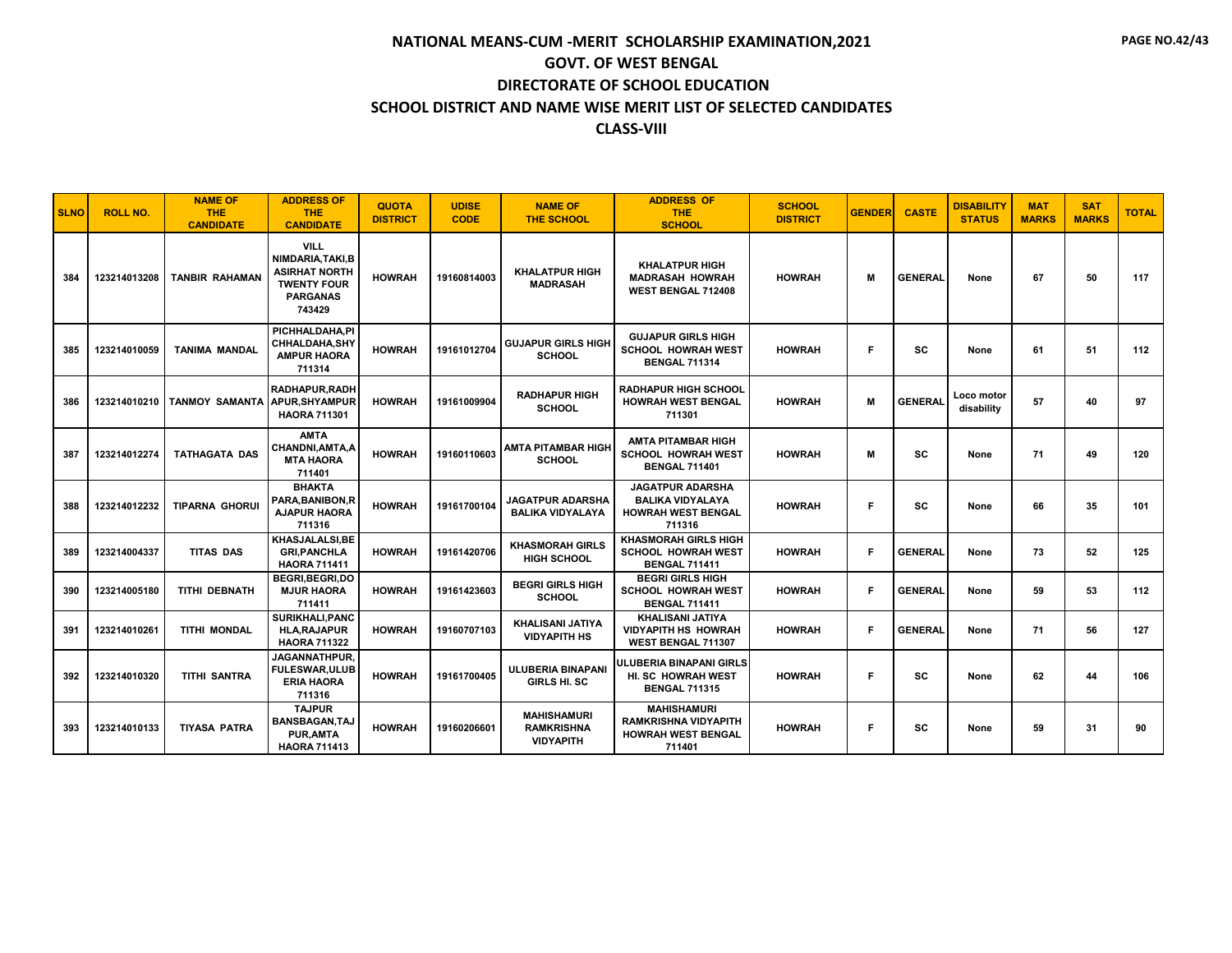| <b>SLNO</b> | <b>ROLL NO.</b> | <b>NAME OF</b><br><b>THE</b><br><b>CANDIDATE</b> | <b>ADDRESS OF</b><br><b>THE</b><br><b>CANDIDATE</b>                                                       | <b>QUOTA</b><br><b>DISTRICT</b> | <b>UDISE</b><br><b>CODE</b> | <b>NAME OF</b><br><b>THE SCHOOL</b>                         | <b>ADDRESS OF</b><br><b>THE</b><br><b>SCHOOL</b>                                          | <b>SCHOOL</b><br><b>DISTRICT</b> | <b>GENDER</b> | <b>CASTE</b>   | <b>DISABILITY</b><br><b>STATUS</b> | <b>MAT</b><br><b>MARKS</b> | <b>SAT</b><br><b>MARKS</b> | <b>TOTAL</b> |
|-------------|-----------------|--------------------------------------------------|-----------------------------------------------------------------------------------------------------------|---------------------------------|-----------------------------|-------------------------------------------------------------|-------------------------------------------------------------------------------------------|----------------------------------|---------------|----------------|------------------------------------|----------------------------|----------------------------|--------------|
| 384         | 123214013208    | <b>TANBIR RAHAMAN</b>                            | <b>VILL</b><br>NIMDARIA.TAKI.B<br><b>ASIRHAT NORTH</b><br><b>TWENTY FOUR</b><br><b>PARGANAS</b><br>743429 | <b>HOWRAH</b>                   | 19160814003                 | <b>KHALATPUR HIGH</b><br><b>MADRASAH</b>                    | <b>KHALATPUR HIGH</b><br><b>MADRASAH HOWRAH</b><br>WEST BENGAL 712408                     | <b>HOWRAH</b>                    | М             | <b>GENERAL</b> | None                               | 67                         | 50                         | 117          |
| 385         | 123214010059    | <b>TANIMA MANDAL</b>                             | PICHHALDAHA.PI<br>CHHALDAHA, SHY<br><b>AMPUR HAORA</b><br>711314                                          | <b>HOWRAH</b>                   | 19161012704                 | <b>GUJAPUR GIRLS HIGH</b><br><b>SCHOOL</b>                  | <b>GUJAPUR GIRLS HIGH</b><br><b>SCHOOL HOWRAH WEST</b><br><b>BENGAL 711314</b>            | <b>HOWRAH</b>                    | F             | <b>SC</b>      | None                               | 61                         | 51                         | 112          |
| 386         |                 | 123214010210 TANMOY SAMANTA                      | RADHAPUR, RADH<br>APUR.SHYAMPUR<br><b>HAORA 711301</b>                                                    | <b>HOWRAH</b>                   | 19161009904                 | <b>RADHAPUR HIGH</b><br><b>SCHOOL</b>                       | <b>RADHAPUR HIGH SCHOOL</b><br><b>HOWRAH WEST BENGAL</b><br>711301                        | <b>HOWRAH</b>                    | М             | <b>GENERAL</b> | Loco motor<br>disability           | 57                         | 40                         | 97           |
| 387         | 123214012274    | TATHAGATA DAS                                    | <b>AMTA</b><br>CHANDNI, AMTA, A<br><b>MTA HAORA</b><br>711401                                             | <b>HOWRAH</b>                   | 19160110603                 | AMTA PITAMBAR HIGH<br><b>SCHOOL</b>                         | AMTA PITAMBAR HIGH<br><b>SCHOOL HOWRAH WEST</b><br><b>BENGAL 711401</b>                   | <b>HOWRAH</b>                    | м             | SC             | None                               | 71                         | 49                         | 120          |
| 388         | 123214012232    | <b>TIPARNA GHORUI</b>                            | <b>BHAKTA</b><br>PARA.BANIBON.R<br><b>AJAPUR HAORA</b><br>711316                                          | <b>HOWRAH</b>                   | 19161700104                 | <b>JAGATPUR ADARSHA</b><br><b>BALIKA VIDYALAYA</b>          | <b>JAGATPUR ADARSHA</b><br><b>BALIKA VIDYALAYA</b><br><b>HOWRAH WEST BENGAL</b><br>711316 | <b>HOWRAH</b>                    | Е             | <b>SC</b>      | None                               | 66                         | 35                         | 101          |
| 389         | 123214004337    | <b>TITAS DAS</b>                                 | KHASJALALSI, BE<br><b>GRI.PANCHLA</b><br><b>HAORA 711411</b>                                              | <b>HOWRAH</b>                   | 19161420706                 | <b>KHASMORAH GIRLS</b><br><b>HIGH SCHOOL</b>                | <b>KHASMORAH GIRLS HIGH</b><br><b>SCHOOL HOWRAH WEST</b><br><b>BENGAL 711411</b>          | <b>HOWRAH</b>                    | F.            | <b>GENERAL</b> | None                               | 73                         | 52                         | 125          |
| 390         | 123214005180    | <b>TITHI DEBNATH</b>                             | <b>BEGRI.BEGRI.DO</b><br><b>MJUR HAORA</b><br>711411                                                      | <b>HOWRAH</b>                   | 19161423603                 | <b>BEGRI GIRLS HIGH</b><br><b>SCHOOL</b>                    | <b>BEGRI GIRLS HIGH</b><br><b>SCHOOL HOWRAH WEST</b><br><b>BENGAL 711411</b>              | <b>HOWRAH</b>                    | F.            | <b>GENERAL</b> | None                               | 59                         | 53                         | 112          |
| 391         | 123214010261    | TITHI MONDAL                                     | <b>SURIKHALI, PANC</b><br><b>HLA, RAJAPUR</b><br><b>HAORA 711322</b>                                      | <b>HOWRAH</b>                   | 19160707103                 | <b>KHALISANI JATIYA</b><br><b>VIDYAPITH HS</b>              | <b>KHALISANI JATIYA</b><br><b>VIDYAPITH HS HOWRAH</b><br>WEST BENGAL 711307               | <b>HOWRAH</b>                    | Е             | <b>GENERAL</b> | None                               | 71                         | 56                         | 127          |
| 392         | 123214010320    | <b>TITHI SANTRA</b>                              | <b>JAGANNATHPUR.</b><br><b>FULESWAR, ULUB</b><br><b>ERIA HAORA</b><br>711316                              | <b>HOWRAH</b>                   | 19161700405                 | <b>ULUBERIA BINAPANI</b><br>GIRLS HI. SC                    | JLUBERIA BINAPANI GIRLS<br>HI. SC HOWRAH WEST<br><b>BENGAL 711315</b>                     | <b>HOWRAH</b>                    | Е             | SC             | None                               | 62                         | 44                         | 106          |
| 393         | 123214010133    | <b>TIYASA PATRA</b>                              | <b>TAJPUR</b><br><b>BANSBAGAN, TAJ</b><br>PUR, AMTA<br><b>HAORA 711413</b>                                | <b>HOWRAH</b>                   | 19160206601                 | <b>MAHISHAMURI</b><br><b>RAMKRISHNA</b><br><b>VIDYAPITH</b> | <b>MAHISHAMURI</b><br><b>RAMKRISHNA VIDYAPITH</b><br><b>HOWRAH WEST BENGAL</b><br>711401  | <b>HOWRAH</b>                    | Е             | <b>SC</b>      | None                               | 59                         | 31                         | 90           |